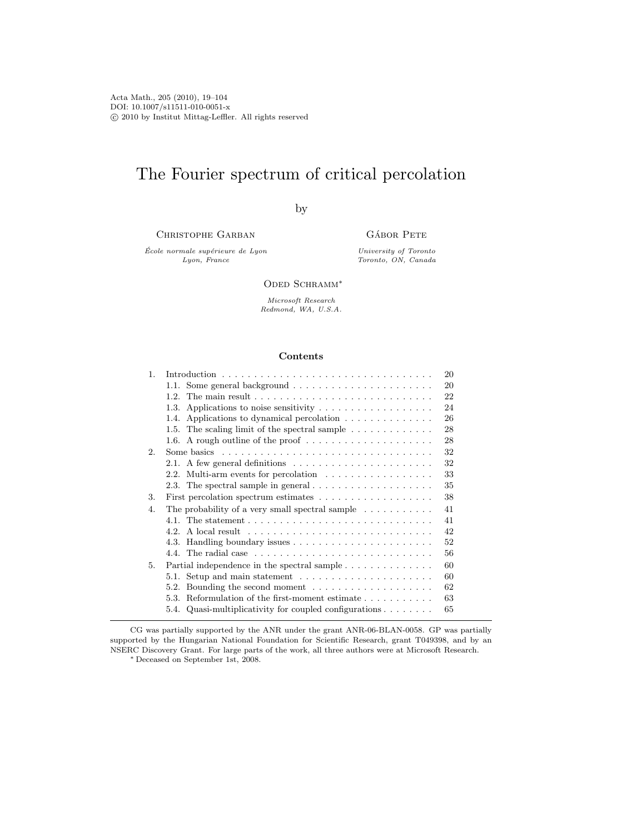# The Fourier spectrum of critical percolation

by

Christophe Garban

 $\acute{E}cole$  normale supérieure de Lyon  $\,$ Lyon, France

GÁBOR PETE

University of Toronto Toronto, ON, Canada

# ODED SCHRAMM<sup>\*</sup>

Microsoft Research Redmond, WA, U.S.A.

### Contents

| $\mathbf{1}_{\cdot}$ |                                                                                             | 20 |
|----------------------|---------------------------------------------------------------------------------------------|----|
|                      | 1.1. Some general background $\ldots \ldots \ldots \ldots \ldots \ldots \ldots$             | 20 |
|                      |                                                                                             | 22 |
|                      | 1.3.                                                                                        | 24 |
|                      | Applications to dynamical percolation<br>1.4.                                               | 26 |
|                      | 1.5. The scaling limit of the spectral sample $\dots \dots \dots \dots$                     | 28 |
|                      | 1.6.                                                                                        | 28 |
| 2.5                  | Some basics $\dots \dots \dots \dots \dots \dots \dots \dots \dots \dots \dots \dots \dots$ | 32 |
|                      | 2.1. A few general definitions $\dots \dots \dots \dots \dots \dots \dots$                  | 32 |
|                      | 2.2. Multi-arm events for percolation                                                       | 33 |
|                      | 2.3. The spectral sample in general $\dots \dots \dots \dots \dots \dots$                   | 35 |
| 3.                   |                                                                                             | 38 |
| $\mathbf{4}$ .       | The probability of a very small spectral sample $\dots \dots \dots$                         | 41 |
|                      | 4.1. The statement $\dots \dots \dots \dots \dots \dots \dots \dots \dots \dots \dots$      | 41 |
|                      | 4.2.<br>A local result                                                                      | 42 |
|                      | 4.3.                                                                                        | 52 |
|                      | 4.4. The radial case $\dots \dots \dots \dots \dots \dots \dots \dots \dots \dots \dots$    | 56 |
| 5.                   | Partial independence in the spectral sample                                                 | 60 |
|                      | 5.1. Setup and main statement $\dots \dots \dots \dots \dots \dots \dots$                   | 60 |
|                      | 5.2.                                                                                        | 62 |
|                      | Reformulation of the first-moment estimate $\dots \dots \dots$<br>5.3.                      | 63 |
|                      | 5.4. Quasi-multiplicativity for coupled configurations $\dots \dots$                        | 65 |

CG was partially supported by the ANR under the grant ANR-06-BLAN-0058. GP was partially supported by the Hungarian National Foundation for Scientific Research, grant T049398, and by an NSERC Discovery Grant. For large parts of the work, all three authors were at Microsoft Research. <sup>∗</sup> Deceased on September 1st, 2008.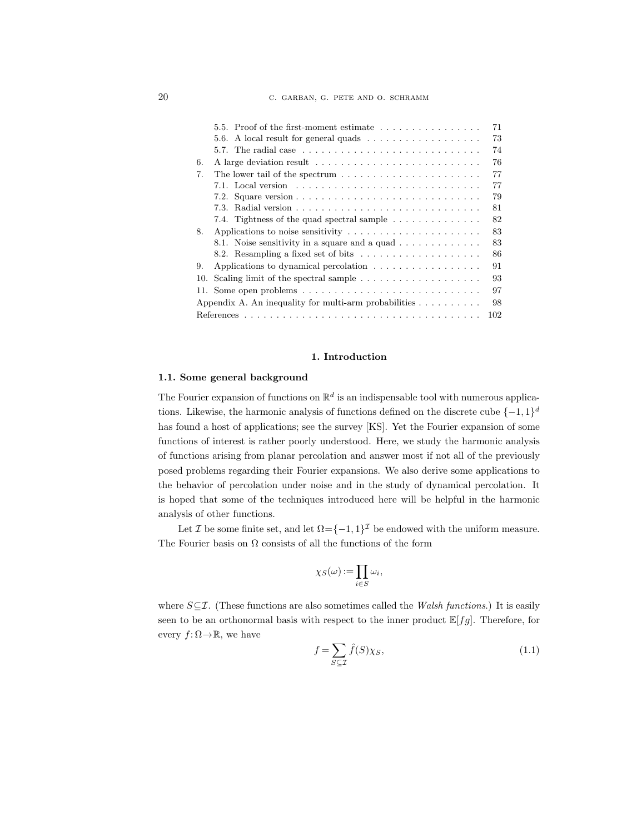20 **c. GARBAN, G. PETE AND O. SCHRAMM** 

| 5.5. Proof of the first-moment estimate $\dots \dots \dots \dots \dots$                      | 71  |
|----------------------------------------------------------------------------------------------|-----|
|                                                                                              | 73  |
| 5.7. The radial case $\ldots \ldots \ldots \ldots \ldots \ldots \ldots \ldots \ldots \ldots$ | 74  |
| 6.                                                                                           | 76  |
| 7.<br>The lower tail of the spectrum $\dots \dots \dots \dots \dots \dots \dots \dots$       | 77  |
|                                                                                              | 77  |
|                                                                                              | 79  |
| 7.3.                                                                                         | 81  |
| 7.4. Tightness of the quad spectral sample $\dots \dots \dots \dots$                         | 82  |
| Applications to noise sensitivity $\dots \dots \dots \dots \dots \dots \dots$<br>8.          | 83  |
| 8.1. Noise sensitivity in a square and a quad $\dots \dots \dots \dots$                      | 83  |
|                                                                                              | 86  |
| Applications to dynamical percolation<br>9.                                                  | 91  |
| Scaling limit of the spectral sample $\dots \dots \dots \dots \dots \dots$<br>10.            | 93  |
| 11. Some open problems $\dots \dots \dots \dots \dots \dots \dots \dots \dots \dots \dots$   | 97  |
| Appendix A. An inequality for multi-arm probabilities $\dots \dots \dots$                    | 98  |
|                                                                                              | 102 |
|                                                                                              |     |

## 1. Introduction

# 1.1. Some general background

The Fourier expansion of functions on  $\mathbb{R}^d$  is an indispensable tool with numerous applications. Likewise, the harmonic analysis of functions defined on the discrete cube  $\{-1,1\}^d$ has found a host of applications; see the survey [KS]. Yet the Fourier expansion of some functions of interest is rather poorly understood. Here, we study the harmonic analysis of functions arising from planar percolation and answer most if not all of the previously posed problems regarding their Fourier expansions. We also derive some applications to the behavior of percolation under noise and in the study of dynamical percolation. It is hoped that some of the techniques introduced here will be helpful in the harmonic analysis of other functions.

Let *I* be some finite set, and let  $\Omega = \{-1, 1\}^{\mathcal{I}}$  be endowed with the uniform measure. The Fourier basis on  $\Omega$  consists of all the functions of the form

$$
\chi_S(\omega) := \prod_{i \in S} \omega_i,
$$

where  $S\subseteq\mathcal{I}$ . (These functions are also sometimes called the Walsh functions.) It is easily seen to be an orthonormal basis with respect to the inner product  $\mathbb{E}[fg]$ . Therefore, for every  $f: \Omega \to \mathbb{R}$ , we have

$$
f = \sum_{S \subseteq \mathcal{I}} \hat{f}(S) \chi_S,
$$
\n(1.1)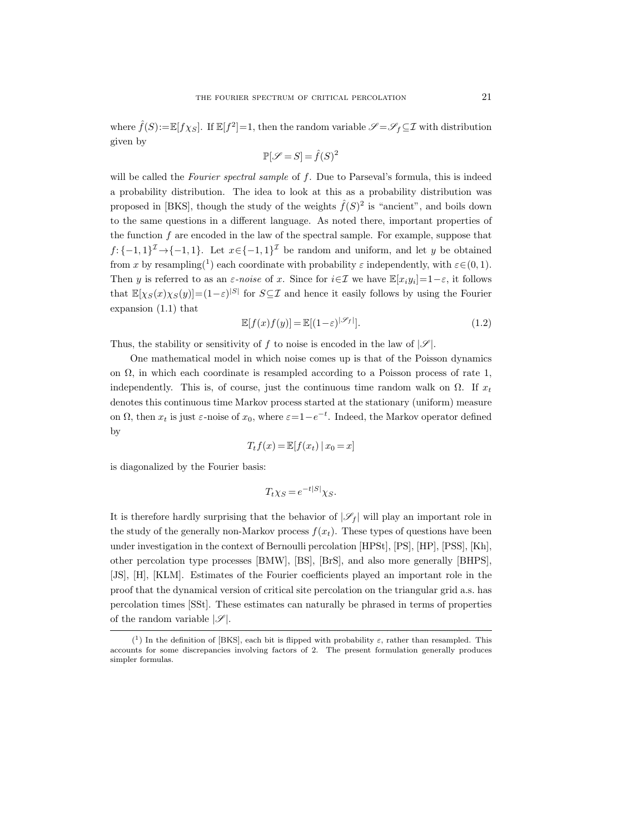where  $\hat{f}(S) := \mathbb{E}[f\chi_S]$ . If  $\mathbb{E}[f^2]=1$ , then the random variable  $\mathscr{S} = \mathscr{S}_f \subseteq \mathcal{I}$  with distribution given by

$$
\mathbb{P}[\mathscr{S}\!=\!S]\!=\!\hat{f}(S)^2
$$

will be called the Fourier spectral sample of f. Due to Parseval's formula, this is indeed a probability distribution. The idea to look at this as a probability distribution was proposed in [BKS], though the study of the weights  $\hat{f}(S)^2$  is "ancient", and boils down to the same questions in a different language. As noted there, important properties of the function  $f$  are encoded in the law of the spectral sample. For example, suppose that  $f: \{-1, 1\}^{\mathcal{I}} \rightarrow \{-1, 1\}$ . Let  $x \in \{-1, 1\}^{\mathcal{I}}$  be random and uniform, and let y be obtained from x by resampling<sup>(1</sup>) each coordinate with probability  $\varepsilon$  independently, with  $\varepsilon \in (0,1)$ . Then y is referred to as an  $\varepsilon$ -noise of x. Since for  $i \in \mathcal{I}$  we have  $\mathbb{E}[x_i y_i] = 1 - \varepsilon$ , it follows that  $\mathbb{E}[\chi_S(x)\chi_S(y)] = (1-\varepsilon)^{|S|}$  for  $S\subseteq\mathcal{I}$  and hence it easily follows by using the Fourier expansion (1.1) that

$$
\mathbb{E}[f(x)f(y)] = \mathbb{E}[(1-\varepsilon)^{|\mathscr{S}_f|}].\tag{1.2}
$$

Thus, the stability or sensitivity of f to noise is encoded in the law of  $|\mathscr{S}|$ .

One mathematical model in which noise comes up is that of the Poisson dynamics on  $\Omega$ , in which each coordinate is resampled according to a Poisson process of rate 1, independently. This is, of course, just the continuous time random walk on  $\Omega$ . If  $x_t$ denotes this continuous time Markov process started at the stationary (uniform) measure on  $\Omega$ , then  $x_t$  is just  $\varepsilon$ -noise of  $x_0$ , where  $\varepsilon = 1 - e^{-t}$ . Indeed, the Markov operator defined by

$$
T_t f(x) = \mathbb{E}[f(x_t) | x_0 = x]
$$

is diagonalized by the Fourier basis:

$$
T_t \chi_S = e^{-t|S|} \chi_S.
$$

It is therefore hardly surprising that the behavior of  $|\mathscr{S}_f|$  will play an important role in the study of the generally non-Markov process  $f(x_t)$ . These types of questions have been under investigation in the context of Bernoulli percolation [HPSt], [PS], [HP], [PSS], [Kh], other percolation type processes [BMW], [BS], [BrS], and also more generally [BHPS], [JS], [H], [KLM]. Estimates of the Fourier coefficients played an important role in the proof that the dynamical version of critical site percolation on the triangular grid a.s. has percolation times [SSt]. These estimates can naturally be phrased in terms of properties of the random variable  $|\mathscr{S}|$ .

<sup>(&</sup>lt;sup>1</sup>) In the definition of [BKS], each bit is flipped with probability  $\varepsilon$ , rather than resampled. This accounts for some discrepancies involving factors of 2. The present formulation generally produces simpler formulas.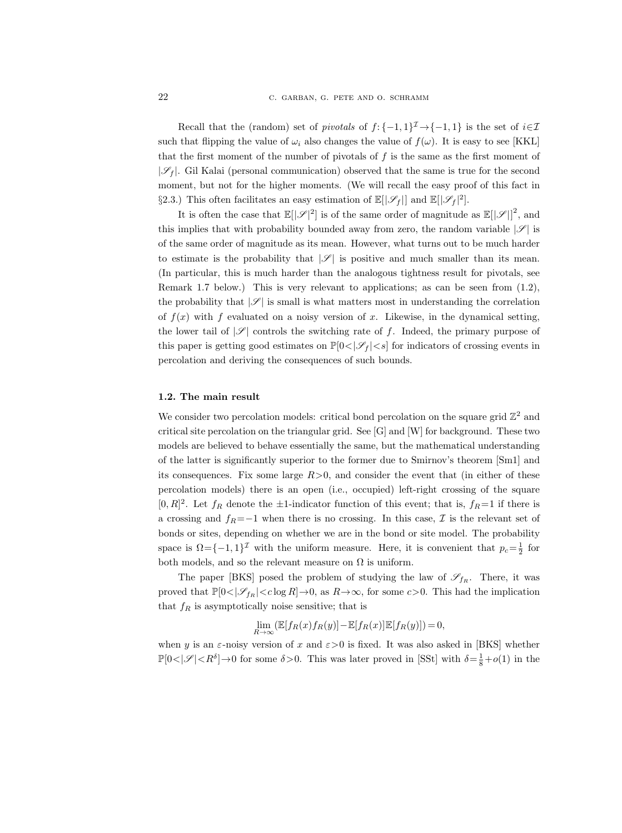Recall that the (random) set of *pivotals* of  $f: \{-1, 1\}^{\mathcal{I}} \to \{-1, 1\}$  is the set of  $i \in \mathcal{I}$ such that flipping the value of  $\omega_i$  also changes the value of  $f(\omega)$ . It is easy to see [KKL] that the first moment of the number of pivotals of  $f$  is the same as the first moment of  $|\mathscr{S}_f|$ . Gil Kalai (personal communication) observed that the same is true for the second moment, but not for the higher moments. (We will recall the easy proof of this fact in §2.3.) This often facilitates an easy estimation of  $\mathbb{E}[|\mathscr{S}_f|]$  and  $\mathbb{E}[|\mathscr{S}_f|^2]$ .

It is often the case that  $\mathbb{E}[|\mathscr{S}|^2]$  is of the same order of magnitude as  $\mathbb{E}[|\mathscr{S}|]^2$ , and this implies that with probability bounded away from zero, the random variable  $|\mathscr{S}|$  is of the same order of magnitude as its mean. However, what turns out to be much harder to estimate is the probability that  $|\mathscr{S}|$  is positive and much smaller than its mean. (In particular, this is much harder than the analogous tightness result for pivotals, see Remark 1.7 below.) This is very relevant to applications; as can be seen from (1.2), the probability that  $|\mathscr{S}|$  is small is what matters most in understanding the correlation of  $f(x)$  with f evaluated on a noisy version of x. Likewise, in the dynamical setting, the lower tail of  $|\mathscr{S}|$  controls the switching rate of f. Indeed, the primary purpose of this paper is getting good estimates on  $\mathbb{P}[0<|\mathscr{S}_f|< s]$  for indicators of crossing events in percolation and deriving the consequences of such bounds.

#### 1.2. The main result

We consider two percolation models: critical bond percolation on the square grid  $\mathbb{Z}^2$  and critical site percolation on the triangular grid. See [G] and [W] for background. These two models are believed to behave essentially the same, but the mathematical understanding of the latter is significantly superior to the former due to Smirnov's theorem [Sm1] and its consequences. Fix some large  $R>0$ , and consider the event that (in either of these percolation models) there is an open (i.e., occupied) left-right crossing of the square [0, R]<sup>2</sup>. Let  $f_R$  denote the  $\pm 1$ -indicator function of this event; that is,  $f_R=1$  if there is a crossing and  $f_R = -1$  when there is no crossing. In this case,  $\mathcal I$  is the relevant set of bonds or sites, depending on whether we are in the bond or site model. The probability space is  $\Omega = \{-1,1\}^{\mathcal{I}}$  with the uniform measure. Here, it is convenient that  $p_c = \frac{1}{2}$  for both models, and so the relevant measure on  $\Omega$  is uniform.

The paper [BKS] posed the problem of studying the law of  $\mathscr{S}_{fR}$ . There, it was proved that  $\mathbb{P}[0<|\mathscr{S}_{fR}|, as  $R\to\infty$ , for some  $c>0$ . This had the implication$ that  $f_R$  is asymptotically noise sensitive; that is

$$
\lim_{R \to \infty} (\mathbb{E}[f_R(x)f_R(y)] - \mathbb{E}[f_R(x)]\mathbb{E}[f_R(y)]) = 0,
$$

when y is an  $\varepsilon$ -noisy version of x and  $\varepsilon > 0$  is fixed. It was also asked in [BKS] whether  $\mathbb{P}[0<|\mathscr{S}|< R^{\delta}] \to 0$  for some  $\delta > 0$ . This was later proved in [SSt] with  $\delta = \frac{1}{8} + o(1)$  in the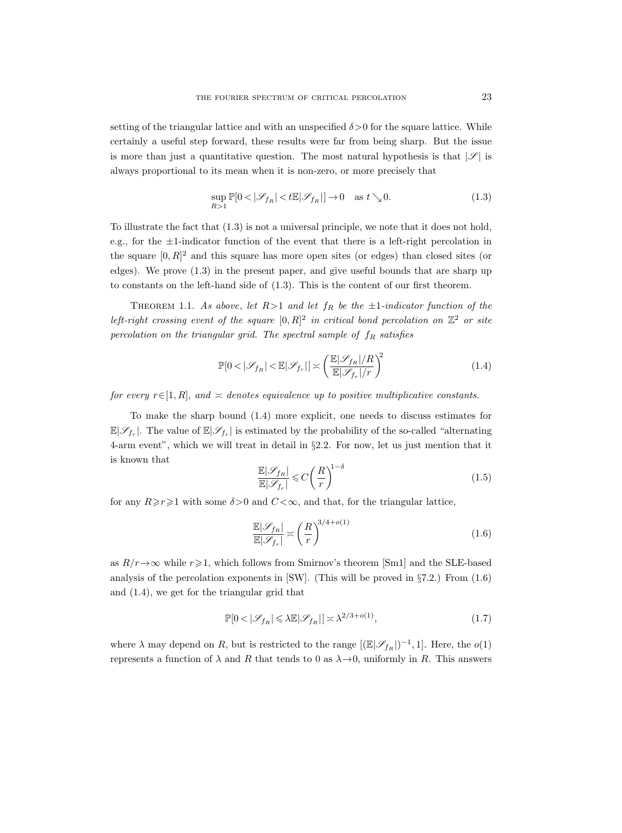setting of the triangular lattice and with an unspecified  $\delta > 0$  for the square lattice. While certainly a useful step forward, these results were far from being sharp. But the issue is more than just a quantitative question. The most natural hypothesis is that  $|\mathscr{S}|$  is always proportional to its mean when it is non-zero, or more precisely that

$$
\sup_{R>1} \mathbb{P}[0<|\mathcal{S}_{f_R}|< t\mathbb{E}|\mathcal{S}_{f_R}|] \to 0 \quad \text{as } t \searrow 0.
$$
 (1.3)

To illustrate the fact that (1.3) is not a universal principle, we note that it does not hold, e.g., for the  $\pm 1$ -indicator function of the event that there is a left-right percolation in the square  $[0, R]^2$  and this square has more open sites (or edges) than closed sites (or edges). We prove (1.3) in the present paper, and give useful bounds that are sharp up to constants on the left-hand side of (1.3). This is the content of our first theorem.

THEOREM 1.1. As above, let  $R>1$  and let  $f_R$  be the  $\pm 1$ -indicator function of the left-right crossing event of the square  $[0, R]^2$  in critical bond percolation on  $\mathbb{Z}^2$  or site percolation on the triangular grid. The spectral sample of  $f_R$  satisfies

$$
\mathbb{P}[0<|\mathcal{S}_{f_R}|<\mathbb{E}|\mathcal{S}_{f_r}|] \asymp \left(\frac{\mathbb{E}|\mathcal{S}_{f_R}|/R}{\mathbb{E}|\mathcal{S}_{f_r}|/r}\right)^2\tag{1.4}
$$

for every  $r \in [1, R]$ , and  $\leq$  denotes equivalence up to positive multiplicative constants.

To make the sharp bound (1.4) more explicit, one needs to discuss estimates for  $\mathbb{E}|\mathscr{S}_{f_r}|$ . The value of  $\mathbb{E}|\mathscr{S}_{f_r}|$  is estimated by the probability of the so-called "alternating 4-arm event", which we will treat in detail in §2.2. For now, let us just mention that it is known that

$$
\frac{\mathbb{E}|\mathcal{S}_{f_R}|}{\mathbb{E}|\mathcal{S}_{f_r}|} \leqslant C \left(\frac{R}{r}\right)^{1-\delta} \tag{1.5}
$$

for any  $R \ge r \ge 1$  with some  $\delta > 0$  and  $C < \infty$ , and that, for the triangular lattice,

$$
\frac{\mathbb{E}|\mathcal{S}_{f_R}|}{\mathbb{E}|\mathcal{S}_{f_r}|} \asymp \left(\frac{R}{r}\right)^{3/4+o(1)}\tag{1.6}
$$

as  $R/r \rightarrow \infty$  while  $r \geq 1$ , which follows from Smirnov's theorem [Sm1] and the SLE-based analysis of the percolation exponents in [SW]. (This will be proved in §7.2.) From (1.6) and (1.4), we get for the triangular grid that

$$
\mathbb{P}[0<|\mathcal{S}_{f_R}| \le \lambda \mathbb{E}|\mathcal{S}_{f_R}|] \asymp \lambda^{2/3+o(1)},\tag{1.7}
$$

where  $\lambda$  may depend on R, but is restricted to the range  $[(\mathbb{E}|\mathscr{S}_{f_R}|)^{-1},1]$ . Here, the  $o(1)$ represents a function of  $\lambda$  and R that tends to 0 as  $\lambda \rightarrow 0$ , uniformly in R. This answers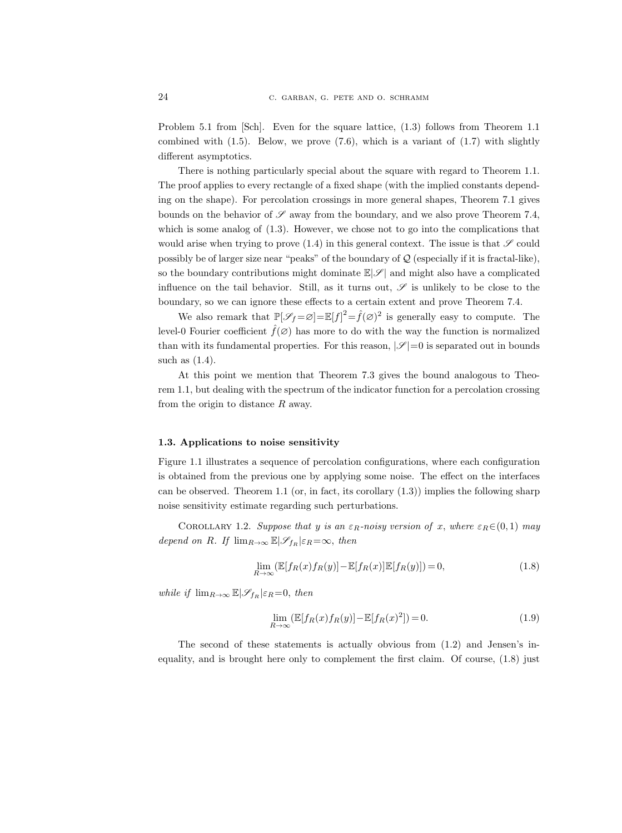Problem 5.1 from [Sch]. Even for the square lattice,  $(1.3)$  follows from Theorem 1.1 combined with  $(1.5)$ . Below, we prove  $(7.6)$ , which is a variant of  $(1.7)$  with slightly different asymptotics.

There is nothing particularly special about the square with regard to Theorem 1.1. The proof applies to every rectangle of a fixed shape (with the implied constants depending on the shape). For percolation crossings in more general shapes, Theorem 7.1 gives bounds on the behavior of  $\mathscr S$  away from the boundary, and we also prove Theorem 7.4, which is some analog of  $(1.3)$ . However, we chose not to go into the complications that would arise when trying to prove (1.4) in this general context. The issue is that  $\mathscr S$  could possibly be of larger size near "peaks" of the boundary of  $Q$  (especially if it is fractal-like), so the boundary contributions might dominate  $\mathbb{E}|\mathscr{S}|$  and might also have a complicated influence on the tail behavior. Still, as it turns out,  $\mathscr S$  is unlikely to be close to the boundary, so we can ignore these effects to a certain extent and prove Theorem 7.4.

We also remark that  $\mathbb{P}[\mathscr{S}_f = \emptyset] = \mathbb{E}[f]^2 = \hat{f}(\emptyset)^2$  is generally easy to compute. The level-0 Fourier coefficient  $\hat{f}(\emptyset)$  has more to do with the way the function is normalized than with its fundamental properties. For this reason,  $|\mathscr{S}|=0$  is separated out in bounds such as (1.4).

At this point we mention that Theorem 7.3 gives the bound analogous to Theorem 1.1, but dealing with the spectrum of the indicator function for a percolation crossing from the origin to distance  $R$  away.

## 1.3. Applications to noise sensitivity

Figure 1.1 illustrates a sequence of percolation configurations, where each configuration is obtained from the previous one by applying some noise. The effect on the interfaces can be observed. Theorem 1.1 (or, in fact, its corollary  $(1.3)$ ) implies the following sharp noise sensitivity estimate regarding such perturbations.

COROLLARY 1.2. Suppose that y is an  $\varepsilon_R$ -noisy version of x, where  $\varepsilon_R \in (0,1)$  may depend on R. If  $\lim_{R\to\infty} \mathbb{E}|\mathscr{S}_{f_R}|\varepsilon_R = \infty$ , then

$$
\lim_{R \to \infty} (\mathbb{E}[f_R(x)f_R(y)] - \mathbb{E}[f_R(x)]\mathbb{E}[f_R(y)]) = 0,
$$
\n(1.8)

while if  $\lim_{R\to\infty} \mathbb{E}|\mathscr{S}_{f_R}|\varepsilon_R=0$ , then

$$
\lim_{R \to \infty} \left( \mathbb{E}[f_R(x)f_R(y)] - \mathbb{E}[f_R(x)^2] \right) = 0.
$$
\n(1.9)

The second of these statements is actually obvious from (1.2) and Jensen's inequality, and is brought here only to complement the first claim. Of course, (1.8) just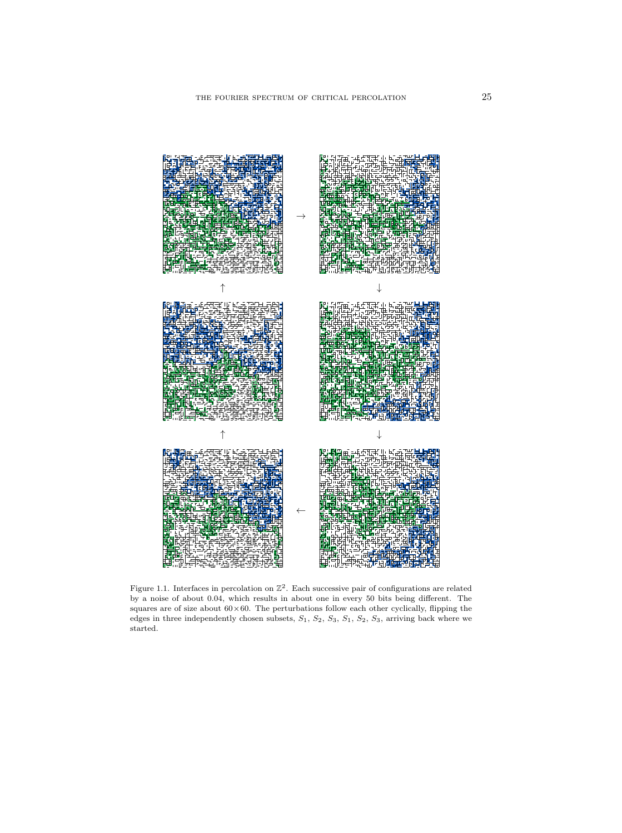

Figure 1.1. Interfaces in percolation on  $\mathbb{Z}^2$ . Each successive pair of configurations are related by a noise of about 0.04, which results in about one in every 50 bits being different. The squares are of size about  $60\times60$ . The perturbations follow each other cyclically, flipping the edges in three independently chosen subsets,  $S_1$ ,  $S_2$ ,  $S_3$ ,  $S_1$ ,  $S_2$ ,  $S_3$ , arriving back where we started.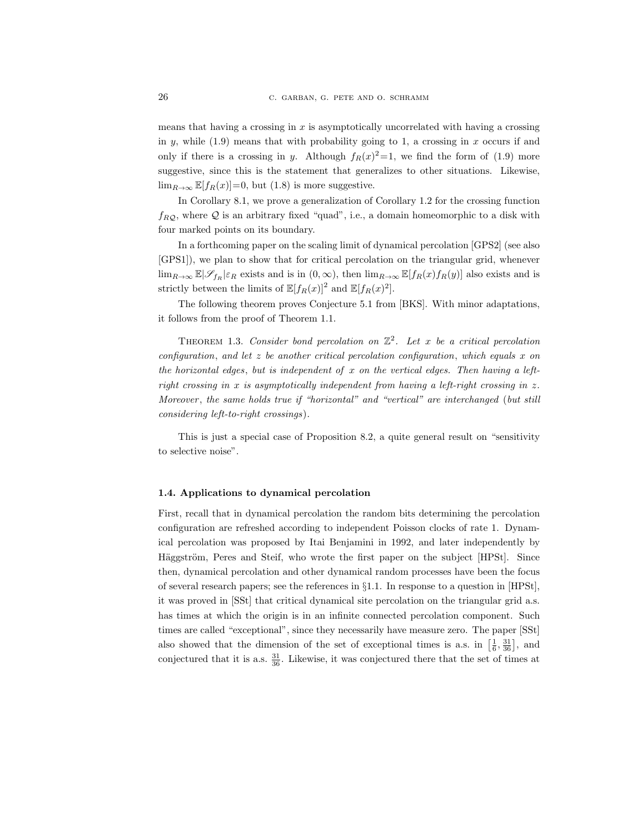means that having a crossing in  $x$  is asymptotically uncorrelated with having a crossing in  $y$ , while (1.9) means that with probability going to 1, a crossing in  $x$  occurs if and only if there is a crossing in y. Although  $f_R(x)^2 = 1$ , we find the form of (1.9) more suggestive, since this is the statement that generalizes to other situations. Likewise,  $\lim_{R\to\infty} \mathbb{E}[f_R(x)] = 0$ , but (1.8) is more suggestive.

In Corollary 8.1, we prove a generalization of Corollary 1.2 for the crossing function  $f_{RQ}$ , where Q is an arbitrary fixed "quad", i.e., a domain homeomorphic to a disk with four marked points on its boundary.

In a forthcoming paper on the scaling limit of dynamical percolation [GPS2] (see also [GPS1]), we plan to show that for critical percolation on the triangular grid, whenever  $\lim_{R\to\infty} \mathbb{E}|\mathscr{S}_{f_R}|\varepsilon_R$  exists and is in  $(0,\infty)$ , then  $\lim_{R\to\infty} \mathbb{E}[f_R(x)f_R(y)]$  also exists and is strictly between the limits of  $\mathbb{E}[f_R(x)]^2$  and  $\mathbb{E}[f_R(x)^2]$ .

The following theorem proves Conjecture 5.1 from [BKS]. With minor adaptations, it follows from the proof of Theorem 1.1.

THEOREM 1.3. Consider bond percolation on  $\mathbb{Z}^2$ . Let x be a critical percolation configuration, and let  $z$  be another critical percolation configuration, which equals  $x$  on the horizontal edges, but is independent of  $x$  on the vertical edges. Then having a leftright crossing in x is asymptotically independent from having a left-right crossing in z. Moreover , the same holds true if "horizontal" and "vertical" are interchanged (but still considering left-to-right crossings).

This is just a special case of Proposition 8.2, a quite general result on "sensitivity to selective noise".

#### 1.4. Applications to dynamical percolation

First, recall that in dynamical percolation the random bits determining the percolation configuration are refreshed according to independent Poisson clocks of rate 1. Dynamical percolation was proposed by Itai Benjamini in 1992, and later independently by Häggström, Peres and Steif, who wrote the first paper on the subject [HPSt]. Since then, dynamical percolation and other dynamical random processes have been the focus of several research papers; see the references in §1.1. In response to a question in [HPSt], it was proved in [SSt] that critical dynamical site percolation on the triangular grid a.s. has times at which the origin is in an infinite connected percolation component. Such times are called "exceptional", since they necessarily have measure zero. The paper [SSt] also showed that the dimension of the set of exceptional times is a.s. in  $\left[\frac{1}{6}, \frac{31}{36}\right]$ , and conjectured that it is a.s.  $\frac{31}{36}$ . Likewise, it was conjectured there that the set of times at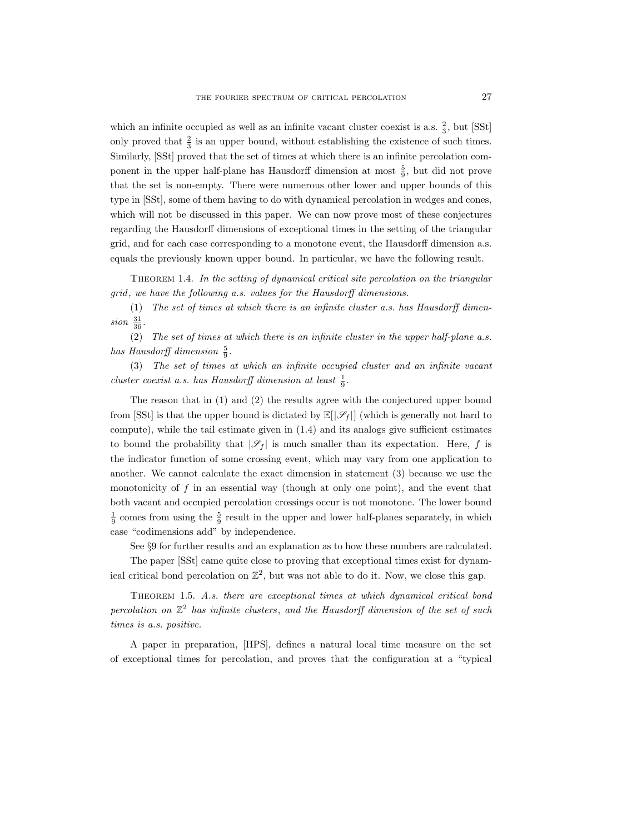which an infinite occupied as well as an infinite vacant cluster coexist is a.s.  $\frac{2}{3}$ , but [SSt] only proved that  $\frac{2}{3}$  is an upper bound, without establishing the existence of such times. Similarly, [SSt] proved that the set of times at which there is an infinite percolation component in the upper half-plane has Hausdorff dimension at most  $\frac{5}{9}$ , but did not prove that the set is non-empty. There were numerous other lower and upper bounds of this type in [SSt], some of them having to do with dynamical percolation in wedges and cones, which will not be discussed in this paper. We can now prove most of these conjectures regarding the Hausdorff dimensions of exceptional times in the setting of the triangular grid, and for each case corresponding to a monotone event, the Hausdorff dimension a.s. equals the previously known upper bound. In particular, we have the following result.

THEOREM 1.4. In the setting of dynamical critical site percolation on the triangular grid, we have the following a.s. values for the Hausdorff dimensions.

(1) The set of times at which there is an infinite cluster a.s. has Hausdorff dimen $sion \frac{31}{36}$ .

(2) The set of times at which there is an infinite cluster in the upper half-plane a.s. has Hausdorff dimension  $\frac{5}{9}$ .

(3) The set of times at which an infinite occupied cluster and an infinite vacant cluster coexist a.s. has Hausdorff dimension at least  $\frac{1}{9}$ .

The reason that in (1) and (2) the results agree with the conjectured upper bound from [SSt] is that the upper bound is dictated by  $\mathbb{E}[|\mathscr{S}_f|]$  (which is generally not hard to compute), while the tail estimate given in (1.4) and its analogs give sufficient estimates to bound the probability that  $|\mathscr{S}_f|$  is much smaller than its expectation. Here, f is the indicator function of some crossing event, which may vary from one application to another. We cannot calculate the exact dimension in statement (3) because we use the monotonicity of  $f$  in an essential way (though at only one point), and the event that both vacant and occupied percolation crossings occur is not monotone. The lower bound  $\frac{1}{9}$  comes from using the  $\frac{5}{9}$  result in the upper and lower half-planes separately, in which case "codimensions add" by independence.

See §9 for further results and an explanation as to how these numbers are calculated.

The paper [SSt] came quite close to proving that exceptional times exist for dynamical critical bond percolation on  $\mathbb{Z}^2$ , but was not able to do it. Now, we close this gap.

THEOREM 1.5. A.s. there are exceptional times at which dynamical critical bond percolation on  $\mathbb{Z}^2$  has infinite clusters, and the Hausdorff dimension of the set of such times is a.s. positive.

A paper in preparation, [HPS], defines a natural local time measure on the set of exceptional times for percolation, and proves that the configuration at a "typical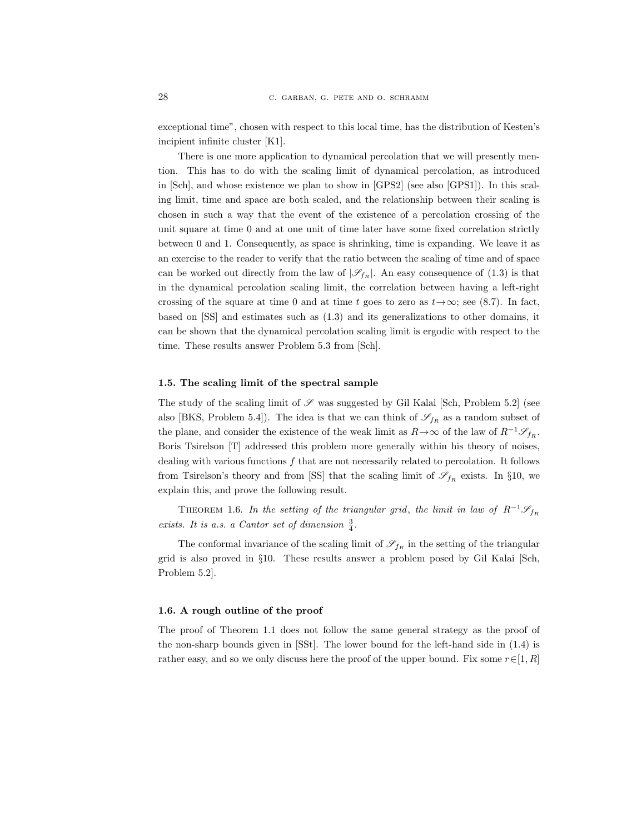exceptional time", chosen with respect to this local time, has the distribution of Kesten's incipient infinite cluster [K1].

There is one more application to dynamical percolation that we will presently mention. This has to do with the scaling limit of dynamical percolation, as introduced in [Sch], and whose existence we plan to show in [GPS2] (see also [GPS1]). In this scaling limit, time and space are both scaled, and the relationship between their scaling is chosen in such a way that the event of the existence of a percolation crossing of the unit square at time 0 and at one unit of time later have some fixed correlation strictly between 0 and 1. Consequently, as space is shrinking, time is expanding. We leave it as an exercise to the reader to verify that the ratio between the scaling of time and of space can be worked out directly from the law of  $|\mathscr{S}_{f_R}|$ . An easy consequence of (1.3) is that in the dynamical percolation scaling limit, the correlation between having a left-right crossing of the square at time 0 and at time t goes to zero as  $t \rightarrow \infty$ ; see (8.7). In fact, based on [SS] and estimates such as (1.3) and its generalizations to other domains, it can be shown that the dynamical percolation scaling limit is ergodic with respect to the time. These results answer Problem 5.3 from [Sch].

## 1.5. The scaling limit of the spectral sample

The study of the scaling limit of  $\mathscr S$  was suggested by Gil Kalai [Sch, Problem 5.2] (see also [BKS, Problem 5.4]). The idea is that we can think of  $\mathscr{S}_{f_R}$  as a random subset of the plane, and consider the existence of the weak limit as  $R \rightarrow \infty$  of the law of  $R^{-1}\mathscr{S}_{f_R}$ . Boris Tsirelson [T] addressed this problem more generally within his theory of noises, dealing with various functions  $f$  that are not necessarily related to percolation. It follows from Tsirelson's theory and from [SS] that the scaling limit of  $\mathscr{S}_{f_R}$  exists. In §10, we explain this, and prove the following result.

THEOREM 1.6. In the setting of the triangular grid, the limit in law of  $R^{-1}\mathscr{S}_{f_R}$ exists. It is a.s. a Cantor set of dimension  $\frac{3}{4}$ .

The conformal invariance of the scaling limit of  $\mathscr{S}_{f_R}$  in the setting of the triangular grid is also proved in §10. These results answer a problem posed by Gil Kalai [Sch, Problem 5.2].

## 1.6. A rough outline of the proof

The proof of Theorem 1.1 does not follow the same general strategy as the proof of the non-sharp bounds given in [SSt]. The lower bound for the left-hand side in (1.4) is rather easy, and so we only discuss here the proof of the upper bound. Fix some  $r \in [1, R]$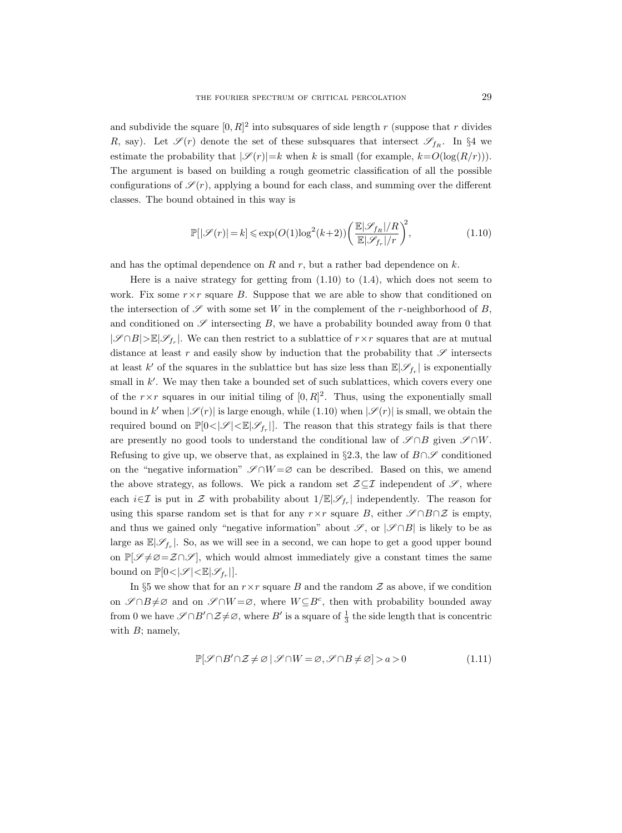and subdivide the square  $[0, R]^2$  into subsquares of side length r (suppose that r divides R, say). Let  $\mathscr{S}(r)$  denote the set of these subsquares that intersect  $\mathscr{S}_{fR}$ . In §4 we estimate the probability that  $|\mathscr{S}(r)|=k$  when k is small (for example,  $k=O(\log(R/r))$ ). The argument is based on building a rough geometric classification of all the possible configurations of  $\mathscr{S}(r)$ , applying a bound for each class, and summing over the different classes. The bound obtained in this way is

$$
\mathbb{P}[|\mathcal{S}(r)| = k] \le \exp(O(1)\log^2(k+2)) \left(\frac{\mathbb{E}|\mathcal{S}_{f_R}|/R}{\mathbb{E}|\mathcal{S}_{f_r}|/r}\right)^2,\tag{1.10}
$$

and has the optimal dependence on R and  $r$ , but a rather bad dependence on k.

Here is a naive strategy for getting from  $(1.10)$  to  $(1.4)$ , which does not seem to work. Fix some  $r \times r$  square B. Suppose that we are able to show that conditioned on the intersection of  $\mathscr S$  with some set W in the complement of the r-neighborhood of B, and conditioned on  $\mathscr S$  intersecting  $B$ , we have a probability bounded away from 0 that  $|\mathcal{S} \cap B| > \mathbb{E} |\mathcal{S}_{f_r}|$ . We can then restrict to a sublattice of  $r \times r$  squares that are at mutual distance at least r and easily show by induction that the probability that  $\mathscr S$  intersects at least  $k'$  of the squares in the sublattice but has size less than  $\mathbb{E}|\mathscr{S}_{f_r}|$  is exponentially small in  $k'$ . We may then take a bounded set of such sublattices, which covers every one of the  $r \times r$  squares in our initial tiling of  $[0, R]^2$ . Thus, using the exponentially small bound in k' when  $|\mathscr{S}(r)|$  is large enough, while (1.10) when  $|\mathscr{S}(r)|$  is small, we obtain the required bound on  $\mathbb{P}[0<|\mathcal{S}|<\mathbb{E}|\mathcal{S}_{f_r}$ . The reason that this strategy fails is that there are presently no good tools to understand the conditional law of  $\mathscr{S} \cap B$  given  $\mathscr{S} \cap W$ . Refusing to give up, we observe that, as explained in §2.3, the law of  $B \cap \mathscr{S}$  conditioned on the "negative information"  $\mathscr{S} \cap W = \varnothing$  can be described. Based on this, we amend the above strategy, as follows. We pick a random set  $\mathcal{Z}\subseteq\mathcal{I}$  independent of  $\mathcal{S}$ , where each  $i\in\mathcal{I}$  is put in  $\mathcal Z$  with probability about  $1/\mathbb E|\mathscr{S}_{f_r}|$  independently. The reason for using this sparse random set is that for any  $r \times r$  square B, either  $\mathscr{S} \cap B \cap \mathscr{Z}$  is empty, and thus we gained only "negative information" about  $\mathscr{S}$ , or  $|\mathscr{S} \cap B|$  is likely to be as large as  $\mathbb{E}|\mathscr{S}_{f_r}|$ . So, as we will see in a second, we can hope to get a good upper bound on  $\mathbb{P}[\mathscr{S} \neq \emptyset = \mathcal{Z} \cap \mathscr{S}]$ , which would almost immediately give a constant times the same bound on  $\mathbb{P}[0<|\mathscr{S}|<\mathbb{E}|\mathscr{S}_{f_r}].$ 

In §5 we show that for an  $r \times r$  square B and the random  $\mathcal Z$  as above, if we condition on  $\mathscr{S} \cap B \neq \emptyset$  and on  $\mathscr{S} \cap W = \emptyset$ , where  $W \subseteq B^c$ , then with probability bounded away from 0 we have  $\mathscr{S} \cap B' \cap \mathscr{Z} \neq \emptyset$ , where  $B'$  is a square of  $\frac{1}{3}$  the side length that is concentric with  $B$ ; namely,

$$
\mathbb{P}[\mathcal{S} \cap B' \cap \mathcal{Z} \neq \varnothing \mid \mathcal{S} \cap W = \varnothing, \mathcal{S} \cap B \neq \varnothing] > a > 0 \tag{1.11}
$$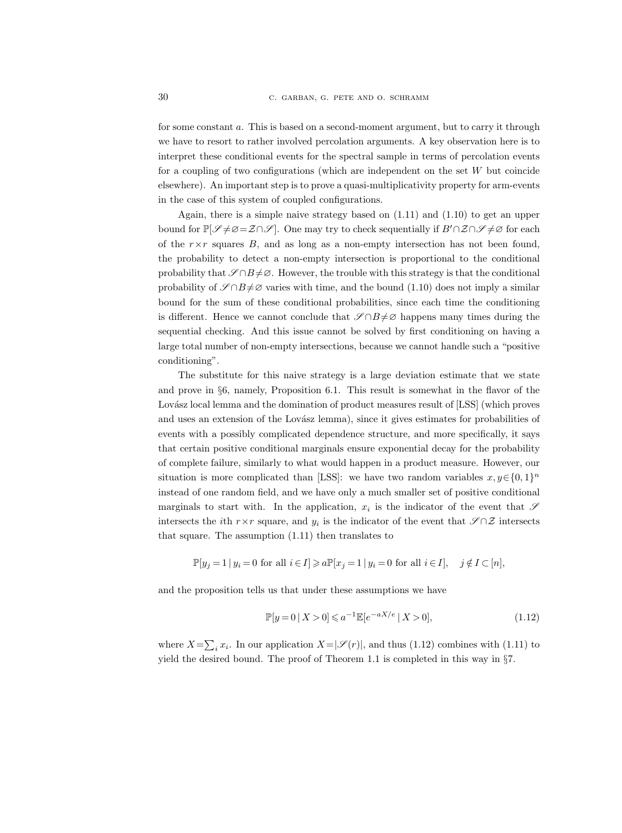for some constant a. This is based on a second-moment argument, but to carry it through we have to resort to rather involved percolation arguments. A key observation here is to interpret these conditional events for the spectral sample in terms of percolation events for a coupling of two configurations (which are independent on the set  $W$  but coincide elsewhere). An important step is to prove a quasi-multiplicativity property for arm-events in the case of this system of coupled configurations.

Again, there is a simple naive strategy based on (1.11) and (1.10) to get an upper bound for  $\mathbb{P}[\mathscr{S} \neq \emptyset = \mathcal{Z} \cap \mathscr{S}]$ . One may try to check sequentially if  $B' \cap \mathcal{Z} \cap \mathscr{S} \neq \emptyset$  for each of the  $r \times r$  squares B, and as long as a non-empty intersection has not been found. the probability to detect a non-empty intersection is proportional to the conditional probability that  $\mathscr{S} \cap B \neq \emptyset$ . However, the trouble with this strategy is that the conditional probability of  $\mathscr{S} \cap B \neq \emptyset$  varies with time, and the bound (1.10) does not imply a similar bound for the sum of these conditional probabilities, since each time the conditioning is different. Hence we cannot conclude that  $\mathscr{S} \cap B \neq \emptyset$  happens many times during the sequential checking. And this issue cannot be solved by first conditioning on having a large total number of non-empty intersections, because we cannot handle such a "positive conditioning".

The substitute for this naive strategy is a large deviation estimate that we state and prove in §6, namely, Proposition 6.1. This result is somewhat in the flavor of the Lovász local lemma and the domination of product measures result of [LSS] (which proves and uses an extension of the Lovász lemma), since it gives estimates for probabilities of events with a possibly complicated dependence structure, and more specifically, it says that certain positive conditional marginals ensure exponential decay for the probability of complete failure, similarly to what would happen in a product measure. However, our situation is more complicated than [LSS]: we have two random variables  $x, y \in \{0, 1\}^n$ instead of one random field, and we have only a much smaller set of positive conditional marginals to start with. In the application,  $x_i$  is the indicator of the event that  $\mathscr S$ intersects the *i*th  $r \times r$  square, and  $y_i$  is the indicator of the event that  $\mathscr{S} \cap \mathscr{Z}$  intersects that square. The assumption (1.11) then translates to

$$
\mathbb{P}[y_j = 1 \mid y_i = 0 \text{ for all } i \in I] \ge a \mathbb{P}[x_j = 1 \mid y_i = 0 \text{ for all } i \in I], \quad j \notin I \subset [n],
$$

and the proposition tells us that under these assumptions we have

$$
\mathbb{P}[y=0 \mid X>0] \leq a^{-1} \mathbb{E}[e^{-aX/e} \mid X>0],\tag{1.12}
$$

where  $X = \sum_i x_i$ . In our application  $X = |\mathcal{S}(r)|$ , and thus (1.12) combines with (1.11) to yield the desired bound. The proof of Theorem 1.1 is completed in this way in §7.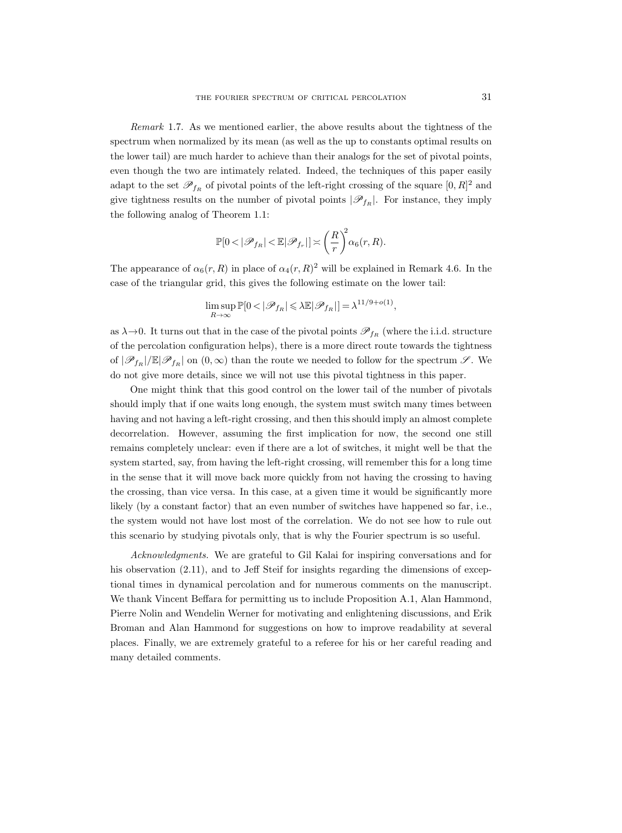Remark 1.7. As we mentioned earlier, the above results about the tightness of the spectrum when normalized by its mean (as well as the up to constants optimal results on the lower tail) are much harder to achieve than their analogs for the set of pivotal points, even though the two are intimately related. Indeed, the techniques of this paper easily adapt to the set  $\mathscr{P}_{f_R}$  of pivotal points of the left-right crossing of the square  $[0, R]^2$  and give tightness results on the number of pivotal points  $|\mathscr{P}_{f_R}|$ . For instance, they imply the following analog of Theorem 1.1:

$$
\mathbb{P}[0<|\mathscr{P}_{f_R}|<\mathbb{E}|\mathscr{P}_{f_r}|]\asymp \left(\frac{R}{r}\right)^2\alpha_6(r,R).
$$

The appearance of  $\alpha_6(r, R)$  in place of  $\alpha_4(r, R)^2$  will be explained in Remark 4.6. In the case of the triangular grid, this gives the following estimate on the lower tail:

$$
\limsup_{R \to \infty} \mathbb{P}[0 < |\mathscr{P}_{f_R}| \leq \lambda \mathbb{E}|\mathscr{P}_{f_R}|] = \lambda^{11/9 + o(1)},
$$

as  $\lambda \rightarrow 0$ . It turns out that in the case of the pivotal points  $\mathscr{P}_{f_R}$  (where the i.i.d. structure of the percolation configuration helps), there is a more direct route towards the tightness of  $|\mathscr{P}_{f_R}|\mathbb{E}|\mathscr{P}_{f_R}|$  on  $(0,\infty)$  than the route we needed to follow for the spectrum  $\mathscr{S}$ . We do not give more details, since we will not use this pivotal tightness in this paper.

One might think that this good control on the lower tail of the number of pivotals should imply that if one waits long enough, the system must switch many times between having and not having a left-right crossing, and then this should imply an almost complete decorrelation. However, assuming the first implication for now, the second one still remains completely unclear: even if there are a lot of switches, it might well be that the system started, say, from having the left-right crossing, will remember this for a long time in the sense that it will move back more quickly from not having the crossing to having the crossing, than vice versa. In this case, at a given time it would be significantly more likely (by a constant factor) that an even number of switches have happened so far, i.e., the system would not have lost most of the correlation. We do not see how to rule out this scenario by studying pivotals only, that is why the Fourier spectrum is so useful.

Acknowledgments. We are grateful to Gil Kalai for inspiring conversations and for his observation  $(2.11)$ , and to Jeff Steif for insights regarding the dimensions of exceptional times in dynamical percolation and for numerous comments on the manuscript. We thank Vincent Beffara for permitting us to include Proposition A.1, Alan Hammond, Pierre Nolin and Wendelin Werner for motivating and enlightening discussions, and Erik Broman and Alan Hammond for suggestions on how to improve readability at several places. Finally, we are extremely grateful to a referee for his or her careful reading and many detailed comments.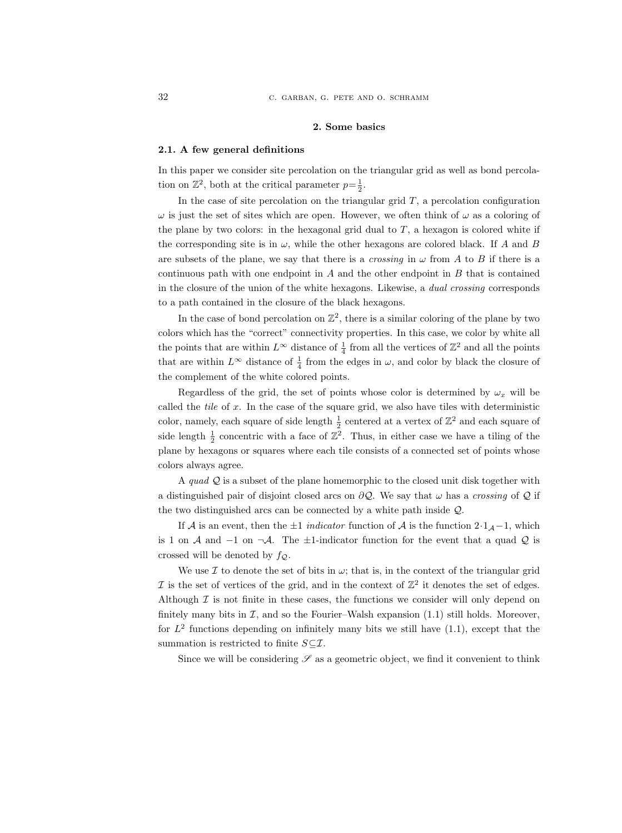#### 2. Some basics

#### 2.1. A few general definitions

In this paper we consider site percolation on the triangular grid as well as bond percolation on  $\mathbb{Z}^2$ , both at the critical parameter  $p = \frac{1}{2}$ .

In the case of site percolation on the triangular grid  $T$ , a percolation configuration  $\omega$  is just the set of sites which are open. However, we often think of  $\omega$  as a coloring of the plane by two colors: in the hexagonal grid dual to  $T$ , a hexagon is colored white if the corresponding site is in  $\omega$ , while the other hexagons are colored black. If A and B are subsets of the plane, we say that there is a *crossing* in  $\omega$  from A to B if there is a continuous path with one endpoint in  $A$  and the other endpoint in  $B$  that is contained in the closure of the union of the white hexagons. Likewise, a dual crossing corresponds to a path contained in the closure of the black hexagons.

In the case of bond percolation on  $\mathbb{Z}^2$ , there is a similar coloring of the plane by two colors which has the "correct" connectivity properties. In this case, we color by white all the points that are within  $L^{\infty}$  distance of  $\frac{1}{4}$  from all the vertices of  $\mathbb{Z}^2$  and all the points that are within  $L^{\infty}$  distance of  $\frac{1}{4}$  from the edges in  $\omega$ , and color by black the closure of the complement of the white colored points.

Regardless of the grid, the set of points whose color is determined by  $\omega_x$  will be called the *tile* of  $x$ . In the case of the square grid, we also have tiles with deterministic color, namely, each square of side length  $\frac{1}{2}$  centered at a vertex of  $\mathbb{Z}^2$  and each square of side length  $\frac{1}{2}$  concentric with a face of  $\mathbb{Z}^2$ . Thus, in either case we have a tiling of the plane by hexagons or squares where each tile consists of a connected set of points whose colors always agree.

A quad  $\mathcal Q$  is a subset of the plane homemorphic to the closed unit disk together with a distinguished pair of disjoint closed arcs on  $\partial \mathcal{Q}$ . We say that  $\omega$  has a *crossing* of  $\mathcal{Q}$  if the two distinguished arcs can be connected by a white path inside Q.

If A is an event, then the  $\pm 1$  *indicator* function of A is the function  $2 \cdot 1_A - 1$ , which is 1 on A and  $-1$  on  $\neg A$ . The  $\pm 1$ -indicator function for the event that a quad Q is crossed will be denoted by  $f_{\mathcal{Q}}$ .

We use  $\mathcal I$  to denote the set of bits in  $\omega$ ; that is, in the context of the triangular grid If is the set of vertices of the grid, and in the context of  $\mathbb{Z}^2$  it denotes the set of edges. Although  $\mathcal I$  is not finite in these cases, the functions we consider will only depend on finitely many bits in  $\mathcal{I}$ , and so the Fourier–Walsh expansion  $(1.1)$  still holds. Moreover, for  $L^2$  functions depending on infinitely many bits we still have  $(1.1)$ , except that the summation is restricted to finite  $S \subseteq \mathcal{I}$ .

Since we will be considering  $\mathscr S$  as a geometric object, we find it convenient to think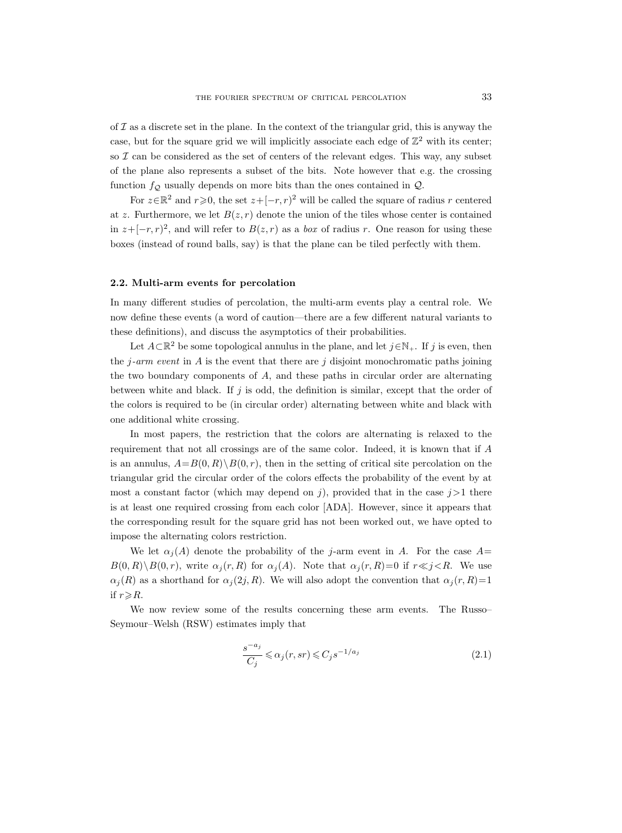of  $\mathcal I$  as a discrete set in the plane. In the context of the triangular grid, this is anyway the case, but for the square grid we will implicitly associate each edge of  $\mathbb{Z}^2$  with its center; so  $\mathcal I$  can be considered as the set of centers of the relevant edges. This way, any subset of the plane also represents a subset of the bits. Note however that e.g. the crossing function  $f_{\mathcal{Q}}$  usually depends on more bits than the ones contained in  $\mathcal{Q}$ .

For  $z \in \mathbb{R}^2$  and  $r \geqslant 0$ , the set  $z + [-r, r]^2$  will be called the square of radius r centered at z. Furthermore, we let  $B(z, r)$  denote the union of the tiles whose center is contained in  $z + [-r, r]^2$ , and will refer to  $B(z, r)$  as a box of radius r. One reason for using these boxes (instead of round balls, say) is that the plane can be tiled perfectly with them.

## 2.2. Multi-arm events for percolation

In many different studies of percolation, the multi-arm events play a central role. We now define these events (a word of caution—there are a few different natural variants to these definitions), and discuss the asymptotics of their probabilities.

Let  $A\subset \mathbb{R}^2$  be some topological annulus in the plane, and let  $j\in\mathbb{N}_+$ . If j is even, then the j-arm event in A is the event that there are j disjoint monochromatic paths joining the two boundary components of A, and these paths in circular order are alternating between white and black. If  $j$  is odd, the definition is similar, except that the order of the colors is required to be (in circular order) alternating between white and black with one additional white crossing.

In most papers, the restriction that the colors are alternating is relaxed to the requirement that not all crossings are of the same color. Indeed, it is known that if A is an annulus,  $A=B(0, R)\setminus B(0, r)$ , then in the setting of critical site percolation on the triangular grid the circular order of the colors effects the probability of the event by at most a constant factor (which may depend on j), provided that in the case  $j>1$  there is at least one required crossing from each color [ADA]. However, since it appears that the corresponding result for the square grid has not been worked out, we have opted to impose the alternating colors restriction.

We let  $\alpha_i(A)$  denote the probability of the j-arm event in A. For the case  $A=$  $B(0, R)\setminus B(0, r)$ , write  $\alpha_i(r, R)$  for  $\alpha_i(A)$ . Note that  $\alpha_i(r, R)=0$  if  $r\ll j < R$ . We use  $\alpha_j(R)$  as a shorthand for  $\alpha_j(2j, R)$ . We will also adopt the convention that  $\alpha_j(r, R)=1$ if  $r \ge R$ .

We now review some of the results concerning these arm events. The Russo– Seymour–Welsh (RSW) estimates imply that

$$
\frac{s^{-a_j}}{C_j} \leq \alpha_j(r, sr) \leq C_j s^{-1/a_j}
$$
\n(2.1)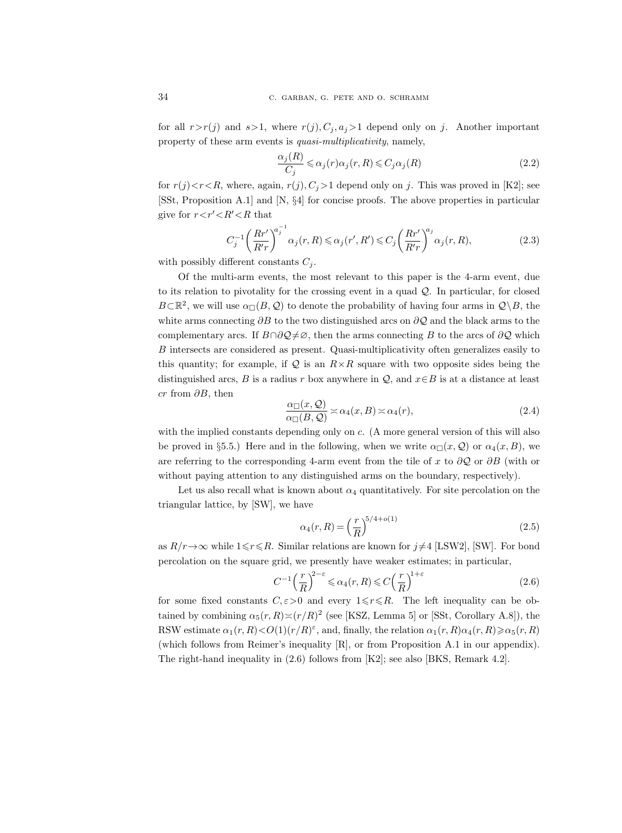for all  $r>r(j)$  and  $s>1$ , where  $r(j)$ ,  $C_i$ ,  $a_j>1$  depend only on j. Another important property of these arm events is quasi-multiplicativity, namely,

$$
\frac{\alpha_j(R)}{C_j} \leq \alpha_j(r)\alpha_j(r,R) \leq C_j\alpha_j(R)
$$
\n(2.2)

for  $r(j) \lt r \lt R$ , where, again,  $r(j)$ ,  $C_j > 1$  depend only on j. This was proved in [K2]; see [SSt, Proposition A.1] and [N, §4] for concise proofs. The above properties in particular give for  $r < r' < R' < R$  that

$$
C_j^{-1} \left(\frac{Rr'}{R'r}\right)^{a_j^{-1}} \alpha_j(r,R) \leq \alpha_j(r',R') \leq C_j \left(\frac{Rr'}{R'r}\right)^{a_j} \alpha_j(r,R),\tag{2.3}
$$

with possibly different constants  $C_i$ .

Of the multi-arm events, the most relevant to this paper is the 4-arm event, due to its relation to pivotality for the crossing event in a quad  $Q$ . In particular, for closed  $B\subset\mathbb{R}^2$ , we will use  $\alpha_{\Box}(B,\mathcal{Q})$  to denote the probability of having four arms in  $\mathcal{Q}\backslash B$ , the white arms connecting  $\partial B$  to the two distinguished arcs on  $\partial \mathcal{Q}$  and the black arms to the complementary arcs. If  $B \cap \partial \mathcal{Q} \neq \emptyset$ , then the arms connecting B to the arcs of  $\partial \mathcal{Q}$  which B intersects are considered as present. Quasi-multiplicativity often generalizes easily to this quantity; for example, if  $\mathcal Q$  is an  $R \times R$  square with two opposite sides being the distinguished arcs, B is a radius r box anywhere in  $\mathcal{Q}$ , and  $x \in B$  is at a distance at least  $cr$  from  $\partial B$ , then

$$
\frac{\alpha_{\Box}(x, Q)}{\alpha_{\Box}(B, Q)} \asymp \alpha_4(x, B) \asymp \alpha_4(r),\tag{2.4}
$$

with the implied constants depending only on c. (A more general version of this will also be proved in §5.5.) Here and in the following, when we write  $\alpha_{\Box}(x, Q)$  or  $\alpha_4(x, B)$ , we are referring to the corresponding 4-arm event from the tile of x to  $\partial \mathcal{Q}$  or  $\partial B$  (with or without paying attention to any distinguished arms on the boundary, respectively).

Let us also recall what is known about  $\alpha_4$  quantitatively. For site percolation on the triangular lattice, by [SW], we have

$$
\alpha_4(r,R) = \left(\frac{r}{R}\right)^{5/4 + o(1)}
$$
\n(2.5)

as  $R/r \rightarrow \infty$  while  $1 \le r \le R$ . Similar relations are known for  $j \ne 4$  [LSW2], [SW]. For bond percolation on the square grid, we presently have weaker estimates; in particular,

$$
C^{-1}\left(\frac{r}{R}\right)^{2-\varepsilon} \leq \alpha_4(r,R) \leq C\left(\frac{r}{R}\right)^{1+\varepsilon} \tag{2.6}
$$

for some fixed constants  $C, \varepsilon > 0$  and every  $1 \leq r \leq R$ . The left inequality can be obtained by combining  $\alpha_5(r, R) \times (r/R)^2$  (see [KSZ, Lemma 5] or [SSt, Corollary A.8]), the RSW estimate  $\alpha_1(r, R) < O(1)(r/R)^{\varepsilon}$ , and, finally, the relation  $\alpha_1(r, R)\alpha_4(r, R) \geq \alpha_5(r, R)$ (which follows from Reimer's inequality [R], or from Proposition A.1 in our appendix). The right-hand inequality in (2.6) follows from [K2]; see also [BKS, Remark 4.2].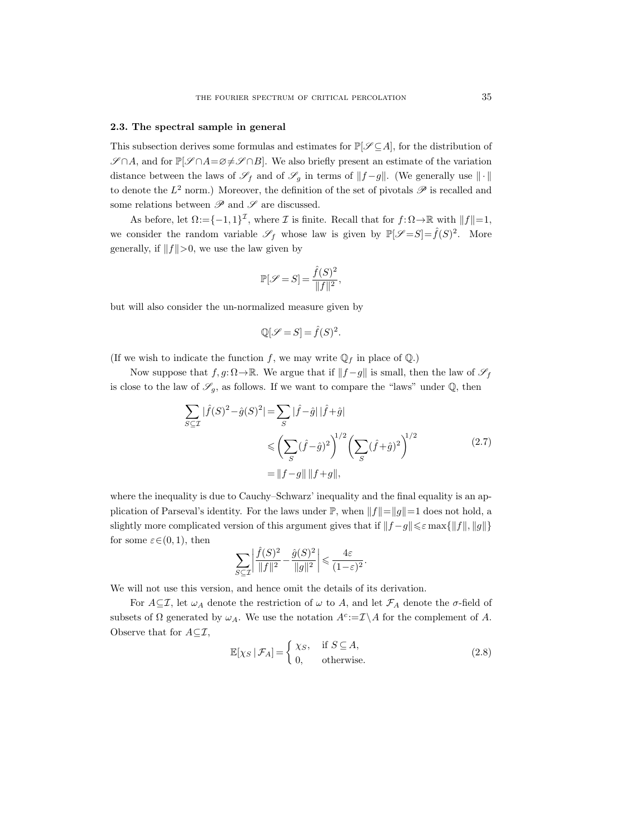#### 2.3. The spectral sample in general

This subsection derives some formulas and estimates for  $\mathbb{P}[\mathscr{S} \subseteq A]$ , for the distribution of  $\mathscr{S} \cap A$ , and for  $\mathbb{P}[\mathscr{S} \cap A = \emptyset \neq \mathscr{S} \cap B]$ . We also briefly present an estimate of the variation distance between the laws of  $\mathscr{S}_f$  and of  $\mathscr{S}_g$  in terms of  $||f-g||$ . (We generally use  $||\cdot||$ to denote the  $L^2$  norm.) Moreover, the definition of the set of pivotals  $\mathscr P$  is recalled and some relations between  $\mathscr P$  and  $\mathscr S$  are discussed.

As before, let  $\Omega := \{-1, 1\}^{\mathcal{I}}$ , where  $\mathcal{I}$  is finite. Recall that for  $f: \Omega \to \mathbb{R}$  with  $||f|| = 1$ , we consider the random variable  $\mathscr{S}_f$  whose law is given by  $\mathbb{P}[\mathscr{S}=S] = \hat{f}(S)^2$ . More generally, if  $||f|| > 0$ , we use the law given by

$$
\mathbb{P}[\mathcal{S} = S] = \frac{\hat{f}(S)^2}{\|f\|^2},
$$

but will also consider the un-normalized measure given by

$$
\mathbb{Q}[\mathcal{S} = S] = \hat{f}(S)^2.
$$

(If we wish to indicate the function f, we may write  $\mathbb{Q}_f$  in place of  $\mathbb{Q}$ .)

Now suppose that f, g:  $\Omega \rightarrow \mathbb{R}$ . We argue that if  $||f - g||$  is small, then the law of  $\mathscr{S}_f$ is close to the law of  $\mathscr{S}_q$ , as follows. If we want to compare the "laws" under  $\mathbb{Q}$ , then

$$
\sum_{S \subseteq \mathcal{I}} |\hat{f}(S)^2 - \hat{g}(S)^2| = \sum_{S} |\hat{f} - \hat{g}| |\hat{f} + \hat{g}|
$$
  

$$
\leq \left( \sum_{S} (\hat{f} - \hat{g})^2 \right)^{1/2} \left( \sum_{S} (\hat{f} + \hat{g})^2 \right)^{1/2}
$$
  

$$
= ||f - g|| ||f + g||,
$$
 (2.7)

where the inequality is due to Cauchy–Schwarz' inequality and the final equality is an application of Parseval's identity. For the laws under  $\mathbb{P}$ , when  $||f||=||g||=1$  does not hold, a slightly more complicated version of this argument gives that if  $||f - g|| \leq \varepsilon \max{||f||, ||g||}$ for some  $\varepsilon \in (0,1)$ , then

$$
\sum_{S \subseteq \mathcal{I}} \left| \frac{\hat{f}(S)^2}{\|f\|^2} - \frac{\hat{g}(S)^2}{\|g\|^2} \right| \leqslant \frac{4\varepsilon}{(1-\varepsilon)^2}.
$$

We will not use this version, and hence omit the details of its derivation.

For  $A \subseteq \mathcal{I}$ , let  $\omega_A$  denote the restriction of  $\omega$  to A, and let  $\mathcal{F}_A$  denote the  $\sigma$ -field of subsets of  $\Omega$  generated by  $\omega_A$ . We use the notation  $A^c := \mathcal{I} \setminus A$  for the complement of A. Observe that for  $A \subseteq \mathcal{I}$ ,

$$
\mathbb{E}[\chi_S \,|\, \mathcal{F}_A] = \begin{cases} \chi_S, & \text{if } S \subseteq A, \\ 0, & \text{otherwise.} \end{cases} \tag{2.8}
$$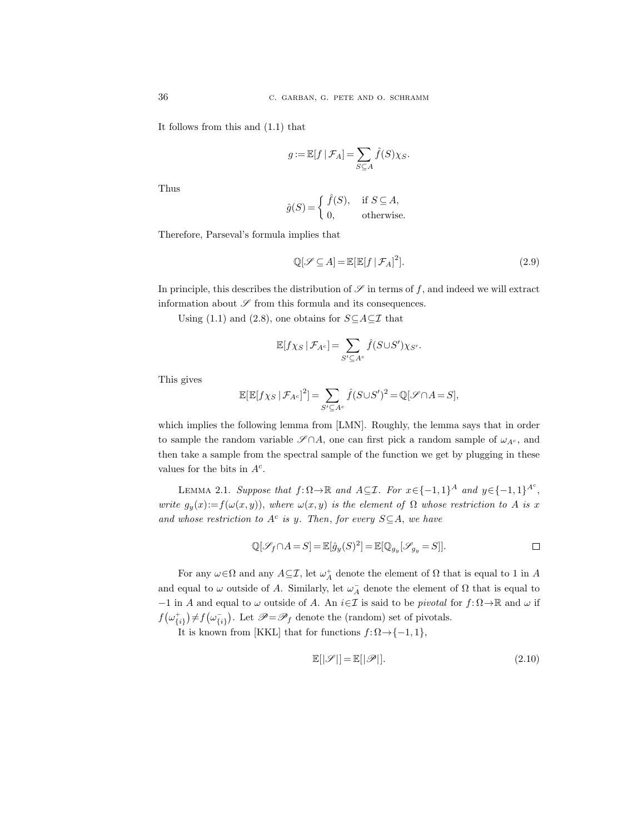It follows from this and (1.1) that

$$
g := \mathbb{E}[f \mid \mathcal{F}_A] = \sum_{S \subseteq A} \hat{f}(S) \chi_S.
$$

Thus

$$
\hat{g}(S) = \begin{cases} \hat{f}(S), & \text{if } S \subseteq A, \\ 0, & \text{otherwise.} \end{cases}
$$

Therefore, Parseval's formula implies that

$$
\mathbb{Q}[\mathscr{S} \subseteq A] = \mathbb{E}[\mathbb{E}[f \mid \mathcal{F}_A]^2].\tag{2.9}
$$

In principle, this describes the distribution of  $\mathscr S$  in terms of f, and indeed we will extract information about  ${\mathcal S}$  from this formula and its consequences.

Using (1.1) and (2.8), one obtains for  $S \subseteq A \subseteq \mathcal{I}$  that

$$
\mathbb{E}[f\chi_S \,|\, \mathcal{F}_{A^c}] = \sum_{S' \subseteq A^c} \hat{f}(S \cup S')\chi_{S'}.
$$

This gives

$$
\mathbb{E}[\mathbb{E}[f\chi_S \,|\, \mathcal{F}_{A^c}]^2] = \sum_{S' \subseteq A^c} \widehat{f}(S \cup S')^2 = \mathbb{Q}[\mathscr{S} \cap A = S],
$$

which implies the following lemma from [LMN]. Roughly, the lemma says that in order to sample the random variable  $\mathscr{S} \cap A$ , one can first pick a random sample of  $\omega_{A^c}$ , and then take a sample from the spectral sample of the function we get by plugging in these values for the bits in  $A^c$ .

LEMMA 2.1. Suppose that  $f: \Omega \to \mathbb{R}$  and  $A \subseteq \mathcal{I}$ . For  $x \in \{-1, 1\}^A$  and  $y \in \{-1, 1\}^{A^c}$ , write  $g_y(x) := f(\omega(x, y))$ , where  $\omega(x, y)$  is the element of  $\Omega$  whose restriction to A is x and whose restriction to  $A^c$  is y. Then, for every  $S \subseteq A$ , we have

$$
\mathbb{Q}[\mathscr{S}_f \cap A = S] = \mathbb{E}[\hat{g}_y(S)^2] = \mathbb{E}[\mathbb{Q}_{g_y}[\mathscr{S}_{g_y} = S]]. \qquad \qquad \Box
$$

For any  $\omega \in \Omega$  and any  $A \subseteq \mathcal{I}$ , let  $\omega_A^+$  denote the element of  $\Omega$  that is equal to 1 in A and equal to  $\omega$  outside of A. Similarly, let  $\omega_A^-$  denote the element of  $\Omega$  that is equal to  $-1$  in A and equal to ω outside of A. An  $i \in \mathcal{I}$  is said to be *pivotal* for  $f: \Omega \to \mathbb{R}$  and ω if  $f(\omega_{\{i\}}^{+}) \neq f(\omega_{\{i\}}^{-})$ . Let  $\mathscr{P} = \mathscr{P}_f$  denote the (random) set of pivotals.

It is known from [KKL] that for functions  $f: \Omega \rightarrow \{-1, 1\},$ 

$$
\mathbb{E}[|\mathcal{S}|] = \mathbb{E}[|\mathcal{P}|].\tag{2.10}
$$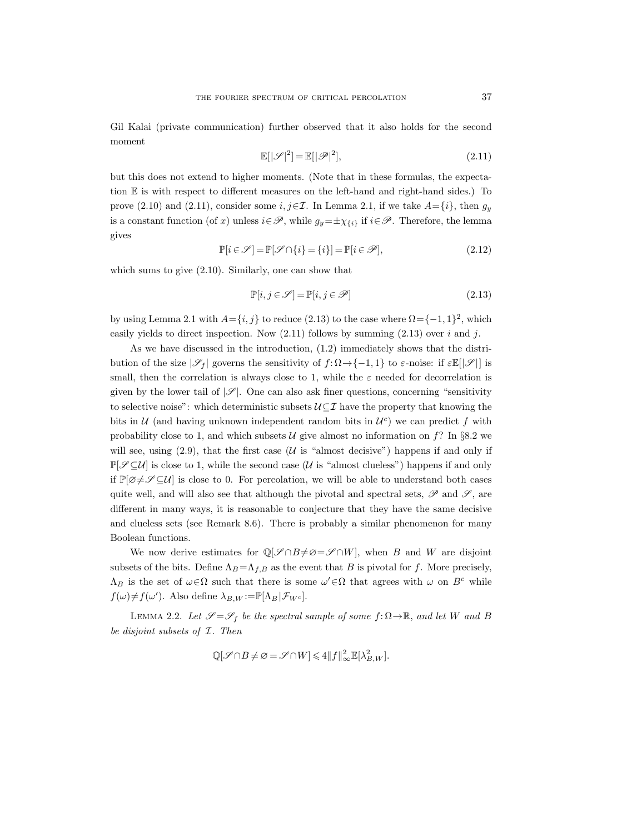Gil Kalai (private communication) further observed that it also holds for the second moment

$$
\mathbb{E}[|\mathcal{S}|^2] = \mathbb{E}[|\mathcal{P}|^2],\tag{2.11}
$$

but this does not extend to higher moments. (Note that in these formulas, the expectation E is with respect to different measures on the left-hand and right-hand sides.) To prove (2.10) and (2.11), consider some  $i, j \in \mathcal{I}$ . In Lemma 2.1, if we take  $A = \{i\}$ , then  $g_y$ is a constant function (of x) unless  $i \in \mathcal{P}$ , while  $g_y = \pm \chi_{\{i\}}$  if  $i \in \mathcal{P}$ . Therefore, the lemma gives

$$
\mathbb{P}[i \in \mathcal{S}] = \mathbb{P}[\mathcal{S} \cap \{i\} = \{i\}] = \mathbb{P}[i \in \mathcal{P}],\tag{2.12}
$$

which sums to give (2.10). Similarly, one can show that

$$
\mathbb{P}[i, j \in \mathcal{S}] = \mathbb{P}[i, j \in \mathcal{P}] \tag{2.13}
$$

by using Lemma 2.1 with  $A = \{i, j\}$  to reduce (2.13) to the case where  $\Omega = \{-1, 1\}^2$ , which easily yields to direct inspection. Now  $(2.11)$  follows by summing  $(2.13)$  over i and j.

As we have discussed in the introduction, (1.2) immediately shows that the distribution of the size  $|\mathscr{S}_f|$  governs the sensitivity of  $f: \Omega \rightarrow \{-1, 1\}$  to  $\varepsilon$ -noise: if  $\varepsilon \mathbb{E}[|\mathscr{S}|]$  is small, then the correlation is always close to 1, while the  $\varepsilon$  needed for decorrelation is given by the lower tail of  $|\mathscr{S}|$ . One can also ask finer questions, concerning "sensitivity to selective noise": which deterministic subsets  $U \subseteq \mathcal{I}$  have the property that knowing the bits in  $\mathcal{U}$  (and having unknown independent random bits in  $\mathcal{U}^c$ ) we can predict f with probability close to 1, and which subsets  $\mathcal U$  give almost no information on f? In §8.2 we will see, using  $(2.9)$ , that the first case (U is "almost decisive") happens if and only if  $\mathbb{P}[\mathscr{S} \subseteq \mathcal{U}]$  is close to 1, while the second case (U is "almost clueless") happens if and only if  $\mathbb{P}[\mathcal{O} \neq \mathcal{S} \subseteq \mathcal{U}]$  is close to 0. For percolation, we will be able to understand both cases quite well, and will also see that although the pivotal and spectral sets,  $\mathscr P$  and  $\mathscr S$ , are different in many ways, it is reasonable to conjecture that they have the same decisive and clueless sets (see Remark 8.6). There is probably a similar phenomenon for many Boolean functions.

We now derive estimates for  $\mathbb{Q}[\mathscr{S} \cap B \neq \emptyset = \mathscr{S} \cap W]$ , when B and W are disjoint subsets of the bits. Define  $\Lambda_B = \Lambda_{f,B}$  as the event that B is pivotal for f. More precisely,  $\Lambda_B$  is the set of  $\omega \in \Omega$  such that there is some  $\omega' \in \Omega$  that agrees with  $\omega$  on  $B^c$  while  $f(\omega) \neq f(\omega')$ . Also define  $\lambda_{B,W} := \mathbb{P}[\Lambda_B | \mathcal{F}_{W^c}]$ .

LEMMA 2.2. Let  $\mathscr{S} = \mathscr{S}_f$  be the spectral sample of some  $f: \Omega \to \mathbb{R}$ , and let W and B be disjoint subsets of I. Then

$$
\mathbb{Q}[\mathscr{S}\cap B\neq \varnothing=\mathscr{S}\cap W]\leqslant 4\|f\|_{\infty}^2\mathbb{E}[\lambda_{B,W}^2].
$$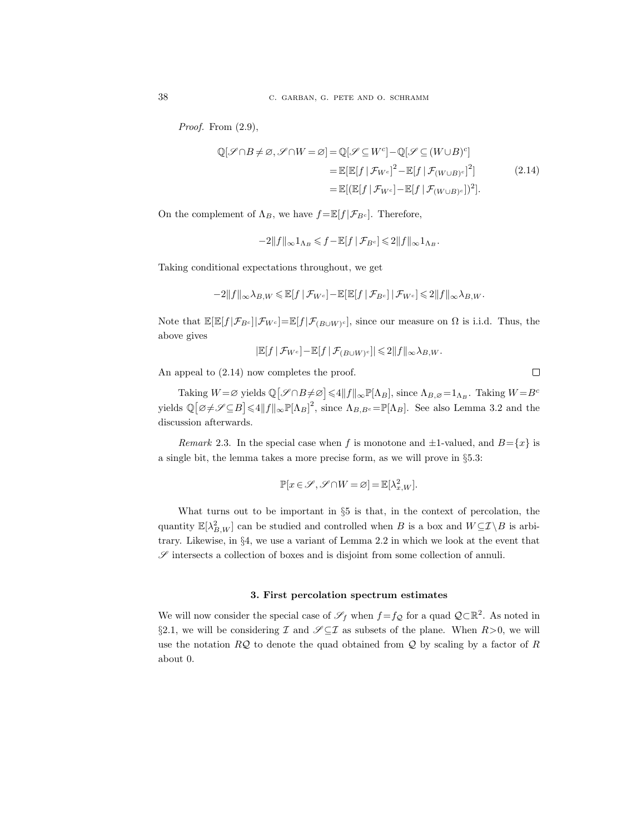Proof. From  $(2.9)$ ,

$$
\mathbb{Q}[\mathscr{S} \cap B \neq \varnothing, \mathscr{S} \cap W = \varnothing] = \mathbb{Q}[\mathscr{S} \subseteq W^c] - \mathbb{Q}[\mathscr{S} \subseteq (W \cup B)^c]
$$

$$
= \mathbb{E}[\mathbb{E}[f \mid \mathcal{F}_{W^c}]^2 - \mathbb{E}[f \mid \mathcal{F}_{(W \cup B)^c}]^2]
$$

$$
= \mathbb{E}[(\mathbb{E}[f \mid \mathcal{F}_{W^c}] - \mathbb{E}[f \mid \mathcal{F}_{(W \cup B)^c}])^2].
$$
(2.14)

On the complement of  $\Lambda_B$ , we have  $f = \mathbb{E}[f|\mathcal{F}_{B^c}]$ . Therefore,

$$
-2\|f\|_\infty 1_{\Lambda_B} \leqslant f-\mathbb{E}[f\,|\,\mathcal{F}_{B^c}]\leqslant 2\|f\|_\infty 1_{\Lambda_B}.
$$

Taking conditional expectations throughout, we get

$$
-2\|f\|_{\infty}\lambda_{B,W}\leqslant \mathbb{E}[f\,|\,\mathcal{F}_{W^c}]-\mathbb{E}[\mathbb{E}[f\,|\,\mathcal{F}_{B^c}]\,|\,\mathcal{F}_{W^c}]\leqslant 2\|f\|_{\infty}\lambda_{B,W}.
$$

Note that  $\mathbb{E}[\mathbb{E}[f|\mathcal{F}_{B^c}]|\mathcal{F}_{W^c}]\mathbb{E}[f|\mathcal{F}_{(B\cup W)^c}]$ , since our measure on  $\Omega$  is i.i.d. Thus, the above gives

$$
\left| \mathbb{E}[f \, | \, \mathcal{F}_{W^c}] - \mathbb{E}[f \, | \, \mathcal{F}_{(B \cup W)^c}] \right| \leqslant 2 \|f\|_\infty \lambda_{B,W}.
$$

An appeal to (2.14) now completes the proof.

Taking  $W = \varnothing$  yields  $\mathbb{Q}[\mathscr{S} \cap B \neq \varnothing] \leq 4||f||_{\infty} \mathbb{P}[\Lambda_B]$ , since  $\Lambda_{B,\varnothing} = 1_{\Lambda_B}$ . Taking  $W = B^c$ yields  $\mathbb{Q}[\varnothing \neq \mathscr{S} \subseteq B] \leq 4||f||_{\infty} \mathbb{P}[\Lambda_B]^2$ , since  $\Lambda_{B,B^c} = \mathbb{P}[\Lambda_B]$ . See also Lemma 3.2 and the discussion afterwards.

*Remark* 2.3. In the special case when f is monotone and  $\pm 1$ -valued, and  $B = \{x\}$  is a single bit, the lemma takes a more precise form, as we will prove in §5.3:

$$
\mathbb{P}[x\in\mathscr{S},\mathscr{S}\cap W=\varnothing]=\mathbb{E}[\lambda_{x,W}^2].
$$

What turns out to be important in §5 is that, in the context of percolation, the quantity  $\mathbb{E}[\lambda_{B,W}^2]$  can be studied and controlled when B is a box and  $W \subseteq \mathcal{I} \setminus B$  is arbitrary. Likewise, in §4, we use a variant of Lemma 2.2 in which we look at the event that  $\mathscr S$  intersects a collection of boxes and is disjoint from some collection of annuli.

# 3. First percolation spectrum estimates

We will now consider the special case of  $\mathscr{S}_f$  when  $f = f_{\mathcal{Q}}$  for a quad  $\mathcal{Q} \subset \mathbb{R}^2$ . As noted in §2.1, we will be considering  $\mathcal I$  and  $\mathscr S \subseteq \mathcal I$  as subsets of the plane. When  $R>0$ , we will use the notation  $RQ$  to denote the quad obtained from  $Q$  by scaling by a factor of  $R$ about 0.

 $\Box$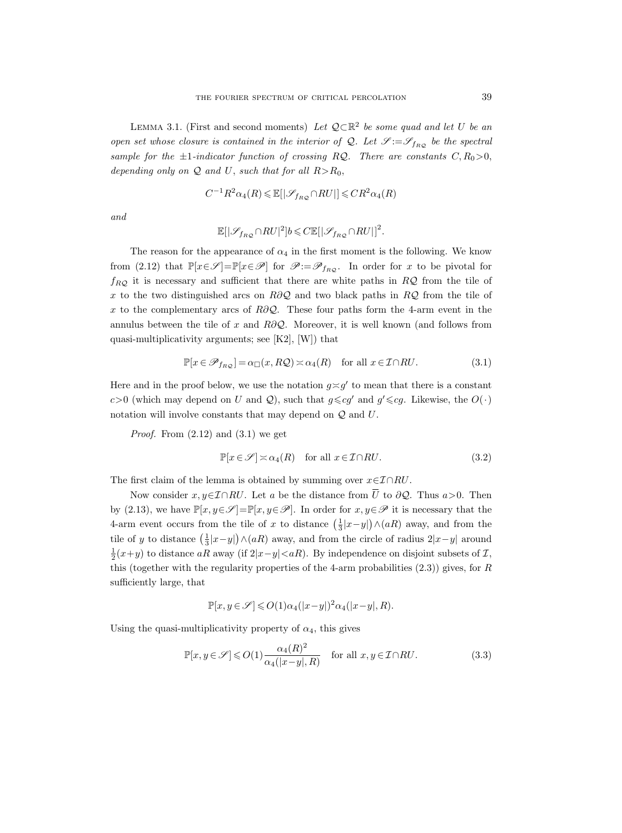LEMMA 3.1. (First and second moments) Let  $\mathcal{Q}\subset \mathbb{R}^2$  be some quad and let U be an open set whose closure is contained in the interior of  $\mathcal{Q}$ . Let  $\mathcal{S} := \mathcal{S}_{f_{RQ}}$  be the spectral sample for the  $\pm 1$ -indicator function of crossing RQ. There are constants  $C, R_0 > 0$ , depending only on  $Q$  and U, such that for all  $R>R_0$ ,

$$
C^{-1}R^2\alpha_4(R) \leq \mathbb{E}[|\mathcal{S}_{f_{RQ}} \cap RU|] \leq C R^2 \alpha_4(R)
$$

and

$$
\mathbb{E}[|\mathscr{S}_{f_{RQ}} \cap RU|^2]b \leqslant C \mathbb{E}[|\mathscr{S}_{f_{RQ}} \cap RU|]^{2}.
$$

The reason for the appearance of  $\alpha_4$  in the first moment is the following. We know from (2.12) that  $\mathbb{P}[x \in \mathscr{S}] = \mathbb{P}[x \in \mathscr{P}]$  for  $\mathscr{P} := \mathscr{P}_{f_{RQ}}$ . In order for x to be pivotal for  $f_{RQ}$  it is necessary and sufficient that there are white paths in  $RQ$  from the tile of x to the two distinguished arcs on R∂Q and two black paths in RQ from the tile of x to the complementary arcs of R∂Q. These four paths form the 4-arm event in the annulus between the tile of x and R∂Q. Moreover, it is well known (and follows from quasi-multiplicativity arguments; see [K2], [W]) that

$$
\mathbb{P}[x \in \mathscr{P}_{f_{RQ}}] = \alpha_{\square}(x, RQ) \asymp \alpha_4(R) \quad \text{for all } x \in \mathcal{I} \cap RU. \tag{3.1}
$$

Here and in the proof below, we use the notation  $g \times g'$  to mean that there is a constant c>0 (which may depend on U and Q), such that  $g \leqslant cg'$  and  $g' \leqslant cg$ . Likewise, the  $O(·)$ notation will involve constants that may depend on  $Q$  and  $U$ .

*Proof.* From  $(2.12)$  and  $(3.1)$  we get

$$
\mathbb{P}[x \in \mathscr{S}] \asymp \alpha_4(R) \quad \text{for all } x \in \mathcal{I} \cap RU. \tag{3.2}
$$

The first claim of the lemma is obtained by summing over  $x \in \mathcal{I} \cap RU$ .

Now consider  $x, y \in \mathcal{I} \cap RU$ . Let a be the distance from  $\overline{U}$  to  $\partial \mathcal{Q}$ . Thus  $a > 0$ . Then by (2.13), we have  $\mathbb{P}[x, y \in \mathscr{S}] = \mathbb{P}[x, y \in \mathscr{P}]$ . In order for  $x, y \in \mathscr{P}$  it is necessary that the 4-arm event occurs from the tile of x to distance  $(\frac{1}{3}|x-y|) \wedge (aR)$  away, and from the tile of y to distance  $(\frac{1}{3}|x-y|) \wedge (aR)$  away, and from the circle of radius  $2|x-y|$  around  $\frac{1}{2}(x+y)$  to distance aR away (if  $2|x-y| < aR$ ). By independence on disjoint subsets of  $\mathcal{I}$ , this (together with the regularity properties of the 4-arm probabilities  $(2.3)$ ) gives, for R sufficiently large, that

$$
\mathbb{P}[x, y \in \mathscr{S}] \leqslant O(1)\alpha_4(|x-y|)^2 \alpha_4(|x-y|, R).
$$

Using the quasi-multiplicativity property of  $\alpha_4$ , this gives

$$
\mathbb{P}[x, y \in \mathcal{S}] \leqslant O(1) \frac{\alpha_4(R)^2}{\alpha_4(|x - y|, R)} \quad \text{for all } x, y \in \mathcal{I} \cap RU. \tag{3.3}
$$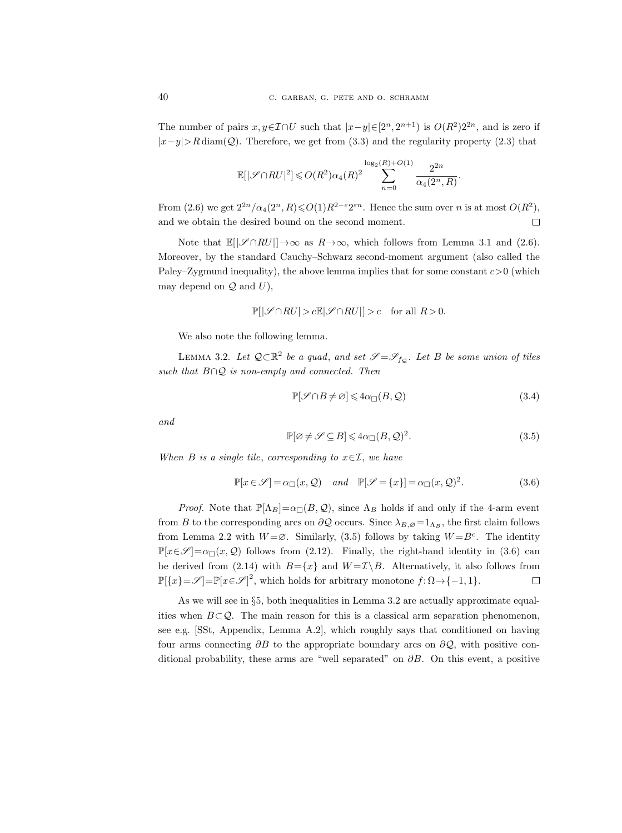The number of pairs  $x, y \in \mathcal{I} \cap U$  such that  $|x-y| \in [2^n, 2^{n+1})$  is  $O(R^2)2^{2n}$ , and is zero if  $|x-y|>R \text{diam}(\mathcal{Q})$ . Therefore, we get from (3.3) and the regularity property (2.3) that

$$
\mathbb{E}[|\mathcal{S}\cap RU|^2] \leqslant O(R^2)\alpha_4(R)^2\sum_{n=0}^{\log_2(R)+O(1)}\frac{2^{2n}}{\alpha_4(2^n,R)}
$$

From (2.6) we get  $2^{2n}/\alpha_4(2^n, R) \leqslant O(1)R^{2-\epsilon}2^{\epsilon n}$ . Hence the sum over n is at most  $O(R^2)$ , and we obtain the desired bound on the second moment.  $\Box$ 

Note that  $\mathbb{E}[|\mathscr{S} \cap RU|| \to \infty]$  as  $R \to \infty$ , which follows from Lemma 3.1 and (2.6). Moreover, by the standard Cauchy–Schwarz second-moment argument (also called the Paley–Zygmund inequality), the above lemma implies that for some constant  $c > 0$  (which may depend on  $Q$  and  $U$ ),

$$
\mathbb{P}[|\mathscr{S} \cap RU| > c\mathbb{E}|\mathscr{S} \cap RU|] > c \quad \text{for all } R > 0.
$$

We also note the following lemma.

LEMMA 3.2. Let  $\mathcal{Q} \subset \mathbb{R}^2$  be a quad, and set  $\mathscr{S} = \mathscr{S}_{f_{\mathcal{Q}}}$ . Let B be some union of tiles such that  $B \cap Q$  is non-empty and connected. Then

$$
\mathbb{P}[\mathcal{S} \cap B \neq \varnothing] \leqslant 4\alpha_{\square}(B, \mathcal{Q})\tag{3.4}
$$

.

and

$$
\mathbb{P}[\varnothing \neq \mathcal{S} \subseteq B] \leqslant 4\alpha_{\square}(B, \mathcal{Q})^2. \tag{3.5}
$$

When B is a single tile, corresponding to  $x \in \mathcal{I}$ , we have

$$
\mathbb{P}[x \in \mathcal{S}] = \alpha_{\Box}(x, \mathcal{Q}) \quad and \quad \mathbb{P}[\mathcal{S} = \{x\}] = \alpha_{\Box}(x, \mathcal{Q})^2. \tag{3.6}
$$

*Proof.* Note that  $\mathbb{P}[\Lambda_B]=\alpha_{\square}(B,\mathcal{Q})$ , since  $\Lambda_B$  holds if and only if the 4-arm event from B to the corresponding arcs on  $\partial Q$  occurs. Since  $\lambda_{B,\emptyset} = 1_{\Lambda_B}$ , the first claim follows from Lemma 2.2 with  $W = \emptyset$ . Similarly, (3.5) follows by taking  $W = B<sup>c</sup>$ . The identity  $\mathbb{P}[x \in \mathscr{S}] = \alpha_{\Box}(x, \mathcal{Q})$  follows from (2.12). Finally, the right-hand identity in (3.6) can be derived from (2.14) with  $B=\{x\}$  and  $W=\mathcal{I}\backslash B$ . Alternatively, it also follows from  $\mathbb{P}[\{x\} = \mathscr{S}] = \mathbb{P}[x \in \mathscr{S}]^2$ , which holds for arbitrary monotone  $f: \Omega \to \{-1, 1\}$ .  $\Box$ 

As we will see in §5, both inequalities in Lemma 3.2 are actually approximate equalities when  $B\subset\mathcal{Q}$ . The main reason for this is a classical arm separation phenomenon, see e.g. [SSt, Appendix, Lemma A.2], which roughly says that conditioned on having four arms connecting  $\partial B$  to the appropriate boundary arcs on  $\partial \mathcal{Q}$ , with positive conditional probability, these arms are "well separated" on  $\partial B$ . On this event, a positive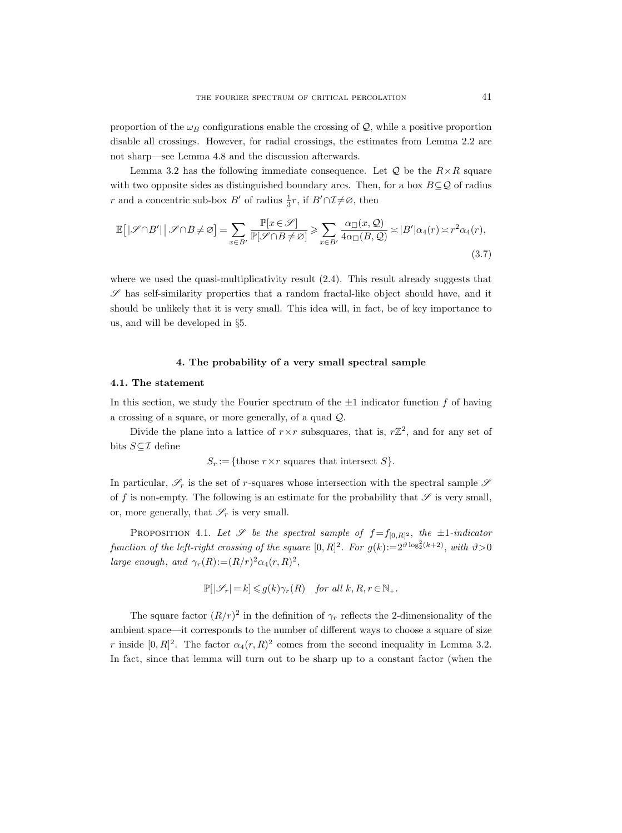proportion of the  $\omega_B$  configurations enable the crossing of  $\mathcal{Q}$ , while a positive proportion disable all crossings. However, for radial crossings, the estimates from Lemma 2.2 are not sharp—see Lemma 4.8 and the discussion afterwards.

Lemma 3.2 has the following immediate consequence. Let  $Q$  be the  $R \times R$  square with two opposite sides as distinguished boundary arcs. Then, for a box  $B \subseteq \mathcal{Q}$  of radius r and a concentric sub-box  $B'$  of radius  $\frac{1}{3}r$ , if  $B' \cap \mathcal{I} \neq \emptyset$ , then

$$
\mathbb{E}\big[|\mathcal{S}\cap B'|\,\big|\,\mathcal{S}\cap B\neq\varnothing\big] = \sum_{x\in B'}\frac{\mathbb{P}[x\in\mathcal{S}]}{\mathbb{P}[\mathcal{S}\cap B\neq\varnothing]}\geqslant \sum_{x\in B'}\frac{\alpha_{\square}(x,\mathcal{Q})}{4\alpha_{\square}(B,\mathcal{Q})}\asymp|B'|\alpha_4(r)\asymp r^2\alpha_4(r),\tag{3.7}
$$

where we used the quasi-multiplicativity result  $(2.4)$ . This result already suggests that  $\mathscr S$  has self-similarity properties that a random fractal-like object should have, and it should be unlikely that it is very small. This idea will, in fact, be of key importance to us, and will be developed in §5.

# 4. The probability of a very small spectral sample

## 4.1. The statement

In this section, we study the Fourier spectrum of the  $\pm 1$  indicator function f of having a crossing of a square, or more generally, of a quad Q.

Divide the plane into a lattice of  $r \times r$  subsquares, that is,  $r\mathbb{Z}^2$ , and for any set of bits  $S \subset \mathcal{I}$  define

$$
S_r := \{ \text{those } r \times r \text{ squares that intersect } S \}.
$$

In particular,  $\mathscr{S}_r$  is the set of r-squares whose intersection with the spectral sample  $\mathscr{S}$ of f is non-empty. The following is an estimate for the probability that  $\mathscr S$  is very small, or, more generally, that  $\mathscr{S}_r$  is very small.

PROPOSITION 4.1. Let  $\mathscr S$  be the spectral sample of  $f = f_{[0,R]^2}$ , the  $\pm 1$ -indicator function of the left-right crossing of the square  $[0, R]^2$ . For  $g(k) := 2^{\vartheta \log_2^2(k+2)}$ , with  $\vartheta > 0$ large enough, and  $\gamma_r(R) := (R/r)^2 \alpha_4(r,R)^2$ ,

$$
\mathbb{P}[|\mathscr{S}_r| = k] \leq g(k)\gamma_r(R) \quad \text{for all } k, R, r \in \mathbb{N}_+.
$$

The square factor  $(R/r)^2$  in the definition of  $\gamma_r$  reflects the 2-dimensionality of the ambient space—it corresponds to the number of different ways to choose a square of size r inside  $[0, R]^2$ . The factor  $\alpha_4(r, R)^2$  comes from the second inequality in Lemma 3.2. In fact, since that lemma will turn out to be sharp up to a constant factor (when the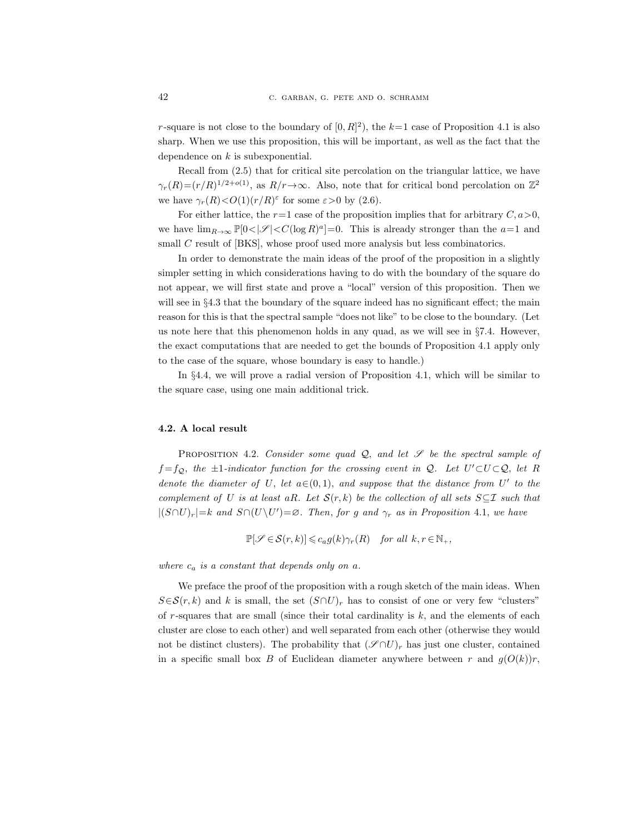r-square is not close to the boundary of  $[0, R]^2$ , the  $k=1$  case of Proposition 4.1 is also sharp. When we use this proposition, this will be important, as well as the fact that the dependence on  $k$  is subexponential.

Recall from (2.5) that for critical site percolation on the triangular lattice, we have  $\gamma_r(R)=(r/R)^{1/2+o(1)}$ , as  $R/r\rightarrow\infty$ . Also, note that for critical bond percolation on  $\mathbb{Z}^2$ we have  $\gamma_r(R) < O(1)(r/R)^{\varepsilon}$  for some  $\varepsilon > 0$  by (2.6).

For either lattice, the  $r=1$  case of the proposition implies that for arbitrary  $C, a>0$ , we have  $\lim_{R\to\infty} \mathbb{P}[0<|\mathcal{S}|< C(\log R)^a] = 0$ . This is already stronger than the  $a=1$  and small C result of [BKS], whose proof used more analysis but less combinatorics.

In order to demonstrate the main ideas of the proof of the proposition in a slightly simpler setting in which considerations having to do with the boundary of the square do not appear, we will first state and prove a "local" version of this proposition. Then we will see in §4.3 that the boundary of the square indeed has no significant effect; the main reason for this is that the spectral sample "does not like" to be close to the boundary. (Let us note here that this phenomenon holds in any quad, as we will see in  $\S 7.4$ . However, the exact computations that are needed to get the bounds of Proposition 4.1 apply only to the case of the square, whose boundary is easy to handle.)

In §4.4, we will prove a radial version of Proposition 4.1, which will be similar to the square case, using one main additional trick.

# 4.2. A local result

PROPOSITION 4.2. Consider some quad  $\mathcal{Q}$ , and let  $\mathcal{S}$  be the spectral sample of  $f = f_{\mathcal{Q}}$ , the  $\pm 1$ -indicator function for the crossing event in  $\mathcal{Q}$ . Let  $U' \subset U \subset \mathcal{Q}$ , let R denote the diameter of U, let  $a \in (0,1)$ , and suppose that the distance from U' to the complement of U is at least aR. Let  $\mathcal{S}(r,k)$  be the collection of all sets  $S \subseteq \mathcal{I}$  such that  $|(S \cap U)_r|=k$  and  $S \cap (U \setminus U') = \emptyset$ . Then, for g and  $\gamma_r$  as in Proposition 4.1, we have

$$
\mathbb{P}[\mathscr{S} \in \mathcal{S}(r,k)] \leqslant c_a g(k) \gamma_r(R) \quad \text{for all } k, r \in \mathbb{N}_+,
$$

where  $c_a$  is a constant that depends only on a.

We preface the proof of the proposition with a rough sketch of the main ideas. When  $S\in\mathcal{S}(r,k)$  and k is small, the set  $(S\cap U)_r$  has to consist of one or very few "clusters" of  $r$ -squares that are small (since their total cardinality is  $k$ , and the elements of each cluster are close to each other) and well separated from each other (otherwise they would not be distinct clusters). The probability that  $(\mathscr{S} \cap U)_r$  has just one cluster, contained in a specific small box B of Euclidean diameter anywhere between r and  $g(O(k))r$ ,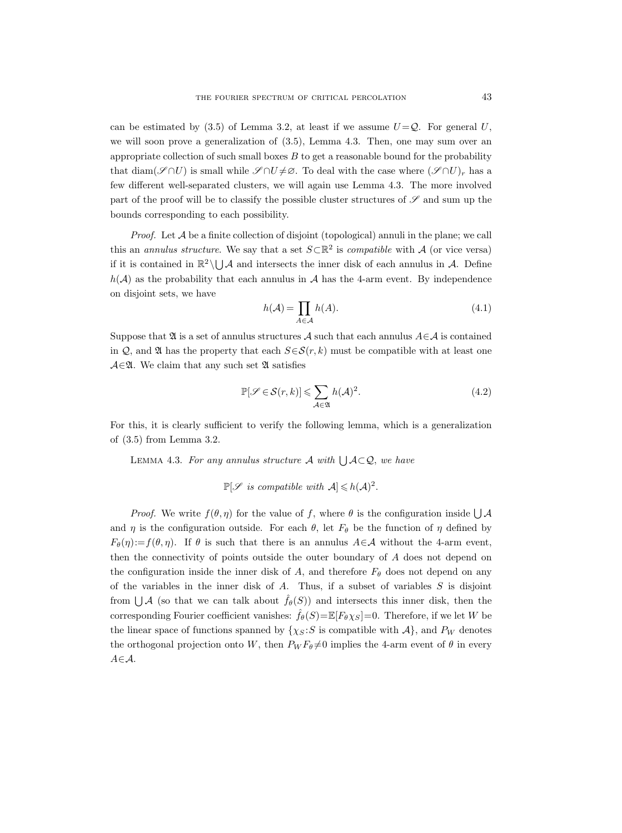can be estimated by (3.5) of Lemma 3.2, at least if we assume  $U = Q$ . For general U, we will soon prove a generalization of (3.5), Lemma 4.3. Then, one may sum over an appropriate collection of such small boxes  $B$  to get a reasonable bound for the probability that diam( $\mathscr{S} \cap U$ ) is small while  $\mathscr{S} \cap U \neq \emptyset$ . To deal with the case where  $(\mathscr{S} \cap U)_r$  has a few different well-separated clusters, we will again use Lemma 4.3. The more involved part of the proof will be to classify the possible cluster structures of  $\mathscr S$  and sum up the bounds corresponding to each possibility.

*Proof.* Let  $A$  be a finite collection of disjoint (topological) annuli in the plane; we call this an *annulus structure*. We say that a set  $S \subset \mathbb{R}^2$  is *compatible* with A (or vice versa) if it is contained in  $\mathbb{R}^2 \setminus \bigcup \mathcal{A}$  and intersects the inner disk of each annulus in  $\mathcal{A}$ . Define  $h(\mathcal{A})$  as the probability that each annulus in  $\mathcal{A}$  has the 4-arm event. By independence on disjoint sets, we have

$$
h(\mathcal{A}) = \prod_{A \in \mathcal{A}} h(A). \tag{4.1}
$$

Suppose that  $\mathfrak A$  is a set of annulus structures A such that each annulus  $A\in\mathcal A$  is contained in Q, and Q has the property that each  $S \in \mathcal{S}(r, k)$  must be compatible with at least one  $A \in \mathfrak{A}$ . We claim that any such set  $\mathfrak{A}$  satisfies

$$
\mathbb{P}[\mathscr{S} \in \mathcal{S}(r,k)] \leq \sum_{\mathcal{A} \in \mathfrak{A}} h(\mathcal{A})^2.
$$
 (4.2)

For this, it is clearly sufficient to verify the following lemma, which is a generalization of (3.5) from Lemma 3.2.

LEMMA 4.3. For any annulus structure A with  $\bigcup_{\mathcal{A}} \subset \mathcal{Q}$ , we have

$$
\mathbb{P}[\mathscr{S} \text{ is compatible with } \mathcal{A}] \leq h(\mathcal{A})^2.
$$

*Proof.* We write  $f(\theta, \eta)$  for the value of f, where  $\theta$  is the configuration inside  $\bigcup \mathcal{A}$ and  $\eta$  is the configuration outside. For each  $\theta$ , let  $F_{\theta}$  be the function of  $\eta$  defined by  $F_{\theta}(\eta) := f(\theta, \eta)$ . If  $\theta$  is such that there is an annulus  $A \in \mathcal{A}$  without the 4-arm event, then the connectivity of points outside the outer boundary of A does not depend on the configuration inside the inner disk of A, and therefore  $F_{\theta}$  does not depend on any of the variables in the inner disk of  $A$ . Thus, if a subset of variables  $S$  is disjoint from  $\bigcup \mathcal{A}$  (so that we can talk about  $\hat{f}_{\theta}(S)$ ) and intersects this inner disk, then the corresponding Fourier coefficient vanishes:  $\hat{f}_{\theta}(S) = \mathbb{E}[F_{\theta}\chi_S] = 0$ . Therefore, if we let W be the linear space of functions spanned by  $\{\chi_S : S \text{ is compatible with } A\}$ , and  $P_W$  denotes the orthogonal projection onto W, then  $P_W F_{\theta} \neq 0$  implies the 4-arm event of  $\theta$  in every  $A \in \mathcal{A}$ .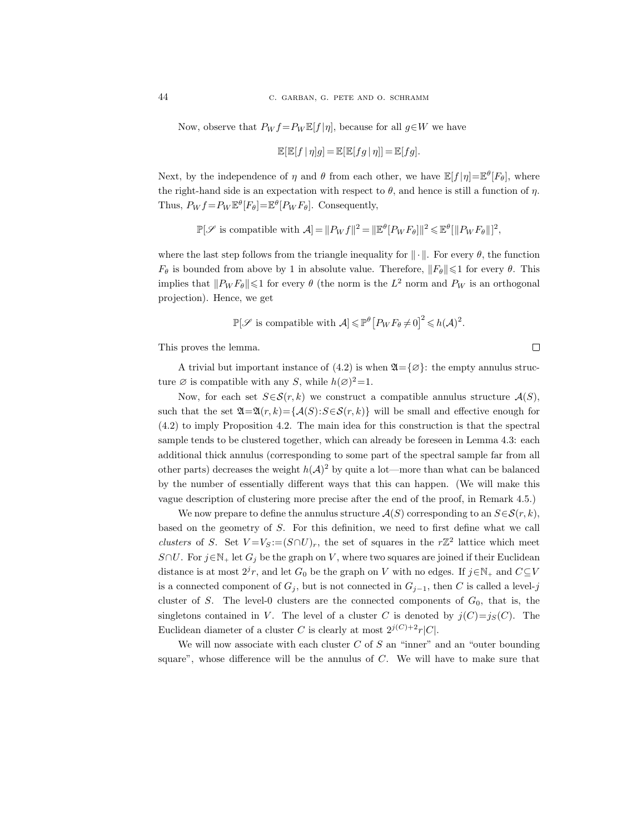Now, observe that  $P_W f = P_W \mathbb{E}[f | \eta]$ , because for all  $g \in W$  we have

$$
\mathbb{E}[\mathbb{E}[f|\eta]g] = \mathbb{E}[\mathbb{E}[fg|\eta]] = \mathbb{E}[fg].
$$

Next, by the independence of  $\eta$  and  $\theta$  from each other, we have  $\mathbb{E}[f|\eta]=\mathbb{E}^{\theta}[F_{\theta}],$  where the right-hand side is an expectation with respect to  $\theta$ , and hence is still a function of  $\eta$ . Thus,  $P_W f = P_W \mathbb{E}^{\theta}[F_{\theta}] = \mathbb{E}^{\theta}[P_W F_{\theta}]$ . Consequently,

$$
\mathbb{P}[\mathscr{S} \text{ is compatible with } \mathcal{A}] = ||P_W f||^2 = ||\mathbb{E}^{\theta}[P_W F_{\theta}]||^2 \leq \mathbb{E}^{\theta}[||P_W F_{\theta}||]^2,
$$

where the last step follows from the triangle inequality for  $\|\cdot\|$ . For every  $\theta$ , the function  $F_{\theta}$  is bounded from above by 1 in absolute value. Therefore,  $||F_{\theta}|| \leq 1$  for every  $\theta$ . This implies that  $||P_W F_\theta|| \leq 1$  for every  $\theta$  (the norm is the  $L^2$  norm and  $P_W$  is an orthogonal projection). Hence, we get

$$
\mathbb{P}[\mathscr{S} \text{ is compatible with } \mathcal{A}] \leqslant \mathbb{P}^{\theta} \left[ P_W F_{\theta} \neq 0 \right]^2 \leqslant h(\mathcal{A})^2.
$$

This proves the lemma.

A trivial but important instance of (4.2) is when  $\mathfrak{A} = \{ \emptyset \}$ : the empty annulus structure  $\emptyset$  is compatible with any S, while  $h(\emptyset)^2=1$ .

 $\Box$ 

Now, for each set  $S \in \mathcal{S}(r, k)$  we construct a compatible annulus structure  $\mathcal{A}(S)$ , such that the set  $\mathfrak{A}=\mathfrak{A}(r,k)=\{\mathcal{A}(S):S\in\mathcal{S}(r,k)\}\$  will be small and effective enough for (4.2) to imply Proposition 4.2. The main idea for this construction is that the spectral sample tends to be clustered together, which can already be foreseen in Lemma 4.3: each additional thick annulus (corresponding to some part of the spectral sample far from all other parts) decreases the weight  $h(\mathcal{A})^2$  by quite a lot—more than what can be balanced by the number of essentially different ways that this can happen. (We will make this vague description of clustering more precise after the end of the proof, in Remark 4.5.)

We now prepare to define the annulus structure  $\mathcal{A}(S)$  corresponding to an  $S \in \mathcal{S}(r, k)$ , based on the geometry of S. For this definition, we need to first define what we call clusters of S. Set  $V = V_S := (S \cap U)_r$ , the set of squares in the r $\mathbb{Z}^2$  lattice which meet  $S \cap U$ . For  $j \in \mathbb{N}_+$  let  $G_j$  be the graph on V, where two squares are joined if their Euclidean distance is at most  $2^{j}r$ , and let  $G_0$  be the graph on V with no edges. If  $j \in \mathbb{N}_+$  and  $C \subseteq V$ is a connected component of  $G_j$ , but is not connected in  $G_{j-1}$ , then C is called a level-j cluster of S. The level-0 clusters are the connected components of  $G_0$ , that is, the singletons contained in V. The level of a cluster C is denoted by  $j(C)=j<sub>S</sub>(C)$ . The Euclidean diameter of a cluster C is clearly at most  $2^{j(C)+2}r|C|$ .

We will now associate with each cluster  $C$  of  $S$  an "inner" and an "outer bounding square", whose difference will be the annulus of  $C$ . We will have to make sure that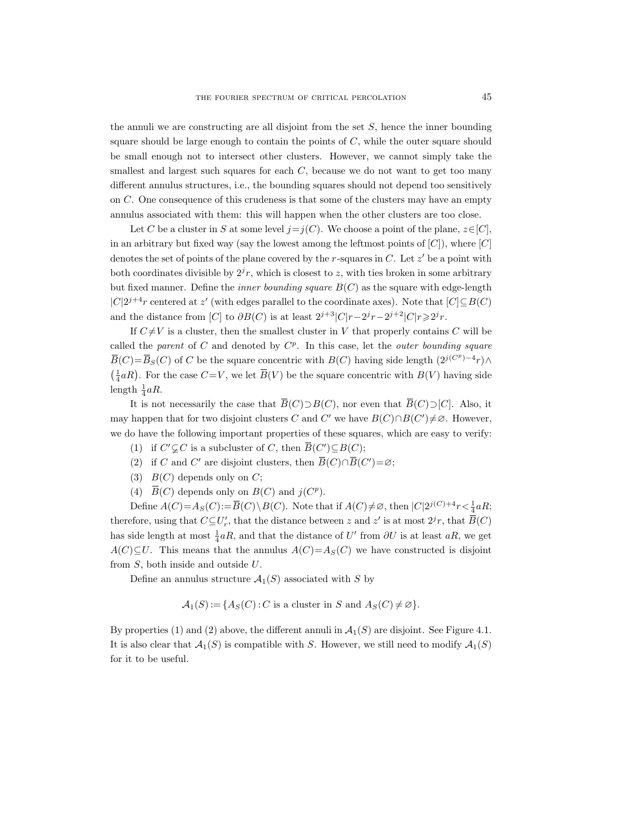the annuli we are constructing are all disjoint from the set  $S$ , hence the inner bounding square should be large enough to contain the points of  $C$ , while the outer square should be small enough not to intersect other clusters. However, we cannot simply take the smallest and largest such squares for each  $C$ , because we do not want to get too many different annulus structures, i.e., the bounding squares should not depend too sensitively on C. One consequence of this crudeness is that some of the clusters may have an empty annulus associated with them: this will happen when the other clusters are too close.

Let C be a cluster in S at some level  $j=j(C)$ . We choose a point of the plane,  $z\in[C]$ , in an arbitrary but fixed way (say the lowest among the leftmost points of  $[C]$ ), where  $[C]$ denotes the set of points of the plane covered by the r-squares in  $C$ . Let  $z'$  be a point with both coordinates divisible by  $2^{j}r$ , which is closest to z, with ties broken in some arbitrary but fixed manner. Define the *inner bounding square*  $B(C)$  as the square with edge-length  $|C|2^{j+4}r$  centered at z' (with edges parallel to the coordinate axes). Note that  $[C] \subseteq B(C)$ and the distance from [C] to  $\partial B(C)$  is at least  $2^{j+3}|C|r-2^{j}r-2^{j+2}|C|r \geq 2^{j}r$ .

If  $C \neq V$  is a cluster, then the smallest cluster in V that properly contains C will be called the parent of C and denoted by  $C^p$ . In this case, let the *outer bounding square*  $\overline{B}(C) = \overline{B}_S(C)$  of C be the square concentric with  $B(C)$  having side length  $(2^{j(C^p)-4}r) \wedge$  $(\frac{1}{4}aR)$ . For the case  $C=V$ , we let  $\overline{B}(V)$  be the square concentric with  $B(V)$  having side length  $\frac{1}{4}aR$ .

It is not necessarily the case that  $\overline{B}(C) \supset B(C)$ , nor even that  $\overline{B}(C) \supset [C]$ . Also, it may happen that for two disjoint clusters C and C' we have  $B(C) \cap B(C') \neq \emptyset$ . However, we do have the following important properties of these squares, which are easy to verify:

- (1) if  $C' \subsetneq C$  is a subcluster of C, then  $\overline{B}(C') \subseteq B(C)$ ;
- (2) if C and C' are disjoint clusters, then  $\overline{B}(C) \cap \overline{B}(C') = \emptyset$ ;
- (3)  $B(C)$  depends only on C;
- (4)  $\overline{B}(C)$  depends only on  $B(C)$  and  $j(C<sup>p</sup>)$ .

Define  $A(C) = A_S(C) := \overline{B}(C) \setminus B(C)$ . Note that if  $A(C) \neq \emptyset$ , then  $|C|2^{j(C)+4}r < \frac{1}{4}aR$ ; therefore, using that  $C \subseteq U'_r$ , that the distance between z and z' is at most  $2^j r$ , that  $\overline{B}(C)$ has side length at most  $\frac{1}{4}aR$ , and that the distance of U' from  $\partial U$  is at least  $aR$ , we get  $A(C) \subseteq U$ . This means that the annulus  $A(C)=A<sub>S</sub>(C)$  we have constructed is disjoint from S, both inside and outside U.

Define an annulus structure  $\mathcal{A}_1(S)$  associated with S by

$$
\mathcal{A}_1(S) := \{ A_S(C) : C \text{ is a cluster in } S \text{ and } A_S(C) \neq \varnothing \}.
$$

By properties (1) and (2) above, the different annuli in  $\mathcal{A}_1(S)$  are disjoint. See Figure 4.1. It is also clear that  $\mathcal{A}_1(S)$  is compatible with S. However, we still need to modify  $\mathcal{A}_1(S)$ for it to be useful.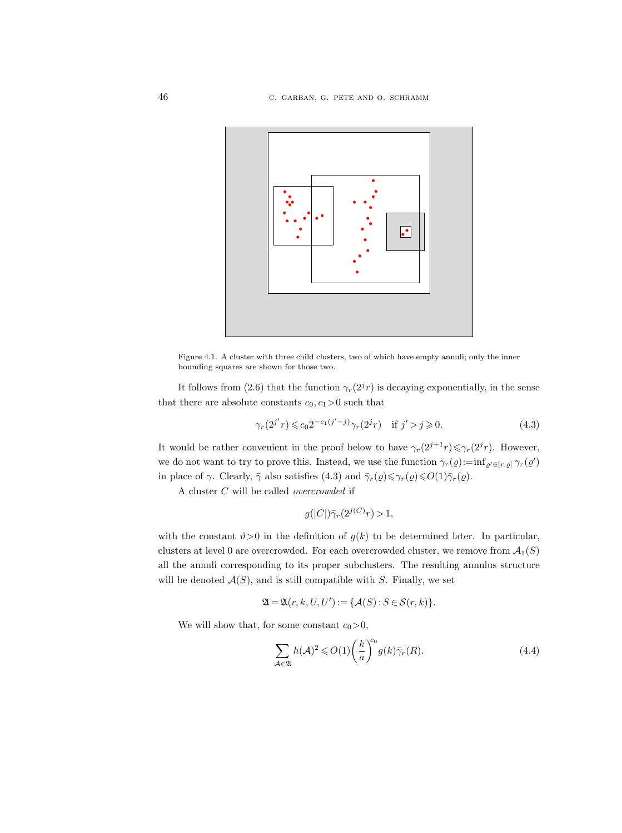

Figure 4.1. A cluster with three child clusters, two of which have empty annuli; only the inner bounding squares are shown for those two.

It follows from (2.6) that the function  $\gamma_r(2^j r)$  is decaying exponentially, in the sense that there are absolute constants  $c_0, c_1>0$  such that

$$
\gamma_r(2^{j'}r) \leq c_0 2^{-c_1(j'-j)} \gamma_r(2^j r) \quad \text{if } j' > j \geq 0. \tag{4.3}
$$

It would be rather convenient in the proof below to have  $\gamma_r(2^{j+1}r) \leq \gamma_r(2^j r)$ . However, we do not want to try to prove this. Instead, we use the function  $\bar{\gamma}_r(\varrho) := \inf_{\varrho' \in [r,\varrho]} \gamma_r(\varrho')$ in place of  $\gamma$ . Clearly,  $\bar{\gamma}$  also satisfies (4.3) and  $\bar{\gamma}_r(\varrho) \leq \gamma_r(\varrho) \leq O(1)\bar{\gamma}_r(\varrho)$ .

A cluster C will be called overcrowded if

$$
g(|C|)\bar{\gamma}_r(2^{j(C)}r) > 1,
$$

with the constant  $\vartheta > 0$  in the definition of  $g(k)$  to be determined later. In particular, clusters at level 0 are overcrowded. For each overcrowded cluster, we remove from  $A_1(S)$ all the annuli corresponding to its proper subclusters. The resulting annulus structure will be denoted  $A(S)$ , and is still compatible with S. Finally, we set

$$
\mathfrak{A} = \mathfrak{A}(r, k, U, U') := \{ \mathcal{A}(S) : S \in \mathcal{S}(r, k) \}.
$$

We will show that, for some constant  $c_0>0$ ,

$$
\sum_{\mathcal{A}\in\mathfrak{A}} h(\mathcal{A})^2 \leqslant O(1) \left(\frac{k}{a}\right)^{c_0} g(k)\bar{\gamma}_r(R). \tag{4.4}
$$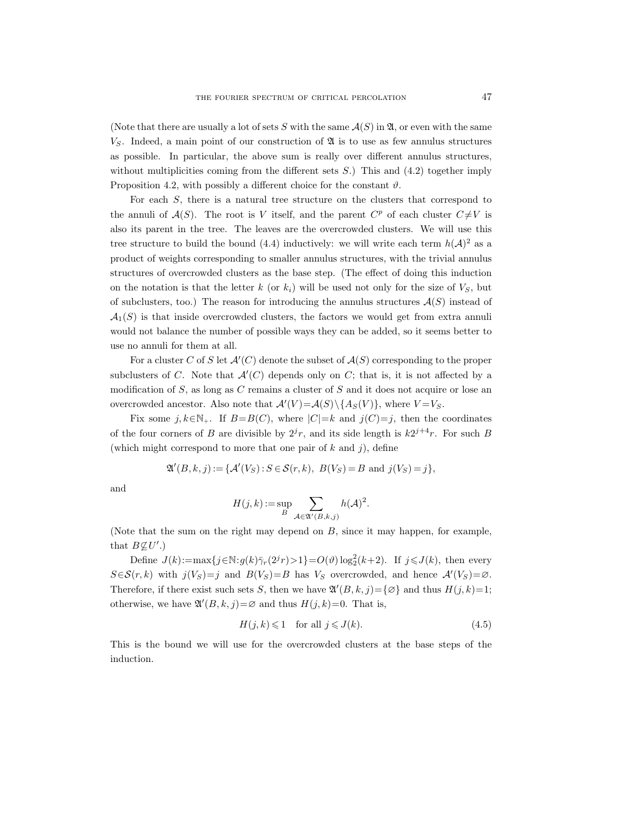(Note that there are usually a lot of sets S with the same  $\mathcal{A}(S)$  in  $\mathfrak{A}$ , or even with the same  $V<sub>S</sub>$ . Indeed, a main point of our construction of  $\mathfrak A$  is to use as few annulus structures as possible. In particular, the above sum is really over different annulus structures, without multiplicities coming from the different sets  $S$ .) This and  $(4.2)$  together imply Proposition 4.2, with possibly a different choice for the constant  $\vartheta$ .

For each S, there is a natural tree structure on the clusters that correspond to the annuli of  $\mathcal{A}(S)$ . The root is V itself, and the parent  $C^p$  of each cluster  $C\neq V$  is also its parent in the tree. The leaves are the overcrowded clusters. We will use this tree structure to build the bound (4.4) inductively: we will write each term  $h(\mathcal{A})^2$  as a product of weights corresponding to smaller annulus structures, with the trivial annulus structures of overcrowded clusters as the base step. (The effect of doing this induction on the notation is that the letter  $k$  (or  $k_i$ ) will be used not only for the size of  $V_s$ , but of subclusters, too.) The reason for introducing the annulus structures  $A(S)$  instead of  $\mathcal{A}_1(S)$  is that inside overcrowded clusters, the factors we would get from extra annuli would not balance the number of possible ways they can be added, so it seems better to use no annuli for them at all.

For a cluster C of S let  $\mathcal{A}'(C)$  denote the subset of  $\mathcal{A}(S)$  corresponding to the proper subclusters of C. Note that  $\mathcal{A}'(C)$  depends only on C; that is, it is not affected by a modification of  $S$ , as long as  $C$  remains a cluster of  $S$  and it does not acquire or lose an overcrowded ancestor. Also note that  $\mathcal{A}'(V) = \mathcal{A}(S) \setminus \{A_S(V)\}\$ , where  $V = V_S$ .

Fix some  $j, k \in \mathbb{N}_+$ . If  $B=B(C)$ , where  $|C|=k$  and  $j(C)=j$ , then the coordinates of the four corners of B are divisible by  $2^{j}r$ , and its side length is  $k2^{j+4}r$ . For such B (which might correspond to more that one pair of  $k$  and  $j$ ), define

$$
\mathfrak{A}'(B,k,j) := \{ \mathcal{A}'(V_S) : S \in \mathcal{S}(r,k), \ B(V_S) = B \text{ and } j(V_S) = j \},
$$

and

$$
H(j,k) := \sup_{B} \sum_{\mathcal{A} \in \mathfrak{A}'(B,k,j)} h(\mathcal{A})^2.
$$

(Note that the sum on the right may depend on B, since it may happen, for example, that  $B\nsubseteq U'.$ 

Define  $J(k) := \max\{j \in \mathbb{N} : g(k)\bar{\gamma}_r(2^jr) > 1\} = O(\vartheta) \log_2^2(k+2)$ . If  $j \leq J(k)$ , then every  $S \in \mathcal{S}(r,k)$  with  $j(V_S)=j$  and  $B(V_S)=B$  has  $V_S$  overcrowded, and hence  $\mathcal{A}'(V_S)=\emptyset$ . Therefore, if there exist such sets S, then we have  $\mathfrak{A}'(B, k, j) = \{ \emptyset \}$  and thus  $H(j, k) = 1$ ; otherwise, we have  $\mathfrak{A}'(B, k, j) = \emptyset$  and thus  $H(j, k) = 0$ . That is,

$$
H(j,k) \leq 1 \quad \text{for all } j \leq J(k). \tag{4.5}
$$

This is the bound we will use for the overcrowded clusters at the base steps of the induction.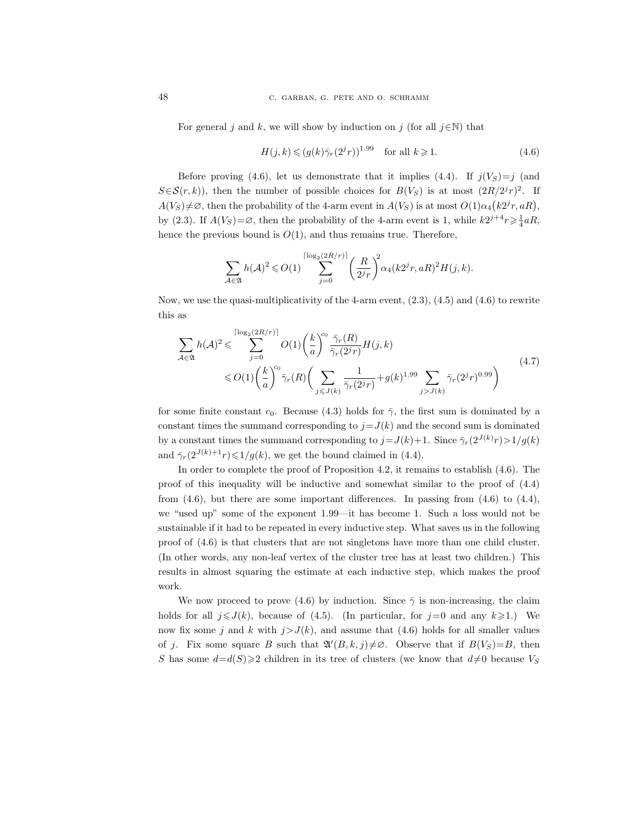For general j and k, we will show by induction on j (for all  $j \in \mathbb{N}$ ) that

$$
H(j,k) \leqslant (g(k)\bar{\gamma}_r(2^jr))^{1.99} \quad \text{for all } k \geqslant 1. \tag{4.6}
$$

Before proving (4.6), let us demonstrate that it implies (4.4). If  $j(V<sub>S</sub>)=j$  (and  $S \in \mathcal{S}(r,k)$ , then the number of possible choices for  $B(V_S)$  is at most  $(2R/2^{j}r)^2$ . If  $A(V_S) \neq \emptyset$ , then the probability of the 4-arm event in  $A(V_S)$  is at most  $O(1)\alpha_4(k2^j r, aR)$ , by (2.3). If  $A(V_S) = \emptyset$ , then the probability of the 4-arm event is 1, while  $k2^{j+4}r \geq \frac{1}{4}aR$ , hence the previous bound is  $O(1)$ , and thus remains true. Therefore,

$$
\sum_{\mathcal{A}\in\mathfrak{A}} h(\mathcal{A})^2 \leqslant O(1) \sum_{j=0}^{\lceil \log_2(2R/r) \rceil} \left(\frac{R}{2^j r}\right)^2 \alpha_4 (k2^j r, aR)^2 H(j,k).
$$

Now, we use the quasi-multiplicativity of the 4-arm event,  $(2.3)$ ,  $(4.5)$  and  $(4.6)$  to rewrite this as

$$
\sum_{\mathcal{A}\in\mathfrak{A}} h(\mathcal{A})^2 \leq \sum_{j=0}^{\lceil \log_2(2R/r) \rceil} O(1) \left(\frac{k}{a}\right)^{c_0} \frac{\bar{\gamma}_r(R)}{\bar{\gamma}_r(2^j r)} H(j,k)
$$
\n
$$
\leq O(1) \left(\frac{k}{a}\right)^{c_0} \bar{\gamma}_r(R) \left(\sum_{j\leq J(k)} \frac{1}{\bar{\gamma}_r(2^j r)} + g(k)^{1.99} \sum_{j>J(k)} \bar{\gamma}_r(2^j r)^{0.99}\right)
$$
\n(4.7)

for some finite constant  $c_0$ . Because (4.3) holds for  $\bar{\gamma}$ , the first sum is dominated by a constant times the summand corresponding to  $j=J(k)$  and the second sum is dominated by a constant times the summand corresponding to  $j = J(k) + 1$ . Since  $\bar{\gamma}_r(2^{J(k)}r) > 1/g(k)$ and  $\bar{\gamma}_r(2^{J(k)+1}r)\leqslant 1/g(k)$ , we get the bound claimed in (4.4).

In order to complete the proof of Proposition 4.2, it remains to establish (4.6). The proof of this inequality will be inductive and somewhat similar to the proof of (4.4) from  $(4.6)$ , but there are some important differences. In passing from  $(4.6)$  to  $(4.4)$ , we "used up" some of the exponent 1.99—it has become 1. Such a loss would not be sustainable if it had to be repeated in every inductive step. What saves us in the following proof of (4.6) is that clusters that are not singletons have more than one child cluster. (In other words, any non-leaf vertex of the cluster tree has at least two children.) This results in almost squaring the estimate at each inductive step, which makes the proof work.

We now proceed to prove (4.6) by induction. Since  $\bar{\gamma}$  is non-increasing, the claim holds for all  $j\leq J(k)$ , because of (4.5). (In particular, for  $j=0$  and any  $k\geq 1$ .) We now fix some j and k with  $j>J(k)$ , and assume that (4.6) holds for all smaller values of j. Fix some square B such that  $\mathfrak{A}'(B, k, j) \neq \emptyset$ . Observe that if  $B(V_S)=B$ , then S has some  $d=d(S)\geqslant 2$  children in its tree of clusters (we know that  $d\neq 0$  because  $V_S$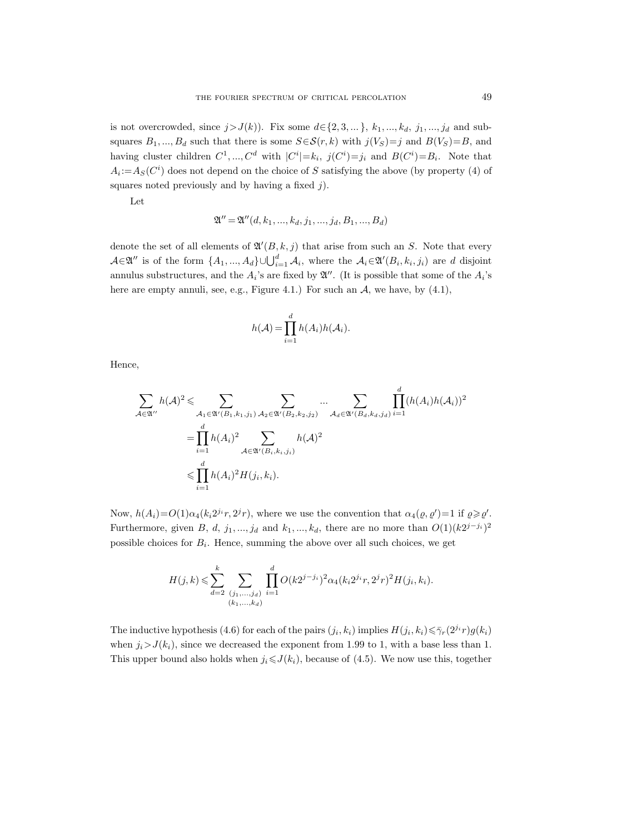is not overcrowded, since  $j>J(k)$ ). Fix some  $d \in \{2, 3, ...\}$ ,  $k_1, ..., k_d$ ,  $j_1, ..., j_d$  and subsquares  $B_1, ..., B_d$  such that there is some  $S \in \mathcal{S}(r, k)$  with  $j(V_S)=j$  and  $B(V_S)=B$ , and having cluster children  $C^1, ..., C^d$  with  $|C^i|=k_i$ ,  $j(C^i)=j_i$  and  $B(C^i)=B_i$ . Note that  $A_i = A_S(C^i)$  does not depend on the choice of S satisfying the above (by property (4) of squares noted previously and by having a fixed  $j$ ).

Let

$$
\mathfrak{A}'' = \mathfrak{A}''(d, k_1, ..., k_d, j_1, ..., j_d, B_1, ..., B_d)
$$

denote the set of all elements of  $\mathfrak{A}'(B, k, j)$  that arise from such an S. Note that every  $\mathcal{A} \in \mathfrak{A}''$  is of the form  $\{A_1, ..., A_d\} \cup \bigcup_{i=1}^d \mathcal{A}_i$ , where the  $\mathcal{A}_i \in \mathfrak{A}'(B_i, k_i, j_i)$  are d disjoint annulus substructures, and the  $A_i$ 's are fixed by  $\mathfrak{A}''$ . (It is possible that some of the  $A_i$ 's here are empty annuli, see, e.g., Figure 4.1.) For such an  $A$ , we have, by (4.1),

$$
h(\mathcal{A}) = \prod_{i=1}^d h(A_i)h(\mathcal{A}_i).
$$

Hence,

$$
\sum_{\mathcal{A}\in\mathfrak{A}''} h(\mathcal{A})^2 \leq \sum_{\substack{\mathcal{A}_1\in\mathfrak{A}'(B_1,k_1,j_1) \mathcal{A}_2\in\mathfrak{A}'(B_2,k_2,j_2) \\ = \prod_{i=1}^d h(A_i)^2} \sum_{\mathcal{A}\in\mathfrak{A}'(B_i,k_i,j_i)} h(\mathcal{A})^2
$$
  

$$
\leq \prod_{i=1}^d h(A_i)^2 H(j_i,k_i).
$$

Now,  $h(A_i)=O(1)\alpha_4(k_i2^{j_i}r, 2^{j_i}r)$ , where we use the convention that  $\alpha_4(\varrho, \varrho')=1$  if  $\varrho \geq \varrho'$ . Furthermore, given B, d,  $j_1, ..., j_d$  and  $k_1, ..., k_d$ , there are no more than  $O(1)(k2^{j-j_i})^2$ possible choices for  $B_i$ . Hence, summing the above over all such choices, we get

$$
H(j,k) \leqslant \sum_{d=2}^{k} \sum_{\substack{(j_1,...,j_d) \\ (k_1,...,k_d)}} \prod_{i=1}^{d} O(k2^{j-j_i})^2 \alpha_4 (k_i 2^{j_i} r, 2^{j} r)^2 H(j_i,k_i).
$$

The inductive hypothesis (4.6) for each of the pairs  $(j_i, k_i)$  implies  $H(j_i, k_i) \le \bar{\gamma}_r(2^{j_i}r)g(k_i)$ when  $j_i>J(k_i)$ , since we decreased the exponent from 1.99 to 1, with a base less than 1. This upper bound also holds when  $j_i \leq J(k_i)$ , because of (4.5). We now use this, together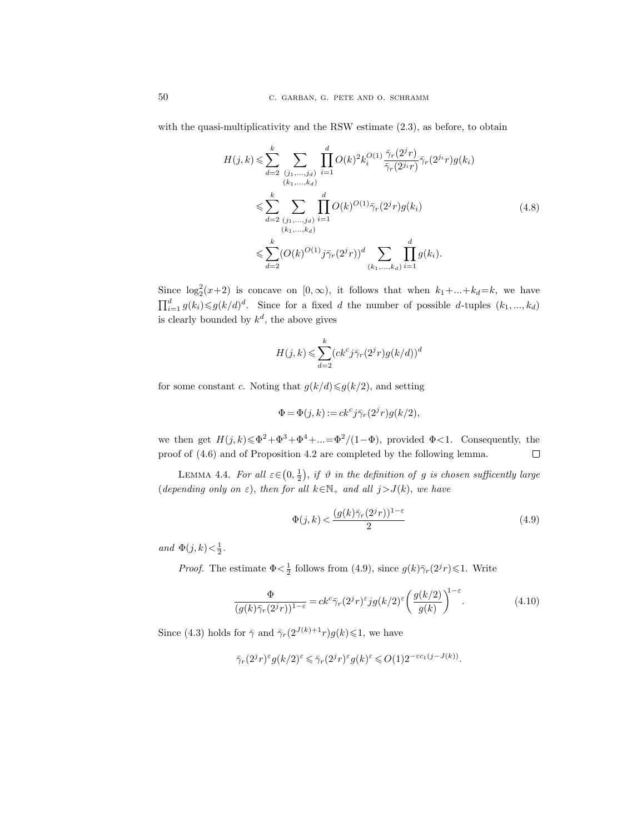with the quasi-multiplicativity and the RSW estimate  $(2.3)$ , as before, to obtain

$$
H(j,k) \leqslant \sum_{d=2}^{k} \sum_{\substack{(j_1,\ldots,j_d) \\ (k_1,\ldots,k_d)}} \prod_{i=1}^{d} O(k)^2 k_i^{O(1)} \frac{\bar{\gamma}_r(2^{j_r})}{\bar{\gamma}_r(2^{j_i}r)} \bar{\gamma}_r(2^{j_i}r) g(k_i)
$$
  

$$
\leqslant \sum_{d=2}^{k} \sum_{\substack{(j_1,\ldots,j_d) \\ (k_1,\ldots,k_d)}} \prod_{i=1}^{d} O(k)^{O(1)} \bar{\gamma}_r(2^{j_r}) g(k_i)
$$
  

$$
\leqslant \sum_{d=2}^{k} (O(k)^{O(1)} j \bar{\gamma}_r(2^{j_r}))^d \sum_{\substack{(k_1,\ldots,k_d) \\ (k_1,\ldots,k_d) = 1}} \prod_{i=1}^{d} g(k_i).
$$
 (4.8)

Since  $\log_2^2(x+2)$  is concave on  $[0,\infty)$ , it follows that when  $k_1+\ldots+k_d=k$ , we have  $\prod_{i=1}^d g(k_i) \leq g(k/d)^d$ . Since for a fixed d the number of possible d-tuples  $(k_1, ..., k_d)$ is clearly bounded by  $k^d$ , the above gives

$$
H(j,k) \leqslant \sum_{d=2}^{k} (ck^c j \bar{\gamma}_r (2^j r) g(k/d))^d
$$

for some constant c. Noting that  $g(k/d) \leq g(k/2)$ , and setting

$$
\Phi = \Phi(j,k) := ck^c j \bar{\gamma}_r (2^j r) g(k/2),
$$

we then get  $H(j,k) \leq \Phi^2 + \Phi^3 + \Phi^4 + ... = \Phi^2/(1-\Phi)$ , provided  $\Phi < 1$ . Consequently, the proof of (4.6) and of Proposition 4.2 are completed by the following lemma.  $\Box$ 

LEMMA 4.4. For all  $\varepsilon \in (0, \frac{1}{2})$ , if  $\vartheta$  in the definition of g is chosen sufficently large (depending only on  $\varepsilon$ ), then for all  $k \in \mathbb{N}_+$  and all  $j>J(k)$ , we have

$$
\Phi(j,k) < \frac{(g(k)\bar{\gamma}_r(2^jr))^{1-\varepsilon}}{2} \tag{4.9}
$$

and  $\Phi(j,k) < \frac{1}{2}$ .

*Proof.* The estimate  $\Phi < \frac{1}{2}$  follows from (4.9), since  $g(k)\overline{\gamma}_r(2^j r) \leq 1$ . Write

$$
\frac{\Phi}{(g(k)\bar{\gamma}_r(2^jr))^{1-\varepsilon}} = ck^c \bar{\gamma}_r(2^jr)^\varepsilon jg(k/2)^\varepsilon \left(\frac{g(k/2)}{g(k)}\right)^{1-\varepsilon}.\tag{4.10}
$$

Since (4.3) holds for  $\bar{\gamma}$  and  $\bar{\gamma}_r(2^{J(k)+1}r)g(k) \leq 1$ , we have

$$
\bar{\gamma}_r(2^jr)^\varepsilon g(k/2)^\varepsilon\leqslant \bar{\gamma}_r(2^jr)^\varepsilon g(k)^\varepsilon\leqslant O(1)2^{-\varepsilon c_1(j-J(k))}.
$$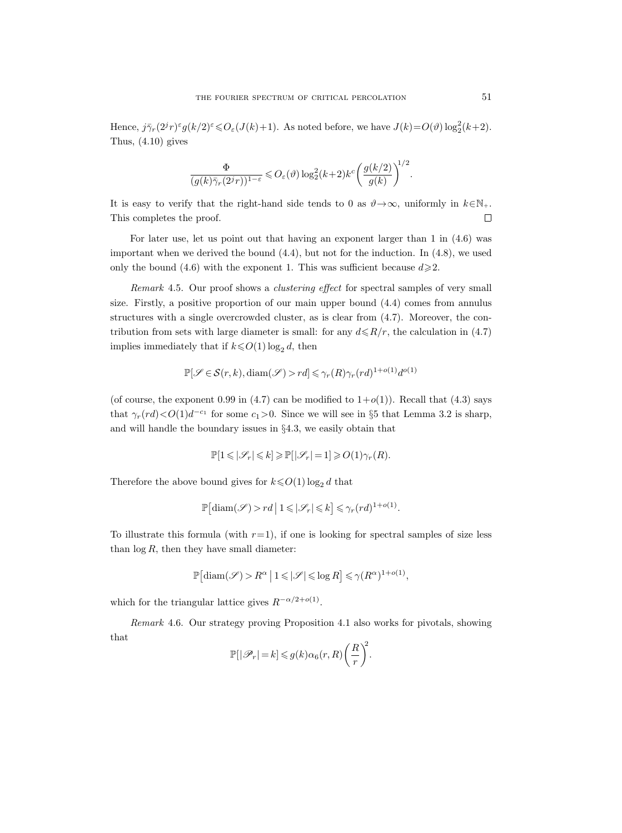Hence,  $j\bar{\gamma}_r(2^jr)^{\epsilon}g(k/2)^{\epsilon} \leq \mathcal{O}_{\epsilon}(J(k)+1)$ . As noted before, we have  $J(k)=O(\vartheta)\log_2^2(k+2)$ . Thus, (4.10) gives

$$
\frac{\Phi}{(g(k)\bar{\gamma}_r(2^jr))^{1-\varepsilon}} \leqslant O_{\varepsilon}(\vartheta) \log_2^2(k+2) k^c \bigg(\frac{g(k/2)}{g(k)}\bigg)^{\!\!1/2}.
$$

It is easy to verify that the right-hand side tends to 0 as  $\vartheta \to \infty$ , uniformly in  $k \in \mathbb{N}_+$ . This completes the proof.  $\Box$ 

For later use, let us point out that having an exponent larger than 1 in (4.6) was important when we derived the bound  $(4.4)$ , but not for the induction. In  $(4.8)$ , we used only the bound (4.6) with the exponent 1. This was sufficient because  $d \geq 2$ .

Remark 4.5. Our proof shows a *clustering effect* for spectral samples of very small size. Firstly, a positive proportion of our main upper bound (4.4) comes from annulus structures with a single overcrowded cluster, as is clear from (4.7). Moreover, the contribution from sets with large diameter is small: for any  $d \leq R/r$ , the calculation in (4.7) implies immediately that if  $k \leq C(1) \log_2 d$ , then

$$
\mathbb{P}[\mathcal{S} \in \mathcal{S}(r,k), \text{diam}(\mathcal{S}) > rd] \leq \gamma_r(R)\gamma_r(r d)^{1+o(1)} d^{o(1)}
$$

(of course, the exponent 0.99 in  $(4.7)$  can be modified to  $1+o(1)$ ). Recall that  $(4.3)$  says that  $\gamma_r (rd) < O(1) d^{-c_1}$  for some  $c_1 > 0$ . Since we will see in §5 that Lemma 3.2 is sharp, and will handle the boundary issues in §4.3, we easily obtain that

$$
\mathbb{P}[1\leqslant |\mathscr{S}_r|\leqslant k]\geqslant \mathbb{P}[|\mathscr{S}_r|=1]\geqslant O(1)\gamma_r(R).
$$

Therefore the above bound gives for  $k \leq O(1) \log_2 d$  that

$$
\mathbb{P}\big[\text{diam}(\mathscr{S}) > r d \, \big| \, 1 \leqslant |\mathscr{S}_r| \leqslant k\big] \leqslant \gamma_r (rd)^{1+o(1)}.
$$

To illustrate this formula (with  $r=1$ ), if one is looking for spectral samples of size less than  $\log R$ , then they have small diameter:

$$
\mathbb{P}\big[\text{diam}(\mathscr{S}) > R^{\alpha} \mid 1 \leqslant |\mathscr{S}| \leqslant \log R\big] \leqslant \gamma(R^{\alpha})^{1+o(1)},
$$

which for the triangular lattice gives  $R^{-\alpha/2+o(1)}$ .

Remark 4.6. Our strategy proving Proposition 4.1 also works for pivotals, showing that

$$
\mathbb{P}[|\mathscr{P}_r| = k] \leqslant g(k)\alpha_6(r,R)\bigg(\frac{R}{r}\bigg)^{\!\!2}.
$$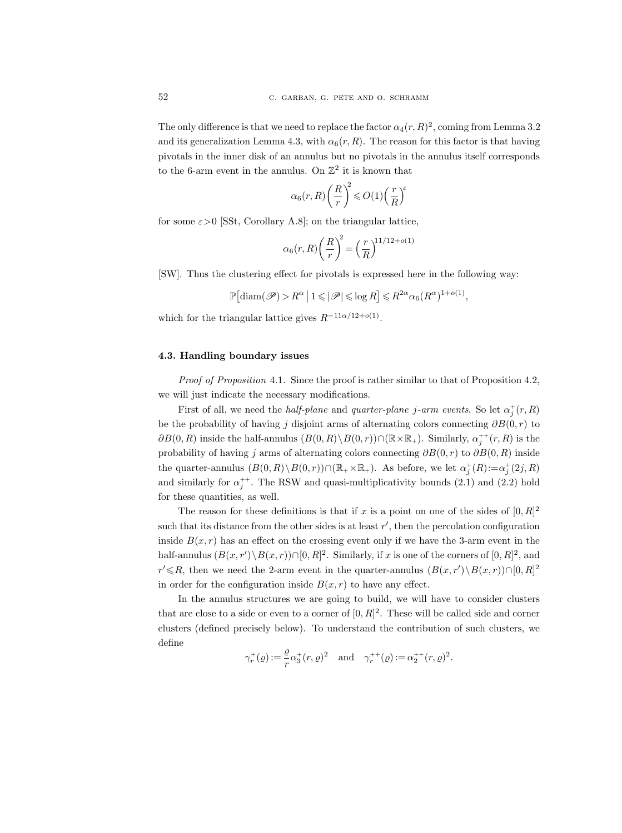The only difference is that we need to replace the factor  $\alpha_4(r,R)^2$ , coming from Lemma 3.2 and its generalization Lemma 4.3, with  $\alpha_6(r, R)$ . The reason for this factor is that having pivotals in the inner disk of an annulus but no pivotals in the annulus itself corresponds to the 6-arm event in the annulus. On  $\mathbb{Z}^2$  it is known that

$$
\alpha_6(r,R)\left(\frac{R}{r}\right)^2 \leqslant O(1)\left(\frac{r}{R}\right)^{\varepsilon}
$$

for some  $\varepsilon > 0$  [SSt, Corollary A.8]; on the triangular lattice,

$$
\alpha_6(r,R)\bigg(\frac{R}{r}\bigg)^{\!\!2}=\Big(\frac{r}{R}\Big)^{\!\!11/12+o(1)}
$$

[SW]. Thus the clustering effect for pivotals is expressed here in the following way:

$$
\mathbb{P}\big[\text{diam}(\mathscr{P}) > R^{\alpha} \mid 1 \leqslant |\mathscr{P}| \leqslant \log R\big] \leqslant R^{2\alpha} \alpha_6 (R^{\alpha})^{1+o(1)},
$$

which for the triangular lattice gives  $R^{-11\alpha/12+o(1)}$ .

#### 4.3. Handling boundary issues

Proof of Proposition 4.1. Since the proof is rather similar to that of Proposition 4.2. we will just indicate the necessary modifications.

First of all, we need the *half-plane* and *quarter-plane j-arm events*. So let  $\alpha_j^+(r, R)$ be the probability of having j disjoint arms of alternating colors connecting  $\partial B(0, r)$  to  $\partial B(0,R)$  inside the half-annulus  $(B(0,R) \setminus B(0,r)) \cap (\mathbb{R} \times \mathbb{R}_{+})$ . Similarly,  $\alpha_j^{++}(r,R)$  is the probability of having j arms of alternating colors connecting  $\partial B(0, r)$  to  $\partial B(0, R)$  inside the quarter-annulus  $(B(0, R) \setminus B(0, r)) \cap (\mathbb{R}_+ \times \mathbb{R}_+)$ . As before, we let  $\alpha_j^+(R) := \alpha_j^+(2j, R)$ and similarly for  $\alpha_j^{++}$ . The RSW and quasi-multiplicativity bounds (2.1) and (2.2) hold for these quantities, as well.

The reason for these definitions is that if x is a point on one of the sides of  $[0, R]^2$ such that its distance from the other sides is at least  $r'$ , then the percolation configuration inside  $B(x, r)$  has an effect on the crossing event only if we have the 3-arm event in the half-annulus  $(B(x, r')\setminus B(x, r))\cap [0, R]^2$ . Similarly, if x is one of the corners of  $[0, R]^2$ , and  $r' \le R$ , then we need the 2-arm event in the quarter-annulus  $(B(x, r') \setminus B(x, r)) \cap [0, R]^2$ in order for the configuration inside  $B(x, r)$  to have any effect.

In the annulus structures we are going to build, we will have to consider clusters that are close to a side or even to a corner of  $[0, R]^2$ . These will be called side and corner clusters (defined precisely below). To understand the contribution of such clusters, we define

$$
\gamma_r^+(\varrho)\mathbin{\raisebox{.3pt}{:}\!=} \frac{\varrho}{r}\alpha_3^+(r,\varrho)^2\quad\text{and}\quad \gamma_r^{++}(\varrho)\mathbin{\raisebox{.3pt}{:}\!=} \alpha_2^{++}(r,\varrho)^2.
$$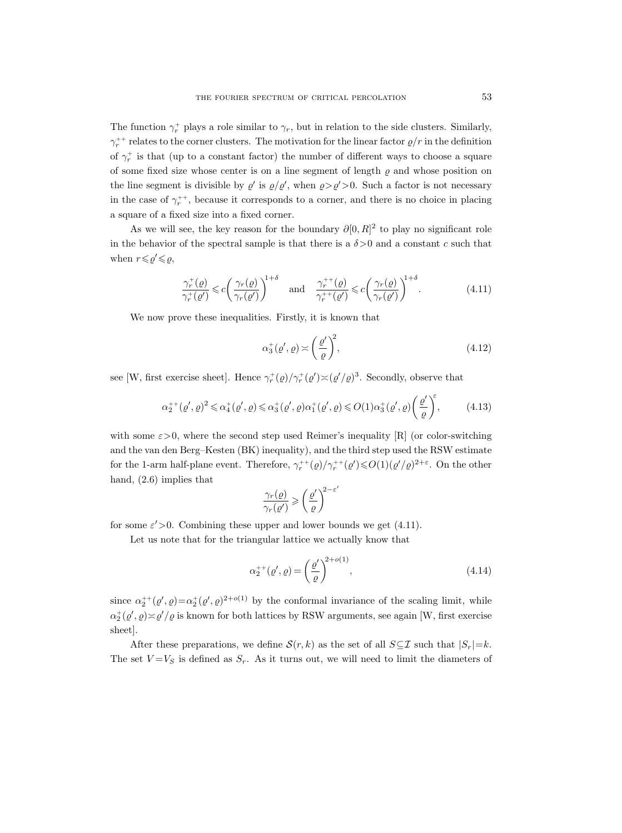The function  $\gamma_r^+$  plays a role similar to  $\gamma_r$ , but in relation to the side clusters. Similarly,  $\gamma_r^{++}$  relates to the corner clusters. The motivation for the linear factor  $\rho/r$  in the definition of  $\gamma_r^+$  is that (up to a constant factor) the number of different ways to choose a square of some fixed size whose center is on a line segment of length  $\varrho$  and whose position on the line segment is divisible by  $\varrho'$  is  $\varrho/\varrho'$ , when  $\varrho > \varrho' > 0$ . Such a factor is not necessary in the case of  $\gamma_r^{++}$ , because it corresponds to a corner, and there is no choice in placing a square of a fixed size into a fixed corner.

As we will see, the key reason for the boundary  $\partial [0, R]^2$  to play no significant role in the behavior of the spectral sample is that there is a  $\delta > 0$  and a constant c such that when  $r \leq \varrho' \leq \varrho$ ,

$$
\frac{\gamma_r^+(\varrho)}{\gamma_r^+(\varrho')} \leq c \left( \frac{\gamma_r(\varrho)}{\gamma_r(\varrho')} \right)^{1+\delta} \quad \text{and} \quad \frac{\gamma_r^{++}(\varrho)}{\gamma_r^{++}(\varrho')} \leq c \left( \frac{\gamma_r(\varrho)}{\gamma_r(\varrho')} \right)^{1+\delta}.
$$
\n(4.11)

We now prove these inequalities. Firstly, it is known that

$$
\alpha_3^+(\varrho', \varrho) \asymp \left(\frac{\varrho'}{\varrho}\right)^2,\tag{4.12}
$$

see [W, first exercise sheet]. Hence  $\gamma_r^+(\varrho)/\gamma_r^+(\varrho') \asymp (\varrho'/\varrho)^3$ . Secondly, observe that

$$
\alpha_2^{++}(\varrho',\varrho)^2 \leq \alpha_4^+(\varrho',\varrho) \leq \alpha_3^+(\varrho',\varrho)\alpha_1^+(\varrho',\varrho) \leq O(1)\alpha_3^+(\varrho',\varrho) \left(\frac{\varrho'}{\varrho}\right)^\varepsilon, \tag{4.13}
$$

with some  $\varepsilon > 0$ , where the second step used Reimer's inequality [R] (or color-switching and the van den Berg–Kesten (BK) inequality), and the third step used the RSW estimate for the 1-arm half-plane event. Therefore,  $\gamma_r^{++}(\rho)/\gamma_r^{++}(\rho') \leq O(1)(\rho'/\rho)^{2+\epsilon}$ . On the other hand, (2.6) implies that

$$
\frac{\gamma_r(\varrho)}{\gamma_r(\varrho')} \geqslant \left(\frac{\varrho'}{\varrho}\right)^{2-\varepsilon'}
$$

for some  $\varepsilon' > 0$ . Combining these upper and lower bounds we get (4.11).

Let us note that for the triangular lattice we actually know that

$$
\alpha_2^{++}(\varrho',\varrho) = \left(\frac{\varrho'}{\varrho}\right)^{2+o(1)},\tag{4.14}
$$

since  $\alpha_2^{++}(\varrho',\varrho)=\alpha_2^{+}(\varrho',\varrho)^{2+o(1)}$  by the conformal invariance of the scaling limit, while  $\alpha_2^+(\varrho',\varrho)\!\asymp\!\varrho'/\varrho$  is known for both lattices by RSW arguments, see again [W, first exercise sheet].

After these preparations, we define  $S(r, k)$  as the set of all  $S \subseteq \mathcal{I}$  such that  $|S_r| = k$ . The set  $V = V<sub>S</sub>$  is defined as  $S<sub>r</sub>$ . As it turns out, we will need to limit the diameters of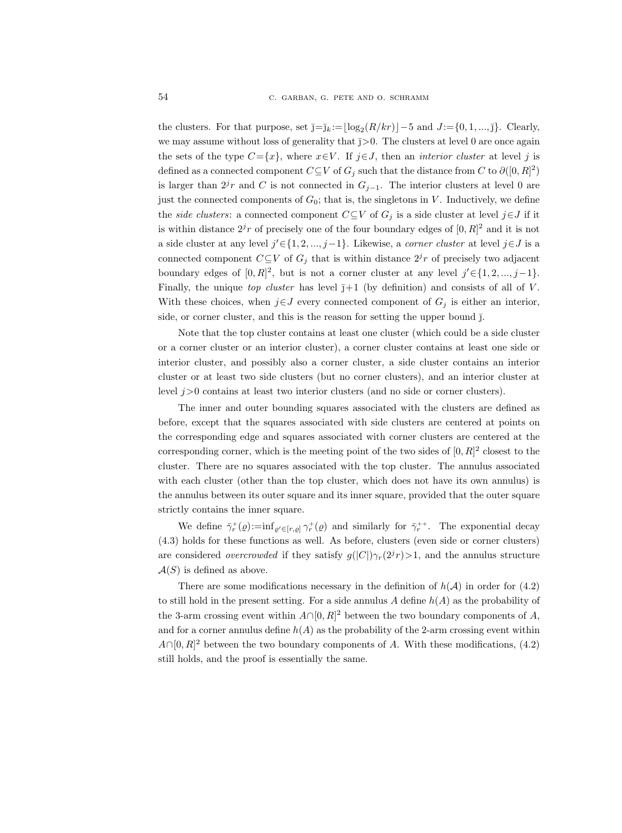the clusters. For that purpose, set  $\bar{\mathbf{j}} = \bar{\mathbf{j}}_k := \lfloor \log_2(R/kr) \rfloor - 5$  and  $J := \{0, 1, ..., \bar{\mathbf{j}}\}$ . Clearly, we may assume without loss of generality that  $\bar{j}$ >0. The clusters at level 0 are once again the sets of the type  $C = \{x\}$ , where  $x \in V$ . If  $j \in J$ , then an *interior cluster* at level j is defined as a connected component  $C \subseteq V$  of  $G_j$  such that the distance from  $C$  to  $\partial ([0,R]^2)$ is larger than  $2^{j}r$  and C is not connected in  $G_{j-1}$ . The interior clusters at level 0 are just the connected components of  $G_0$ ; that is, the singletons in  $V$ . Inductively, we define the *side clusters*: a connected component  $C\subseteq V$  of  $G_j$  is a side cluster at level  $j\in J$  if it is within distance  $2^{j}r$  of precisely one of the four boundary edges of  $[0, R]^{2}$  and it is not a side cluster at any level  $j' \in \{1, 2, ..., j-1\}$ . Likewise, a *corner cluster* at level  $j \in J$  is a connected component  $C\subseteq V$  of  $G_j$  that is within distance  $2^jr$  of precisely two adjacent boundary edges of  $[0, R]^2$ , but is not a corner cluster at any level  $j' \in \{1, 2, ..., j-1\}$ . Finally, the unique top cluster has level  $J+1$  (by definition) and consists of all of V. With these choices, when  $j \in J$  every connected component of  $G_j$  is either an interior, side, or corner cluster, and this is the reason for setting the upper bound  $\overline{j}$ .

Note that the top cluster contains at least one cluster (which could be a side cluster or a corner cluster or an interior cluster), a corner cluster contains at least one side or interior cluster, and possibly also a corner cluster, a side cluster contains an interior cluster or at least two side clusters (but no corner clusters), and an interior cluster at level  $j>0$  contains at least two interior clusters (and no side or corner clusters).

The inner and outer bounding squares associated with the clusters are defined as before, except that the squares associated with side clusters are centered at points on the corresponding edge and squares associated with corner clusters are centered at the corresponding corner, which is the meeting point of the two sides of  $[0, R]^2$  closest to the cluster. There are no squares associated with the top cluster. The annulus associated with each cluster (other than the top cluster, which does not have its own annulus) is the annulus between its outer square and its inner square, provided that the outer square strictly contains the inner square.

We define  $\bar{\gamma}_r^+(\varrho) := \inf_{\varrho' \in [r,\varrho]} \gamma_r^+(\varrho)$  and similarly for  $\bar{\gamma}_r^{++}$ . The exponential decay (4.3) holds for these functions as well. As before, clusters (even side or corner clusters) are considered *overcrowded* if they satisfy  $g(|C|)\gamma_r(2^j r) > 1$ , and the annulus structure  $A(S)$  is defined as above.

There are some modifications necessary in the definition of  $h(\mathcal{A})$  in order for (4.2) to still hold in the present setting. For a side annulus A define  $h(A)$  as the probability of the 3-arm crossing event within  $A \cap [0, R]^2$  between the two boundary components of A, and for a corner annulus define  $h(A)$  as the probability of the 2-arm crossing event within  $A \cap [0, R]^2$  between the two boundary components of A. With these modifications, (4.2) still holds, and the proof is essentially the same.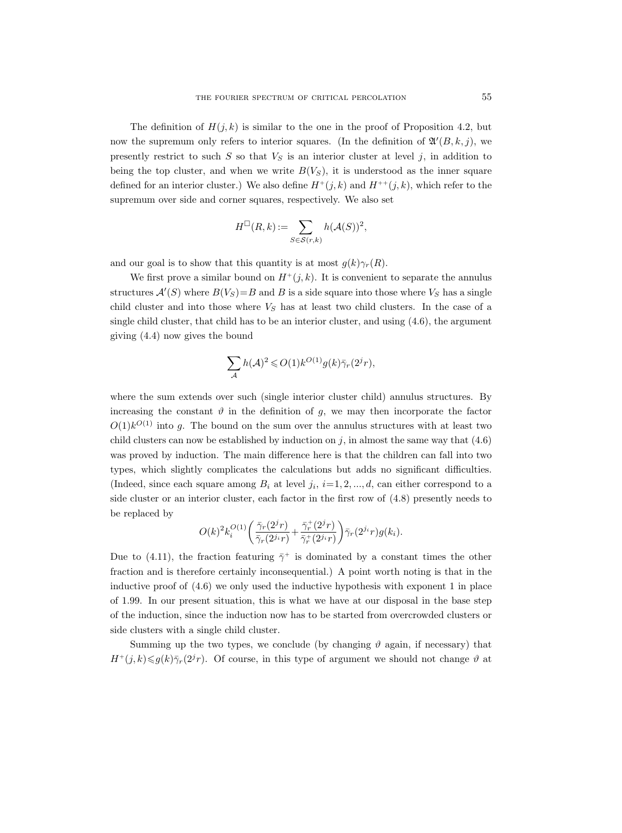The definition of  $H(j, k)$  is similar to the one in the proof of Proposition 4.2, but now the supremum only refers to interior squares. (In the definition of  $\mathfrak{A}'(B, k, j)$ , we presently restrict to such S so that  $V<sub>S</sub>$  is an interior cluster at level j, in addition to being the top cluster, and when we write  $B(V<sub>S</sub>)$ , it is understood as the inner square defined for an interior cluster.) We also define  $H^+(j,k)$  and  $H^{++}(j,k)$ , which refer to the supremum over side and corner squares, respectively. We also set

$$
H^{\square}(R,k) := \sum_{S \in \mathcal{S}(r,k)} h(\mathcal{A}(S))^2,
$$

and our goal is to show that this quantity is at most  $g(k)\gamma_r(R)$ .

We first prove a similar bound on  $H^+(j,k)$ . It is convenient to separate the annulus structures  $\mathcal{A}'(S)$  where  $B(V_S)=B$  and B is a side square into those where  $V_S$  has a single child cluster and into those where  $V<sub>S</sub>$  has at least two child clusters. In the case of a single child cluster, that child has to be an interior cluster, and using (4.6), the argument giving (4.4) now gives the bound

$$
\sum_{\mathcal{A}} h(\mathcal{A})^2 \leqslant O(1) k^{O(1)} g(k) \bar{\gamma}_r(2^j r),
$$

where the sum extends over such (single interior cluster child) annulus structures. By increasing the constant  $\vartheta$  in the definition of g, we may then incorporate the factor  $O(1)k^{O(1)}$  into g. The bound on the sum over the annulus structures with at least two child clusters can now be established by induction on j, in almost the same way that  $(4.6)$ was proved by induction. The main difference here is that the children can fall into two types, which slightly complicates the calculations but adds no significant difficulties. (Indeed, since each square among  $B_i$  at level  $j_i$ ,  $i=1, 2, ..., d$ , can either correspond to a side cluster or an interior cluster, each factor in the first row of (4.8) presently needs to be replaced by

$$
O(k)^2k_i^{O(1)}\bigg(\frac{\bar{\gamma}_r(2^jr)}{\bar{\gamma}_r(2^{j_i}r)}\!+\!\frac{\bar{\gamma}_r^+(2^jr)}{\bar{\gamma}_r^+(2^{j_i}r)}\bigg)\bar{\gamma}_r(2^{j_i}r)g(k_i).
$$

Due to (4.11), the fraction featuring  $\bar{\gamma}^+$  is dominated by a constant times the other fraction and is therefore certainly inconsequential.) A point worth noting is that in the inductive proof of (4.6) we only used the inductive hypothesis with exponent 1 in place of 1.99. In our present situation, this is what we have at our disposal in the base step of the induction, since the induction now has to be started from overcrowded clusters or side clusters with a single child cluster.

Summing up the two types, we conclude (by changing  $\vartheta$  again, if necessary) that  $H^+(j,k) \leq g(k)\bar{\gamma}_r(2^jr)$ . Of course, in this type of argument we should not change  $\vartheta$  at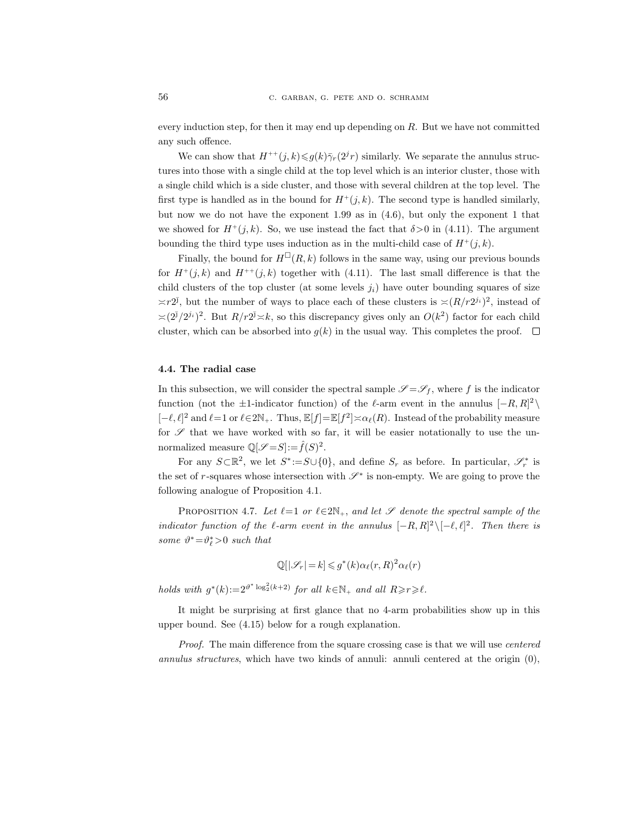every induction step, for then it may end up depending on  $R$ . But we have not committed any such offence.

We can show that  $H^{++}(j,k) \leq g(k)\bar{\gamma}_r(2^jr)$  similarly. We separate the annulus structures into those with a single child at the top level which is an interior cluster, those with a single child which is a side cluster, and those with several children at the top level. The first type is handled as in the bound for  $H^+(j,k)$ . The second type is handled similarly, but now we do not have the exponent 1.99 as in (4.6), but only the exponent 1 that we showed for  $H^+(j,k)$ . So, we use instead the fact that  $\delta > 0$  in (4.11). The argument bounding the third type uses induction as in the multi-child case of  $H^+(j, k)$ .

Finally, the bound for  $H^{\square}(R, k)$  follows in the same way, using our previous bounds for  $H^+(j,k)$  and  $H^{++}(j,k)$  together with (4.11). The last small difference is that the child clusters of the top cluster (at some levels  $j_i$ ) have outer bounding squares of size  $\langle x_1, x_2 \rangle$ , but the number of ways to place each of these clusters is  $\langle R/r_2^{j_i} \rangle^2$ , instead of  $\langle (2^{\bar{j}}/2^{j_i})^2$ . But  $R/r2^{\bar{j}}\rangle \langle k$ , so this discrepancy gives only an  $O(k^2)$  factor for each child cluster, which can be absorbed into  $g(k)$  in the usual way. This completes the proof.  $\Box$ 

# 4.4. The radial case

In this subsection, we will consider the spectral sample  $\mathscr{S} = \mathscr{S}_f$ , where f is the indicator function (not the  $\pm 1$ -indicator function) of the  $\ell$ -arm event in the annulus  $[-R, R]^2 \setminus$  $[-\ell, \ell]^2$  and  $\ell = 1$  or  $\ell \in 2\mathbb{N}_+$ . Thus,  $\mathbb{E}[f] = \mathbb{E}[f^2] \times \alpha_{\ell}(R)$ . Instead of the probability measure for  $\mathscr S$  that we have worked with so far, it will be easier notationally to use the unnormalized measure  $\mathbb{Q}[\mathscr{S}=S]\mathpunct{:}=\hat{f}(S)^2$ .

For any  $S \subset \mathbb{R}^2$ , we let  $S^* := S \cup \{0\}$ , and define  $S_r$  as before. In particular,  $\mathscr{S}_r^*$  is the set of r-squares whose intersection with  $\mathscr{S}^*$  is non-empty. We are going to prove the following analogue of Proposition 4.1.

PROPOSITION 4.7. Let  $\ell=1$  or  $\ell \in 2\mathbb{N}_+$ , and let  $\mathscr S$  denote the spectral sample of the indicator function of the  $\ell$ -arm event in the annulus  $[-R, R]^2 \setminus [-\ell, \ell]^2$ . Then there is some  $\vartheta^* = \vartheta^*_{\ell} > 0$  such that

$$
\mathbb{Q}[|\mathcal{S}_r| = k] \leq g^*(k)\alpha_\ell(r, R)^2 \alpha_\ell(r)
$$

holds with  $g^*(k) := 2^{\vartheta^* \log_2^2(k+2)}$  for all  $k \in \mathbb{N}_+$  and all  $R \ge r \ge \ell$ .

It might be surprising at first glance that no 4-arm probabilities show up in this upper bound. See (4.15) below for a rough explanation.

Proof. The main difference from the square crossing case is that we will use *centered* annulus structures, which have two kinds of annuli: annuli centered at the origin (0),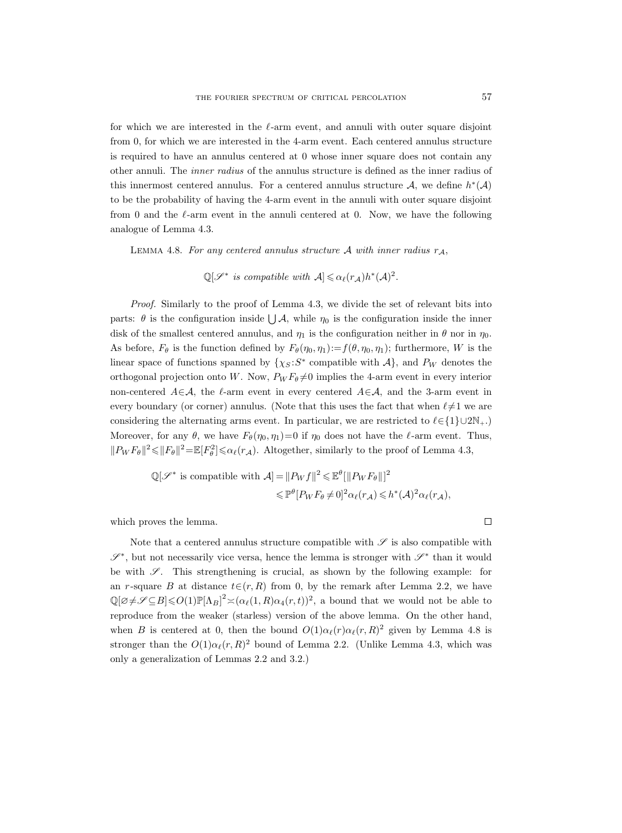for which we are interested in the  $\ell$ -arm event, and annuli with outer square disjoint from 0, for which we are interested in the 4-arm event. Each centered annulus structure is required to have an annulus centered at 0 whose inner square does not contain any other annuli. The inner radius of the annulus structure is defined as the inner radius of this innermost centered annulus. For a centered annulus structure A, we define  $h^*(A)$ to be the probability of having the 4-arm event in the annuli with outer square disjoint from 0 and the  $\ell$ -arm event in the annuli centered at 0. Now, we have the following analogue of Lemma 4.3.

LEMMA 4.8. For any centered annulus structure  $A$  with inner radius  $r_A$ ,

$$
\mathbb{Q}[\mathscr{S}^* \text{ is compatible with } A] \leq \alpha_{\ell}(r_A)h^*(A)^2.
$$

Proof. Similarly to the proof of Lemma 4.3, we divide the set of relevant bits into parts:  $\theta$  is the configuration inside  $\bigcup \mathcal{A}$ , while  $\eta_0$  is the configuration inside the inner disk of the smallest centered annulus, and  $\eta_1$  is the configuration neither in  $\theta$  nor in  $\eta_0$ . As before,  $F_{\theta}$  is the function defined by  $F_{\theta}(\eta_0, \eta_1) := f(\theta, \eta_0, \eta_1)$ ; furthermore, W is the linear space of functions spanned by  $\{\chi_S : S^*$  compatible with  $\mathcal{A}\}$ , and  $P_W$  denotes the orthogonal projection onto W. Now,  $P_W F_\theta \neq 0$  implies the 4-arm event in every interior non-centered  $A \in \mathcal{A}$ , the  $\ell$ -arm event in every centered  $A \in \mathcal{A}$ , and the 3-arm event in every boundary (or corner) annulus. (Note that this uses the fact that when  $\ell \neq 1$  we are considering the alternating arms event. In particular, we are restricted to  $\ell \in \{1\} \cup 2\mathbb{N}_{+}$ .) Moreover, for any  $\theta$ , we have  $F_{\theta}(\eta_0, \eta_1) = 0$  if  $\eta_0$  does not have the  $\ell$ -arm event. Thus,  $||P_W F_{\theta}||^2 \le ||F_{\theta}||^2 = \mathbb{E}[F_{\theta}^2] \le \alpha_{\ell}(r_A)$ . Altogether, similarly to the proof of Lemma 4.3,

$$
\mathbb{Q}[\mathscr{S}^* \text{ is compatible with } \mathcal{A}] = \|P_W f\|^2 \leqslant \mathbb{E}^{\theta} [\|P_W F_{\theta}\|]^2
$$
  

$$
\leqslant \mathbb{P}^{\theta} [P_W F_{\theta} \neq 0]^2 \alpha_{\ell}(r_{\mathcal{A}}) \leqslant h^*(\mathcal{A})^2 \alpha_{\ell}(r_{\mathcal{A}}),
$$

which proves the lemma.

Note that a centered annulus structure compatible with  $\mathscr S$  is also compatible with  $\mathscr{S}^*$ , but not necessarily vice versa, hence the lemma is stronger with  $\mathscr{S}^*$  than it would be with  $\mathscr{S}$ . This strengthening is crucial, as shown by the following example: for an r-square B at distance  $t \in (r, R)$  from 0, by the remark after Lemma 2.2, we have  $\mathbb{Q}[\varnothing \neq \mathscr{S} \subseteq B] \leqslant O(1) \mathbb{P}[\Lambda_B]^2 \asymp (\alpha_\ell(1,R) \alpha_4(r,t))^2$ , a bound that we would not be able to reproduce from the weaker (starless) version of the above lemma. On the other hand, when B is centered at 0, then the bound  $O(1)\alpha_{\ell}(r)\alpha_{\ell}(r, R)^2$  given by Lemma 4.8 is stronger than the  $O(1)\alpha_{\ell}(r, R)^2$  bound of Lemma 2.2. (Unlike Lemma 4.3, which was only a generalization of Lemmas 2.2 and 3.2.)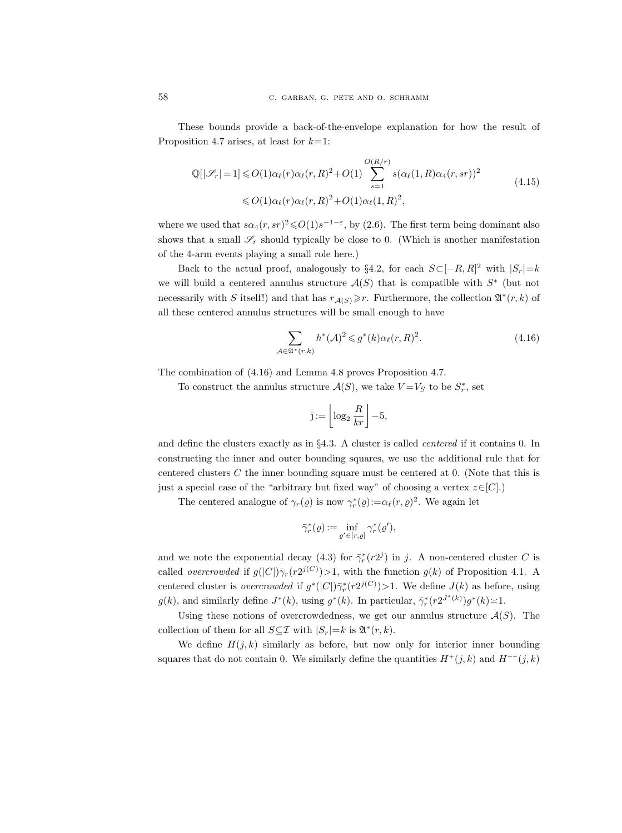These bounds provide a back-of-the-envelope explanation for how the result of Proposition 4.7 arises, at least for  $k=1$ :

$$
\mathbb{Q}[|\mathcal{S}_r|=1] \leqslant O(1)\alpha_\ell(r)\alpha_\ell(r,R)^2+O(1)\sum_{s=1}^{O(R/r)}s(\alpha_\ell(1,R)\alpha_4(r,sr))^2
$$
\n
$$
\leqslant O(1)\alpha_\ell(r)\alpha_\ell(r,R)^2+O(1)\alpha_\ell(1,R)^2,
$$
\n
$$
(4.15)
$$

where we used that  $s\alpha_4(r, sr)^2 \leqslant O(1) s^{-1-\epsilon}$ , by (2.6). The first term being dominant also shows that a small  $\mathscr{S}_r$  should typically be close to 0. (Which is another manifestation of the 4-arm events playing a small role here.)

Back to the actual proof, analogously to  $\S 4.2$ , for each  $S\subset [-R, R]^2$  with  $|S_r|=k$ we will build a centered annulus structure  $\mathcal{A}(S)$  that is compatible with  $S^*$  (but not necessarily with S itself!) and that has  $r_{\mathcal{A}(S)} \geq r$ . Furthermore, the collection  $\mathfrak{A}^*(r,k)$  of all these centered annulus structures will be small enough to have

$$
\sum_{\mathcal{A}\in\mathfrak{A}^*(r,k)} h^*(\mathcal{A})^2 \leqslant g^*(k)\alpha_\ell(r,R)^2.
$$
 (4.16)

The combination of (4.16) and Lemma 4.8 proves Proposition 4.7.

To construct the annulus structure  $\mathcal{A}(S)$ , we take  $V = V_S$  to be  $S_r^*$ , set

$$
\bar{\mathbf{j}} := \left\lfloor \log_2 \frac{R}{kr} \right\rfloor - 5,
$$

and define the clusters exactly as in  $\S 4.3$ . A cluster is called *centered* if it contains 0. In constructing the inner and outer bounding squares, we use the additional rule that for centered clusters C the inner bounding square must be centered at 0. (Note that this is just a special case of the "arbitrary but fixed way" of choosing a vertex  $z \in [C]$ .)

The centered analogue of  $\gamma_r(\varrho)$  is now  $\gamma_r^*(\varrho) := \alpha_\ell(r, \varrho)^2$ . We again let

$$
\bar{\gamma}^*_r(\varrho) := \inf_{\varrho' \in [r,\varrho]} \gamma^*_r(\varrho'),
$$

and we note the exponential decay (4.3) for  $\bar{\gamma}_r^*(r2^j)$  in j. A non-centered cluster C is called *overcrowded* if  $g(|C|)\bar{\gamma}_r(r2^{j(C)}) > 1$ , with the function  $g(k)$  of Proposition 4.1. A centered cluster is *overcrowded* if  $g^*(|C|)\bar{\gamma}_r^*(r2^{j(C)}) > 1$ . We define  $J(k)$  as before, using  $g(k)$ , and similarly define  $J^*(k)$ , using  $g^*(k)$ . In particular,  $\bar{\gamma}_r^*(r2^{J^*(k)})g^*(k) \approx 1$ .

Using these notions of overcrowdedness, we get our annulus structure  $A(S)$ . The collection of them for all  $S \subseteq \mathcal{I}$  with  $|S_r| = k$  is  $\mathfrak{A}^*(r, k)$ .

We define  $H(j, k)$  similarly as before, but now only for interior inner bounding squares that do not contain 0. We similarly define the quantities  $H^+(j,k)$  and  $H^{++}(j,k)$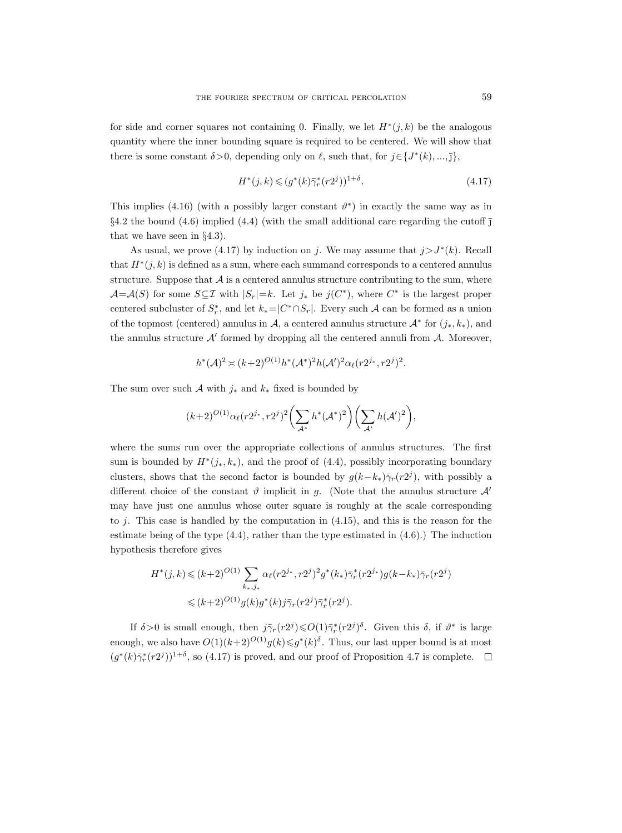for side and corner squares not containing 0. Finally, we let  $H^*(j,k)$  be the analogous quantity where the inner bounding square is required to be centered. We will show that there is some constant  $\delta > 0$ , depending only on  $\ell$ , such that, for  $j \in \{J^*(k), ..., J\}$ ,

$$
H^*(j,k) \leq (g^*(k)\bar{\gamma}_r^*(r2^j))^{1+\delta}.
$$
\n(4.17)

This implies (4.16) (with a possibly larger constant  $\vartheta^*$ ) in exactly the same way as in §4.2 the bound (4.6) implied (4.4) (with the small additional care regarding the cutoff  $\overline{1}$ that we have seen in §4.3).

As usual, we prove (4.17) by induction on j. We may assume that  $j > J^*(k)$ . Recall that  $H^*(j,k)$  is defined as a sum, where each summand corresponds to a centered annulus structure. Suppose that  $A$  is a centered annulus structure contributing to the sum, where  $\mathcal{A}=\mathcal{A}(S)$  for some  $S\subseteq\mathcal{I}$  with  $|S_r|=k$ . Let  $j_*$  be  $j(C^*)$ , where  $C^*$  is the largest proper centered subcluster of  $S_r^*$ , and let  $k_* = |C^* \cap S_r|$ . Every such A can be formed as a union of the topmost (centered) annulus in A, a centered annulus structure  $\mathcal{A}^*$  for  $(j_*, k_*)$ , and the annulus structure  $A'$  formed by dropping all the centered annuli from  $A$ . Moreover,

$$
h^*(A)^2 \asymp (k+2)^{O(1)}h^*(A^*)^2h(A')^2\alpha_{\ell}(r2^{j*},r2^j)^2.
$$

The sum over such A with  $j_*$  and  $k_*$  fixed is bounded by

$$
(k+2)^{O(1)}\alpha_{\ell}(r2^{j_*},r2^j)^2\bigg(\sum_{\mathcal{A}^*}h^*(\mathcal{A}^*)^2\bigg)\bigg(\sum_{\mathcal{A}'}h(\mathcal{A}')^2\bigg),
$$

where the sums run over the appropriate collections of annulus structures. The first sum is bounded by  $H^*(j_*, k_*),$  and the proof of (4.4), possibly incorporating boundary clusters, shows that the second factor is bounded by  $g(k-k_*)\bar{\gamma}_r(r2^j)$ , with possibly a different choice of the constant  $\vartheta$  implicit in g. (Note that the annulus structure  $\mathcal{A}'$ may have just one annulus whose outer square is roughly at the scale corresponding to j. This case is handled by the computation in (4.15), and this is the reason for the estimate being of the type  $(4.4)$ , rather than the type estimated in  $(4.6)$ .) The induction hypothesis therefore gives

$$
H^*(j,k) \leq (k+2)^{O(1)} \sum_{k_*,j_*} \alpha_\ell (r2^{j_*}, r2^j)^2 g^*(k_*) \bar{\gamma}_r^*(r2^{j_*}) g(k-k_*) \bar{\gamma}_r(r2^j)
$$
  

$$
\leq (k+2)^{O(1)} g(k) g^*(k) j \bar{\gamma}_r(r2^j) \bar{\gamma}_r^*(r2^j).
$$

If  $\delta > 0$  is small enough, then  $j\bar{\gamma}_r(r2^j) \leqslant O(1)\bar{\gamma}_r^*(r2^j)^{\delta}$ . Given this  $\delta$ , if  $\vartheta^*$  is large enough, we also have  $O(1)(k+2)^{O(1)}g(k) \leq g^*(k)^{\delta}$ . Thus, our last upper bound is at most  $(g^*(k)\bar{\gamma}_r^*(r2^j))^{1+\delta}$ , so (4.17) is proved, and our proof of Proposition 4.7 is complete.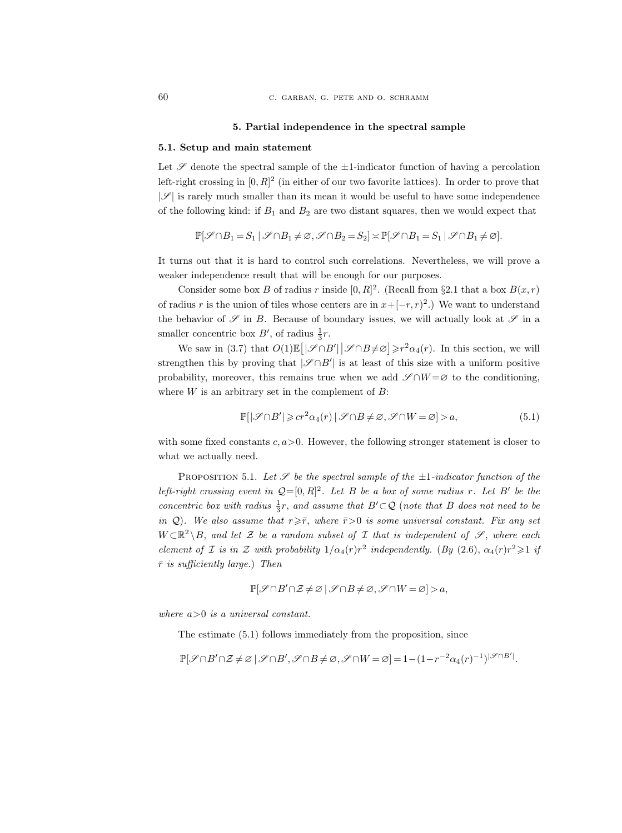#### 5. Partial independence in the spectral sample

#### 5.1. Setup and main statement

Let  $\mathscr S$  denote the spectral sample of the  $\pm 1$ -indicator function of having a percolation left-right crossing in  $[0, R]^2$  (in either of our two favorite lattices). In order to prove that  $|\mathscr{S}|$  is rarely much smaller than its mean it would be useful to have some independence of the following kind: if  $B_1$  and  $B_2$  are two distant squares, then we would expect that

$$
\mathbb{P}[\mathscr{S}\cap B_1=S_1\ |\ \mathscr{S}\cap B_1\neq \varnothing, \mathscr{S}\cap B_2=S_2]\asymp \mathbb{P}[\mathscr{S}\cap B_1=S_1\ |\ \mathscr{S}\cap B_1\neq \varnothing].
$$

It turns out that it is hard to control such correlations. Nevertheless, we will prove a weaker independence result that will be enough for our purposes.

Consider some box B of radius r inside  $[0, R]^2$ . (Recall from §2.1 that a box  $B(x, r)$ ) of radius r is the union of tiles whose centers are in  $x+[-r, r]^2$ .) We want to understand the behavior of  $\mathscr S$  in B. Because of boundary issues, we will actually look at  $\mathscr S$  in a smaller concentric box  $B'$ , of radius  $\frac{1}{3}r$ .

We saw in (3.7) that  $O(1)\mathbb{E} \big[\big|\mathscr{S} \cap B'\big|\big|\mathscr{S} \cap B\neq \varnothing\big]\geq r^2 \alpha_4(r)$ . In this section, we will strengthen this by proving that  $|\mathscr{S} \cap B'|$  is at least of this size with a uniform positive probability, moreover, this remains true when we add  $\mathscr{S} \cap W = \varnothing$  to the conditioning, where  $W$  is an arbitrary set in the complement of  $B$ :

$$
\mathbb{P}[|\mathscr{S} \cap B'| \geqslant cr^2 \alpha_4(r) | \mathscr{S} \cap B \neq \varnothing, \mathscr{S} \cap W = \varnothing] > a,
$$
\n
$$
(5.1)
$$

with some fixed constants  $c, a > 0$ . However, the following stronger statement is closer to what we actually need.

PROPOSITION 5.1. Let  $\mathscr S$  be the spectral sample of the  $\pm 1$ -indicator function of the left-right crossing event in  $Q=[0,R]^2$ . Let B be a box of some radius r. Let B' be the concentric box with radius  $\frac{1}{3}r$ , and assume that  $B' \subset Q$  (note that B does not need to be in  $\mathcal{Q}$ ). We also assume that  $r \geqslant \bar{r}$ , where  $\bar{r} > 0$  is some universal constant. Fix any set  $W\subset \mathbb{R}^2\setminus B$ , and let Z be a random subset of I that is independent of  $\mathscr{S}$ , where each element of *I* is in *Z* with probability  $1/\alpha_4(r)r^2$  independently. (By (2.6),  $\alpha_4(r)r^2 \geq 1$  if  $\bar{r}$  is sufficiently large.) Then

$$
\mathbb{P}[\mathscr{S}\cap B'\cap\mathcal{Z}\neq\varnothing\,|\,\mathscr{S}\cap B\neq\varnothing,\mathscr{S}\cap W=\varnothing]>a,
$$

where  $a>0$  is a universal constant.

The estimate (5.1) follows immediately from the proposition, since

$$
\mathbb{P}[\mathscr{S}\cap B'\cap \mathcal{Z}\neq \varnothing \,|\, \mathscr{S}\cap B', \mathscr{S}\cap B\neq \varnothing, \mathscr{S}\cap W=\varnothing] = 1-(1-r^{-2}\alpha_4(r)^{-1})^{|\mathscr{S}\cap B'|}.
$$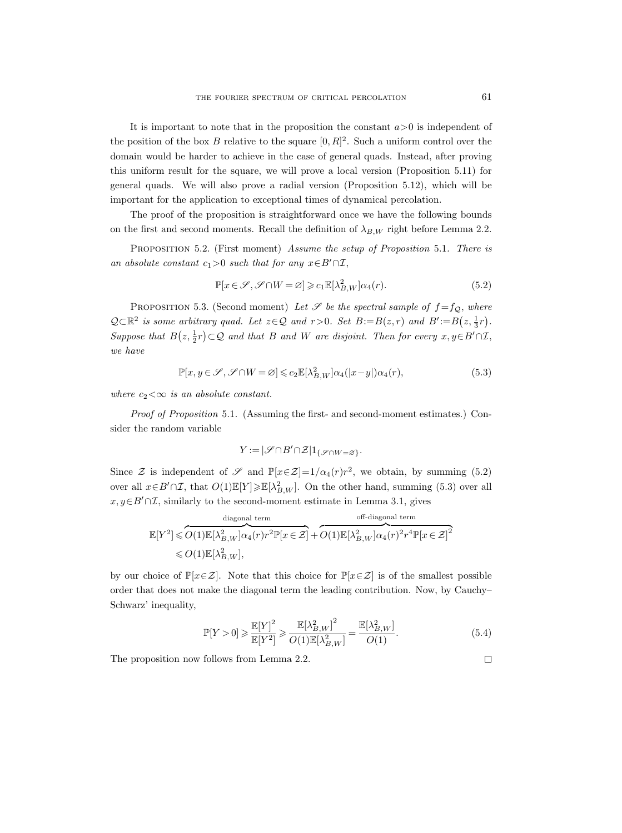It is important to note that in the proposition the constant  $a > 0$  is independent of the position of the box B relative to the square  $[0, R]^2$ . Such a uniform control over the domain would be harder to achieve in the case of general quads. Instead, after proving this uniform result for the square, we will prove a local version (Proposition 5.11) for general quads. We will also prove a radial version (Proposition 5.12), which will be important for the application to exceptional times of dynamical percolation.

The proof of the proposition is straightforward once we have the following bounds on the first and second moments. Recall the definition of  $\lambda_{B,W}$  right before Lemma 2.2.

PROPOSITION 5.2. (First moment) Assume the setup of Proposition 5.1. There is an absolute constant  $c_1>0$  such that for any  $x\in B'\cap\mathcal{I}$ ,

$$
\mathbb{P}[x \in \mathcal{S}, \mathcal{S} \cap W = \varnothing] \ge c_1 \mathbb{E}[\lambda_{B,W}^2] \alpha_4(r). \tag{5.2}
$$

PROPOSITION 5.3. (Second moment) Let  $\mathscr S$  be the spectral sample of  $f = f_{\mathcal{Q}}$ , where  $Q \subset \mathbb{R}^2$  is some arbitrary quad. Let  $z \in Q$  and  $r > 0$ . Set  $B := B(z, r)$  and  $B' := B(z, \frac{1}{3}r)$ . Suppose that  $B(z, \frac{1}{2}r) \subset Q$  and that B and W are disjoint. Then for every  $x, y \in B' \cap \mathcal{I}$ , we have

$$
\mathbb{P}[x, y \in \mathcal{S}, \mathcal{S} \cap W = \varnothing] \leqslant c_2 \mathbb{E}[\lambda_{B,W}^2] \alpha_4(|x-y|) \alpha_4(r), \tag{5.3}
$$

where  $c_2 < \infty$  is an absolute constant.

Proof of Proposition 5.1. (Assuming the first- and second-moment estimates.) Consider the random variable

$$
Y := |\mathscr{S} \cap B' \cap \mathcal{Z}| 1_{\{\mathscr{S} \cap W = \varnothing\}}.
$$

Since  $\mathcal Z$  is independent of  $\mathscr S$  and  $\mathbb P[x \in \mathcal Z] = 1/\alpha_4(r)r^2$ , we obtain, by summing (5.2) over all  $x \in B' \cap \mathcal{I}$ , that  $O(1)\mathbb{E}[Y] \geq \mathbb{E}[\lambda_{B,W}^2]$ . On the other hand, summing (5.3) over all  $x, y \in B' \cap \mathcal{I}$ , similarly to the second-moment estimate in Lemma 3.1, gives

diagonal term  
\n
$$
\mathbb{E}[Y^2] \leq \overbrace{O(1)\mathbb{E}[\lambda_{B,W}^2]\alpha_4(r)r^2\mathbb{P}[x \in \mathcal{Z}]}^{\text{diagonal term}} + \overbrace{O(1)\mathbb{E}[\lambda_{B,W}^2]\alpha_4(r)^2r^4\mathbb{P}[x \in \mathcal{Z}]}^{\text{off-diagonal term}}
$$
\n
$$
\leq O(1)\mathbb{E}[\lambda_{B,W}^2],
$$

by our choice of  $\mathbb{P}[x \in \mathcal{Z}]$ . Note that this choice for  $\mathbb{P}[x \in \mathcal{Z}]$  is of the smallest possible order that does not make the diagonal term the leading contribution. Now, by Cauchy– Schwarz' inequality,

$$
\mathbb{P}[Y>0] \ge \frac{\mathbb{E}[Y]^2}{\mathbb{E}[Y^2]} \ge \frac{\mathbb{E}[\lambda_{B,W}^2]}{O(1)\mathbb{E}[\lambda_{B,W}^2]} = \frac{\mathbb{E}[\lambda_{B,W}^2]}{O(1)}.\tag{5.4}
$$

The proposition now follows from Lemma 2.2.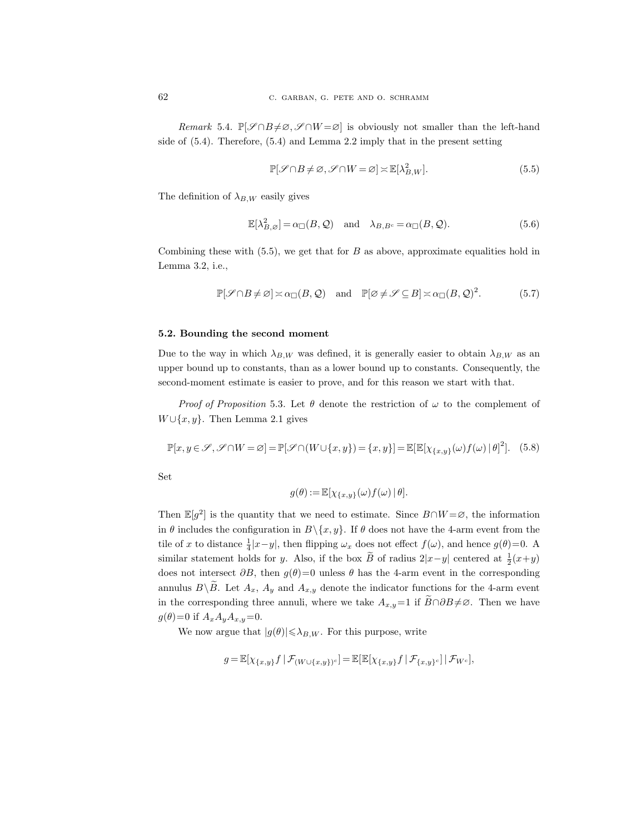Remark 5.4.  $\mathbb{P}[\mathscr{S} \cap B \neq \emptyset, \mathscr{S} \cap W = \emptyset]$  is obviously not smaller than the left-hand side of (5.4). Therefore, (5.4) and Lemma 2.2 imply that in the present setting

$$
\mathbb{P}[\mathcal{S} \cap B \neq \varnothing, \mathcal{S} \cap W = \varnothing] \asymp \mathbb{E}[\lambda_{B,W}^2].\tag{5.5}
$$

The definition of  $\lambda_{B,W}$  easily gives

$$
\mathbb{E}[\lambda_{B,\varnothing}^2] = \alpha_{\Box}(B,\mathcal{Q}) \quad \text{and} \quad \lambda_{B,B^c} = \alpha_{\Box}(B,\mathcal{Q}). \tag{5.6}
$$

Combining these with  $(5.5)$ , we get that for B as above, approximate equalities hold in Lemma 3.2, i.e.,

$$
\mathbb{P}[\mathscr{S} \cap B \neq \varnothing] \asymp \alpha_{\square}(B, \mathcal{Q}) \quad \text{and} \quad \mathbb{P}[\varnothing \neq \mathcal{S} \subseteq B] \asymp \alpha_{\square}(B, \mathcal{Q})^2. \tag{5.7}
$$

## 5.2. Bounding the second moment

Due to the way in which  $\lambda_{B,W}$  was defined, it is generally easier to obtain  $\lambda_{B,W}$  as an upper bound up to constants, than as a lower bound up to constants. Consequently, the second-moment estimate is easier to prove, and for this reason we start with that.

*Proof of Proposition* 5.3. Let  $\theta$  denote the restriction of  $\omega$  to the complement of  $W \cup \{x, y\}$ . Then Lemma 2.1 gives

$$
\mathbb{P}[x, y \in \mathscr{S}, \mathscr{S} \cap W = \varnothing] = \mathbb{P}[\mathscr{S} \cap (W \cup \{x, y\}) = \{x, y\}] = \mathbb{E}[\mathbb{E}[\chi_{\{x, y\}}(\omega) f(\omega) | \theta]^2]. \tag{5.8}
$$

Set

$$
g(\theta) := \mathbb{E}[\chi_{\{x,y\}}(\omega) f(\omega) | \theta].
$$

Then  $\mathbb{E}[g^2]$  is the quantity that we need to estimate. Since  $B \cap W = \emptyset$ , the information in  $\theta$  includes the configuration in  $B\setminus\{x, y\}$ . If  $\theta$  does not have the 4-arm event from the tile of x to distance  $\frac{1}{4}|x-y|$ , then flipping  $\omega_x$  does not effect  $f(\omega)$ , and hence  $g(\theta)=0$ . A similar statement holds for y. Also, if the box  $\tilde{B}$  of radius 2|x-y| centered at  $\frac{1}{2}(x+y)$ does not intersect  $\partial B$ , then  $g(\theta)=0$  unless  $\theta$  has the 4-arm event in the corresponding annulus  $B\backslash \widetilde{B}$ . Let  $A_x$ ,  $A_y$  and  $A_{x,y}$  denote the indicator functions for the 4-arm event in the corresponding three annuli, where we take  $A_{x,y}=1$  if  $B\cap\partial B\neq\emptyset$ . Then we have  $g(\theta)=0$  if  $A_xA_yA_{x,y}=0$ .

We now argue that  $|g(\theta)| \leq \lambda_{B,W}$ . For this purpose, write

$$
g = \mathbb{E}[\chi_{\{x,y\}} f \,|\, \mathcal{F}_{(W \cup \{x,y\})^c}] = \mathbb{E}[\mathbb{E}[\chi_{\{x,y\}} f \,|\, \mathcal{F}_{\{x,y\}^c}]\,|\, \mathcal{F}_{W^c}],
$$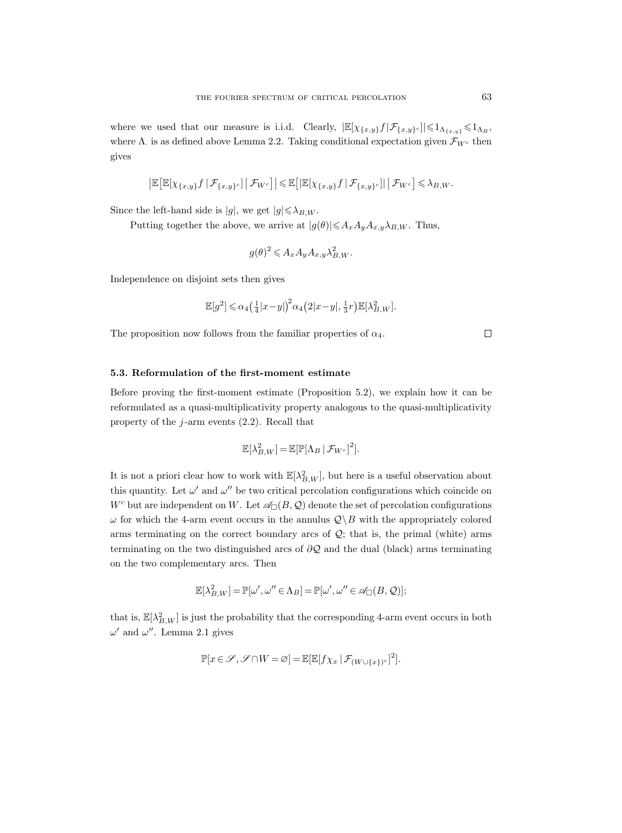where we used that our measure is i.i.d. Clearly,  $|\mathbb{E}[\chi_{\{x,y\}}f | \mathcal{F}_{\{x,y\}^c}]|\leqslant 1_{\Lambda_{\{x,y\}}} \leqslant 1_{\Lambda_B}$ , where  $\Lambda$  is as defined above Lemma 2.2. Taking conditional expectation given  $\mathcal{F}_{W^c}$  then gives

$$
\left|{\mathbb E}\big[{\mathbb E}[\chi_{\{x,y\}}f\,|\,{\mathcal F}_{\{x,y\}^c}]\,\big|\,{\mathcal F}_{W^c}\big]\right|\leqslant{\mathbb E}\big[\left|{\mathbb E}[\chi_{\{x,y\}}f\,|\,{\mathcal F}_{\{x,y\}^c}]\right|\,\big|\,{\mathcal F}_{W^c}\big]\leqslant\lambda_{B,W}.
$$

Since the left-hand side is  $|g|$ , we get  $|g| \le \lambda_{B,W}$ .

Putting together the above, we arrive at  $|g(\theta)| \leq A_x A_y A_{x,y} \lambda_{B,W}$ . Thus,

$$
g(\theta)^2 \leqslant A_x A_y A_{x,y} \lambda_{B,W}^2.
$$

Independence on disjoint sets then gives

$$
\mathbb{E}[g^2] \leq \alpha_4 \left(\frac{1}{4}|x-y|\right)^2 \alpha_4 \left(2|x-y|, \frac{1}{3}r\right) \mathbb{E}[\lambda_{B,W}^2].
$$

The proposition now follows from the familiar properties of  $\alpha_4$ .

## 5.3. Reformulation of the first-moment estimate

Before proving the first-moment estimate (Proposition 5.2), we explain how it can be reformulated as a quasi-multiplicativity property analogous to the quasi-multiplicativity property of the  $j$ -arm events  $(2.2)$ . Recall that

$$
\mathbb{E}[\lambda_{B,W}^2] = \mathbb{E}[\mathbb{P}[\Lambda_B | \mathcal{F}_{W^c}]^2].
$$

It is not a priori clear how to work with  $\mathbb{E}[\lambda_{B,W}^2]$ , but here is a useful observation about this quantity. Let  $\omega'$  and  $\omega''$  be two critical percolation configurations which coincide on  $W<sup>c</sup>$  but are independent on W. Let  $\mathscr{A}_{\Box}(B, \mathcal{Q})$  denote the set of percolation configurations  $\omega$  for which the 4-arm event occurs in the annulus  $\mathcal{Q}\backslash B$  with the appropriately colored arms terminating on the correct boundary arcs of  $Q$ ; that is, the primal (white) arms terminating on the two distinguished arcs of  $\partial \mathcal{Q}$  and the dual (black) arms terminating on the two complementary arcs. Then

$$
\mathbb{E}[\lambda_{B,W}^2] = \mathbb{P}[\omega',\omega'' \in \Lambda_B] = \mathbb{P}[\omega',\omega'' \in \mathscr{A}_{\square}(B,\mathcal{Q})];
$$

that is,  $\mathbb{E}[\lambda_{B,W}^2]$  is just the probability that the corresponding 4-arm event occurs in both  $\omega'$  and  $\omega''$ . Lemma 2.1 gives

$$
\mathbb{P}[x \in \mathscr{S}, \mathscr{S} \cap W = \varnothing] = \mathbb{E}[\mathbb{E}[f \chi_x \,|\, \mathcal{F}_{(W \cup \{x\})^c}]^2].
$$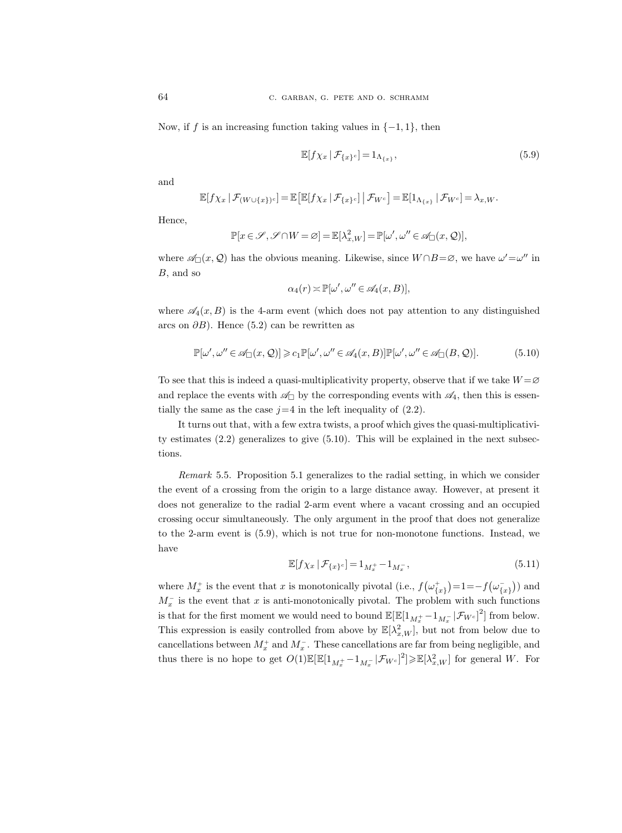Now, if f is an increasing function taking values in  $\{-1, 1\}$ , then

$$
\mathbb{E}[f\chi_x \,|\, \mathcal{F}_{\{x\}^c}] = 1_{\Lambda_{\{x\}}},\tag{5.9}
$$

and

$$
\mathbb{E}[f\chi_x \,|\, \mathcal{F}_{(W\cup\{x\})^c}]=\mathbb{E}\big[\mathbb{E}[f\chi_x \,|\, \mathcal{F}_{\{x\}^c}]\,|\, \mathcal{F}_{W^c}\big]=\mathbb{E}[1_{\Lambda_{\{x\}}}\,|\, \mathcal{F}_{W^c}]=\lambda_{x,W}.
$$

Hence,

$$
\mathbb{P}[x\in\mathscr{S},\mathscr{S}\cap W=\varnothing]=\mathbb{E}[\lambda_{x,W}^2]=\mathbb{P}[\omega',\omega''\in\mathscr{A}_{\square}(x,\mathcal{Q})],
$$

where  $\mathscr{A}_{\Box}(x, \mathcal{Q})$  has the obvious meaning. Likewise, since  $W \cap B = \varnothing$ , we have  $\omega' = \omega''$  in B, and so

$$
\alpha_4(r) \asymp \mathbb{P}[\omega', \omega'' \in \mathscr{A}_4(x, B)],
$$

where  $\mathscr{A}_4(x, B)$  is the 4-arm event (which does not pay attention to any distinguished arcs on  $\partial B$ ). Hence (5.2) can be rewritten as

$$
\mathbb{P}[\omega', \omega'' \in \mathscr{A}_{\square}(x, \mathcal{Q})] \geq c_1 \mathbb{P}[\omega', \omega'' \in \mathscr{A}_4(x, B)] \mathbb{P}[\omega', \omega'' \in \mathscr{A}_{\square}(B, \mathcal{Q})].
$$
 (5.10)

To see that this is indeed a quasi-multiplicativity property, observe that if we take  $W = \emptyset$ and replace the events with  $\mathscr{A}_{\Box}$  by the corresponding events with  $\mathscr{A}_4$ , then this is essentially the same as the case  $j=4$  in the left inequality of  $(2.2)$ .

It turns out that, with a few extra twists, a proof which gives the quasi-multiplicativity estimates (2.2) generalizes to give (5.10). This will be explained in the next subsections.

Remark 5.5. Proposition 5.1 generalizes to the radial setting, in which we consider the event of a crossing from the origin to a large distance away. However, at present it does not generalize to the radial 2-arm event where a vacant crossing and an occupied crossing occur simultaneously. The only argument in the proof that does not generalize to the 2-arm event is (5.9), which is not true for non-monotone functions. Instead, we have

$$
\mathbb{E}[f\chi_x \,|\, \mathcal{F}_{\{x\}^c}] = 1_{M_x^+} - 1_{M_x^-},\tag{5.11}
$$

where  $M_x^+$  is the event that x is monotonically pivotal (i.e.,  $f(\omega_{\{x\}}^+) = 1 = -f(\omega_{\{x\}}^-)$ ) and  $M_x^-$  is the event that x is anti-monotonically pivotal. The problem with such functions is that for the first moment we would need to bound  $\mathbb{E}[\mathbb{E}[1_{M_x^+} - 1_{M_x^-}|\mathcal{F}_{W^c}]^2]$  from below. This expression is easily controlled from above by  $\mathbb{E}[\lambda_{x,W}^2]$ , but not from below due to cancellations between  $M_x^+$  and  $M_x^-$ . These cancellations are far from being negligible, and thus there is no hope to get  $O(1)\mathbb{E}[\mathbb{E}[1_{M_x^+}-1_{M_x^-}|\mathcal{F}_{W^c}]^2] \geq \mathbb{E}[\lambda_{x,W}^2]$  for general W. For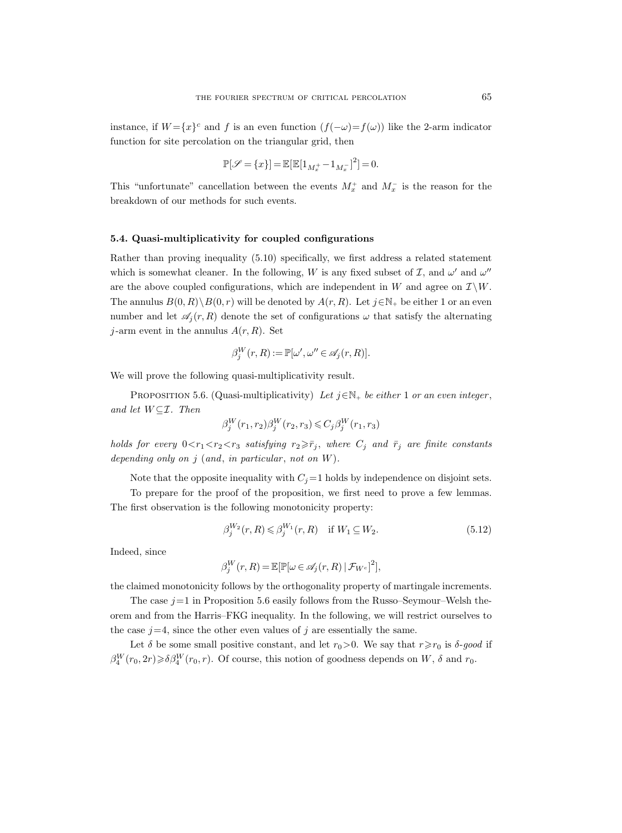instance, if  $W = \{x\}^c$  and f is an even function  $(f(-\omega) = f(\omega))$  like the 2-arm indicator function for site percolation on the triangular grid, then

$$
\mathbb{P}[\mathcal{S} = \{x\}] = \mathbb{E}[\mathbb{E}[1_{M_x^+} - 1_{M_x^-}]^2] = 0.
$$

This "unfortunate" cancellation between the events  $M_x^+$  and  $M_x^-$  is the reason for the breakdown of our methods for such events.

### 5.4. Quasi-multiplicativity for coupled configurations

Rather than proving inequality (5.10) specifically, we first address a related statement which is somewhat cleaner. In the following, W is any fixed subset of  $\mathcal{I}$ , and  $\omega'$  and  $\omega''$ are the above coupled configurations, which are independent in W and agree on  $\mathcal{I} \backslash W$ . The annulus  $B(0, R) \ B(0, r)$  will be denoted by  $A(r, R)$ . Let  $j \in \mathbb{N}_+$  be either 1 or an even number and let  $\mathscr{A}_j(r, R)$  denote the set of configurations  $\omega$  that satisfy the alternating j-arm event in the annulus  $A(r, R)$ . Set

$$
\beta_j^W(r, R) := \mathbb{P}[\omega', \omega'' \in \mathscr{A}_j(r, R)].
$$

We will prove the following quasi-multiplicativity result.

PROPOSITION 5.6. (Quasi-multiplicativity) Let  $j \in \mathbb{N}_+$  be either 1 or an even integer, and let  $W \subseteq \mathcal{I}$ . Then

$$
\beta_j^W(r_1, r_2) \beta_j^W(r_2, r_3) \leq C_j \beta_j^W(r_1, r_3)
$$

holds for every  $0 < r_1 < r_2 < r_3$  satisfying  $r_2 \geq r_j$ , where  $C_j$  and  $\bar{r}_j$  are finite constants depending only on  $j$  (and, in particular, not on  $W$ ).

Note that the opposite inequality with  $C_i=1$  holds by independence on disjoint sets.

To prepare for the proof of the proposition, we first need to prove a few lemmas. The first observation is the following monotonicity property:

$$
\beta_j^{W_2}(r,R) \leqslant \beta_j^{W_1}(r,R) \quad \text{if } W_1 \subseteq W_2. \tag{5.12}
$$

Indeed, since

$$
\beta_j^W(r, R) = \mathbb{E}[\mathbb{P}[\omega \in \mathscr{A}_j(r, R) | \mathcal{F}_{W^c}]^2],
$$

the claimed monotonicity follows by the orthogonality property of martingale increments.

The case  $j=1$  in Proposition 5.6 easily follows from the Russo–Seymour–Welsh theorem and from the Harris–FKG inequality. In the following, we will restrict ourselves to the case  $j=4$ , since the other even values of j are essentially the same.

Let  $\delta$  be some small positive constant, and let  $r_0>0$ . We say that  $r\geq r_0$  is  $\delta$ -good if  $\beta_4^W(r_0, 2r) \ge \delta \beta_4^W(r_0, r)$ . Of course, this notion of goodness depends on W,  $\delta$  and  $r_0$ .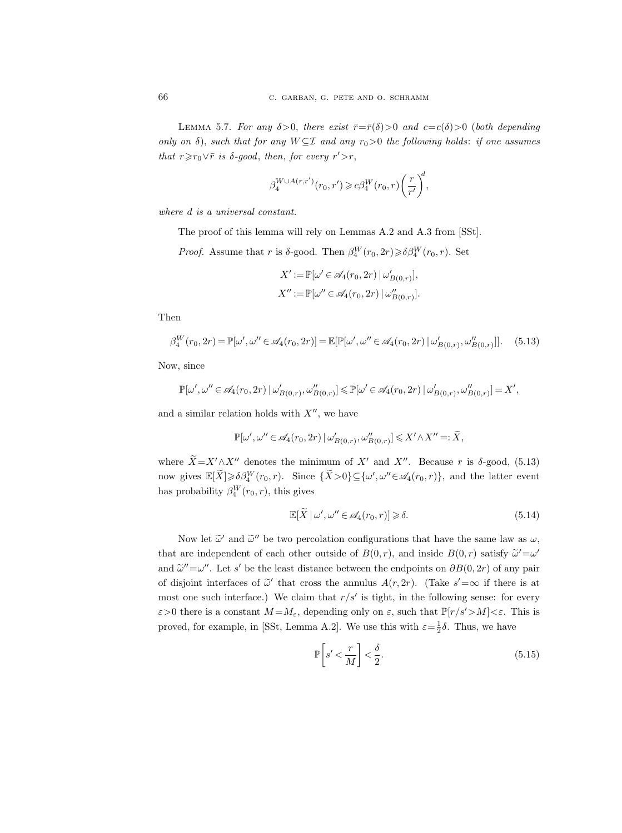LEMMA 5.7. For any  $\delta > 0$ , there exist  $\bar{r} = \bar{r}(\delta) > 0$  and  $c = c(\delta) > 0$  (both depending only on  $\delta$ ), such that for any  $W \subseteq \mathcal{I}$  and any  $r_0 > 0$  the following holds: if one assumes that  $r \ge r_0 \vee \overline{r}$  is  $\delta$ -good, then, for every  $r' > r$ ,

$$
\beta_4^{W\cup A(r,r')}(r_0,r')\geqslant c\beta_4^W(r_0,r)\bigg(\frac{r}{r'}\bigg)^d,
$$

where d is a universal constant.

The proof of this lemma will rely on Lemmas A.2 and A.3 from [SSt].

Proof. Assume that r is  $\delta$ -good. Then  $\beta_4^W(r_0, 2r) \geq \delta \beta_4^W(r_0, r)$ . Set

$$
X' := \mathbb{P}[\omega' \in \mathscr{A}_4(r_0, 2r) | \omega'_{B(0,r)}],
$$
  

$$
X'' := \mathbb{P}[\omega'' \in \mathscr{A}_4(r_0, 2r) | \omega''_{B(0,r)}].
$$

Then

$$
\beta_4^W(r_0, 2r) = \mathbb{P}[\omega', \omega'' \in \mathcal{A}_4(r_0, 2r)] = \mathbb{E}[\mathbb{P}[\omega', \omega'' \in \mathcal{A}_4(r_0, 2r) | \omega'_{B(0,r)}, \omega''_{B(0,r)}]]. \tag{5.13}
$$

Now, since

$$
\mathbb{P}[\omega', \omega'' \in \mathscr{A}_4(r_0, 2r) \mid \omega'_{B(0,r)}, \omega''_{B(0,r)}] \leq \mathbb{P}[\omega' \in \mathscr{A}_4(r_0, 2r) \mid \omega'_{B(0,r)}, \omega''_{B(0,r)}] = X',
$$

and a similar relation holds with  $X''$ , we have

$$
\mathbb{P}[\omega',\omega''\in\mathscr{A}_4(r_0,2r)\ |\ \omega'_{B(0,r)},\omega''_{B(0,r)}] \leqslant X' \wedge X''=:\widetilde{X},
$$

where  $\widetilde{X} = X' \wedge X''$  denotes the minimum of X' and X''. Because r is δ-good, (5.13) now gives  $\mathbb{E}[\tilde{X}] \geq \delta \beta_4^W(r_0, r)$ . Since  $\{\tilde{X} > 0\} \subseteq {\omega', \omega'' \in \mathscr{A}_4(r_0, r)}$ , and the latter event has probability  $\beta_4^W(r_0, r)$ , this gives

$$
\mathbb{E}[\widetilde{X} \mid \omega', \omega'' \in \mathscr{A}_4(r_0, r)] \ge \delta. \tag{5.14}
$$

Now let  $\tilde{\omega}'$  and  $\tilde{\omega}''$  be two percolation configurations that have the same law as  $\omega$ , that are independent of each other outside of  $B(0, r)$ , and inside  $B(0, r)$  satisfy  $\tilde{\omega}' = \omega'$ and  $\tilde{\omega}'' = \omega''$ . Let s' be the least distance between the endpoints on  $\partial B(0, 2r)$  of any pair of disjoint interfaces of  $\tilde{\omega}'$  that cross the annulus  $A(r, 2r)$ . (Take  $s' = \infty$  if there is at most one such interface.) We claim that  $r/s'$  is tight, in the following sense: for every  $\varepsilon > 0$  there is a constant  $M = M_{\varepsilon}$ , depending only on  $\varepsilon$ , such that  $\mathbb{P}[r/s' > M] < \varepsilon$ . This is proved, for example, in [SSt, Lemma A.2]. We use this with  $\varepsilon = \frac{1}{2}\delta$ . Thus, we have

$$
\mathbb{P}\left[s'<\frac{r}{M}\right] < \frac{\delta}{2}.\tag{5.15}
$$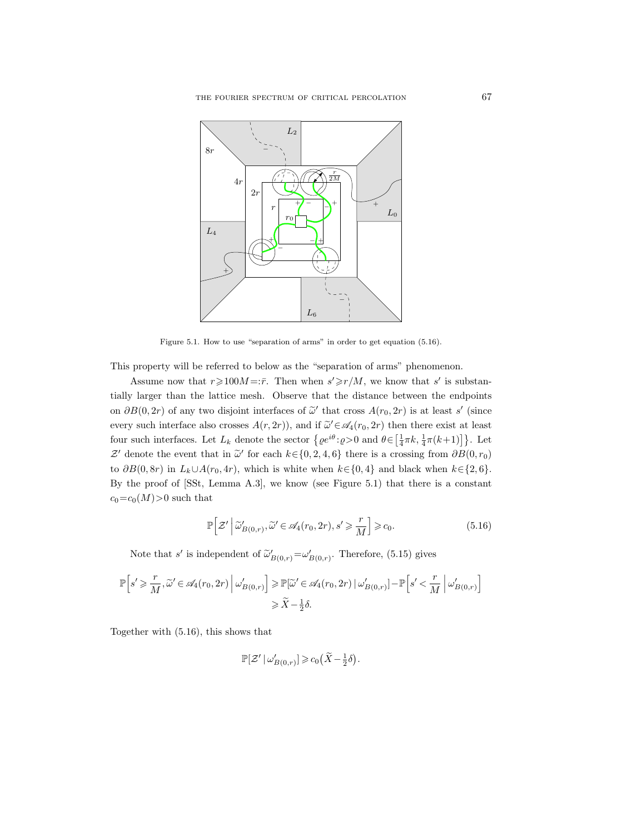

Figure 5.1. How to use "separation of arms" in order to get equation (5.16).

This property will be referred to below as the "separation of arms" phenomenon.

Assume now that  $r \geq 100M = : \bar{r}$ . Then when  $s' \geq r/M$ , we know that s' is substantially larger than the lattice mesh. Observe that the distance between the endpoints on  $\partial B(0, 2r)$  of any two disjoint interfaces of  $\tilde{\omega}'$  that cross  $A(r_0, 2r)$  is at least s' (since every such interface also crosses  $A(r, 2r)$ , and if  $\tilde{\omega}' \in \mathscr{A}_4(r_0, 2r)$  then there exist at least four such interfaces. Let  $L_k$  denote the sector  $\{ \varrho e^{i\theta} : \varrho > 0 \text{ and } \theta \in \left[\frac{1}{4}\pi k, \frac{1}{4}\pi (k+1)\right] \}$ . Let Z' denote the event that in  $\tilde{\omega}'$  for each k∈{0, 2, 4, 6} there is a crossing from  $\partial B(0, r_0)$ to  $\partial B(0, 8r)$  in  $L_k \cup A(r_0, 4r)$ , which is white when  $k \in \{0, 4\}$  and black when  $k \in \{2, 6\}$ . By the proof of [SSt, Lemma A.3], we know (see Figure 5.1) that there is a constant  $c_0 = c_0(M) > 0$  such that

$$
\mathbb{P}\Big[\mathcal{Z}'\,\Big|\,\widetilde{\omega}'_{B(0,r)},\widetilde{\omega}'\in\mathscr{A}_4(r_0,2r),s'\geqslant\frac{r}{M}\Big]\geqslant c_0.\tag{5.16}
$$

Note that s' is independent of  $\tilde{\omega}'_{B(0,r)} = \omega'_{B(0,r)}$ . Therefore, (5.15) gives

$$
\begin{aligned} \mathbb{P}\Big[s'\geqslant\frac{r}{M},\widetilde{\omega}'\in\mathscr{A}_4(r_0,2r)\,\Big|\,\omega'_{B(0,r)}\Big] &\geqslant \mathbb{P}[\widetilde{\omega}'\in\mathscr{A}_4(r_0,2r)\,|\,\omega'_{B(0,r)}]-\mathbb{P}\Big[s'<\frac{r}{M}\,\Big|\,\omega'_{B(0,r)}\Big] \\ &\geqslant \widetilde{X}-\tfrac{1}{2}\delta. \end{aligned}
$$

Together with (5.16), this shows that

$$
\mathbb{P}[\mathcal{Z}' \mid \omega'_{B(0,r)}] \geq c_0 \left(\widetilde{X} - \frac{1}{2}\delta\right).
$$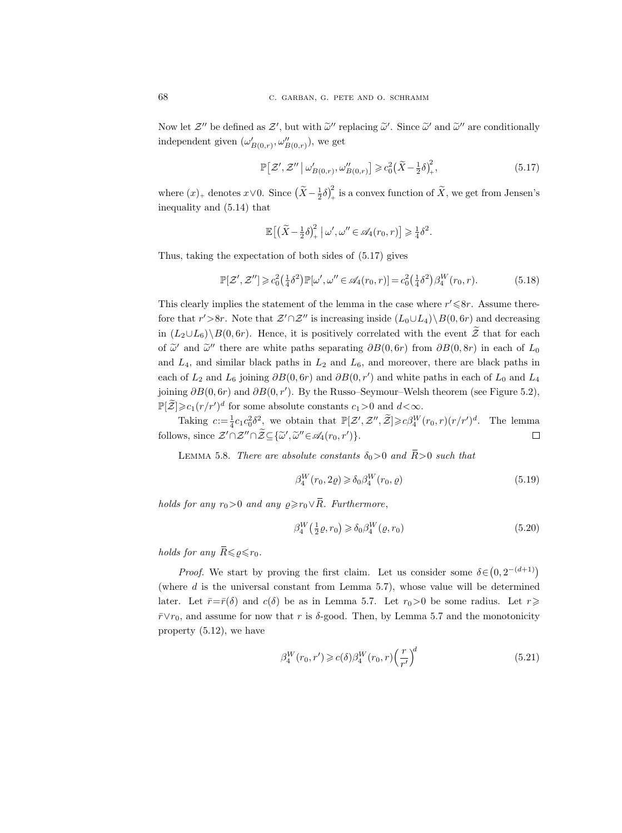Now let  $\mathcal{Z}^{\prime\prime}$  be defined as  $\mathcal{Z}^{\prime}$ , but with  $\widetilde{\omega}^{\prime\prime}$  replacing  $\widetilde{\omega}^{\prime}$ . Since  $\widetilde{\omega}^{\prime\prime}$  and  $\widetilde{\omega}^{\prime\prime}$  are conditionally independent given  $(\omega'_{B(0,r)}, \omega''_{B(0,r)})$ , we get

$$
\mathbb{P}\big[\mathcal{Z}',\mathcal{Z}''\big|\,\omega'_{B(0,r)},\omega''_{B(0,r)}\big]\geq c_0^2\big(\widetilde{X}-\tfrac{1}{2}\delta\big)_+^2,\tag{5.17}
$$

where  $(x)_+$  denotes  $x \vee 0$ . Since  $(\widetilde{X} - \frac{1}{2}\delta)_+^2$  is a convex function of  $\widetilde{X}$ , we get from Jensen's inequality and (5.14) that

$$
\mathbb{E}\left[\left(\widetilde{X} - \frac{1}{2}\delta\right)_+^2 \middle| \omega', \omega'' \in \mathscr{A}_4(r_0, r)\right] \geq \frac{1}{4}\delta^2.
$$

Thus, taking the expectation of both sides of (5.17) gives

$$
\mathbb{P}[\mathcal{Z}', \mathcal{Z}''] \geq c_0^2 \left(\frac{1}{4}\delta^2\right) \mathbb{P}[\omega', \omega'' \in \mathcal{A}_4(r_0, r)] = c_0^2 \left(\frac{1}{4}\delta^2\right) \beta_4^W(r_0, r). \tag{5.18}
$$

This clearly implies the statement of the lemma in the case where  $r' \leq 8r$ . Assume therefore that  $r' > 8r$ . Note that  $\mathcal{Z}' \cap \mathcal{Z}''$  is increasing inside  $(L_0 \cup L_4) \setminus B(0, 6r)$  and decreasing in  $(L_2 \cup L_6) \setminus B(0, 6r)$ . Hence, it is positively correlated with the event  $\tilde{\mathcal{Z}}$  that for each of  $\tilde{\omega}'$  and  $\tilde{\omega}''$  there are white paths separating  $\partial B(0, 6r)$  from  $\partial B(0, 8r)$  in each of  $L_0$ and  $L_4$ , and similar black paths in  $L_2$  and  $L_6$ , and moreover, there are black paths in each of  $L_2$  and  $L_6$  joining  $\partial B(0, 6r)$  and  $\partial B(0, r')$  and white paths in each of  $L_0$  and  $L_4$ joining  $\partial B(0, 6r)$  and  $\partial B(0, r')$ . By the Russo–Seymour–Welsh theorem (see Figure 5.2),  $\mathbb{P}[\widetilde{\mathcal{Z}}] \geqslant c_1(r/r')^d$  for some absolute constants  $c_1 > 0$  and  $d < \infty$ .

Taking  $c := \frac{1}{4} c_1 c_0^2 \delta^2$ , we obtain that  $\mathbb{P}[\mathcal{Z}', \mathcal{Z}'', \widetilde{\mathcal{Z}}] \geqslant c \beta_4^W(r_0, r)(r/r')^d$ . The lemma follows, since  $\mathcal{Z}' \cap \mathcal{Z}'' \cap \mathcal{Z} \subseteq {\tilde{\omega}', \tilde{\omega}'' \in \mathscr{A}_4(r_0, r')}$ .  $\Box$ 

LEMMA 5.8. There are absolute constants  $\delta_0 > 0$  and  $\bar{R} > 0$  such that

$$
\beta_4^W(r_0, 2\varrho) \geq \delta_0 \beta_4^W(r_0, \varrho) \tag{5.19}
$$

holds for any  $r_0>0$  and any  $\rho \ge r_0 \vee \overline{R}$ . Furthermore,

$$
\beta_4^W\left(\frac{1}{2}\varrho, r_0\right) \geq \delta_0 \beta_4^W\left(\varrho, r_0\right) \tag{5.20}
$$

holds for any  $\bar{R} \leq \rho \leq r_0$ .

*Proof.* We start by proving the first claim. Let us consider some  $\delta \in (0, 2^{-(d+1)})$ (where  $d$  is the universal constant from Lemma 5.7), whose value will be determined later. Let  $\bar{r}=\bar{r}(\delta)$  and  $c(\delta)$  be as in Lemma 5.7. Let  $r_0>0$  be some radius. Let  $r\geqslant$  $\bar{r} \vee r_0$ , and assume for now that r is δ-good. Then, by Lemma 5.7 and the monotonicity property (5.12), we have

$$
\beta_4^W(r_0, r') \geqslant c(\delta) \beta_4^W(r_0, r) \left(\frac{r}{r'}\right)^d \tag{5.21}
$$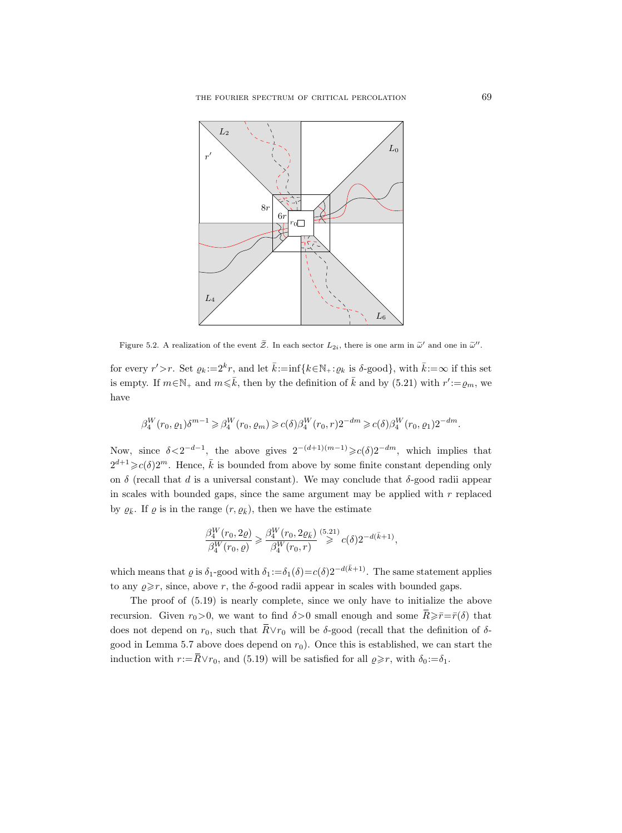THE FOURIER SPECTRUM OF CRITICAL PERCOLATION 69



Figure 5.2. A realization of the event  $\tilde{Z}$ . In each sector  $L_{2i}$ , there is one arm in  $\tilde{\omega}'$  and one in  $\tilde{\omega}''$ .

for every  $r' > r$ . Set  $\varrho_k := 2^k r$ , and let  $\bar{k} := \inf\{k \in \mathbb{N}_+ : \varrho_k \text{ is } \delta\text{-good}\},\$  with  $\bar{k} := \infty$  if this set is empty. If  $m \in \mathbb{N}_+$  and  $m \leq \bar{k}$ , then by the definition of  $\bar{k}$  and by (5.21) with  $r' := \varrho_m$ , we have

$$
\beta_4^W\big(r_0, \varrho_1\big)\delta^{m-1}\geqslant \beta_4^W\big(r_0, \varrho_m\big)\geqslant c(\delta)\beta_4^W\big(r_0, r\big)2^{-dm}\geqslant c(\delta)\beta_4^W\big(r_0, \varrho_1\big)2^{-dm}.
$$

Now, since  $\delta < 2^{-d-1}$ , the above gives  $2^{-(d+1)(m-1)} \geq c(\delta)2^{-dm}$ , which implies that  $2^{d+1} \geq c(\delta)2^m$ . Hence,  $\overline{k}$  is bounded from above by some finite constant depending only on  $\delta$  (recall that d is a universal constant). We may conclude that  $\delta$ -good radii appear in scales with bounded gaps, since the same argument may be applied with r replaced by  $\varrho_{\bar{k}}$ . If  $\varrho$  is in the range  $(r, \varrho_{\bar{k}})$ , then we have the estimate

$$
\frac{\beta_4^W(r_0,2\varrho)}{\beta_4^W(r_0,\varrho)}\geqslant \frac{\beta_4^W(r_0,2\varrho_{\bar k})}{\beta_4^W(r_0,r)}\mathop\geqslant\limits ^{(5.21)}c(\delta)2^{-d(\bar k+1)},
$$

which means that  $\varrho$  is  $\delta_1$ -good with  $\delta_1 := \delta_1(\delta) = c(\delta)2^{-d(\bar{k}+1)}$ . The same statement applies to any  $\rho \geq r$ , since, above r, the  $\delta$ -good radii appear in scales with bounded gaps.

The proof of (5.19) is nearly complete, since we only have to initialize the above recursion. Given  $r_0>0$ , we want to find  $\delta>0$  small enough and some  $\bar{R}\geqslant\bar{r}=\bar{r}(\delta)$  that does not depend on  $r_0$ , such that  $\bar{R} \vee r_0$  will be  $\delta$ -good (recall that the definition of  $\delta$ good in Lemma 5.7 above does depend on  $r_0$ ). Once this is established, we can start the induction with  $r:=\bar{R}\vee r_0$ , and (5.19) will be satisfied for all  $\varrho \geq r$ , with  $\delta_0 := \delta_1$ .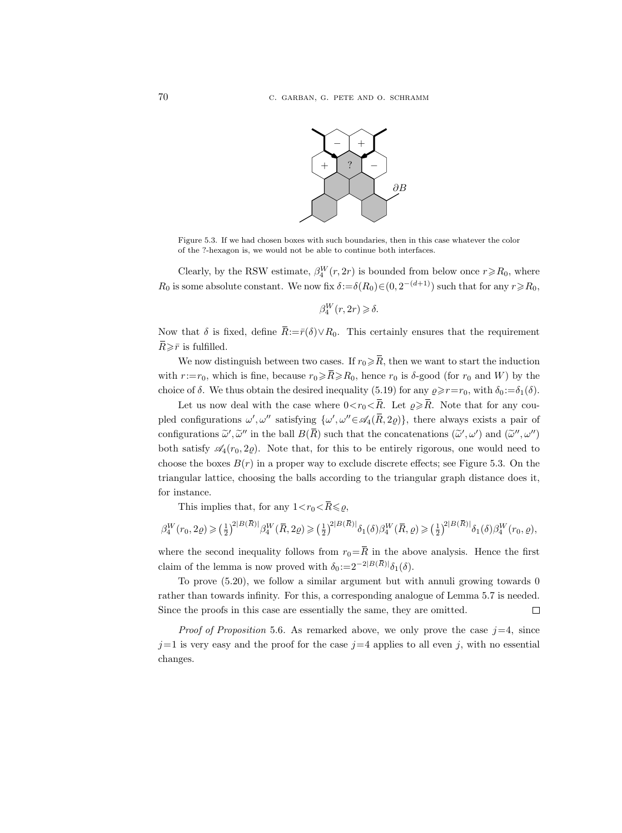

Figure 5.3. If we had chosen boxes with such boundaries, then in this case whatever the color of the ?-hexagon is, we would not be able to continue both interfaces.

Clearly, by the RSW estimate,  $\beta_4^W(r, 2r)$  is bounded from below once  $r \ge R_0$ , where  $R_0$  is some absolute constant. We now fix  $\delta := \delta(R_0) \in (0, 2^{-(d+1)})$  such that for any  $r \ge R_0$ ,

$$
\beta_4^W(r, 2r) \ge \delta.
$$

Now that  $\delta$  is fixed, define  $\bar{R}:=\bar{r}(\delta)\vee R_0$ . This certainly ensures that the requirement  $\overline{R} \geqslant \overline{r}$  is fulfilled.

We now distinguish between two cases. If  $r_0 \geq R$ , then we want to start the induction with  $r:=r_0$ , which is fine, because  $r_0\geqslant \bar{R}\geqslant R_0$ , hence  $r_0$  is  $\delta$ -good (for  $r_0$  and W) by the choice of  $\delta$ . We thus obtain the desired inequality (5.19) for any  $\varrho \geq r=r_0$ , with  $\delta_0 := \delta_1(\delta)$ .

Let us now deal with the case where  $0 < r_0 < \bar{R}$ . Let  $\rho \geq R$ . Note that for any coupled configurations  $\omega'$ ,  $\omega''$  satisfying  $\{\omega', \omega'' \in \mathscr{A}_4(\overline{R}, 2\rho)\}\)$ , there always exists a pair of configurations  $\tilde{\omega}', \tilde{\omega}''$  in the ball  $B(\bar{R})$  such that the concatenations  $(\tilde{\omega}', \omega')$  and  $(\tilde{\omega}'', \omega'')$ both satisfy  $\mathscr{A}_4(r_0, 2\rho)$ . Note that, for this to be entirely rigorous, one would need to choose the boxes  $B(r)$  in a proper way to exclude discrete effects; see Figure 5.3. On the triangular lattice, choosing the balls according to the triangular graph distance does it, for instance.  $\begin{aligned} &r_0,2\varrho),\ &B(r)\text{ is }B(r)\text{ is,} \end{aligned}$ r this to be entirely rigorous, one<br>
to exclude discrete effects; see Fig<br>
ccording to the triangular graph<br>  $R \leq \varrho$ ,<br>  $\sqrt{2|B(\bar{R})|} \delta_1(\delta) \beta_4^W(\bar{R}, \varrho) \geq (\frac{1}{2})^{2|B(\bar{R})|}$ 

This implies that, for any  $1 < r_0 < \overline{R} \leq \varrho$ ,

$$
\beta_4^W\big(r_0,2\varrho\big) \geqslant \big(\tfrac12\big)^{2|B(\bar R)|}\beta_4^W\big(\bar R,2\varrho\big) \geqslant \big(\tfrac12\big)^{2|B(\bar R)|}\delta_1(\delta)\beta_4^W\big(\bar R,\varrho\big) \geqslant \big(\tfrac12\big)^{2|B(\bar R)|}\delta_1(\delta)\beta_4^W\big(r_0,\varrho\big),
$$

where the second inequality follows from  $r_0=\bar{R}$  in the above analysis. Hence the first for instance.<br>
This implies that, for any  $1 < r_0 < \overline{R} \leq \varrho$ ,<br>  $\beta_4^W(r_0, 2\varrho) \geq (\frac{1}{2})^{2|B(\overline{R})|} \beta_4^W(\overline{R}, 2\varrho) \geq (\frac{1}{2})^{2|B(\overline{R})|} \delta_1(\delta) \beta_4^W(\overline{R}, \varrho)$ <br>
where the second inequality follows from  $r_0 = \overline{R$ 

To prove (5.20), we follow a similar argument but with annuli growing towards 0 rather than towards infinity. For this, a corresponding analogue of Lemma 5.7 is needed. Since the proofs in this case are essentially the same, they are omitted.  $\Box$ 

*Proof of Proposition* 5.6. As remarked above, we only prove the case  $j=4$ , since  $j=1$  is very easy and the proof for the case  $j=4$  applies to all even j, with no essential changes.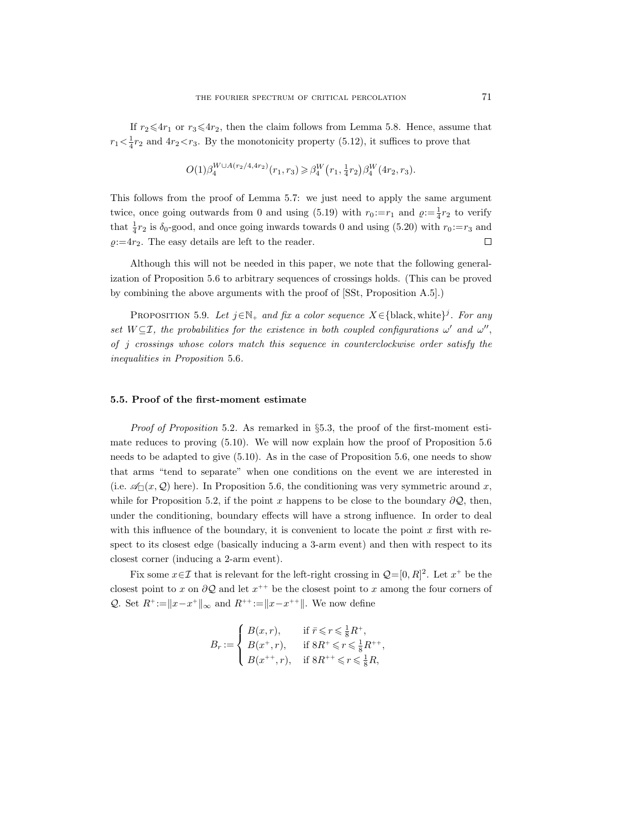If  $r_2 \leq 4r_1$  or  $r_3 \leq 4r_2$ , then the claim follows from Lemma 5.8. Hence, assume that  $r_1 < \frac{1}{4}r_2$  and  $4r_2 < r_3$ . By the monotonicity property (5.12), it suffices to prove that

$$
O(1)\beta_4^{W\cup A(r_2/4,4r_2)}(r_1,r_3) \geq \beta_4^W(r_1,\tfrac{1}{4}r_2)\beta_4^W(4r_2,r_3).
$$

This follows from the proof of Lemma 5.7: we just need to apply the same argument twice, once going outwards from 0 and using (5.19) with  $r_0 := r_1$  and  $\rho := \frac{1}{4}r_2$  to verify that  $\frac{1}{4}r_2$  is  $\delta_0$ -good, and once going inwards towards 0 and using (5.20) with  $r_0 := r_3$  and  $\rho:=4r_2$ . The easy details are left to the reader.  $\Box$ 

Although this will not be needed in this paper, we note that the following generalization of Proposition 5.6 to arbitrary sequences of crossings holds. (This can be proved by combining the above arguments with the proof of [SSt, Proposition A.5].)

PROPOSITION 5.9. Let  $j \in \mathbb{N}_+$  and fix a color sequence  $X \in \{\text{black}, \text{white}\}^j$ . For any set  $W \subseteq \mathcal{I}$ , the probabilities for the existence in both coupled configurations  $\omega'$  and  $\omega''$ , of j crossings whose colors match this sequence in counterclockwise order satisfy the inequalities in Proposition 5.6.

# 5.5. Proof of the first-moment estimate

Proof of Proposition 5.2. As remarked in §5.3, the proof of the first-moment estimate reduces to proving (5.10). We will now explain how the proof of Proposition 5.6 needs to be adapted to give (5.10). As in the case of Proposition 5.6, one needs to show that arms "tend to separate" when one conditions on the event we are interested in (i.e.  $\mathscr{A}_{\Box}(x, \mathcal{Q})$  here). In Proposition 5.6, the conditioning was very symmetric around x, while for Proposition 5.2, if the point x happens to be close to the boundary  $\partial \mathcal{Q}$ , then, under the conditioning, boundary effects will have a strong influence. In order to deal with this influence of the boundary, it is convenient to locate the point  $x$  first with respect to its closest edge (basically inducing a 3-arm event) and then with respect to its closest corner (inducing a 2-arm event).

Fix some  $x \in \mathcal{I}$  that is relevant for the left-right crossing in  $\mathcal{Q} = [0, R]^2$ . Let  $x^+$  be the closest point to x on  $\partial \mathcal{Q}$  and let  $x^{++}$  be the closest point to x among the four corners of Q. Set  $R^+ := \|x - x^+\|_{\infty}$  and  $R^{++} := \|x - x^{++}\|$ . We now define

$$
B_r := \begin{cases} B(x, r), & \text{if } \bar{r} \le r \le \frac{1}{8}R^+, \\ B(x^+, r), & \text{if } 8R^+ \le r \le \frac{1}{8}R^{++}, \\ B(x^{++}, r), & \text{if } 8R^{++} \le r \le \frac{1}{8}R, \end{cases}
$$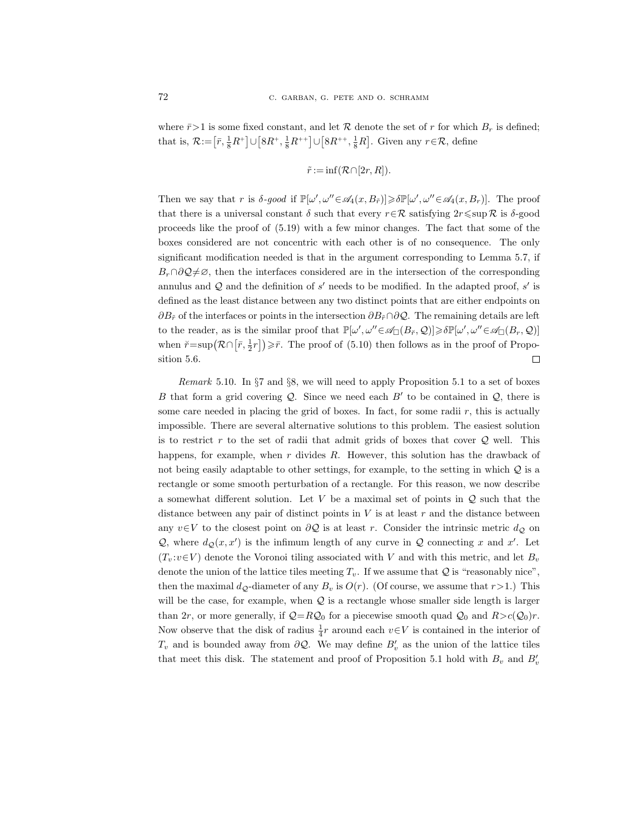where  $\bar{r}>1$  is some fixed constant, and let R denote the set of r for which  $B_r$  is defined; that is,  $\mathcal{R} := [\bar{r}, \frac{1}{8}R^+] \cup [8R^+, \frac{1}{8}R^{++}] \cup [8R^{++}, \frac{1}{8}R]$ . Given any  $r \in \mathcal{R}$ , define

$$
\tilde{r} := \inf(\mathcal{R} \cap [2r, R]).
$$

Then we say that r is  $\delta$ -good if  $\mathbb{P}[\omega', \omega'' \in \mathscr{A}_4(x, B_{\tilde{r}})] \geq \delta \mathbb{P}[\omega', \omega'' \in \mathscr{A}_4(x, B_r)]$ . The proof that there is a universal constant  $\delta$  such that every  $r \in \mathcal{R}$  satisfying  $2r \leq \sup \mathcal{R}$  is  $\delta$ -good proceeds like the proof of (5.19) with a few minor changes. The fact that some of the boxes considered are not concentric with each other is of no consequence. The only significant modification needed is that in the argument corresponding to Lemma 5.7, if  $B_r \cap \partial \mathcal{Q} \neq \emptyset$ , then the interfaces considered are in the intersection of the corresponding annulus and  $Q$  and the definition of s' needs to be modified. In the adapted proof, s' is defined as the least distance between any two distinct points that are either endpoints on  $\partial B_{\tilde{r}}$  of the interfaces or points in the intersection  $\partial B_{\tilde{r}} \cap \partial \mathcal{Q}$ . The remaining details are left to the reader, as is the similar proof that  $\mathbb{P}[\omega', \omega'' \in \mathscr{A}_{\square}(B_{\tilde{r}}, \mathcal{Q})] \geq \delta \mathbb{P}[\omega', \omega'' \in \mathscr{A}_{\square}(B_{r}, \mathcal{Q})]$ when  $\breve{r} = \sup(\mathcal{R} \cap [\bar{r}, \frac{1}{2}r]) \geq \bar{r}$ . The proof of  $(5.10)$  then follows as in the proof of Proposition 5.6.  $\Box$ 

Remark 5.10. In §7 and §8, we will need to apply Proposition 5.1 to a set of boxes B that form a grid covering  $Q$ . Since we need each  $B'$  to be contained in  $Q$ , there is some care needed in placing the grid of boxes. In fact, for some radii  $r$ , this is actually impossible. There are several alternative solutions to this problem. The easiest solution is to restrict r to the set of radii that admit grids of boxes that cover  $Q$  well. This happens, for example, when  $r$  divides  $R$ . However, this solution has the drawback of not being easily adaptable to other settings, for example, to the setting in which  $Q$  is a rectangle or some smooth perturbation of a rectangle. For this reason, we now describe a somewhat different solution. Let  $V$  be a maximal set of points in  $\mathcal Q$  such that the distance between any pair of distinct points in  $V$  is at least  $r$  and the distance between any v∈V to the closest point on  $\partial \mathcal{Q}$  is at least r. Consider the intrinsic metric  $d_{\mathcal{Q}}$  on Q, where  $d_Q(x, x')$  is the infimum length of any curve in Q connecting x and x'. Let  $(T_v : v \in V)$  denote the Voronoi tiling associated with V and with this metric, and let  $B_v$ denote the union of the lattice tiles meeting  $T_v$ . If we assume that Q is "reasonably nice", then the maximal  $d_{\mathcal{Q}}$ -diameter of any  $B_v$  is  $O(r)$ . (Of course, we assume that  $r>1$ .) This will be the case, for example, when  $Q$  is a rectangle whose smaller side length is larger than 2r, or more generally, if  $Q=RQ_0$  for a piecewise smooth quad  $Q_0$  and  $R>c(Q_0)r$ . Now observe that the disk of radius  $\frac{1}{4}r$  around each  $v \in V$  is contained in the interior of  $T_v$  and is bounded away from  $\partial \mathcal{Q}$ . We may define  $B'_v$  as the union of the lattice tiles that meet this disk. The statement and proof of Proposition 5.1 hold with  $B_v$  and  $B'_v$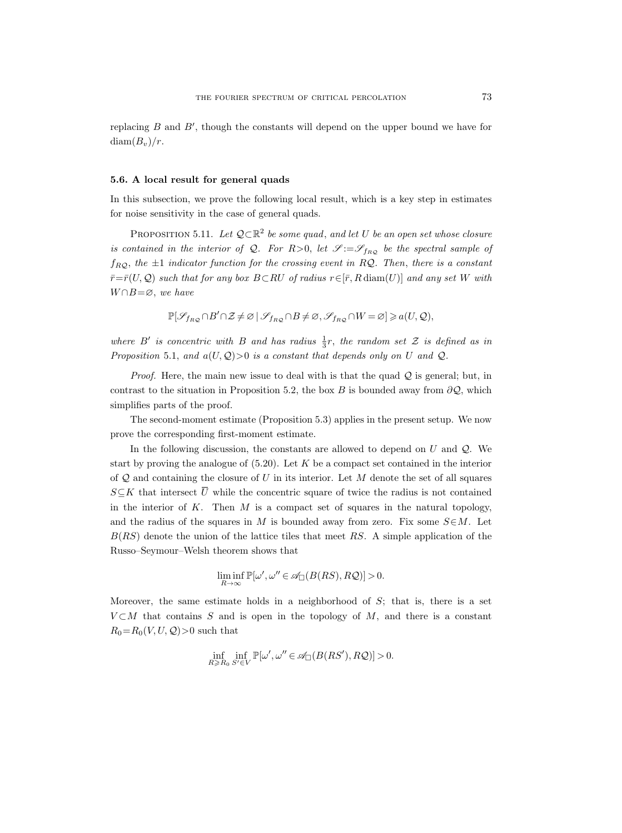replacing  $B$  and  $B'$ , though the constants will depend on the upper bound we have for  $diam(B_v)/r$ .

#### 5.6. A local result for general quads

In this subsection, we prove the following local result, which is a key step in estimates for noise sensitivity in the case of general quads.

PROPOSITION 5.11. Let  $\mathcal{Q}\subset \mathbb{R}^2$  be some quad, and let U be an open set whose closure is contained in the interior of Q. For R>0, let  $\mathcal{S} := \mathcal{S}_{f_{RQ}}$  be the spectral sample of  $f_{RQ}$ , the  $\pm 1$  indicator function for the crossing event in RQ. Then, there is a constant  $\bar{r}=\bar{r}(U, \mathcal{Q})$  such that for any box  $B\subset R$ U of radius  $r\in[\bar{r}, R \text{ diam}(U)]$  and any set W with  $W \cap B = \emptyset$ , we have

$$
\mathbb{P}[\mathscr{S}_{f_{R\mathcal{Q}}} \cap B' \cap \mathcal{Z} \neq \varnothing \, | \, \mathscr{S}_{f_{R\mathcal{Q}}} \cap B \neq \varnothing, \mathscr{S}_{f_{R\mathcal{Q}}} \cap W = \varnothing] \geqslant a(U, \mathcal{Q}),
$$

where B' is concentric with B and has radius  $\frac{1}{3}r$ , the random set Z is defined as in Proposition 5.1, and  $a(U, Q) > 0$  is a constant that depends only on U and Q.

*Proof.* Here, the main new issue to deal with is that the quad  $Q$  is general; but, in contrast to the situation in Proposition 5.2, the box B is bounded away from  $\partial \mathcal{Q}$ , which simplifies parts of the proof.

The second-moment estimate (Proposition 5.3) applies in the present setup. We now prove the corresponding first-moment estimate.

In the following discussion, the constants are allowed to depend on  $U$  and  $Q$ . We start by proving the analogue of  $(5.20)$ . Let K be a compact set contained in the interior of  $Q$  and containing the closure of U in its interior. Let M denote the set of all squares  $S\subseteq K$  that intersect  $\overline{U}$  while the concentric square of twice the radius is not contained in the interior of  $K$ . Then  $M$  is a compact set of squares in the natural topology, and the radius of the squares in M is bounded away from zero. Fix some  $S\in M$ . Let  $B(RS)$  denote the union of the lattice tiles that meet RS. A simple application of the Russo–Seymour–Welsh theorem shows that

$$
\liminf_{R \to \infty} \mathbb{P}[\omega', \omega'' \in \mathscr{A}_{\square}(B(RS), RQ)] > 0.
$$

Moreover, the same estimate holds in a neighborhood of  $S$ ; that is, there is a set  $V \subset M$  that contains S and is open in the topology of M, and there is a constant  $R_0=R_0(V, U, Q)$ >0 such that

$$
\inf_{R\geq R_0}\inf_{S'\in V}\mathbb{P}[\omega',\omega''\in\mathscr{A}_{\square}(B(RS'),R\mathcal{Q})]>0.
$$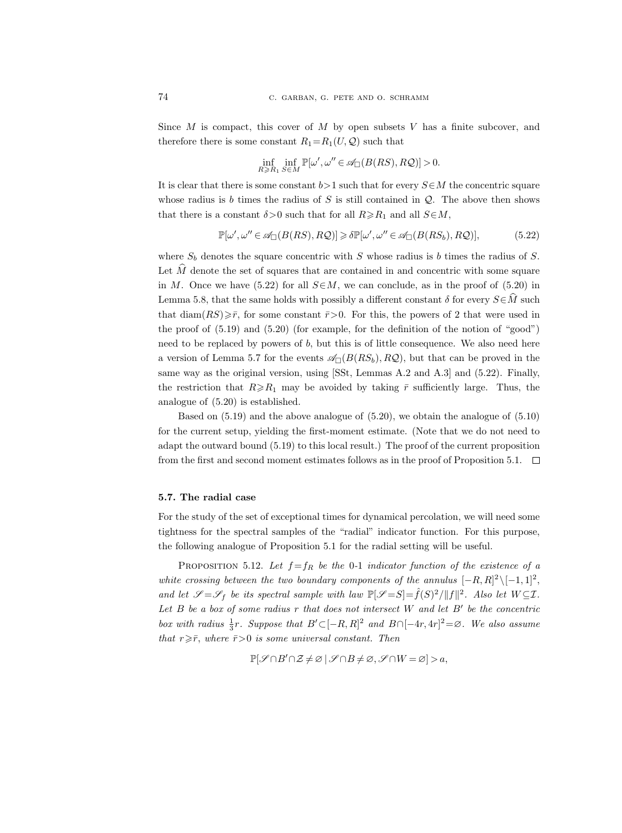Since  $M$  is compact, this cover of  $M$  by open subsets  $V$  has a finite subcover, and therefore there is some constant  $R_1=R_1(U, Q)$  such that

$$
\inf_{R\geqslant R_1}\inf_{S\in M}\mathbb{P}[\omega',\omega''\in\mathscr{A}_{\square}(B(RS),R\mathcal{Q})]>0.
$$

It is clear that there is some constant  $b>1$  such that for every  $S\in M$  the concentric square whose radius is b times the radius of S is still contained in  $\mathcal{Q}$ . The above then shows that there is a constant  $\delta > 0$  such that for all  $R \ge R_1$  and all  $S \in M$ ,

$$
\mathbb{P}[\omega', \omega'' \in \mathscr{A}_{\square}(B(RS), R\mathcal{Q})] \ge \delta \mathbb{P}[\omega', \omega'' \in \mathscr{A}_{\square}(B(RS_b), R\mathcal{Q})],\tag{5.22}
$$

where  $S_b$  denotes the square concentric with S whose radius is b times the radius of S. Let  $\hat{M}$  denote the set of squares that are contained in and concentric with some square in M. Once we have  $(5.22)$  for all  $S\in M$ , we can conclude, as in the proof of  $(5.20)$  in Lemma 5.8, that the same holds with possibly a different constant  $\delta$  for every  $S \in \hat{M}$  such that diam( $RS$ ) $\geq \bar{r}$ , for some constant  $\bar{r}$ >0. For this, the powers of 2 that were used in the proof of  $(5.19)$  and  $(5.20)$  (for example, for the definition of the notion of "good") need to be replaced by powers of b, but this is of little consequence. We also need here a version of Lemma 5.7 for the events  $\mathscr{A}_{\Box}(B(RS_b), R\mathcal{Q})$ , but that can be proved in the same way as the original version, using [SSt, Lemmas A.2 and A.3] and (5.22). Finally, the restriction that  $R \ge R_1$  may be avoided by taking  $\bar{r}$  sufficiently large. Thus, the analogue of (5.20) is established.

Based on (5.19) and the above analogue of (5.20), we obtain the analogue of (5.10) for the current setup, yielding the first-moment estimate. (Note that we do not need to adapt the outward bound (5.19) to this local result.) The proof of the current proposition from the first and second moment estimates follows as in the proof of Proposition 5.1.  $\Box$ 

#### 5.7. The radial case

For the study of the set of exceptional times for dynamical percolation, we will need some tightness for the spectral samples of the "radial" indicator function. For this purpose, the following analogue of Proposition 5.1 for the radial setting will be useful.

PROPOSITION 5.12. Let  $f = f_R$  be the 0-1 indicator function of the existence of a white crossing between the two boundary components of the annulus  $[-R, R]^2 \setminus [-1, 1]^2$ , and let  $\mathscr{S} = \mathscr{S}_f$  be its spectral sample with law  $\mathbb{P}[\mathscr{S} = S] = \hat{f}(S)^2 / ||f||^2$ . Also let  $W \subseteq \mathcal{I}$ . Let  $B$  be a box of some radius r that does not intersect  $W$  and let  $B'$  be the concentric box with radius  $\frac{1}{3}r$ . Suppose that  $B' \subset [-R, R]^2$  and  $B \cap [-4r, 4r]^2 = \varnothing$ . We also assume that  $r \geqslant \bar{r}$ , where  $\bar{r} > 0$  is some universal constant. Then

$$
\mathbb{P}[\mathscr{S}\cap B'\cap \mathcal{Z}\neq\varnothing\,|\,\mathscr{S}\cap B\neq\varnothing,\mathscr{S}\cap W=\varnothing]>a,
$$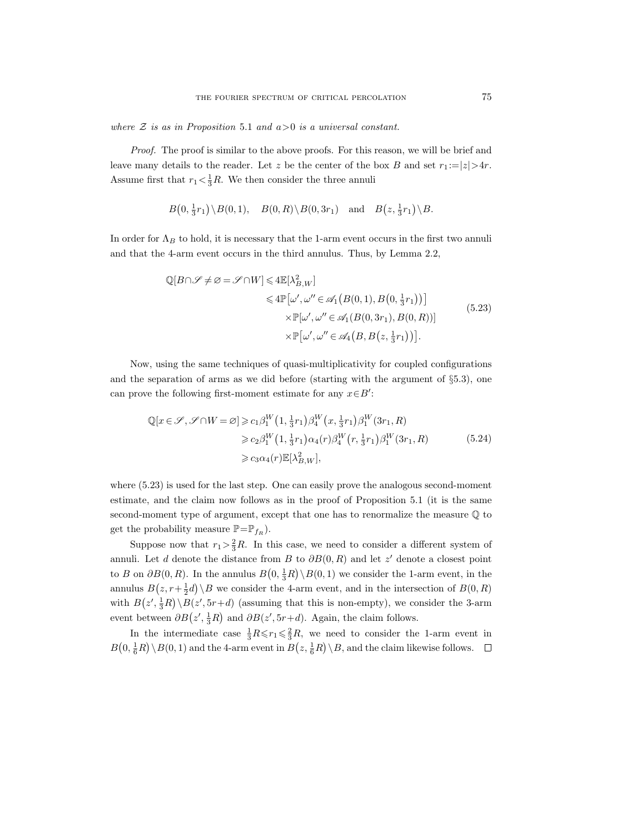where  $\mathcal Z$  is as in Proposition 5.1 and  $a>0$  is a universal constant.

Proof. The proof is similar to the above proofs. For this reason, we will be brief and leave many details to the reader. Let z be the center of the box B and set  $r_1 := |z| > 4r$ . Assume first that  $r_1 < \frac{1}{3}R$ . We then consider the three annuli

$$
B(0, \frac{1}{3}r_1) \setminus B(0, 1), \quad B(0, R) \setminus B(0, 3r_1) \quad \text{and} \quad B(z, \frac{1}{3}r_1) \setminus B.
$$

In order for  $\Lambda_B$  to hold, it is necessary that the 1-arm event occurs in the first two annuli and that the 4-arm event occurs in the third annulus. Thus, by Lemma 2.2,

$$
\mathbb{Q}[B \cap \mathscr{S} \neq \varnothing = \mathscr{S} \cap W] \leq 4\mathbb{E}[\lambda_{B,W}^2]
$$
  
\n
$$
\leq 4\mathbb{P}[\omega', \omega'' \in \mathscr{A}_1(B(0,1), B(0, \frac{1}{3}r_1))]
$$
  
\n
$$
\times \mathbb{P}[\omega', \omega'' \in \mathscr{A}_1(B(0, 3r_1), B(0, R))]
$$
  
\n
$$
\times \mathbb{P}[\omega', \omega'' \in \mathscr{A}_4(B, B(z, \frac{1}{3}r_1))].
$$
\n(5.23)

Now, using the same techniques of quasi-multiplicativity for coupled configurations and the separation of arms as we did before (starting with the argument of §5.3), one can prove the following first-moment estimate for any  $x \in B'$ :

$$
\mathbb{Q}[x \in \mathscr{S}, \mathscr{S} \cap W = \varnothing] \geq c_1 \beta_1^W \left(1, \frac{1}{3}r_1\right) \beta_4^W \left(x, \frac{1}{3}r_1\right) \beta_1^W (3r_1, R)
$$
  
\n
$$
\geq c_2 \beta_1^W \left(1, \frac{1}{3}r_1\right) \alpha_4(r) \beta_4^W \left(r, \frac{1}{3}r_1\right) \beta_1^W (3r_1, R)
$$
  
\n
$$
\geq c_3 \alpha_4(r) \mathbb{E}[\lambda_{B,W}^2],
$$
\n(5.24)

where  $(5.23)$  is used for the last step. One can easily prove the analogous second-moment estimate, and the claim now follows as in the proof of Proposition 5.1 (it is the same second-moment type of argument, except that one has to renormalize the measure Q to get the probability measure  $\mathbb{P}=\mathbb{P}_{f_R}$ .

Suppose now that  $r_1 > \frac{2}{3}R$ . In this case, we need to consider a different system of annuli. Let d denote the distance from B to  $\partial B(0,R)$  and let z' denote a closest point to B on  $\partial B(0, R)$ . In the annulus  $B(0, \frac{1}{3}R) \setminus B(0, 1)$  we consider the 1-arm event, in the annulus  $B(z, r+\frac{1}{2}d) \setminus B$  we consider the 4-arm event, and in the intersection of  $B(0, R)$ with  $B(z', \frac{1}{3}R) \setminus B(z', 5r+d)$  (assuming that this is non-empty), we consider the 3-arm event between  $\partial B(z', \frac{1}{3}R)$  and  $\partial B(z', 5r+d)$ . Again, the claim follows.

In the intermediate case  $\frac{1}{3}R \leq r_1 \leq \frac{2}{3}R$ , we need to consider the 1-arm event in  $B(0, \frac{1}{6}R) \setminus B(0, 1)$  and the 4-arm event in  $B(z, \frac{1}{6}R) \setminus B$ , and the claim likewise follows.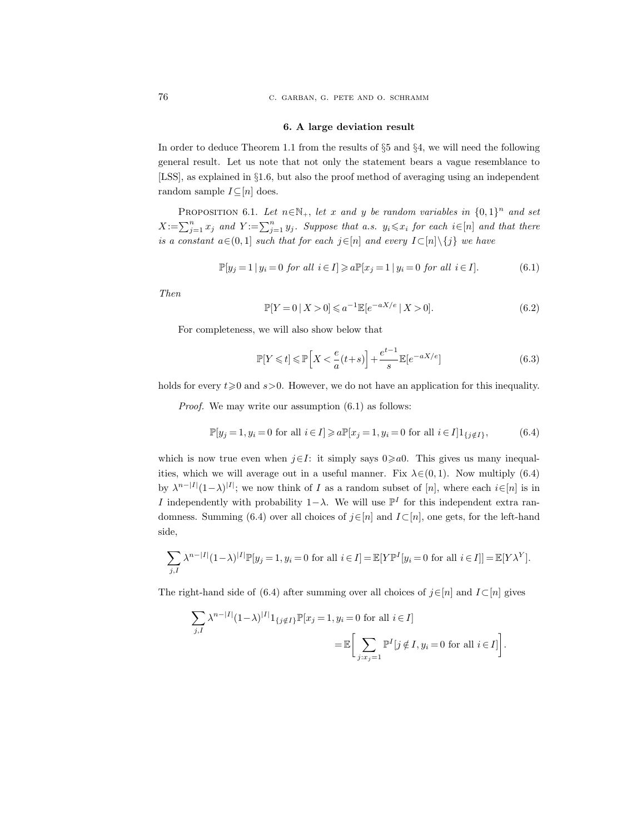76 **c. GARBAN, G. PETE AND O. SCHRAMM** 

#### 6. A large deviation result

In order to deduce Theorem 1.1 from the results of §5 and §4, we will need the following general result. Let us note that not only the statement bears a vague resemblance to [LSS], as explained in §1.6, but also the proof method of averaging using an independent random sample  $I\subseteq[n]$  does.

PROPOSITION 6.1. Let  $n \in \mathbb{N}_+$ , let x and y be random variables in  $\{0,1\}^n$  and set  $X := \sum_{j=1}^n x_j$  and  $Y := \sum_{j=1}^n y_j$ . Suppose that a.s.  $y_i \leq x_i$  for each  $i \in [n]$  and that there is a constant  $a \in (0, 1]$  such that for each  $j \in [n]$  and every  $I \subset [n] \setminus \{j\}$  we have

$$
\mathbb{P}[y_j = 1 \mid y_i = 0 \text{ for all } i \in I] \ge a \mathbb{P}[x_j = 1 \mid y_i = 0 \text{ for all } i \in I]. \tag{6.1}
$$

Then

$$
\mathbb{P}[Y=0 \mid X>0] \leq a^{-1}\mathbb{E}[e^{-aX/e} \mid X>0].\tag{6.2}
$$

For completeness, we will also show below that

$$
\mathbb{P}[Y \leq t] \leq \mathbb{P}\left[X < \frac{e}{a}(t+s)\right] + \frac{e^{t-1}}{s}\mathbb{E}[e^{-aX/e}] \tag{6.3}
$$

holds for every  $t\geqslant 0$  and  $s>0$ . However, we do not have an application for this inequality.

Proof. We may write our assumption  $(6.1)$  as follows:

$$
\mathbb{P}[y_j = 1, y_i = 0 \text{ for all } i \in I] \ge a \mathbb{P}[x_j = 1, y_i = 0 \text{ for all } i \in I] \mathbb{1}_{\{j \notin I\}},\tag{6.4}
$$

which is now true even when  $j \in I$ : it simply says  $0 \ge a$ . This gives us many inequalities, which we will average out in a useful manner. Fix  $\lambda \in (0, 1)$ . Now multiply (6.4) by  $\lambda^{n-|I|}(1-\lambda)^{|I|}$ ; we now think of I as a random subset of [n], where each  $i\in[n]$  is in I independently with probability  $1-\lambda$ . We will use  $\mathbb{P}^I$  for this independent extra randomness. Summing (6.4) over all choices of  $j \in [n]$  and  $I \subset [n]$ , one gets, for the left-hand side,

$$
\sum_{j,I} \lambda^{n-|I|} (1-\lambda)^{|I|} \mathbb{P}[y_j = 1, y_i = 0 \text{ for all } i \in I] = \mathbb{E}[Y\mathbb{P}^I[y_i = 0 \text{ for all } i \in I]] = \mathbb{E}[Y\lambda^Y].
$$

The right-hand side of (6.4) after summing over all choices of  $j \in [n]$  and  $I \subset [n]$  gives

$$
\sum_{j,I} \lambda^{n-|I|} (1-\lambda)^{|I|} 1_{\{j \notin I\}} \mathbb{P}[x_j = 1, y_i = 0 \text{ for all } i \in I]
$$
  

$$
= \mathbb{E} \bigg[ \sum_{j:x_j=1} \mathbb{P}^I[j \notin I, y_i = 0 \text{ for all } i \in I] \bigg].
$$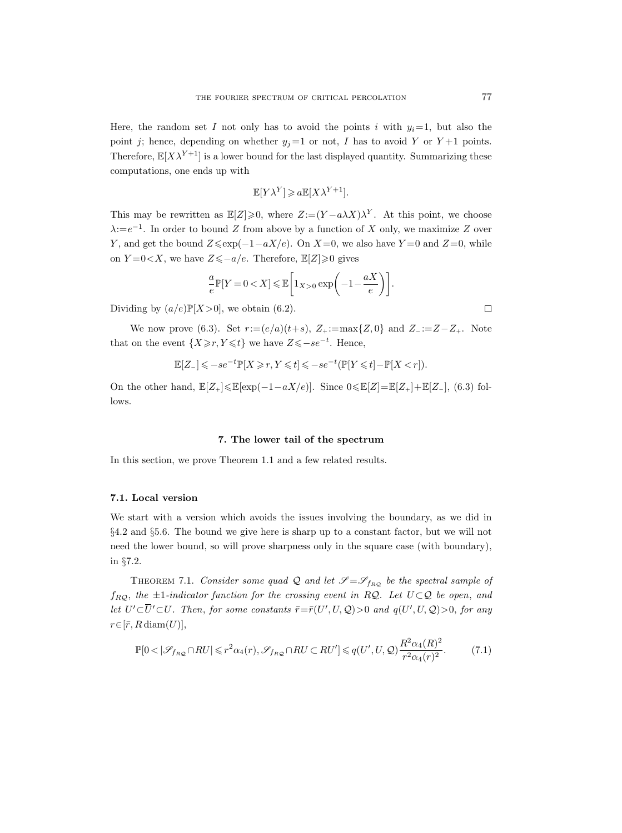Here, the random set I not only has to avoid the points i with  $y_i=1$ , but also the point j; hence, depending on whether  $y_j=1$  or not, I has to avoid Y or Y +1 points. Therefore,  $\mathbb{E}[X\lambda^{Y+1}]$  is a lower bound for the last displayed quantity. Summarizing these computations, one ends up with

$$
\mathbb{E}[Y\lambda^Y] \geq a \mathbb{E}[X\lambda^{Y+1}].
$$

This may be rewritten as  $\mathbb{E}[Z] \geq 0$ , where  $Z := (Y - a\lambda X)\lambda^{Y}$ . At this point, we choose  $\lambda := e^{-1}$ . In order to bound Z from above by a function of X only, we maximize Z over Y, and get the bound  $Z \leq \exp(-1-aX/e)$ . On  $X=0$ , we also have Y =0 and Z =0, while on  $Y=0\lt X$ , we have  $Z\leqslant -a/e$ . Therefore,  $\mathbb{E}[Z]\geqslant 0$  gives

$$
\frac{a}{e}\mathbb{P}[Y=00}\exp\bigg(-1-\frac{aX}{e}\bigg)\bigg].
$$

Dividing by  $(a/e)\mathbb{P}[X>0]$ , we obtain (6.2).

We now prove (6.3). Set  $r := (e/a)(t+s)$ ,  $Z_+ := \max\{Z, 0\}$  and  $Z_- := Z - Z_+$ . Note that on the event  $\{X \geq r, Y \leq t\}$  we have  $Z \leq -se^{-t}$ . Hence,

$$
\mathbb{E}[Z_-]\leqslant -se^{-t}\mathbb{P}[X\geqslant r,Y\leqslant t]\leqslant -se^{-t}(\mathbb{P}[Y\leqslant t]-\mathbb{P}[X< r]).
$$

On the other hand,  $\mathbb{E}[Z_+] \leq \mathbb{E}[\exp(-1-aX/e)]$ . Since  $0 \leq \mathbb{E}[Z] = \mathbb{E}[Z_+] + \mathbb{E}[Z_-]$ , (6.3) follows.

## 7. The lower tail of the spectrum

In this section, we prove Theorem 1.1 and a few related results.

### 7.1. Local version

We start with a version which avoids the issues involving the boundary, as we did in §4.2 and §5.6. The bound we give here is sharp up to a constant factor, but we will not need the lower bound, so will prove sharpness only in the square case (with boundary), in §7.2.

THEOREM 7.1. Consider some quad Q and let  $\mathscr{S} = \mathscr{S}_{f_{RQ}}$  be the spectral sample of  $f_{RQ}$ , the  $\pm 1$ -indicator function for the crossing event in RQ. Let  $U \subset Q$  be open, and let  $U' \subset \overline{U'} \subset U$ . Then, for some constants  $\overline{r} = \overline{r}(U', U, Q) > 0$  and  $q(U', U, Q) > 0$ , for any  $r\in[\bar{r}, R \operatorname{diam}(U)],$ 

$$
\mathbb{P}[0<|\mathcal{S}_{f_{RQ}} \cap RU| \le r^2 \alpha_4(r), \mathcal{S}_{f_{RQ}} \cap RU \subset RU'] \le q(U',U,\mathcal{Q})\frac{R^2 \alpha_4(R)^2}{r^2 \alpha_4(r)^2}.
$$
 (7.1)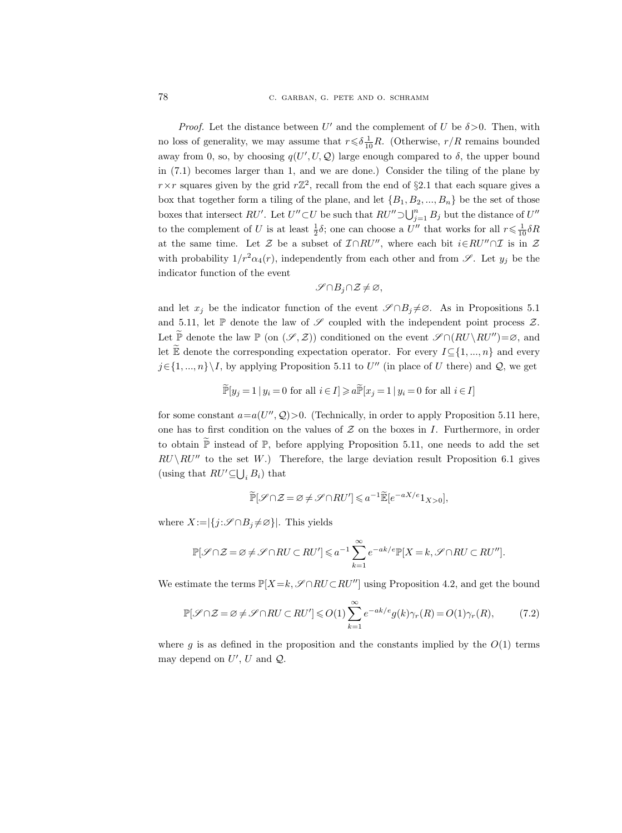78 c. garban, g. pete and o. schramm

*Proof.* Let the distance between U' and the complement of U be  $\delta > 0$ . Then, with no loss of generality, we may assume that  $r \leq \delta \frac{1}{10}R$ . (Otherwise,  $r/R$  remains bounded away from 0, so, by choosing  $q(U', U, Q)$  large enough compared to  $\delta$ , the upper bound in (7.1) becomes larger than 1, and we are done.) Consider the tiling of the plane by  $r \times r$  squares given by the grid  $r \mathbb{Z}^2$ , recall from the end of §2.1 that each square gives a box that together form a tiling of the plane, and let  $\{B_1, B_2, ..., B_n\}$  be the set of those boxes that intersect  $RU'$ . Let  $U'' \subset U$  be such that  $RU'' \supset \bigcup_{j=1}^{n} B_j$  but the distance of  $U''$ to the complement of U is at least  $\frac{1}{2}\delta$ ; one can choose a U'' that works for all  $r \leq \frac{1}{10}\delta R$ at the same time. Let  $\mathcal Z$  be a subset of  $\mathcal I \cap RU''$ , where each bit  $i \in RU'' \cap \mathcal I$  is in  $\mathcal Z$ with probability  $1/r^2\alpha_4(r)$ , independently from each other and from  $\mathscr{S}$ . Let  $y_j$  be the indicator function of the event

$$
\mathscr{S} \cap B_j \cap \mathcal{Z} \neq \varnothing,
$$

and let  $x_j$  be the indicator function of the event  $\mathscr{S} \cap B_j \neq \emptyset$ . As in Propositions 5.1 and 5.11, let  $\mathbb P$  denote the law of  $\mathscr S$  coupled with the independent point process  $\mathcal Z$ . Let  $\widetilde{\mathbb{P}}$  denote the law  $\mathbb{P}$  (on  $(\mathscr{S}, \mathcal{Z})$ ) conditioned on the event  $\mathscr{S} \cap (RU\setminus RU'')= \varnothing$ , and let  $\widetilde{\mathbb{E}}$  denote the corresponding expectation operator. For every  $I \subseteq \{1, ..., n\}$  and every  $j \in \{1, ..., n\} \backslash I$ , by applying Proposition 5.11 to U'' (in place of U there) and Q, we get

$$
\widetilde{\mathbb{P}}[y_j = 1 \mid y_i = 0 \text{ for all } i \in I] \geqslant a \widetilde{\mathbb{P}}[x_j = 1 \mid y_i = 0 \text{ for all } i \in I]
$$

for some constant  $a=a(U'', Q)$ >0. (Technically, in order to apply Proposition 5.11 here, one has to first condition on the values of  $Z$  on the boxes in I. Furthermore, in order to obtain  $\widetilde{\mathbb{P}}$  instead of  $\mathbb{P}$ , before applying Proposition 5.11, one needs to add the set  $RU\backslash RU''$  to the set W.) Therefore, the large deviation result Proposition 6.1 gives (using that  $RU' \subseteq \bigcup_i B_i$ ) that

$$
\widetilde{\mathbb{P}}[\mathscr{S} \cap \mathcal{Z} = \varnothing \neq \mathscr{S} \cap RU'] \leqslant a^{-1} \widetilde{\mathbb{E}}[e^{-aX/e}1_{X>0}],
$$

where  $X:=|\{j:\mathscr{S}\cap B_j\neq\varnothing\}|$ . This yields

$$
\mathbb{P}[\mathscr{S} \cap \mathcal{Z} = \varnothing \neq \mathscr{S} \cap RU \subset RU'] \leqslant a^{-1} \sum_{k=1}^\infty e^{-ak/e} \mathbb{P}[X = k, \mathscr{S} \cap RU \subset RU''].
$$

We estimate the terms  $\mathbb{P}[X=k,\mathscr{S} \cap RU\subset RU'']$  using Proposition 4.2, and get the bound

$$
\mathbb{P}[\mathcal{S} \cap \mathcal{Z} = \emptyset \neq \mathcal{S} \cap RU \subset RU'] \leqslant O(1) \sum_{k=1}^{\infty} e^{-ak/e} g(k) \gamma_r(R) = O(1) \gamma_r(R), \tag{7.2}
$$

where q is as defined in the proposition and the constants implied by the  $O(1)$  terms may depend on  $U'$ ,  $U$  and  $Q$ .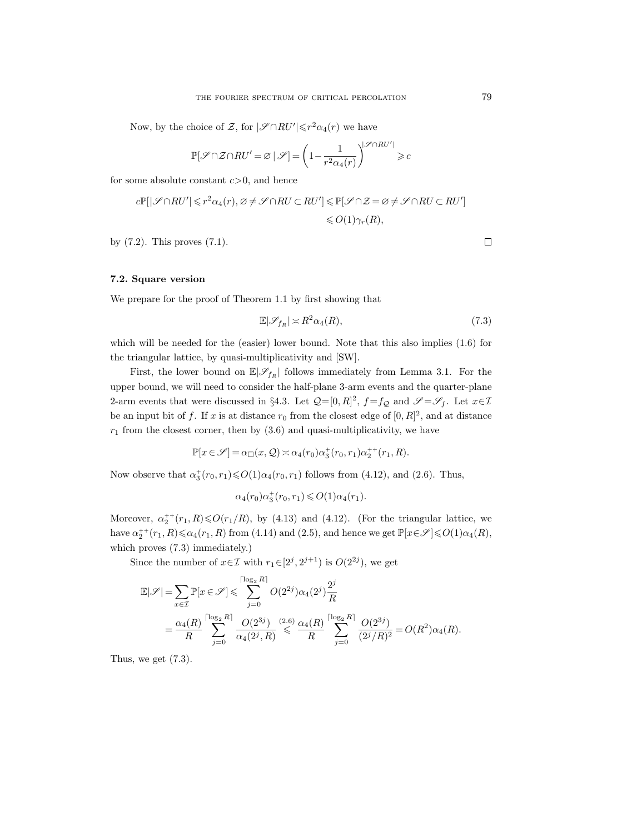Now, by the choice of Z, for  $|\mathscr{S} \cap RU'| \leq r^2 \alpha_4(r)$  we have

$$
\mathbb{P}[\mathscr{S} \cap \mathcal{Z} \cap RU' = \varnothing \mid \mathscr{S}] = \left(1 - \frac{1}{r^2 \alpha_4(r)}\right)^{|\mathscr{S} \cap RU'|} \geqslant c
$$

for some absolute constant  $c > 0$ , and hence

$$
c\mathbb{P}[|\mathscr{S}\cap RU'|\leq r^2\alpha_4(r), \varnothing\neq \mathscr{S}\cap RU\subset RU']\leqslant \mathbb{P}[\mathscr{S}\cap\mathcal{Z}=\varnothing\neq \mathscr{S}\cap RU\subset RU']\leqslant O(1)\gamma_r(R),
$$

by (7.2). This proves (7.1).

# 7.2. Square version

We prepare for the proof of Theorem 1.1 by first showing that

$$
\mathbb{E}|\mathscr{S}_{f_R}| \asymp R^2 \alpha_4(R),\tag{7.3}
$$

which will be needed for the (easier) lower bound. Note that this also implies  $(1.6)$  for the triangular lattice, by quasi-multiplicativity and [SW].

First, the lower bound on  $\mathbb{E}|\mathscr{S}_{f_R}|$  follows immediately from Lemma 3.1. For the upper bound, we will need to consider the half-plane 3-arm events and the quarter-plane 2-arm events that were discussed in §4.3. Let  $\mathcal{Q}=[0,R]^2$ ,  $f=f_{\mathcal{Q}}$  and  $\mathscr{S}=\mathscr{S}_f$ . Let  $x\in\mathcal{I}$ be an input bit of f. If x is at distance  $r_0$  from the closest edge of  $[0, R]^2$ , and at distance  $r_1$  from the closest corner, then by  $(3.6)$  and quasi-multiplicativity, we have

$$
\mathbb{P}[x \in \mathscr{S}] = \alpha_{\square}(x, \mathcal{Q}) \times \alpha_4(r_0)\alpha_3^+(r_0, r_1)\alpha_2^{++}(r_1, R).
$$

Now observe that  $\alpha_3^+(r_0, r_1) \leq O(1)\alpha_4(r_0, r_1)$  follows from (4.12), and (2.6). Thus,

$$
\alpha_4(r_0)\alpha_3^+(r_0,r_1)\leqslant O(1)\alpha_4(r_1).
$$

Moreover,  $\alpha_2^{++}(r_1, R) \leqslant O(r_1/R)$ , by (4.13) and (4.12). (For the triangular lattice, we have  $\alpha_2^{++}(r_1, R) \le \alpha_4(r_1, R)$  from (4.14) and (2.5), and hence we get  $\mathbb{P}[x \in \mathcal{S}] \le O(1)\alpha_4(R)$ , which proves (7.3) immediately.)

Since the number of  $x \in \mathcal{I}$  with  $r_1 \in [2^j, 2^{j+1})$  is  $O(2^{2j})$ , we get

$$
\mathbb{E}|\mathscr{S}| = \sum_{x \in \mathcal{I}} \mathbb{P}[x \in \mathscr{S}] \leqslant \sum_{j=0}^{\lceil \log_2 R \rceil} O(2^{2j}) \alpha_4(2^j) \frac{2^j}{R}
$$
\n
$$
= \frac{\alpha_4(R)}{R} \sum_{j=0}^{\lceil \log_2 R \rceil} \frac{O(2^{3j})}{\alpha_4(2^j, R)} \stackrel{(2.6)}{\leqslant} \frac{\alpha_4(R)}{R} \sum_{j=0}^{\lceil \log_2 R \rceil} \frac{O(2^{3j})}{(2^j/R)^2} = O(R^2) \alpha_4(R).
$$

Thus, we get (7.3).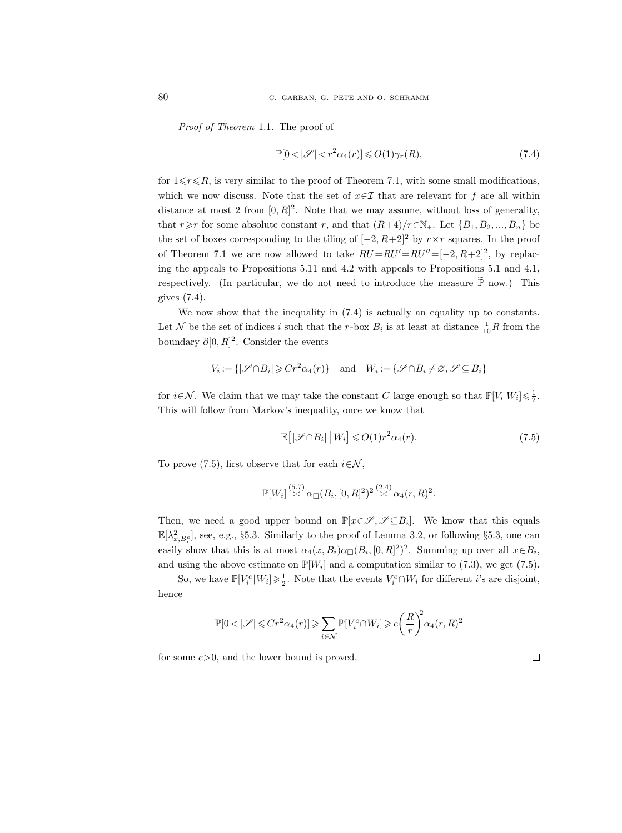Proof of Theorem 1.1. The proof of

$$
\mathbb{P}[0<|\mathcal{S}|
$$

for  $1 \le r \le R$ , is very similar to the proof of Theorem 7.1, with some small modifications, which we now discuss. Note that the set of  $x \in \mathcal{I}$  that are relevant for f are all within distance at most 2 from  $[0, R]^2$ . Note that we may assume, without loss of generality, that  $r \geq \bar{r}$  for some absolute constant  $\bar{r}$ , and that  $(R+4)/r \in \mathbb{N}_+$ . Let  $\{B_1, B_2, ..., B_n\}$  be the set of boxes corresponding to the tiling of  $[-2, R+2]^2$  by  $r \times r$  squares. In the proof of Theorem 7.1 we are now allowed to take  $RU=RU'=RU''=[-2, R+2]^2$ , by replacing the appeals to Propositions 5.11 and 4.2 with appeals to Propositions 5.1 and 4.1, respectively. (In particular, we do not need to introduce the measure  $\tilde{\mathbb{P}}$  now.) This gives (7.4).

We now show that the inequality in (7.4) is actually an equality up to constants. Let N be the set of indices i such that the r-box  $B_i$  is at least at distance  $\frac{1}{10}R$  from the boundary  $\partial [0, R]^2$ . Consider the events

$$
V_i := \{ |\mathcal{S} \cap B_i| \geq Cr^2 \alpha_4(r) \} \quad \text{and} \quad W_i := \{ \mathcal{S} \cap B_i \neq \emptyset, \mathcal{S} \subseteq B_i \}
$$

for  $i \in \mathcal{N}$ . We claim that we may take the constant C large enough so that  $\mathbb{P}[V_i|W_i] \leq \frac{1}{2}$ . This will follow from Markov's inequality, once we know that

$$
\mathbb{E}\big[\left|\mathscr{S}\cap B_i\right|\,\middle|\, W_i\big]\leqslant O(1)r^2\alpha_4(r). \tag{7.5}
$$

To prove (7.5), first observe that for each  $i \in \mathcal{N}$ ,

$$
\mathbb{P}[W_i] \stackrel{(5.7)}{\sim} \alpha_{\square}(B_i, [0, R]^2)^2 \stackrel{(2.4)}{\sim} \alpha_4(r, R)^2.
$$

Then, we need a good upper bound on  $\mathbb{P}[x \in \mathscr{S}, \mathscr{S} \subseteq B_i]$ . We know that this equals  $\mathbb{E}[\lambda_{x,B_i^c}^2]$ , see, e.g., §5.3. Similarly to the proof of Lemma 3.2, or following §5.3, one can easily show that this is at most  $\alpha_4(x, B_i) \alpha_{\Box}(B_i, [0, R]^2)^2$ . Summing up over all  $x \in B_i$ , and using the above estimate on  $\mathbb{P}[W_i]$  and a computation similar to (7.3), we get (7.5).

So, we have  $\mathbb{P}[V_i^c | W_i] \ge \frac{1}{2}$ . Note that the events  $V_i^c \cap W_i$  for different *i*'s are disjoint, hence

$$
\mathbb{P}[0<|\mathcal{S}| \le Cr^2\alpha_4(r)] \ge \sum_{i \in \mathcal{N}} \mathbb{P}[V_i^c \cap W_i] \ge c\left(\frac{R}{r}\right)^2 \alpha_4(r,R)^2
$$

for some  $c>0$ , and the lower bound is proved.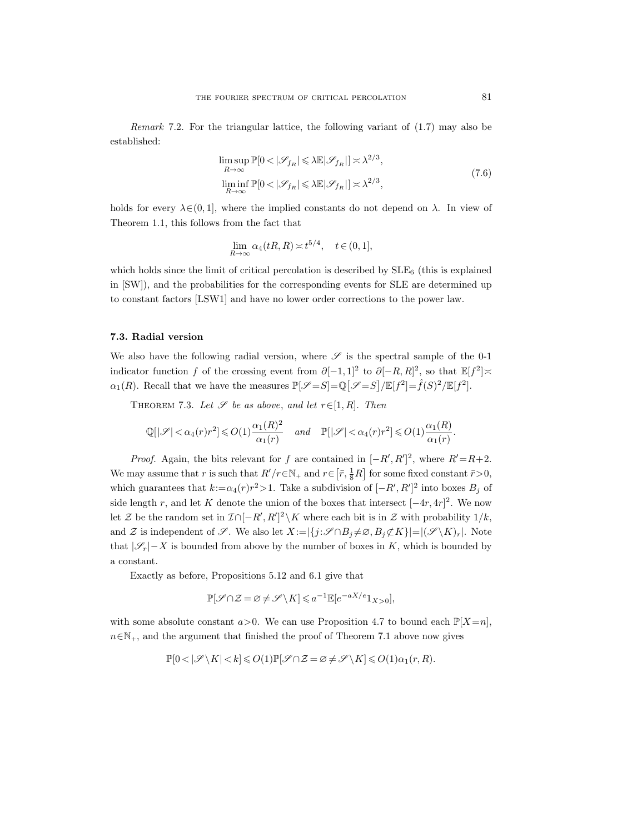*Remark* 7.2. For the triangular lattice, the following variant of  $(1.7)$  may also be established:

$$
\limsup_{R \to \infty} \mathbb{P}[0 < |\mathcal{S}_{f_R}| \le \lambda \mathbb{E} |\mathcal{S}_{f_R}|] \asymp \lambda^{2/3},
$$
  
\n
$$
\liminf_{R \to \infty} \mathbb{P}[0 < |\mathcal{S}_{f_R}| \le \lambda \mathbb{E} |\mathcal{S}_{f_R}|] \asymp \lambda^{2/3},
$$
\n(7.6)

holds for every  $\lambda \in (0, 1]$ , where the implied constants do not depend on  $\lambda$ . In view of Theorem 1.1, this follows from the fact that

$$
\lim_{R \to \infty} \alpha_4(tR, R) \asymp t^{5/4}, \quad t \in (0, 1],
$$

which holds since the limit of critical percolation is described by  $SLE<sub>6</sub>$  (this is explained in [SW]), and the probabilities for the corresponding events for SLE are determined up to constant factors [LSW1] and have no lower order corrections to the power law.

### 7.3. Radial version

We also have the following radial version, where  $\mathscr S$  is the spectral sample of the 0-1 indicator function f of the crossing event from  $\partial[-1,1]^2$  to  $\partial[-R,R]^2$ , so that  $\mathbb{E}[f^2]$   $\asymp$  $\alpha_1(R)$ . Recall that we have the measures  $\mathbb{P}[\mathscr{S}=S] = \mathbb{Q}[\mathscr{S}=S] / \mathbb{E}[f^2] = \hat{f}(S)^2 / \mathbb{E}[f^2]$ .

THEOREM 7.3. Let  $\mathscr S$  be as above, and let  $r \in [1, R]$ . Then

$$
\mathbb{Q}[|\mathscr{S}| < \alpha_4(r)r^2] \leqslant O(1)\frac{\alpha_1(R)^2}{\alpha_1(r)} \quad \text{and} \quad \mathbb{P}[|\mathscr{S}| < \alpha_4(r)r^2] \leqslant O(1)\frac{\alpha_1(R)}{\alpha_1(r)}.
$$

*Proof.* Again, the bits relevant for f are contained in  $[-R', R']^2$ , where  $R'=R+2$ . We may assume that r is such that  $R'/r \in \mathbb{N}_+$  and  $r \in [\bar{r}, \frac{1}{8}R]$  for some fixed constant  $\bar{r} > 0$ , which guarantees that  $k := \alpha_4(r)r^2 > 1$ . Take a subdivision of  $[-R', R']^2$  into boxes  $B_j$  of side length r, and let K denote the union of the boxes that intersect  $[-4r, 4r]^2$ . We now let Z be the random set in  $\mathcal{I} \cap [-R', R']^2 \backslash K$  where each bit is in Z with probability  $1/k$ , and Z is independent of  $\mathscr{S}$ . We also let  $X:=\{\{j:\mathscr{S}\cap B_j\neq\emptyset, B_j\not\subset K\}\}\;= |(\mathscr{S}\backslash K)_r|$ . Note that  $|\mathscr{S}_r|-X$  is bounded from above by the number of boxes in K, which is bounded by a constant.

Exactly as before, Propositions 5.12 and 6.1 give that

$$
\mathbb{P}[\mathscr{S} \cap \mathcal{Z} = \varnothing \neq \mathscr{S} \backslash K] \leqslant a^{-1} \mathbb{E}[e^{-aX/e} 1_{X>0}],
$$

with some absolute constant  $a>0$ . We can use Proposition 4.7 to bound each  $\mathbb{P}[X=n]$ ,  $n \in \mathbb{N}_+$ , and the argument that finished the proof of Theorem 7.1 above now gives

$$
\mathbb{P}[0<|\mathscr{S} \backslash K|
$$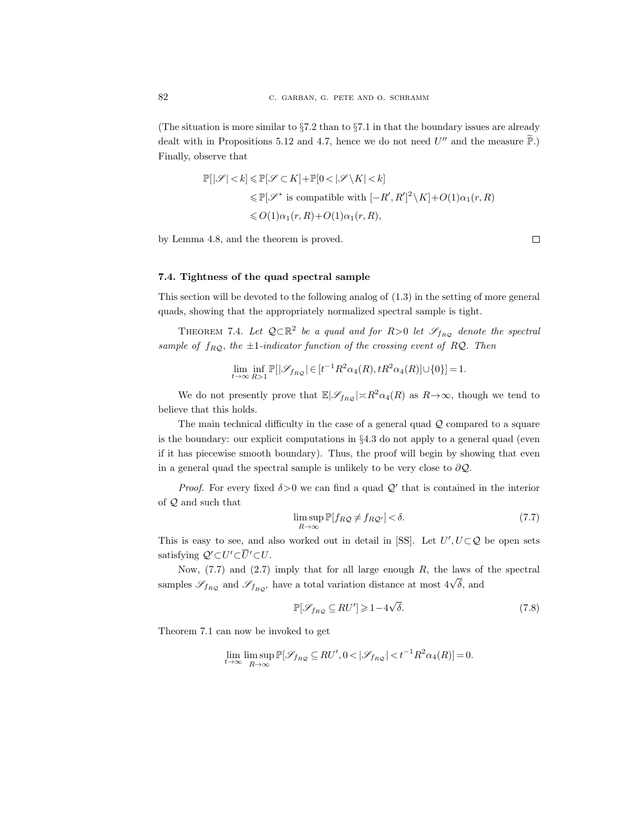(The situation is more similar to  $\S7.2$  than to  $\S7.1$  in that the boundary issues are already dealt with in Propositions 5.12 and 4.7, hence we do not need  $U''$  and the measure  $\widetilde{P}$ .) Finally, observe that

$$
\mathbb{P}[|\mathcal{S}| < k] \le \mathbb{P}[\mathcal{S} \subset K] + \mathbb{P}[0 < |\mathcal{S} \setminus K| < k] \\
\le \mathbb{P}[\mathcal{S}^* \text{ is compatible with } [-R', R']^2 \setminus K] + O(1)\alpha_1(r, R) \\
\le O(1)\alpha_1(r, R) + O(1)\alpha_1(r, R),
$$

by Lemma 4.8, and the theorem is proved.

$$
\Box
$$

# 7.4. Tightness of the quad spectral sample

This section will be devoted to the following analog of (1.3) in the setting of more general quads, showing that the appropriately normalized spectral sample is tight.

THEOREM 7.4. Let  $\mathcal{Q} \subset \mathbb{R}^2$  be a quad and for  $R > 0$  let  $\mathscr{S}_{f_{RQ}}$  denote the spectral sample of  $f_{RQ}$ , the  $\pm 1$ -indicator function of the crossing event of RQ. Then

$$
\lim_{t \to \infty} \inf_{R>1} \mathbb{P}[|\mathscr{S}_{f_{RQ}}| \in [t^{-1}R^2 \alpha_4(R), tR^2 \alpha_4(R)] \cup \{0\}] = 1.
$$

We do not presently prove that  $\mathbb{E}|\mathscr{S}_{f_{RQ}}| \asymp R^2 \alpha_4(R)$  as  $R \to \infty$ , though we tend to believe that this holds.

The main technical difficulty in the case of a general quad  $Q$  compared to a square is the boundary: our explicit computations in §4.3 do not apply to a general quad (even if it has piecewise smooth boundary). Thus, the proof will begin by showing that even in a general quad the spectral sample is unlikely to be very close to  $\partial Q$ .

*Proof.* For every fixed  $\delta > 0$  we can find a quad  $\mathcal{Q}'$  that is contained in the interior of Q and such that

$$
\limsup_{R \to \infty} \mathbb{P}[f_{R\mathcal{Q}} \neq f_{R\mathcal{Q}'}] < \delta. \tag{7.7}
$$

This is easy to see, and also worked out in detail in [SS]. Let  $U', U \subset Q$  be open sets satisfying  $Q' \subset U' \subset \overline{U}' \subset U$ .

Now,  $(7.7)$  and  $(2.7)$  imply that for all large enough R, the laws of the spectral samples  $\mathscr{S}_{f_{RQ}}$  and  $\mathscr{S}_{f_{RQ'}}$  have a total variation distance at most  $4\sqrt{\delta}$ , and

$$
\mathbb{P}[\mathcal{S}_{f_{RQ}} \subseteq RU'] \geq 1 - 4\sqrt{\delta}.\tag{7.8}
$$

Theorem 7.1 can now be invoked to get

$$
\lim_{t \to \infty} \limsup_{R \to \infty} \mathbb{P}[\mathscr{S}_{f_{RQ}} \subseteq RU', 0 < |\mathscr{S}_{f_{RQ}}| < t^{-1}R^2 \alpha_4(R)] = 0.
$$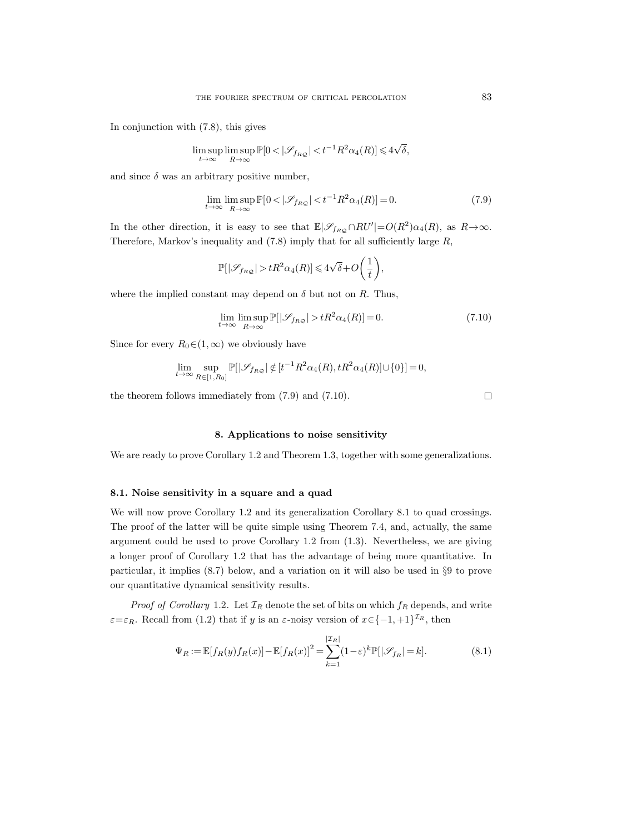In conjunction with (7.8), this gives

$$
\limsup_{t \to \infty} \limsup_{R \to \infty} \mathbb{P}[0 < |\mathcal{S}_{f_{RQ}}| < t^{-1} R^2 \alpha_4(R)] \leq 4\sqrt{\delta},
$$

and since  $\delta$  was an arbitrary positive number,

$$
\lim_{t \to \infty} \limsup_{R \to \infty} \mathbb{P}[0 < |\mathcal{S}_{f_{RQ}}| < t^{-1} R^2 \alpha_4(R)] = 0.
$$
\n(7.9)

In the other direction, it is easy to see that  $\mathbb{E}|\mathscr{S}_{f_{RQ}} \cap RU'| = O(R^2)\alpha_4(R)$ , as  $R \to \infty$ . Therefore, Markov's inequality and  $(7.8)$  imply that for all sufficiently large R,

$$
\mathbb{P}[|\mathcal{S}_{f_{RQ}}| > tR^2\alpha_4(R)] \leqslant 4\sqrt{\delta} + O\bigg(\frac{1}{t}\bigg),
$$

where the implied constant may depend on  $\delta$  but not on R. Thus,

$$
\lim_{t \to \infty} \limsup_{R \to \infty} \mathbb{P}[|\mathcal{S}_{f_{RQ}}| > tR^2 \alpha_4(R)] = 0.
$$
\n(7.10)

Since for every  $R_0 \in (1,\infty)$  we obviously have

$$
\lim_{t \to \infty} \sup_{R \in [1, R_0]} \mathbb{P}[|\mathscr{S}_{f_{RQ}}| \notin [t^{-1}R^2 \alpha_4(R), tR^2 \alpha_4(R)] \cup \{0\}] = 0,
$$

the theorem follows immediately from (7.9) and (7.10).

# 8. Applications to noise sensitivity

We are ready to prove Corollary 1.2 and Theorem 1.3, together with some generalizations.

#### 8.1. Noise sensitivity in a square and a quad

We will now prove Corollary 1.2 and its generalization Corollary 8.1 to quad crossings. The proof of the latter will be quite simple using Theorem 7.4, and, actually, the same argument could be used to prove Corollary 1.2 from (1.3). Nevertheless, we are giving a longer proof of Corollary 1.2 that has the advantage of being more quantitative. In particular, it implies (8.7) below, and a variation on it will also be used in §9 to prove our quantitative dynamical sensitivity results.

*Proof of Corollary* 1.2. Let  $\mathcal{I}_R$  denote the set of bits on which  $f_R$  depends, and write  $\varepsilon = \varepsilon_R$ . Recall from (1.2) that if y is an  $\varepsilon$ -noisy version of  $x \in \{-1, +1\}^{\mathcal{I}_R}$ , then

$$
\Psi_R := \mathbb{E}[f_R(y)f_R(x)] - \mathbb{E}[f_R(x)]^2 = \sum_{k=1}^{|\mathcal{I}_R|} (1 - \varepsilon)^k \mathbb{P}[|\mathscr{S}_{f_R}| = k]. \tag{8.1}
$$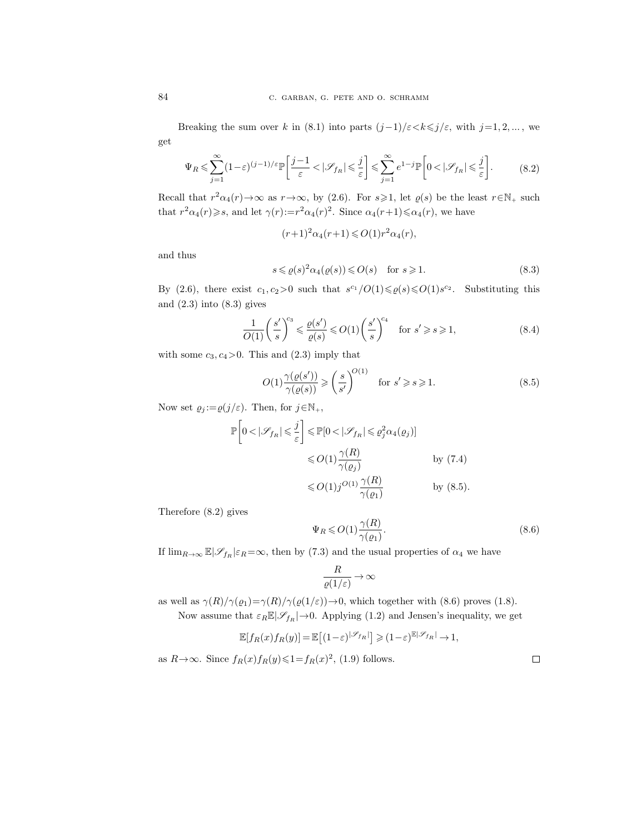Breaking the sum over k in (8.1) into parts  $(j-1)/\varepsilon < k \leq j/\varepsilon$ , with  $j=1, 2, \ldots$ , we get

$$
\Psi_R \leqslant \sum_{j=1}^{\infty} (1-\varepsilon)^{(j-1)/\varepsilon} \mathbb{P}\bigg[\frac{j-1}{\varepsilon} < |\mathscr{S}_{f_R}| \leqslant \frac{j}{\varepsilon}\bigg] \leqslant \sum_{j=1}^{\infty} e^{1-j} \mathbb{P}\bigg[0 < |\mathscr{S}_{f_R}| \leqslant \frac{j}{\varepsilon}\bigg].\tag{8.2}
$$

Recall that  $r^2\alpha_4(r) \to \infty$  as  $r \to \infty$ , by (2.6). For  $s \geq 1$ , let  $\varrho(s)$  be the least  $r \in \mathbb{N}_+$  such that  $r^2\alpha_4(r) \geqslant s$ , and let  $\gamma(r) := r^2\alpha_4(r)^2$ . Since  $\alpha_4(r+1) \leqslant \alpha_4(r)$ , we have

$$
(r+1)^2 \alpha_4(r+1) \leqslant O(1) r^2 \alpha_4(r),
$$

and thus

$$
s \leq \varrho(s)^2 \alpha_4(\varrho(s)) \leq O(s) \quad \text{for } s \geq 1. \tag{8.3}
$$

By (2.6), there exist  $c_1, c_2 > 0$  such that  $s^{c_1}/O(1) \leq \varrho(s) \leq O(1) s^{c_2}$ . Substituting this and (2.3) into (8.3) gives

$$
\frac{1}{O(1)} \left(\frac{s'}{s}\right)^{c_3} \leq \frac{\varrho(s')}{\varrho(s)} \leq O(1) \left(\frac{s'}{s}\right)^{c_4} \quad \text{for } s' \geq s \geq 1,
$$
\n
$$
(8.4)
$$

with some  $c_3, c_4>0$ . This and  $(2.3)$  imply that

$$
O(1)\frac{\gamma(\varrho(s'))}{\gamma(\varrho(s))} \geqslant \left(\frac{s}{s'}\right)^{O(1)} \quad \text{for } s' \geqslant s \geqslant 1. \tag{8.5}
$$

Now set  $\varrho_j := \varrho(j/\varepsilon)$ . Then, for  $j \in \mathbb{N}_+$ ,

$$
\mathbb{P}\left[0 < |\mathcal{S}_{f_R}| \leq \frac{j}{\varepsilon}\right] \leq \mathbb{P}[0 < |\mathcal{S}_{f_R}| \leq \varrho_j^2 \alpha_4(\varrho_j)]
$$
\n
$$
\leq O(1) \frac{\gamma(R)}{\gamma(\varrho_j)} \qquad \qquad \text{by (7.4)}
$$
\n
$$
\leq O(1) j^{O(1)} \frac{\gamma(R)}{\gamma(\varrho_1)} \qquad \qquad \text{by (8.5)}.
$$

Therefore (8.2) gives

$$
\Psi_R \leqslant O(1) \frac{\gamma(R)}{\gamma(\varrho_1)}.\tag{8.6}
$$

If  $\lim_{R\to\infty} \mathbb{E}|\mathscr{S}_{f_R}|\varepsilon_R = \infty$ , then by (7.3) and the usual properties of  $\alpha_4$  we have

$$
\frac{R}{\varrho(1/\varepsilon)}\!\to\!\infty
$$

as well as  $\gamma(R)/\gamma(\varrho_1)=\gamma(R)/\gamma(\varrho(1/\varepsilon))\to 0$ , which together with (8.6) proves (1.8). Now assume that  $\varepsilon_R \mathbb{E}|\mathscr{S}_{f_R}|{\rightarrow} 0$ . Applying (1.2) and Jensen's inequality, we get

$$
\mathbb{E}[f_R(x)f_R(y)] = \mathbb{E}\big[(1-\varepsilon)^{|\mathscr{S}_{f_R}|}\big] \geq (1-\varepsilon)^{\mathbb{E}|\mathscr{S}_{f_R}|} \to 1,
$$

as  $R \rightarrow \infty$ . Since  $f_R(x) f_R(y) \leq 1 = f_R(x)^2$ , (1.9) follows.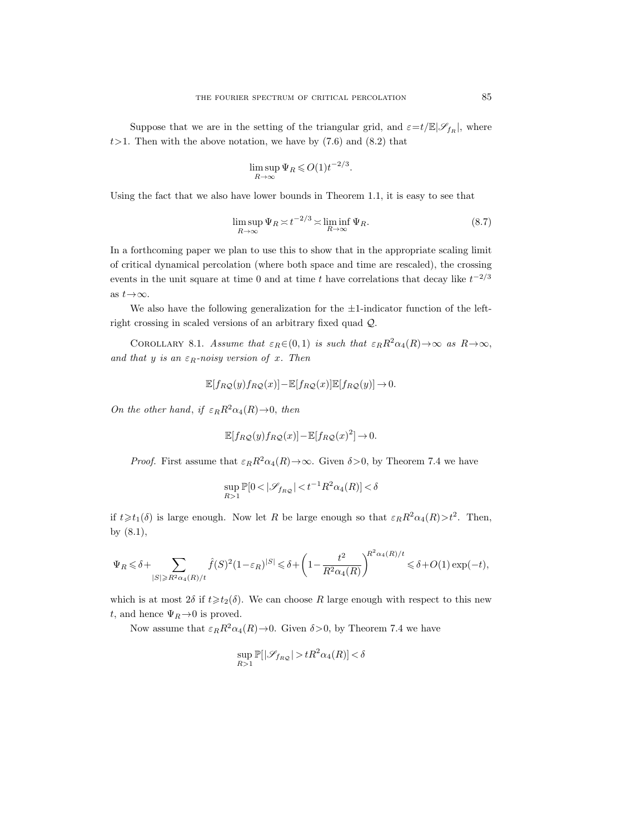Suppose that we are in the setting of the triangular grid, and  $\varepsilon = t/\mathbb{E}|\mathscr{S}_{f_R}|$ , where  $t>1$ . Then with the above notation, we have by  $(7.6)$  and  $(8.2)$  that

$$
\limsup_{R \to \infty} \Psi_R \leqslant O(1) t^{-2/3}
$$

Using the fact that we also have lower bounds in Theorem 1.1, it is easy to see that

$$
\limsup_{R \to \infty} \Psi_R \asymp t^{-2/3} \asymp \liminf_{R \to \infty} \Psi_R. \tag{8.7}
$$

.

In a forthcoming paper we plan to use this to show that in the appropriate scaling limit of critical dynamical percolation (where both space and time are rescaled), the crossing events in the unit square at time 0 and at time t have correlations that decay like  $t^{-2/3}$ as  $t \rightarrow \infty$ .

We also have the following generalization for the  $\pm 1$ -indicator function of the leftright crossing in scaled versions of an arbitrary fixed quad Q.

COROLLARY 8.1. Assume that  $\varepsilon_R \in (0,1)$  is such that  $\varepsilon_R R^2 \alpha_4(R) \rightarrow \infty$  as  $R \rightarrow \infty$ , and that y is an  $\varepsilon_R$ -noisy version of x. Then

$$
\mathbb{E}[f_{R\mathcal{Q}}(y)f_{R\mathcal{Q}}(x)] - \mathbb{E}[f_{R\mathcal{Q}}(x)]\mathbb{E}[f_{R\mathcal{Q}}(y)] \to 0.
$$

On the other hand, if  $\varepsilon_R R^2 \alpha_4(R) \rightarrow 0$ , then

$$
\mathbb{E}[f_{R\mathcal{Q}}(y)f_{R\mathcal{Q}}(x)] - \mathbb{E}[f_{R\mathcal{Q}}(x)^2] \to 0.
$$

*Proof.* First assume that  $\varepsilon_R R^2 \alpha_4(R) \rightarrow \infty$ . Given  $\delta > 0$ , by Theorem 7.4 we have

$$
\sup_{R>1} \mathbb{P}[0<|\mathscr{S}_{f_{R\mathcal{Q}}}|
$$

if  $t \geq t_1(\delta)$  is large enough. Now let R be large enough so that  $\varepsilon_R R^2 \alpha_4(R) > t^2$ . Then, by (8.1),

$$
\Psi_R \leqslant \delta + \sum_{|S| \geqslant R^2\alpha_4(R)/t}\hat{f}(S)^2(1-\varepsilon_R)^{|S|} \leqslant \delta + \left(1-\frac{t^2}{R^2\alpha_4(R)}\right)^{\!\!R^2\alpha_4(R)/t} \leqslant \delta + O(1)\exp(-t),
$$

which is at most  $2\delta$  if  $t \geq t_2(\delta)$ . We can choose R large enough with respect to this new t, and hence  $\Psi_R \rightarrow 0$  is proved.

Now assume that  $\varepsilon_R R^2 \alpha_4(R) \rightarrow 0$ . Given  $\delta > 0$ , by Theorem 7.4 we have

$$
\sup_{R>1} \mathbb{P}[|\mathcal{S}_{f_{RQ}}| > tR^2 \alpha_4(R)] < \delta
$$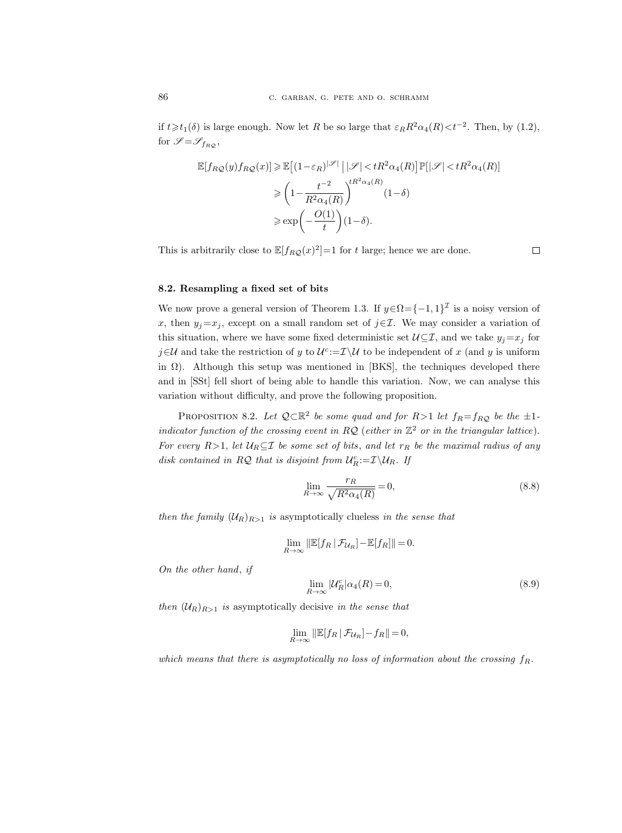if  $t \geq t_1(\delta)$  is large enough. Now let R be so large that  $\varepsilon_R R^2 \alpha_4(R) < t^{-2}$ . Then, by (1.2), for  $\mathscr{S} = \mathscr{S}_{f_{R\mathcal{Q}}}$ ,

$$
\mathbb{E}[f_{R\mathcal{Q}}(y)f_{R\mathcal{Q}}(x)] \ge \mathbb{E}\left[(1-\varepsilon_R)^{|\mathcal{S}|} \mid |\mathcal{S}| < tR^2\alpha_4(R)\right] \mathbb{P}[\mathcal{S}| < tR^2\alpha_4(R)]
$$
\n
$$
\ge \left(1 - \frac{t^{-2}}{R^2\alpha_4(R)}\right)^{tR^2\alpha_4(R)} (1-\delta)
$$
\n
$$
\ge \exp\left(-\frac{O(1)}{t}\right)(1-\delta).
$$

This is arbitrarily close to  $\mathbb{E}[f_{RQ}(x)^2]=1$  for t large; hence we are done.

 $\Box$ 

# 8.2. Resampling a fixed set of bits

We now prove a general version of Theorem 1.3. If  $y \in \Omega = \{-1, 1\}^{\mathcal{I}}$  is a noisy version of x, then  $y_j=x_j$ , except on a small random set of  $j\in\mathcal{I}$ . We may consider a variation of this situation, where we have some fixed deterministic set  $\mathcal{U}\subseteq \mathcal{I}$ , and we take  $y_j=x_j$  for j∈U and take the restriction of y to  $\mathcal{U}^c := \mathcal{I} \setminus \mathcal{U}$  to be independent of x (and y is uniform in  $\Omega$ ). Although this setup was mentioned in [BKS], the techniques developed there and in [SSt] fell short of being able to handle this variation. Now, we can analyse this variation without difficulty, and prove the following proposition.

PROPOSITION 8.2. Let  $Q \subset \mathbb{R}^2$  be some quad and for  $R > 1$  let  $f_R = f_{RQ}$  be the  $\pm 1$ indicator function of the crossing event in RQ (either in  $\mathbb{Z}^2$  or in the triangular lattice). For every  $R>1$ , let  $U_R \subseteq \mathcal{I}$  be some set of bits, and let  $r_R$  be the maximal radius of any disk contained in RQ that is disjoint from  $\mathcal{U}_R^c := \mathcal{I} \setminus \mathcal{U}_R$ . If

$$
\lim_{R \to \infty} \frac{r_R}{\sqrt{R^2 \alpha_4(R)}} = 0,
$$
\n(8.8)

then the family  $(U_R)_{R>1}$  is asymptotically clueless in the sense that

$$
\lim_{R\to\infty}\|\mathbb{E}[f_R|\mathcal{F}_{\mathcal{U}_R}]-\mathbb{E}[f_R]\|=0.
$$

On the other hand, if

$$
\lim_{R \to \infty} |\mathcal{U}_R^c| \alpha_4(R) = 0,\tag{8.9}
$$

then  $(U_R)_{R>1}$  is asymptotically decisive in the sense that

$$
\lim_{R \to \infty} \|\mathbb{E}[f_R \,|\, \mathcal{F}_{\mathcal{U}_R}] - f_R\| = 0,
$$

which means that there is asymptotically no loss of information about the crossing  $f_R$ .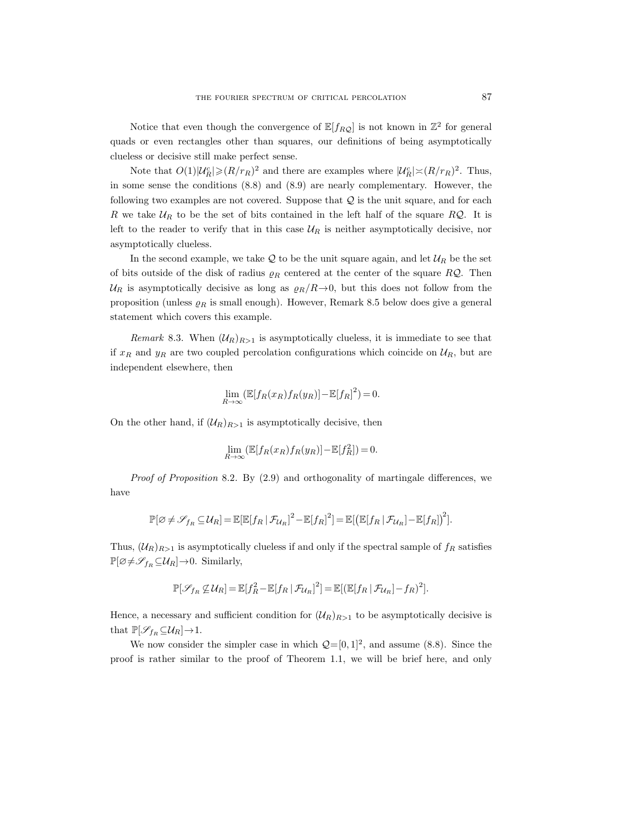Notice that even though the convergence of  $\mathbb{E}[f_{RQ}]$  is not known in  $\mathbb{Z}^2$  for general quads or even rectangles other than squares, our definitions of being asymptotically clueless or decisive still make perfect sense.

Note that  $O(1)|\mathcal{U}_R^c| \geq (R/r_R)^2$  and there are examples where  $|\mathcal{U}_R^c| \asymp (R/r_R)^2$ . Thus, in some sense the conditions (8.8) and (8.9) are nearly complementary. However, the following two examples are not covered. Suppose that  $Q$  is the unit square, and for each R we take  $U_R$  to be the set of bits contained in the left half of the square RQ. It is left to the reader to verify that in this case  $\mathcal{U}_R$  is neither asymptotically decisive, nor asymptotically clueless.

In the second example, we take  $\mathcal Q$  to be the unit square again, and let  $\mathcal U_R$  be the set of bits outside of the disk of radius  $\rho_R$  centered at the center of the square RQ. Then  $U_R$  is asymptotically decisive as long as  $\rho_R/R\rightarrow 0$ , but this does not follow from the proposition (unless  $\varrho_R$  is small enough). However, Remark 8.5 below does give a general statement which covers this example.

Remark 8.3. When  $(U_R)_{R>1}$  is asymptotically clueless, it is immediate to see that if  $x_R$  and  $y_R$  are two coupled percolation configurations which coincide on  $\mathcal{U}_R$ , but are independent elsewhere, then

$$
\lim_{R \to \infty} (\mathbb{E}[f_R(x_R)f_R(y_R)] - \mathbb{E}[f_R]^2) = 0.
$$

On the other hand, if  $(\mathcal{U}_R)_{R>1}$  is asymptotically decisive, then

$$
\lim_{R \to \infty} (\mathbb{E}[f_R(x_R)f_R(y_R)] - \mathbb{E}[f_R^2]) = 0.
$$

Proof of Proposition 8.2. By (2.9) and orthogonality of martingale differences, we have

$$
\mathbb{P}[\varnothing \neq \mathscr{S}_{f_R} \subseteq \mathcal{U}_R] = \mathbb{E}[\mathbb{E}[f_R \,|\, \mathcal{F}_{\mathcal{U}_R}]^2 - \mathbb{E}[f_R]^2] = \mathbb{E}[\big(\mathbb{E}[f_R \,|\, \mathcal{F}_{\mathcal{U}_R}] - \mathbb{E}[f_R]\big)^2].
$$

Thus,  $(\mathcal{U}_R)_{R>1}$  is asymptotically clueless if and only if the spectral sample of  $f_R$  satisfies  $\mathbb{P}[\emptyset \neq \mathscr{S}_{f_R} \subseteq \mathcal{U}_R] \rightarrow 0.$  Similarly,

$$
\mathbb{P}[\mathscr{S}_{f_R} \not\subseteq \mathcal{U}_R] = \mathbb{E}[f_R^2 - \mathbb{E}[f_R | \mathcal{F}_{\mathcal{U}_R}]^2] = \mathbb{E}[(\mathbb{E}[f_R | \mathcal{F}_{\mathcal{U}_R}] - f_R)^2].
$$

Hence, a necessary and sufficient condition for  $(\mathcal{U}_R)_{R>1}$  to be asymptotically decisive is that  $\mathbb{P}[\mathscr{S}_{f_R} \subseteq \mathcal{U}_R] \rightarrow 1$ .

We now consider the simpler case in which  $\mathcal{Q}=[0,1]^2$ , and assume (8.8). Since the proof is rather similar to the proof of Theorem 1.1, we will be brief here, and only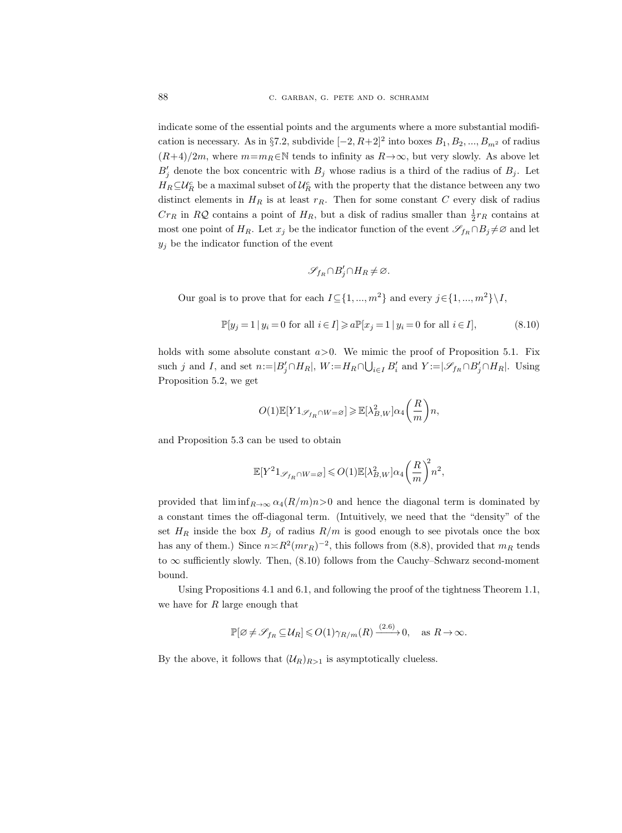indicate some of the essential points and the arguments where a more substantial modification is necessary. As in §7.2, subdivide  $[-2, R+2]^2$  into boxes  $B_1, B_2, ..., B_{m^2}$  of radius  $(R+4)/2m$ , where  $m=m_R \in \mathbb{N}$  tends to infinity as  $R \rightarrow \infty$ , but very slowly. As above let  $B'_j$  denote the box concentric with  $B_j$  whose radius is a third of the radius of  $B_j$ . Let  $H_R \subseteq \mathcal{U}_R^c$  be a maximal subset of  $\mathcal{U}_R^c$  with the property that the distance between any two distinct elements in  $H_R$  is at least  $r_R$ . Then for some constant C every disk of radius  $Cr_R$  in RQ contains a point of  $H_R$ , but a disk of radius smaller than  $\frac{1}{2}r_R$  contains at most one point of  $H_R$ . Let  $x_j$  be the indicator function of the event  $\mathscr{S}_{f_R} \cap B_j \neq \emptyset$  and let  $y_j$  be the indicator function of the event

$$
\mathscr{S}_{f_{R}}\cap B_{j}'\cap H_{R}\neq\varnothing.
$$

Our goal is to prove that for each  $I \subseteq \{1, ..., m^2\}$  and every  $j \in \{1, ..., m^2\}\setminus I$ ,

$$
\mathbb{P}[y_j = 1 \mid y_i = 0 \text{ for all } i \in I] \geqslant a \mathbb{P}[x_j = 1 \mid y_i = 0 \text{ for all } i \in I],\tag{8.10}
$$

holds with some absolute constant  $a > 0$ . We mimic the proof of Proposition 5.1. Fix such j and I, and set  $n:=|B_j'\cap H_R|$ ,  $W:=H_R\cap \bigcup_{i\in I} B_i'$  and  $Y:=|\mathscr{S}_{f_R}\cap B_j'\cap H_R|$ . Using Proposition 5.2, we get

$$
O(1)\mathbb{E}[Y1_{\mathscr{S}_{f_R} \cap W = \varnothing}] \geqslant \mathbb{E}[\lambda_{B,W}^2] \alpha_4\bigg(\frac{R}{m}\bigg)n,
$$

and Proposition 5.3 can be used to obtain

$$
\mathbb{E}[Y^2 1_{\mathscr{S}_{f_R} \cap W = \varnothing}] \leqslant O(1) \mathbb{E}[\lambda_{B,W}^2] \alpha_4 \bigg( \frac{R}{m} \bigg)^{\!\!2} n^2,
$$

provided that  $\liminf_{R\to\infty} \alpha_4(R/m) n>0$  and hence the diagonal term is dominated by a constant times the off-diagonal term. (Intuitively, we need that the "density" of the set  $H_R$  inside the box  $B_j$  of radius  $R/m$  is good enough to see pivotals once the box has any of them.) Since  $n \times R^2(mr_R)^{-2}$ , this follows from (8.8), provided that  $m_R$  tends to  $\infty$  sufficiently slowly. Then, (8.10) follows from the Cauchy–Schwarz second-moment bound.

Using Propositions 4.1 and 6.1, and following the proof of the tightness Theorem 1.1, we have for  $R$  large enough that

$$
\mathbb{P}[\varnothing \neq \mathscr{S}_{f_R} \subseteq \mathcal{U}_R] \leqslant O(1)\gamma_{R/m}(R) \xrightarrow{(2.6)} 0, \quad \text{as } R \to \infty.
$$

By the above, it follows that  $(\mathcal{U}_R)_{R>1}$  is asymptotically clueless.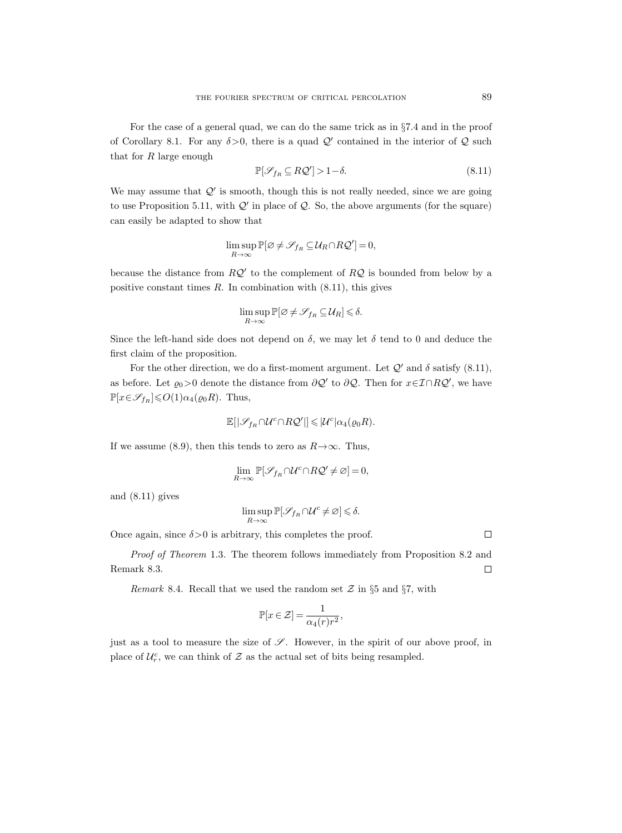For the case of a general quad, we can do the same trick as in §7.4 and in the proof of Corollary 8.1. For any  $\delta > 0$ , there is a quad  $\mathcal{Q}'$  contained in the interior of  $\mathcal Q$  such that for  $R$  large enough

$$
\mathbb{P}[\mathcal{S}_{f_R} \subseteq R\mathcal{Q}'] > 1 - \delta. \tag{8.11}
$$

We may assume that  $Q'$  is smooth, though this is not really needed, since we are going to use Proposition 5.11, with  $\mathcal{Q}'$  in place of  $\mathcal{Q}$ . So, the above arguments (for the square) can easily be adapted to show that

$$
\limsup_{R\to\infty}\mathbb{P}[\varnothing\neq\mathscr{S}_{f_R}\subseteq\mathcal{U}_R\cap R\mathcal{Q}']=0,
$$

because the distance from  $RQ'$  to the complement of  $RQ$  is bounded from below by a positive constant times  $R$ . In combination with  $(8.11)$ , this gives

$$
\limsup_{R\to\infty}\mathbb{P}[\varnothing \neq \mathscr{S}_{f_R} \subseteq \mathcal{U}_R] \leq \delta.
$$

Since the left-hand side does not depend on  $\delta$ , we may let  $\delta$  tend to 0 and deduce the first claim of the proposition.

For the other direction, we do a first-moment argument. Let  $\mathcal{Q}'$  and  $\delta$  satisfy (8.11), as before. Let  $\varrho_0 > 0$  denote the distance from  $\partial \mathcal{Q}'$  to  $\partial \mathcal{Q}$ . Then for  $x \in \mathcal{I} \cap R\mathcal{Q}'$ , we have  $\mathbb{P}[x \in \mathscr{S}_{f_R}] \leqslant O(1)\alpha_4(\varrho_0 R)$ . Thus,

$$
\mathbb{E}[|\mathscr{S}_{f_R} \cap \mathcal{U}^c \cap R\mathcal{Q}'|] \leqslant |\mathcal{U}^c|\alpha_4(\varrho_0 R).
$$

If we assume (8.9), then this tends to zero as  $R \rightarrow \infty$ . Thus,

$$
\lim_{R \to \infty} \mathbb{P}[\mathcal{S}_{f_R} \cap \mathcal{U}^c \cap R\mathcal{Q}' \neq \varnothing] = 0,
$$

and (8.11) gives

$$
\limsup_{R\to\infty}\mathbb{P}[\mathscr{S}_{f_R}\!\cap\!\mathcal{U}^c\!\neq\!\varnothing]\!\leqslant\!\delta.
$$

Once again, since  $\delta > 0$  is arbitrary, this completes the proof.

Proof of Theorem 1.3. The theorem follows immediately from Proposition 8.2 and Remark 8.3.  $\Box$ 

Remark 8.4. Recall that we used the random set  $\mathcal Z$  in §5 and §7, with

$$
\mathbb{P}[x \in \mathcal{Z}] = \frac{1}{\alpha_4(r)r^2},
$$

just as a tool to measure the size of  $\mathscr{S}$ . However, in the spirit of our above proof, in place of  $\mathcal{U}_r^c$ , we can think of  $\mathcal Z$  as the actual set of bits being resampled.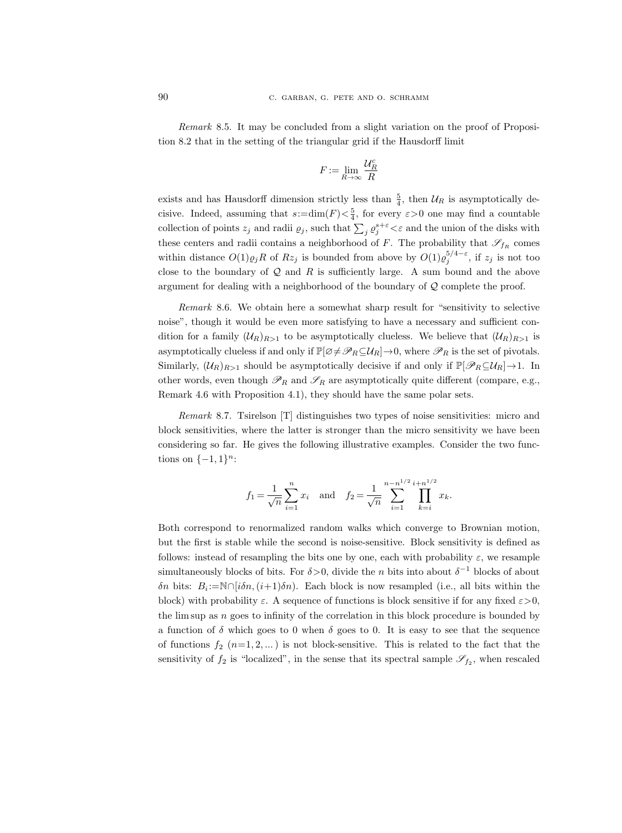Remark 8.5. It may be concluded from a slight variation on the proof of Proposition 8.2 that in the setting of the triangular grid if the Hausdorff limit

$$
F:=\lim_{R\to\infty}\frac{\mathcal{U}_R^c}{R}
$$

exists and has Hausdorff dimension strictly less than  $\frac{5}{4}$ , then  $\mathcal{U}_R$  is asymptotically decisive. Indeed, assuming that  $s:=\dim(F)<\frac{5}{4}$ , for every  $\varepsilon>0$  one may find a countable collection of points  $z_j$  and radii  $\varrho_j$ , such that  $\sum_j \varrho_j^{s+\varepsilon} < \varepsilon$  and the union of the disks with these centers and radii contains a neighborhood of F. The probability that  $\mathscr{S}_{f_R}$  comes within distance  $O(1)\rho_j R$  of  $Rz_j$  is bounded from above by  $O(1)\rho_j^{5/4-\varepsilon}$ , if  $z_j$  is not too close to the boundary of  $Q$  and  $R$  is sufficiently large. A sum bound and the above argument for dealing with a neighborhood of the boundary of  $Q$  complete the proof.

Remark 8.6. We obtain here a somewhat sharp result for "sensitivity to selective noise", though it would be even more satisfying to have a necessary and sufficient condition for a family  $(U_R)_{R>1}$  to be asymptotically clueless. We believe that  $(U_R)_{R>1}$  is asymptotically clueless if and only if  $\mathbb{P}[\emptyset \neq \mathscr{P}_R \subseteq \mathcal{U}_R] \to 0$ , where  $\mathscr{P}_R$  is the set of pivotals. Similarly,  $(\mathcal{U}_R)_{R>1}$  should be asymptotically decisive if and only if  $\mathbb{P}[\mathscr{P}_R \subseteq \mathcal{U}_R] \to 1$ . In other words, even though  $\mathcal{P}_R$  and  $\mathcal{S}_R$  are asymptotically quite different (compare, e.g., Remark 4.6 with Proposition 4.1), they should have the same polar sets.

Remark 8.7. Tsirelson [T] distinguishes two types of noise sensitivities: micro and block sensitivities, where the latter is stronger than the micro sensitivity we have been considering so far. He gives the following illustrative examples. Consider the two functions on  $\{-1,1\}^n$ :

$$
f_1 = \frac{1}{\sqrt{n}} \sum_{i=1}^n x_i
$$
 and  $f_2 = \frac{1}{\sqrt{n}} \sum_{i=1}^{n-n^{1/2}} \prod_{k=i}^{i+n^{1/2}} x_k$ .

Both correspond to renormalized random walks which converge to Brownian motion, but the first is stable while the second is noise-sensitive. Block sensitivity is defined as follows: instead of resampling the bits one by one, each with probability  $\varepsilon$ , we resample simultaneously blocks of bits. For  $\delta > 0$ , divide the n bits into about  $\delta^{-1}$  blocks of about δn bits:  $B_i := \mathbb{N} \cap [i\delta n, (i+1)\delta n]$ . Each block is now resampled (i.e., all bits within the block) with probability  $\varepsilon$ . A sequence of functions is block sensitive if for any fixed  $\varepsilon > 0$ , the lim sup as n goes to infinity of the correlation in this block procedure is bounded by a function of  $\delta$  which goes to 0 when  $\delta$  goes to 0. It is easy to see that the sequence of functions  $f_2$   $(n=1, 2, ...)$  is not block-sensitive. This is related to the fact that the sensitivity of  $f_2$  is "localized", in the sense that its spectral sample  $\mathscr{S}_{f_2}$ , when rescaled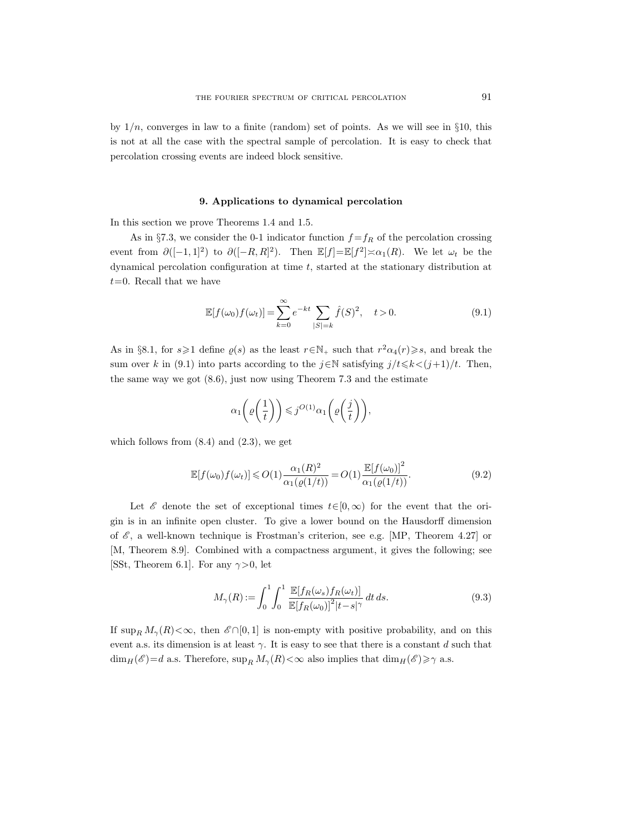by  $1/n$ , converges in law to a finite (random) set of points. As we will see in §10, this is not at all the case with the spectral sample of percolation. It is easy to check that percolation crossing events are indeed block sensitive.

# 9. Applications to dynamical percolation

In this section we prove Theorems 1.4 and 1.5.

As in §7.3, we consider the 0-1 indicator function  $f = f_R$  of the percolation crossing event from  $\partial([-1,1]^2)$  to  $\partial([-R,R]^2)$ . Then  $\mathbb{E}[f]=\mathbb{E}[f^2]\times\alpha_1(R)$ . We let  $\omega_t$  be the dynamical percolation configuration at time  $t$ , started at the stationary distribution at  $t=0$ . Recall that we have

$$
\mathbb{E}[f(\omega_0)f(\omega_t)] = \sum_{k=0}^{\infty} e^{-kt} \sum_{|S|=k} \hat{f}(S)^2, \quad t > 0.
$$
 (9.1)

As in §8.1, for  $s \geq 1$  define  $\varrho(s)$  as the least  $r \in \mathbb{N}_+$  such that  $r^2 \alpha_4(r) \geq s$ , and break the sum over k in (9.1) into parts according to the j∈N satisfying  $j/t \le k \le (j+1)/t$ . Then, the same way we got (8.6), just now using Theorem 7.3 and the estimate

$$
\alpha_1\bigg(\varrho\bigg(\frac{1}{t}\bigg)\bigg)\leqslant j^{O(1)}\alpha_1\bigg(\varrho\bigg(\frac{j}{t}\bigg)\bigg),
$$

which follows from  $(8.4)$  and  $(2.3)$ , we get

$$
\mathbb{E}[f(\omega_0)f(\omega_t)] \leqslant O(1)\frac{\alpha_1(R)^2}{\alpha_1(\varrho(1/t))} = O(1)\frac{\mathbb{E}[f(\omega_0)]^2}{\alpha_1(\varrho(1/t))}.
$$
\n(9.2)

Let  $\mathscr E$  denote the set of exceptional times  $t\in[0,\infty)$  for the event that the origin is in an infinite open cluster. To give a lower bound on the Hausdorff dimension of  $\mathscr{E}$ , a well-known technique is Frostman's criterion, see e.g. [MP, Theorem 4.27] or [M, Theorem 8.9]. Combined with a compactness argument, it gives the following; see [SSt, Theorem 6.1]. For any  $\gamma > 0$ , let

$$
M_{\gamma}(R) := \int_0^1 \int_0^1 \frac{\mathbb{E}[f_R(\omega_s) f_R(\omega_t)]}{\mathbb{E}[f_R(\omega_0)]^2 |t - s|^{\gamma}} dt ds.
$$
\n(9.3)

If  $\sup_R M_\gamma(R) < \infty$ , then  $\mathscr{E} \cap [0,1]$  is non-empty with positive probability, and on this event a.s. its dimension is at least  $\gamma$ . It is easy to see that there is a constant d such that  $\dim_H(\mathscr{E})=d$  a.s. Therefore,  $\sup_R M_\gamma(R)<\infty$  also implies that  $\dim_H(\mathscr{E})\geqslant\gamma$  a.s.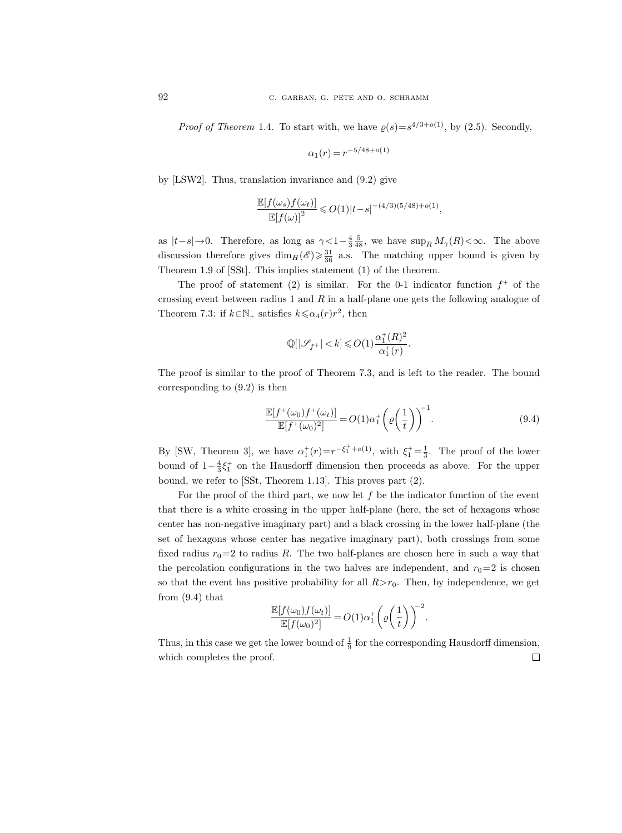*Proof of Theorem* 1.4. To start with, we have  $\varrho(s) = s^{4/3+o(1)}$ , by (2.5). Secondly,

$$
\alpha_1(r) = r^{-5/48 + o(1)}
$$

by [LSW2]. Thus, translation invariance and (9.2) give

$$
\frac{\mathbb{E}[f(\omega_s)f(\omega_t)]}{\mathbb{E}[f(\omega)]^2} \leqslant O(1)|t-s|^{-(4/3)(5/48)+o(1)},
$$

as  $|t-s| \to 0$ . Therefore, as long as  $\gamma < 1-\frac{4}{3}\frac{5}{48}$ , we have  $\sup_R M_{\gamma}(R) < \infty$ . The above discussion therefore gives  $\dim_H(\mathscr{E}) \geq \frac{31}{36}$  a.s. The matching upper bound is given by Theorem 1.9 of [SSt]. This implies statement (1) of the theorem.

The proof of statement (2) is similar. For the 0-1 indicator function  $f^+$  of the crossing event between radius 1 and  $R$  in a half-plane one gets the following analogue of Theorem 7.3: if  $k \in \mathbb{N}_+$  satisfies  $k \leq \alpha_4(r)r^2$ , then

$$
\mathbb{Q}[|\mathscr{S}_{f^+}| < k] \leqslant O(1) \frac{\alpha_1^+(R)^2}{\alpha_1^+(r)}.
$$

The proof is similar to the proof of Theorem 7.3, and is left to the reader. The bound corresponding to (9.2) is then

$$
\frac{\mathbb{E}[f^+(\omega_0)f^+(\omega_t)]}{\mathbb{E}[f^+(\omega_0)^2]} = O(1)\alpha_1^+\left(\varrho\left(\frac{1}{t}\right)\right)^{-1}.\tag{9.4}
$$

By [SW, Theorem 3], we have  $\alpha_1^+(r) = r^{-\xi_1^+ + o(1)}$ , with  $\xi_1^+ = \frac{1}{3}$ . The proof of the lower bound of  $1-\frac{4}{3}\xi_1^+$  on the Hausdorff dimension then proceeds as above. For the upper bound, we refer to [SSt, Theorem 1.13]. This proves part (2).

For the proof of the third part, we now let  $f$  be the indicator function of the event that there is a white crossing in the upper half-plane (here, the set of hexagons whose center has non-negative imaginary part) and a black crossing in the lower half-plane (the set of hexagons whose center has negative imaginary part), both crossings from some fixed radius  $r_0=2$  to radius R. The two half-planes are chosen here in such a way that the percolation configurations in the two halves are independent, and  $r_0=2$  is chosen so that the event has positive probability for all  $R>r_0$ . Then, by independence, we get from (9.4) that

$$
\frac{\mathbb{E}[f(\omega_0)f(\omega_t)]}{\mathbb{E}[f(\omega_0)^2]} = O(1)\alpha_1^+\bigg(\varrho\bigg(\frac{1}{t}\bigg)\bigg)^{-2}.
$$

Thus, in this case we get the lower bound of  $\frac{1}{9}$  for the corresponding Hausdorff dimension, which completes the proof. $\Box$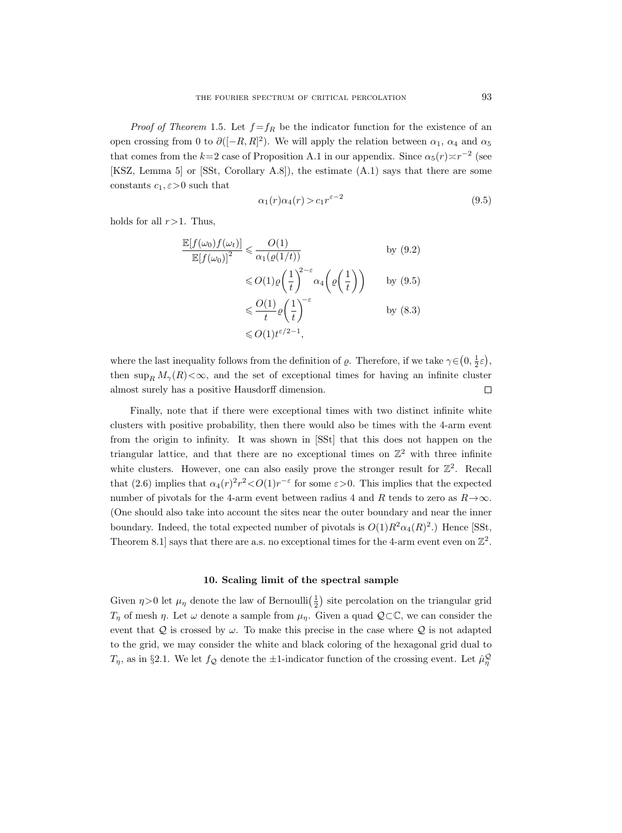*Proof of Theorem* 1.5. Let  $f = f_R$  be the indicator function for the existence of an open crossing from 0 to  $\partial([-R,R]^2)$ . We will apply the relation between  $\alpha_1$ ,  $\alpha_4$  and  $\alpha_5$ that comes from the  $k=2$  case of Proposition A.1 in our appendix. Since  $\alpha_5(r) \approx r^{-2}$  (see [KSZ, Lemma 5] or [SSt, Corollary A.8]), the estimate (A.1) says that there are some constants  $c_1, \varepsilon > 0$  such that

$$
\alpha_1(r)\alpha_4(r) > c_1 r^{\varepsilon - 2} \tag{9.5}
$$

holds for all  $r>1$ . Thus,

$$
\frac{\mathbb{E}[f(\omega_0)f(\omega_t)]}{\mathbb{E}[f(\omega_0)]^2} \leq \frac{O(1)}{\alpha_1(\varrho(1/t))}
$$
 by (9.2)  

$$
\leq O(1)\varrho\left(\frac{1}{t}\right)^{2-\varepsilon} \alpha_4\left(\varrho\left(\frac{1}{t}\right)\right)
$$
 by (9.5)

$$
\leq \frac{O(1)}{t} \varrho \left(\frac{1}{t}\right)^{-\varepsilon} \qquad \qquad \text{by (8.3)}
$$

$$
\leq O(1) t^{\varepsilon/2 - 1},
$$

where the last inequality follows from the definition of  $\varrho$ . Therefore, if we take  $\gamma \in (0, \frac{1}{2}\varepsilon)$ , then sup<sub>R</sub>  $M_{\gamma}(R) < \infty$ , and the set of exceptional times for having an infinite cluster almost surely has a positive Hausdorff dimension.  $\Box$ 

Finally, note that if there were exceptional times with two distinct infinite white clusters with positive probability, then there would also be times with the 4-arm event from the origin to infinity. It was shown in [SSt] that this does not happen on the triangular lattice, and that there are no exceptional times on  $\mathbb{Z}^2$  with three infinite white clusters. However, one can also easily prove the stronger result for  $\mathbb{Z}^2$ . Recall that (2.6) implies that  $\alpha_4(r)^2 r^2 < O(1) r^{-\epsilon}$  for some  $\varepsilon > 0$ . This implies that the expected number of pivotals for the 4-arm event between radius 4 and R tends to zero as  $R \rightarrow \infty$ . (One should also take into account the sites near the outer boundary and near the inner boundary. Indeed, the total expected number of pivotals is  $O(1)R^2\alpha_4(R)^2$ .) Hence [SSt, Theorem 8.1 says that there are a.s. no exceptional times for the 4-arm event even on  $\mathbb{Z}^2$ .

#### 10. Scaling limit of the spectral sample

Given  $\eta > 0$  let  $\mu_{\eta}$  denote the law of Bernoulli $\left(\frac{1}{2}\right)$  site percolation on the triangular grid  $T_n$  of mesh  $\eta$ . Let  $\omega$  denote a sample from  $\mu_n$ . Given a quad  $\mathcal{Q} \subset \mathbb{C}$ , we can consider the event that  $Q$  is crossed by  $\omega$ . To make this precise in the case where  $Q$  is not adapted to the grid, we may consider the white and black coloring of the hexagonal grid dual to  $T_{\eta}$ , as in §2.1. We let  $f_{\mathcal{Q}}$  denote the  $\pm 1$ -indicator function of the crossing event. Let  $\hat{\mu}_{\eta}^{\mathcal{Q}}$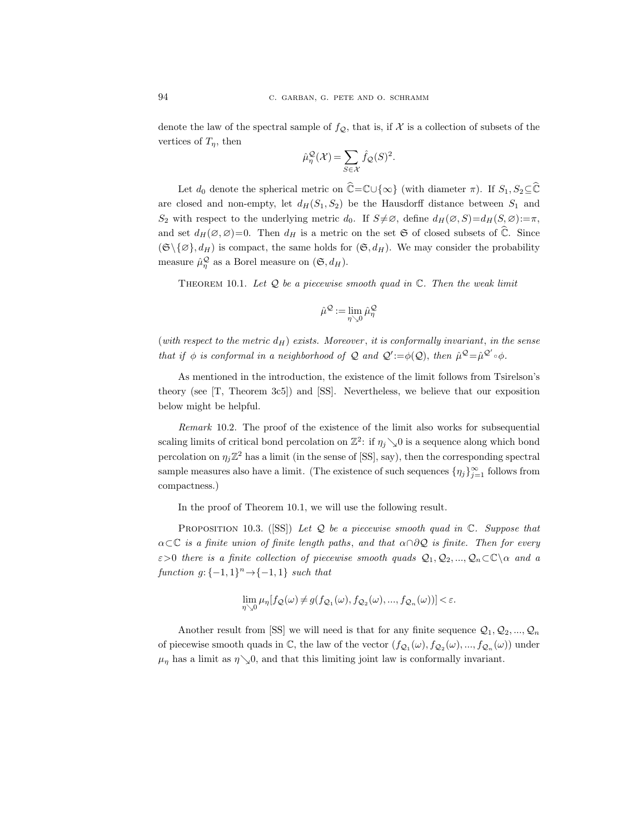denote the law of the spectral sample of  $f_{\mathcal{Q}}$ , that is, if X is a collection of subsets of the vertices of  $T_n$ , then

$$
\hat{\mu}_{\eta}^{\mathcal{Q}}(\mathcal{X}) = \sum_{S \in \mathcal{X}} \hat{f}_{\mathcal{Q}}(S)^2.
$$

Let  $d_0$  denote the spherical metric on  $\hat{\mathbb{C}}=\mathbb{C}\cup\{\infty\}$  (with diameter  $\pi$ ). If  $S_1, S_2\subseteq\hat{\mathbb{C}}$ are closed and non-empty, let  $d_H(S_1, S_2)$  be the Hausdorff distance between  $S_1$  and S<sub>2</sub> with respect to the underlying metric  $d_0$ . If  $S\neq\emptyset$ , define  $d_H(\emptyset, S)=d_H(S, \emptyset):=\pi$ , and set  $d_H(\emptyset, \emptyset) = 0$ . Then  $d_H$  is a metric on the set  $\mathfrak S$  of closed subsets of  $\widehat{\mathbb C}$ . Since  $(\mathfrak{S}\backslash \{\varnothing\}, d_H)$  is compact, the same holds for  $(\mathfrak{S}, d_H)$ . We may consider the probability measure  $\hat{\mu}_{\eta}^{\mathcal{Q}}$  as a Borel measure on  $(\mathfrak{S}, d_H)$ .

THEOREM 10.1. Let  $Q$  be a piecewise smooth quad in  $C$ . Then the weak limit

$$
\hat{\mu}^\mathcal{Q}:=\lim_{\eta\searrow 0}\hat{\mu}^\mathcal{Q}_\eta
$$

(with respect to the metric  $d_H$ ) exists. Moreover, it is conformally invariant, in the sense that if  $\phi$  is conformal in a neighborhood of Q and  $\mathcal{Q}' := \phi(\mathcal{Q})$ , then  $\hat{\mu}^{\mathcal{Q}} = \hat{\mu}^{\mathcal{Q}'} \circ \phi$ .

As mentioned in the introduction, the existence of the limit follows from Tsirelson's theory (see [T, Theorem 3c5]) and [SS]. Nevertheless, we believe that our exposition below might be helpful.

Remark 10.2. The proof of the existence of the limit also works for subsequential scaling limits of critical bond percolation on  $\mathbb{Z}^2$ : if  $\eta_j \searrow 0$  is a sequence along which bond percolation on  $\eta_j \mathbb{Z}^2$  has a limit (in the sense of [SS], say), then the corresponding spectral sample measures also have a limit. (The existence of such sequences  $\{\eta_j\}_{j=1}^{\infty}$  follows from compactness.)

In the proof of Theorem 10.1, we will use the following result.

PROPOSITION 10.3. ([SS]) Let  $Q$  be a piecewise smooth quad in  $\mathbb{C}$ . Suppose that  $\alpha \subset \mathbb{C}$  is a finite union of finite length paths, and that  $\alpha \cap \partial \mathcal{Q}$  is finite. Then for every  $\varepsilon>0$  there is a finite collection of piecewise smooth quads  $\mathcal{Q}_1, \mathcal{Q}_2, ..., \mathcal{Q}_n \subset \mathbb{C} \setminus \alpha$  and a function  $g: \{-1, 1\}^n \rightarrow \{-1, 1\}$  such that

$$
\lim_{\eta \searrow 0} \mu_{\eta} [f_{\mathcal{Q}}(\omega) \neq g(f_{\mathcal{Q}_1}(\omega), f_{\mathcal{Q}_2}(\omega), ..., f_{\mathcal{Q}_n}(\omega))] < \varepsilon.
$$

Another result from [SS] we will need is that for any finite sequence  $Q_1, Q_2, ..., Q_n$ of piecewise smooth quads in  $\mathbb{C}$ , the law of the vector  $(f_{\mathcal{Q}_1}(\omega), f_{\mathcal{Q}_2}(\omega), ..., f_{\mathcal{Q}_n}(\omega))$  under  $\mu_{\eta}$  has a limit as  $\eta \searrow 0$ , and that this limiting joint law is conformally invariant.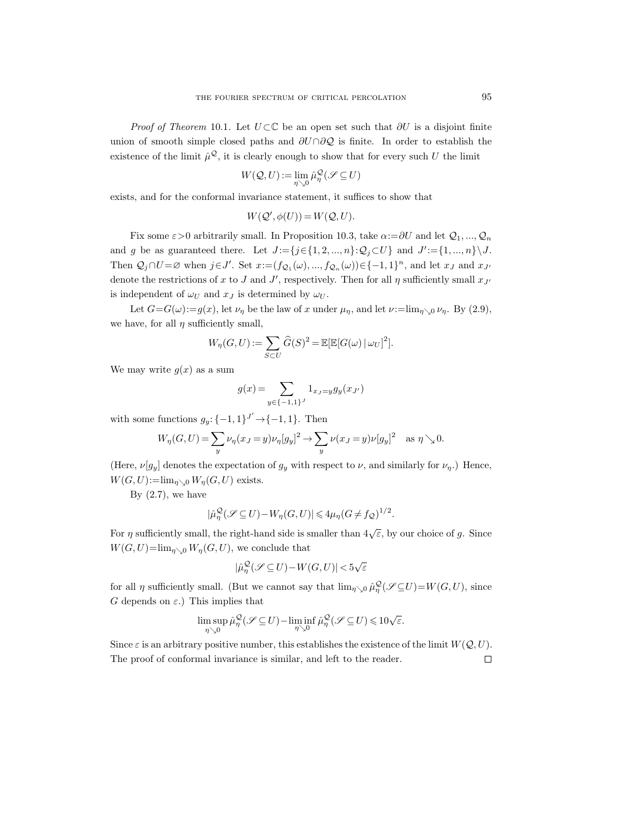*Proof of Theorem* 10.1. Let  $U \subset \mathbb{C}$  be an open set such that  $\partial U$  is a disjoint finite union of smooth simple closed paths and  $\partial U \cap \partial Q$  is finite. In order to establish the existence of the limit  $\hat{\mu}^{\mathcal{Q}}$ , it is clearly enough to show that for every such U the limit

$$
W(\mathcal{Q}, U) := \lim_{\eta \searrow 0} \hat{\mu}_{\eta}^{\mathcal{Q}}(\mathcal{S} \subseteq U)
$$

exists, and for the conformal invariance statement, it suffices to show that

$$
W(Q', \phi(U)) = W(Q, U).
$$

Fix some  $\varepsilon > 0$  arbitrarily small. In Proposition 10.3, take  $\alpha := \partial U$  and let  $\mathcal{Q}_1, ..., \mathcal{Q}_n$ and g be as guaranteed there. Let  $J := \{j \in \{1, 2, ..., n\} : Q_j \subset U\}$  and  $J' := \{1, ..., n\} \setminus J$ . Then  $Q_j \cap U = \varnothing$  when  $j \in J'$ . Set  $x := (f_{Q_1}(\omega), ..., f_{Q_n}(\omega)) \in \{-1, 1\}^n$ , and let  $x_J$  and  $x_{J'}$ denote the restrictions of x to J and J', respectively. Then for all  $\eta$  sufficiently small  $x_{J'}$ is independent of  $\omega_U$  and  $x_J$  is determined by  $\omega_U$ .

Let  $G=G(\omega):=g(x)$ , let  $\nu_{\eta}$  be the law of x under  $\mu_{\eta}$ , and let  $\nu:=\lim_{\eta\searrow 0} \nu_{\eta}$ . By (2.9), we have, for all  $\eta$  sufficiently small,

$$
W_{\eta}(G,U) := \sum_{S \subset U} \widehat{G}(S)^{2} = \mathbb{E}[\mathbb{E}[G(\omega) | \omega_{U}]^{2}].
$$

We may write  $q(x)$  as a sum

$$
g(x) = \sum_{y \in \{-1,1\}^J} 1_{x_J = y} g_y(x_{J'})
$$

with some functions  $g_y: \{-1, 1\}^{J'} \rightarrow \{-1, 1\}$ . Then

$$
W_{\eta}(G,U) = \sum_{y} \nu_{\eta}(x_j = y)\nu_{\eta}[g_y]^2 \to \sum_{y} \nu(x_j = y)\nu[g_y]^2 \quad \text{as } \eta \searrow 0.
$$

(Here,  $\nu[g_y]$  denotes the expectation of  $g_y$  with respect to  $\nu$ , and similarly for  $\nu_p$ .) Hence,  $W(G, U) := \lim_{\eta \searrow 0} W_{\eta}(G, U)$  exists.

By  $(2.7)$ , we have

$$
|\hat{\mu}_{\eta}^{\mathcal{Q}}(\mathcal{S} \subseteq U) - W_{\eta}(G, U)| \leq 4\mu_{\eta}(G \neq f_{\mathcal{Q}})^{1/2}.
$$

For  $\eta$  sufficiently small, the right-hand side is smaller than  $4\sqrt{\epsilon}$ , by our choice of g. Since  $W(G, U) = \lim_{\eta \searrow 0} W_{\eta}(G, U)$ , we conclude that

$$
|\hat{\mu}^{\mathcal{Q}}_{\eta}(\mathscr{S}\subseteq U) - W(G,U)| < 5\sqrt{\varepsilon}
$$

for all  $\eta$  sufficiently small. (But we cannot say that  $\lim_{\eta\searrow 0} \hat{\mu}^{\mathcal{Q}}_{\eta}(\mathscr{S} \subseteq U) = W(G, U)$ , since G depends on  $\varepsilon$ .) This implies that

$$
\limsup_{\eta\searrow 0} \hat{\mu}^{\mathcal{Q}}_{\eta}(\mathscr{S}\subseteq U) - \liminf_{\eta\searrow 0} \hat{\mu}^{\mathcal{Q}}_{\eta}(\mathscr{S}\subseteq U) \leqslant 10\sqrt{\varepsilon}.
$$

Since  $\varepsilon$  is an arbitrary positive number, this establishes the existence of the limit  $W(Q, U)$ . The proof of conformal invariance is similar, and left to the reader. $\Box$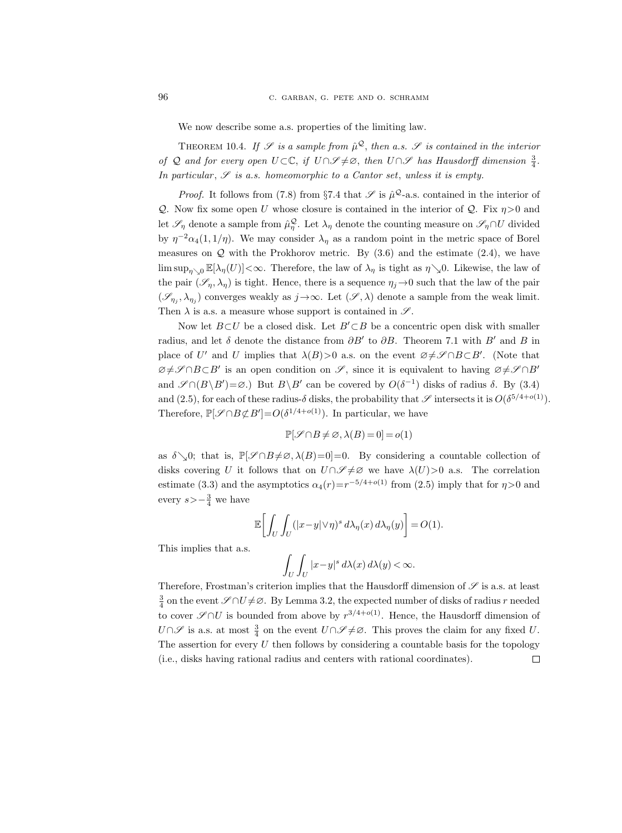We now describe some a.s. properties of the limiting law.

THEOREM 10.4. If  $\mathscr S$  is a sample from  $\hat\mu^{\mathcal Q}$ , then a.s.  $\mathscr S$  is contained in the interior of Q and for every open  $U \subset \mathbb{C}$ , if  $U \cap \mathscr{S} \neq \emptyset$ , then  $U \cap \mathscr{S}$  has Hausdorff dimension  $\frac{3}{4}$ . In particular,  $\mathscr S$  is a.s. homeomorphic to a Cantor set, unless it is empty.

*Proof.* It follows from (7.8) from §7.4 that  $\mathscr S$  is  $\hat \mu^{\mathcal Q}$ -a.s. contained in the interior of Q. Now fix some open U whose closure is contained in the interior of Q. Fix  $\eta > 0$  and let  $\mathscr{S}_\eta$  denote a sample from  $\hat{\mu}^{\mathcal{Q}}_{\eta}$ . Let  $\lambda_\eta$  denote the counting measure on  $\mathscr{S}_\eta \cap U$  divided by  $\eta^{-2}\alpha_4(1,1/\eta)$ . We may consider  $\lambda_\eta$  as a random point in the metric space of Borel measures on  $Q$  with the Prokhorov metric. By  $(3.6)$  and the estimate  $(2.4)$ , we have  $\limsup_{n\to 0} \mathbb{E}[\lambda_n(U)] < \infty$ . Therefore, the law of  $\lambda_n$  is tight as  $\eta\searrow 0$ . Likewise, the law of the pair  $(\mathscr{S}_n, \lambda_n)$  is tight. Hence, there is a sequence  $\eta_i \to 0$  such that the law of the pair  $(\mathscr{S}_{\eta_j}, \lambda_{\eta_j})$  converges weakly as  $j \to \infty$ . Let  $(\mathscr{S}, \lambda)$  denote a sample from the weak limit. Then  $\lambda$  is a.s. a measure whose support is contained in  $\mathscr{S}$ .

Now let  $B\subset U$  be a closed disk. Let  $B'\subset B$  be a concentric open disk with smaller radius, and let  $\delta$  denote the distance from  $\partial B'$  to  $\partial B$ . Theorem 7.1 with  $B'$  and  $B$  in place of U' and U implies that  $\lambda(B) > 0$  a.s. on the event  $\emptyset \neq \mathscr{S} \cap B \subset B'$ . (Note that  $\varnothing \neq \mathscr{S} \cap B \subset B'$  is an open condition on  $\mathscr{S}$ , since it is equivalent to having  $\varnothing \neq \mathscr{S} \cap B'$ and  $\mathscr{S} \cap (B \backslash B') = \varnothing$ .) But  $B \backslash B'$  can be covered by  $O(\delta^{-1})$  disks of radius  $\delta$ . By (3.4) and (2.5), for each of these radius- $\delta$  disks, the probability that  $\mathscr S$  intersects it is  $O(\delta^{5/4+o(1)})$ . Therefore,  $\mathbb{P}[\mathscr{S} \cap B \not\subset B'] = O(\delta^{1/4+o(1)})$ . In particular, we have

$$
\mathbb{P}[\mathscr{S}\!\cap\!B\neq\varnothing,\lambda(B)\!=\!0]\!=\!o(1)
$$

as  $\delta \setminus 0$ ; that is,  $\mathbb{P}[\mathscr{S} \cap B \neq \emptyset, \lambda(B)=0]=0$ . By considering a countable collection of disks covering U it follows that on  $U \cap \mathscr{S} \neq \emptyset$  we have  $\lambda(U) > 0$  a.s. The correlation estimate (3.3) and the asymptotics  $\alpha_4(r) = r^{-5/4+o(1)}$  from (2.5) imply that for  $\eta > 0$  and every  $s > -\frac{3}{4}$  we have

$$
\mathbb{E}\bigg[\int_U \int_U (|x-y| \vee \eta)^s \, d\lambda_\eta(x) \, d\lambda_\eta(y)\bigg] = O(1).
$$

This implies that a.s.

$$
\int_U\int_U|x-y|^s\,d\lambda(x)\,d\lambda(y)<\infty.
$$

Therefore, Frostman's criterion implies that the Hausdorff dimension of  $\mathscr S$  is a.s. at least  $\frac{3}{4}$  on the event  $\mathscr{S} \cap U \neq \emptyset$ . By Lemma 3.2, the expected number of disks of radius r needed to cover  $\mathscr{S} \cap U$  is bounded from above by  $r^{3/4+o(1)}$ . Hence, the Hausdorff dimension of  $U\cap\mathscr{S}$  is a.s. at most  $\frac{3}{4}$  on the event  $U\cap\mathscr{S}\neq\emptyset$ . This proves the claim for any fixed U. The assertion for every  $U$  then follows by considering a countable basis for the topology  $\Box$ (i.e., disks having rational radius and centers with rational coordinates).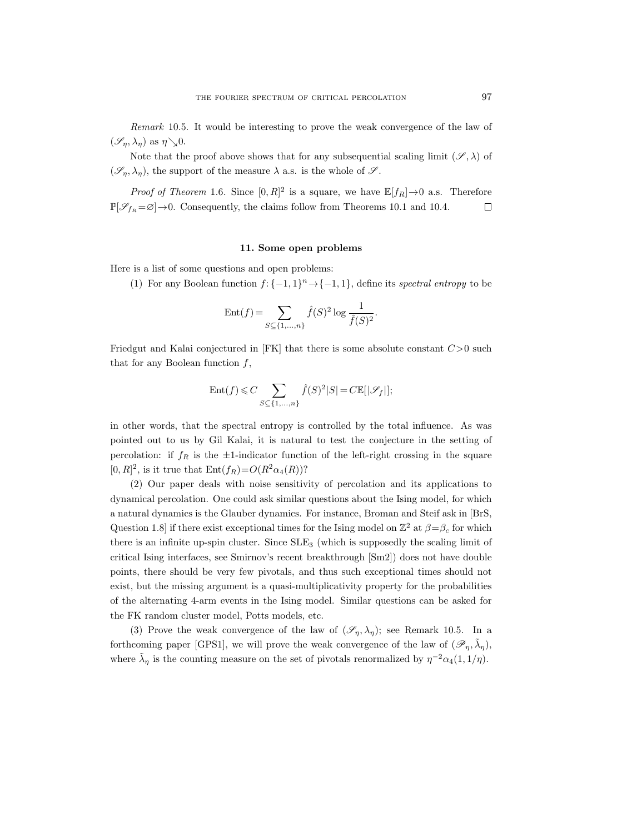Remark 10.5. It would be interesting to prove the weak convergence of the law of  $(\mathscr{S}_n, \lambda_n)$  as  $\eta \searrow 0$ .

Note that the proof above shows that for any subsequential scaling limit  $(\mathscr{S}, \lambda)$  of  $(\mathscr{S}_n, \lambda_n)$ , the support of the measure  $\lambda$  a.s. is the whole of  $\mathscr{S}$ .

*Proof of Theorem* 1.6. Since  $[0, R]^2$  is a square, we have  $\mathbb{E}[f_R] \to 0$  a.s. Therefore  $\mathbb{P}[\mathscr{S}_{f_B} = \emptyset] \to 0$ . Consequently, the claims follow from Theorems 10.1 and 10.4.  $\Box$ 

### 11. Some open problems

Here is a list of some questions and open problems:

(1) For any Boolean function  $f: \{-1, 1\}^n \to \{-1, 1\}$ , define its spectral entropy to be

Ent
$$
(f)
$$
 =  $\sum_{S \subseteq \{1,...,n\}} \hat{f}(S)^2 \log \frac{1}{\hat{f}(S)^2}$ .

Friedgut and Kalai conjectured in  $[FK]$  that there is some absolute constant  $C>0$  such that for any Boolean function  $f$ ,

$$
\mathrm{Ent}(f) \leqslant C \sum_{S \subseteq \{1, ..., n\}} \hat{f}(S)^2 |S| = C \mathbb{E}[|\mathscr{S}_f|];
$$

in other words, that the spectral entropy is controlled by the total influence. As was pointed out to us by Gil Kalai, it is natural to test the conjecture in the setting of percolation: if  $f_R$  is the  $\pm 1$ -indicator function of the left-right crossing in the square  $[0, R]^2$ , is it true that  $Ent(f_R) = O(R^2 \alpha_4(R))$ ?

(2) Our paper deals with noise sensitivity of percolation and its applications to dynamical percolation. One could ask similar questions about the Ising model, for which a natural dynamics is the Glauber dynamics. For instance, Broman and Steif ask in [BrS, Question 1.8 if there exist exceptional times for the Ising model on  $\mathbb{Z}^2$  at  $\beta = \beta_c$  for which there is an infinite up-spin cluster. Since  $SLE_3$  (which is supposedly the scaling limit of critical Ising interfaces, see Smirnov's recent breakthrough [Sm2]) does not have double points, there should be very few pivotals, and thus such exceptional times should not exist, but the missing argument is a quasi-multiplicativity property for the probabilities of the alternating 4-arm events in the Ising model. Similar questions can be asked for the FK random cluster model, Potts models, etc.

(3) Prove the weak convergence of the law of  $(\mathscr{S}_\eta, \lambda_\eta)$ ; see Remark 10.5. In a forthcoming paper [GPS1], we will prove the weak convergence of the law of  $(\mathscr{P}_\eta, \tilde{\lambda}_\eta)$ , where  $\tilde{\lambda}_{\eta}$  is the counting measure on the set of pivotals renormalized by  $\eta^{-2}\alpha_4(1,1/\eta)$ .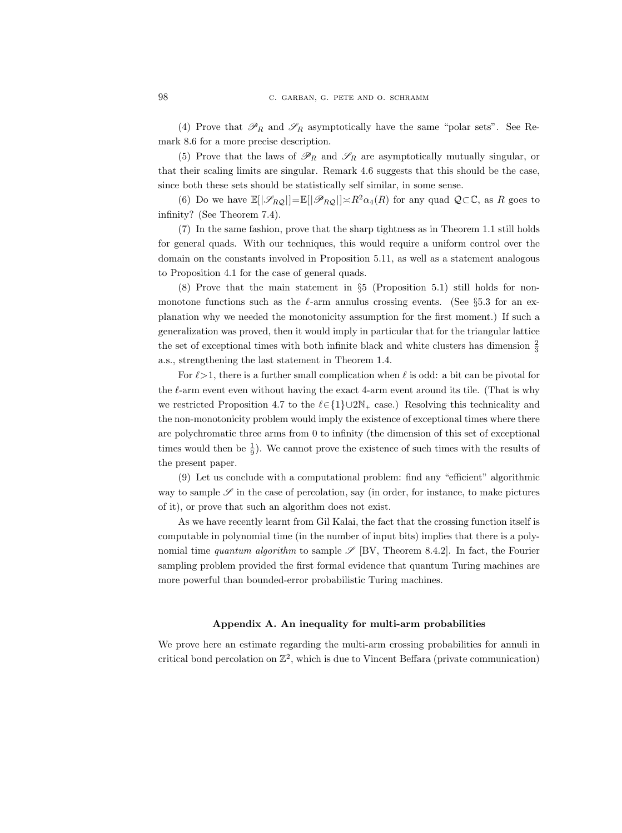(4) Prove that  $\mathscr{P}_R$  and  $\mathscr{S}_R$  asymptotically have the same "polar sets". See Remark 8.6 for a more precise description.

(5) Prove that the laws of  $\mathscr{P}_R$  and  $\mathscr{S}_R$  are asymptotically mutually singular, or that their scaling limits are singular. Remark 4.6 suggests that this should be the case, since both these sets should be statistically self similar, in some sense.

(6) Do we have  $\mathbb{E}[|\mathscr{S}_{RQ}|]=\mathbb{E}[|\mathscr{P}_{RQ}||\times R^2\alpha_4(R)$  for any quad  $\mathcal{Q}\subset\mathbb{C}$ , as R goes to infinity? (See Theorem 7.4).

(7) In the same fashion, prove that the sharp tightness as in Theorem 1.1 still holds for general quads. With our techniques, this would require a uniform control over the domain on the constants involved in Proposition 5.11, as well as a statement analogous to Proposition 4.1 for the case of general quads.

(8) Prove that the main statement in §5 (Proposition 5.1) still holds for nonmonotone functions such as the  $\ell$ -arm annulus crossing events. (See §5.3 for an explanation why we needed the monotonicity assumption for the first moment.) If such a generalization was proved, then it would imply in particular that for the triangular lattice the set of exceptional times with both infinite black and white clusters has dimension  $\frac{2}{3}$ a.s., strengthening the last statement in Theorem 1.4.

For  $\ell > 1$ , there is a further small complication when  $\ell$  is odd: a bit can be pivotal for the  $\ell$ -arm event even without having the exact 4-arm event around its tile. (That is why we restricted Proposition 4.7 to the  $\ell \in \{1\} \cup 2\mathbb{N}_+$  case.) Resolving this technicality and the non-monotonicity problem would imply the existence of exceptional times where there are polychromatic three arms from 0 to infinity (the dimension of this set of exceptional times would then be  $\frac{1}{9}$ . We cannot prove the existence of such times with the results of the present paper.

(9) Let us conclude with a computational problem: find any "efficient" algorithmic way to sample  $\mathscr S$  in the case of percolation, say (in order, for instance, to make pictures of it), or prove that such an algorithm does not exist.

As we have recently learnt from Gil Kalai, the fact that the crossing function itself is computable in polynomial time (in the number of input bits) implies that there is a polynomial time quantum algorithm to sample  $\mathscr S$  [BV, Theorem 8.4.2]. In fact, the Fourier sampling problem provided the first formal evidence that quantum Turing machines are more powerful than bounded-error probabilistic Turing machines.

## Appendix A. An inequality for multi-arm probabilities

We prove here an estimate regarding the multi-arm crossing probabilities for annuli in critical bond percolation on  $\mathbb{Z}^2$ , which is due to Vincent Beffara (private communication)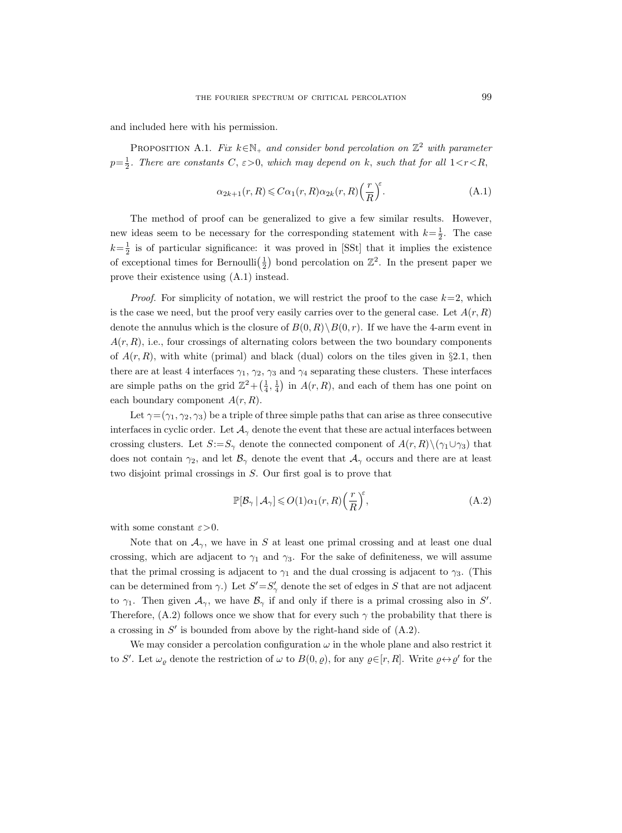and included here with his permission.

PROPOSITION A.1. Fix  $k \in \mathbb{N}_+$  and consider bond percolation on  $\mathbb{Z}^2$  with parameter  $p=\frac{1}{2}$ . There are constants C,  $\varepsilon > 0$ , which may depend on k, such that for all  $1 < r < R$ ,

$$
\alpha_{2k+1}(r,R) \leq C\alpha_1(r,R)\alpha_{2k}(r,R)\left(\frac{r}{R}\right)^{\varepsilon}.
$$
\n(A.1)

The method of proof can be generalized to give a few similar results. However, new ideas seem to be necessary for the corresponding statement with  $k=\frac{1}{2}$ . The case  $k=\frac{1}{2}$  is of particular significance: it was proved in [SSt] that it implies the existence of exceptional times for Bernoulli $(\frac{1}{2})$  bond percolation on  $\mathbb{Z}^2$ . In the present paper we prove their existence using (A.1) instead.

*Proof.* For simplicity of notation, we will restrict the proof to the case  $k=2$ , which is the case we need, but the proof very easily carries over to the general case. Let  $A(r, R)$ denote the annulus which is the closure of  $B(0, R) \setminus B(0, r)$ . If we have the 4-arm event in  $A(r, R)$ , i.e., four crossings of alternating colors between the two boundary components of  $A(r, R)$ , with white (primal) and black (dual) colors on the tiles given in §2.1, then there are at least 4 interfaces  $\gamma_1$ ,  $\gamma_2$ ,  $\gamma_3$  and  $\gamma_4$  separating these clusters. These interfaces are simple paths on the grid  $\mathbb{Z}^2 + (\frac{1}{4}, \frac{1}{4})$  in  $A(r, R)$ , and each of them has one point on each boundary component  $A(r, R)$ .

Let  $\gamma = (\gamma_1, \gamma_2, \gamma_3)$  be a triple of three simple paths that can arise as three consecutive interfaces in cyclic order. Let  $\mathcal{A}_{\gamma}$  denote the event that these are actual interfaces between crossing clusters. Let  $S:=S_{\gamma}$  denote the connected component of  $A(r, R)\setminus(\gamma_1\cup\gamma_3)$  that does not contain  $\gamma_2$ , and let  $\mathcal{B}_{\gamma}$  denote the event that  $\mathcal{A}_{\gamma}$  occurs and there are at least two disjoint primal crossings in S. Our first goal is to prove that

$$
\mathbb{P}[\mathcal{B}_{\gamma} \mid \mathcal{A}_{\gamma}] \leqslant O(1)\alpha_1(r, R)\left(\frac{r}{R}\right)^{\varepsilon},\tag{A.2}
$$

with some constant  $\varepsilon > 0$ .

Note that on  $A_{\gamma}$ , we have in S at least one primal crossing and at least one dual crossing, which are adjacent to  $\gamma_1$  and  $\gamma_3$ . For the sake of definiteness, we will assume that the primal crossing is adjacent to  $\gamma_1$  and the dual crossing is adjacent to  $\gamma_3$ . (This can be determined from  $\gamma$ .) Let  $S' = S'_{\gamma}$  denote the set of edges in S that are not adjacent to  $\gamma_1$ . Then given  $\mathcal{A}_{\gamma}$ , we have  $\mathcal{B}_{\gamma}$  if and only if there is a primal crossing also in S'. Therefore, (A.2) follows once we show that for every such  $\gamma$  the probability that there is a crossing in  $S'$  is bounded from above by the right-hand side of  $(A.2)$ .

We may consider a percolation configuration  $\omega$  in the whole plane and also restrict it to S'. Let  $\omega_{\varrho}$  denote the restriction of  $\omega$  to  $B(0, \varrho)$ , for any  $\varrho \in [r, R]$ . Write  $\varrho \leftrightarrow \varrho'$  for the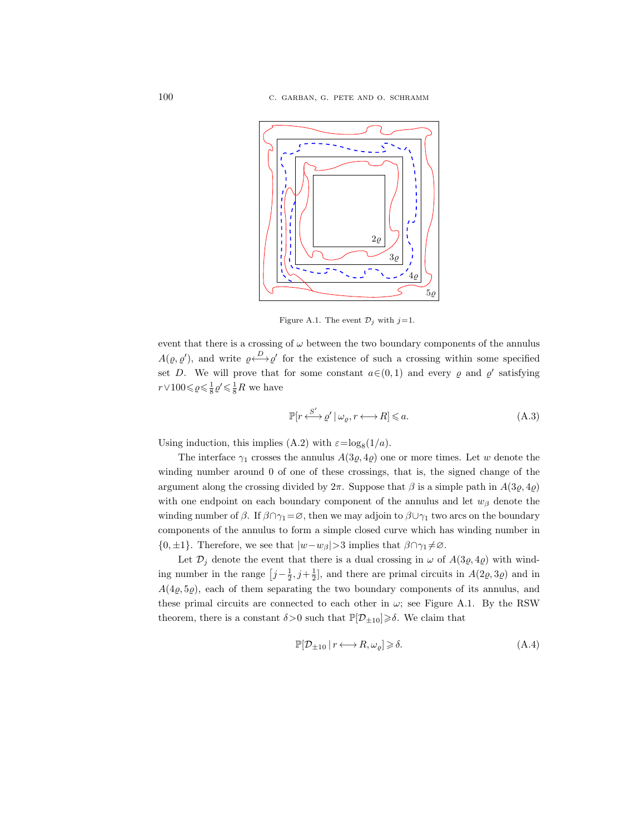

Figure A.1. The event  $\mathcal{D}_j$  with  $j=1$ .

event that there is a crossing of  $\omega$  between the two boundary components of the annulus  $A(\varrho, \varrho')$ , and write  $\varrho \stackrel{D}{\longleftrightarrow} \varrho'$  for the existence of such a crossing within some specified set D. We will prove that for some constant  $a \in (0,1)$  and every  $\varrho$  and  $\varrho'$  satisfying  $r \vee 100 \leq \varrho \leq \frac{1}{8} \varrho' \leq \frac{1}{8}R$  we have

$$
\mathbb{P}[r \xleftrightarrow{S'} \varrho' \mid \omega_{\varrho}, r \longleftrightarrow R] \leqslant a. \tag{A.3}
$$

Using induction, this implies (A.2) with  $\varepsilon = \log_8(1/a)$ .

The interface  $\gamma_1$  crosses the annulus  $A(3\varrho, 4\varrho)$  one or more times. Let w denote the winding number around 0 of one of these crossings, that is, the signed change of the argument along the crossing divided by  $2\pi$ . Suppose that  $\beta$  is a simple path in  $A(3\varrho, 4\varrho)$ with one endpoint on each boundary component of the annulus and let  $w_\beta$  denote the winding number of  $\beta$ . If  $\beta \cap \gamma_1 = \varnothing$ , then we may adjoin to  $\beta \cup \gamma_1$  two arcs on the boundary components of the annulus to form a simple closed curve which has winding number in  $\{0, \pm 1\}$ . Therefore, we see that  $|w-w_{\beta}|>3$  implies that  $\beta \cap \gamma_1 \neq \emptyset$ .

Let  $\mathcal{D}_j$  denote the event that there is a dual crossing in  $\omega$  of  $A(3\varrho, 4\varrho)$  with winding number in the range  $[j-\frac{1}{2}, j+\frac{1}{2}]$ , and there are primal circuits in  $A(2\varrho, 3\varrho)$  and in  $A(4\rho, 5\rho)$ , each of them separating the two boundary components of its annulus, and these primal circuits are connected to each other in  $\omega$ ; see Figure A.1. By the RSW theorem, there is a constant  $\delta > 0$  such that  $\mathbb{P}[\mathcal{D}_{\pm 10}] \geq \delta$ . We claim that

$$
\mathbb{P}[\mathcal{D}_{\pm 10} \mid r \longleftrightarrow R, \omega_{\varrho}] \geqslant \delta. \tag{A.4}
$$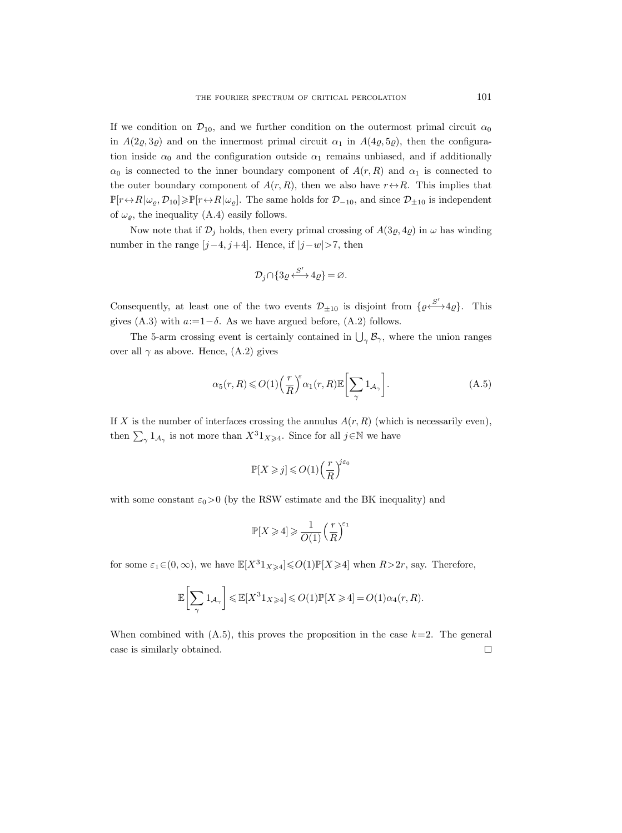If we condition on  $\mathcal{D}_{10}$ , and we further condition on the outermost primal circuit  $\alpha_0$ in  $A(2\varrho, 3\varrho)$  and on the innermost primal circuit  $\alpha_1$  in  $A(4\varrho, 5\varrho)$ , then the configuration inside  $\alpha_0$  and the configuration outside  $\alpha_1$  remains unbiased, and if additionally  $\alpha_0$  is connected to the inner boundary component of  $A(r, R)$  and  $\alpha_1$  is connected to the outer boundary component of  $A(r, R)$ , then we also have  $r \leftrightarrow R$ . This implies that  $\mathbb{P}[r \leftrightarrow R|\omega_{\varrho}, \mathcal{D}_{10}] \ge \mathbb{P}[r \leftrightarrow R|\omega_{\varrho}]$ . The same holds for  $\mathcal{D}_{-10}$ , and since  $\mathcal{D}_{\pm 10}$  is independent of  $\omega_{\varrho}$ , the inequality (A.4) easily follows.

Now note that if  $\mathcal{D}_j$  holds, then every primal crossing of  $A(3\varrho, 4\varrho)$  in  $\omega$  has winding number in the range  $[j-4, j+4]$ . Hence, if  $|j-w| > 7$ , then

$$
\mathcal{D}_j \cap \{3\varrho \xleftarrow{S'} 4\varrho\} = \varnothing.
$$

Consequently, at least one of the two events  $\mathcal{D}_{\pm 10}$  is disjoint from  $\{ \varrho \stackrel{S'}{\longleftrightarrow} 4\varrho \}$ . This gives (A.3) with  $a:=1-\delta$ . As we have argued before, (A.2) follows.

The 5-arm crossing event is certainly contained in  $\bigcup_{\gamma} \mathcal{B}_{\gamma}$ , where the union ranges over all  $\gamma$  as above. Hence, (A.2) gives

$$
\alpha_5(r, R) \leqslant O(1) \left(\frac{r}{R}\right)^{\varepsilon} \alpha_1(r, R) \mathbb{E} \left[\sum_{\gamma} 1_{\mathcal{A}_{\gamma}}\right].
$$
\n(A.5)

If X is the number of interfaces crossing the annulus  $A(r, R)$  (which is necessarily even), then  $\sum_{\gamma} 1_{\mathcal{A}_{\gamma}}$  is not more than  $X^3 1_{X \geq 4}$ . Since for all  $j \in \mathbb{N}$  we have

$$
\mathbb{P}[X \geqslant j] \leqslant O(1) \left(\frac{r}{R}\right)^{j\varepsilon_0}
$$

with some constant  $\varepsilon_0>0$  (by the RSW estimate and the BK inequality) and

$$
\mathbb{P}[X \geqslant 4] \geqslant \frac{1}{O(1)} \Big(\frac{r}{R}\Big)^{\!\!\varepsilon_1}
$$

for some  $\varepsilon_1 \in (0,\infty)$ , we have  $\mathbb{E}[X^3 1_{X\geq 4}] \leq O(1) \mathbb{P}[X\geq 4]$  when  $R>2r$ , say. Therefore,

$$
\mathbb{E}\bigg[\sum_{\gamma} 1_{\mathcal{A}_{\gamma}}\bigg] \leqslant \mathbb{E}[X^3 1_{X \geqslant 4}] \leqslant O(1) \mathbb{P}[X \geqslant 4] = O(1) \alpha_4(r,R).
$$

When combined with  $(A.5)$ , this proves the proposition in the case  $k=2$ . The general case is similarly obtained. $\Box$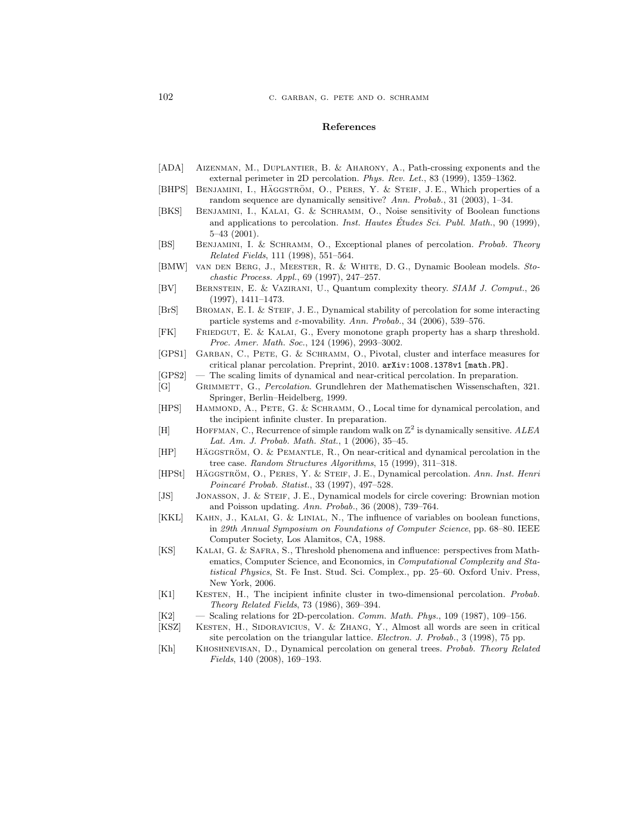#### References

- [ADA] Aizenman, M., Duplantier, B. & Aharony, A., Path-crossing exponents and the external perimeter in 2D percolation. Phys. Rev. Let., 83 (1999), 1359–1362.
- [BHPS] BENJAMINI, I., HÄGGSTRÖM, O., PERES, Y. & STEIF, J. E., Which properties of a random sequence are dynamically sensitive? Ann. Probab., 31 (2003), 1–34.
- [BKS] Benjamini, I., Kalai, G. & Schramm, O., Noise sensitivity of Boolean functions and applications to percolation. *Inst. Hautes Études Sci. Publ. Math.*,  $90$  (1999), 5–43 (2001).
- [BS] Benjamini, I. & Schramm, O., Exceptional planes of percolation. Probab. Theory Related Fields, 111 (1998), 551–564.
- [BMW] van den Berg, J., Meester, R. & White, D. G., Dynamic Boolean models. Stochastic Process. Appl., 69 (1997), 247–257.
- [BV] Bernstein, E. & Vazirani, U., Quantum complexity theory. SIAM J. Comput., 26 (1997), 1411–1473.
- [BrS] Broman, E. I. & Steif, J. E., Dynamical stability of percolation for some interacting particle systems and  $\varepsilon$ -movability. Ann. Probab., 34 (2006), 539–576.
- [FK] Friedgut, E. & Kalai, G., Every monotone graph property has a sharp threshold. Proc. Amer. Math. Soc., 124 (1996), 2993–3002.
- [GPS1] GARBAN, C., PETE, G. & SCHRAMM, O., Pivotal, cluster and interface measures for critical planar percolation. Preprint, 2010. arXiv:1008.1378v1 [math.PR].
- [GPS2] The scaling limits of dynamical and near-critical percolation. In preparation.<br>[G] GRIMMETT, G., Percolation. Grundlehren der Mathematischen Wissenschaften,
- GRIMMETT, G., Percolation. Grundlehren der Mathematischen Wissenschaften, 321. Springer, Berlin–Heidelberg, 1999.
- [HPS] HAMMOND, A., PETE, G. & SCHRAMM, O., Local time for dynamical percolation, and the incipient infinite cluster. In preparation.
- [H] HOFFMAN, C., Recurrence of simple random walk on  $\mathbb{Z}^2$  is dynamically sensitive. ALEA Lat. Am. J. Probab. Math. Stat., 1 (2006), 35–45.
- [HP] HÄGGSTRÖM, O. & PEMANTLE, R., On near-critical and dynamical percolation in the tree case. Random Structures Algorithms, 15 (1999), 311–318.
- [HPSt] HÄGGSTRÖM, O., PERES, Y. & STEIF, J. E., Dynamical percolation. Ann. Inst. Henri Poincaré Probab. Statist., 33 (1997), 497-528.
- [JS] Jonasson, J. & Steif, J. E., Dynamical models for circle covering: Brownian motion and Poisson updating. Ann. Probab., 36 (2008), 739–764.
- [KKL] Kahn, J., Kalai, G. & Linial, N., The influence of variables on boolean functions, in 29th Annual Symposium on Foundations of Computer Science, pp. 68–80. IEEE Computer Society, Los Alamitos, CA, 1988.
- [KS] Kalai, G. & Safra, S., Threshold phenomena and influence: perspectives from Mathematics, Computer Science, and Economics, in Computational Complexity and Statistical Physics, St. Fe Inst. Stud. Sci. Complex., pp. 25–60. Oxford Univ. Press, New York, 2006.
- [K1] KESTEN, H., The incipient infinite cluster in two-dimensional percolation. Probab. Theory Related Fields, 73 (1986), 369–394.
- [K2] Scaling relations for 2D-percolation. Comm. Math. Phys., 109 (1987), 109–156.
- [KSZ] Kesten, H., Sidoravicius, V. & Zhang, Y., Almost all words are seen in critical site percolation on the triangular lattice. Electron. J. Probab., 3 (1998), 75 pp.
- [Kh] Khoshnevisan, D., Dynamical percolation on general trees. Probab. Theory Related Fields, 140 (2008), 169–193.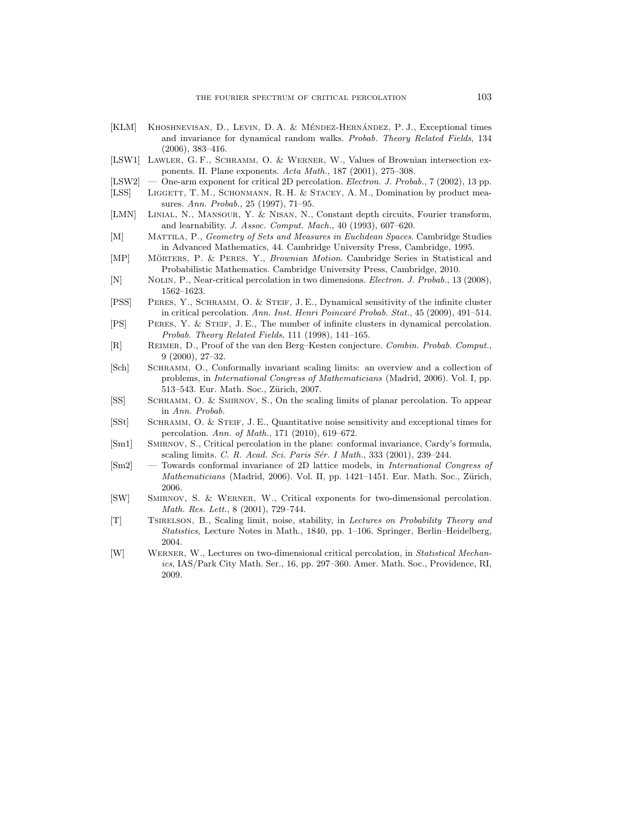- [KLM] KHOSHNEVISAN, D., LEVIN, D.A. & MÉNDEZ-HERNÁNDEZ, P.J., Exceptional times and invariance for dynamical random walks. Probab. Theory Related Fields, 134 (2006), 383–416.
- [LSW1] LAWLER, G. F., SCHRAMM, O. & WERNER, W., Values of Brownian intersection exponents. II. Plane exponents. Acta Math., 187 (2001), 275–308.
- [LSW2] One-arm exponent for critical 2D percolation. *Electron. J. Probab.*, 7 (2002), 13 pp.
- [LSS] LIGGETT, T. M., SCHONMANN, R. H. & STACEY, A. M., Domination by product measures. Ann. Probab., 25 (1997), 71–95.
- [LMN] LINIAL, N., MANSOUR, Y. & NISAN, N., Constant depth circuits, Fourier transform, and learnability. J. Assoc. Comput. Mach., 40 (1993), 607–620.
- [M] MATTILA, P., Geometry of Sets and Measures in Euclidean Spaces. Cambridge Studies in Advanced Mathematics, 44. Cambridge University Press, Cambridge, 1995.
- [MP] MÖRTERS, P. & PERES, Y., *Brownian Motion*. Cambridge Series in Statistical and Probabilistic Mathematics. Cambridge University Press, Cambridge, 2010.
- [N] NOLIN, P., Near-critical percolation in two dimensions. *Electron. J. Probab.*, 13 (2008), 1562–1623.
- [PSS] Peres, Y., Schramm, O. & Steif, J. E., Dynamical sensitivity of the infinite cluster in critical percolation. Ann. Inst. Henri Poincaré Probab. Stat.,  $45$  (2009),  $491-514$ .
- [PS] Peres, Y. & Steif, J. E., The number of infinite clusters in dynamical percolation. Probab. Theory Related Fields, 111 (1998), 141–165.
- [R] Reimer, D., Proof of the van den Berg–Kesten conjecture. Combin. Probab. Comput., 9 (2000), 27–32.
- [Sch] Schramm, O., Conformally invariant scaling limits: an overview and a collection of problems, in International Congress of Mathematicians (Madrid, 2006). Vol. I, pp. 513–543. Eur. Math. Soc., Zürich, 2007.
- [SS] Schramm, O. & Smirnov, S., On the scaling limits of planar percolation. To appear in Ann. Probab.
- [SSt] Schramm, O. & Steif, J. E., Quantitative noise sensitivity and exceptional times for percolation. Ann. of Math., 171 (2010), 619–672.
- [Sm1] Smirnov, S., Critical percolation in the plane: conformal invariance, Cardy's formula, scaling limits. C. R. Acad. Sci. Paris Sér. I Math., 333 (2001), 239-244.
- [Sm2] Towards conformal invariance of 2D lattice models, in International Congress of Mathematicians (Madrid, 2006). Vol. II, pp. 1421–1451. Eur. Math. Soc., Zürich, 2006.
- [SW] Smirnov, S. & Werner, W., Critical exponents for two-dimensional percolation. Math. Res. Lett., 8 (2001), 729–744.
- [T] Tsirelson, B., Scaling limit, noise, stability, in Lectures on Probability Theory and Statistics, Lecture Notes in Math., 1840, pp. 1–106. Springer, Berlin–Heidelberg, 2004.
- [W] Werner, W., Lectures on two-dimensional critical percolation, in Statistical Mechanics, IAS/Park City Math. Ser., 16, pp. 297–360. Amer. Math. Soc., Providence, RI, 2009.